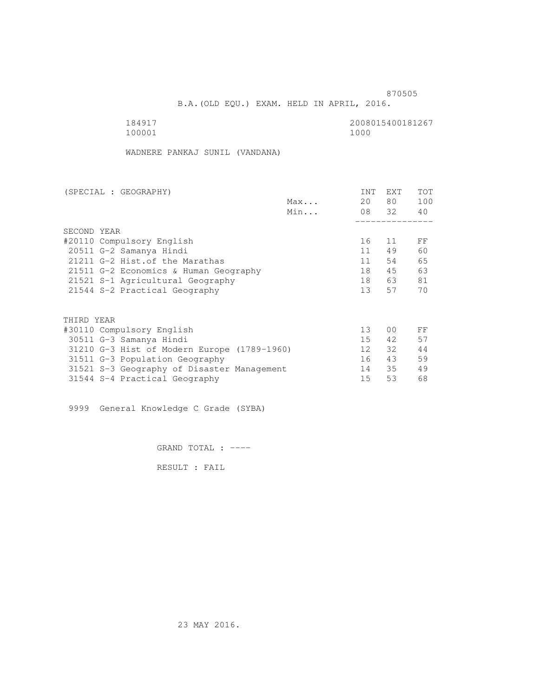and the contract of the contract of the contract of the contract of the contract of the contract of the contract of the contract of the contract of the contract of the contract of the contract of the contract of the contra

B.A.(OLD EQU.) EXAM. HELD IN APRIL, 2016.

| 184917 | 2008015400181267 |
|--------|------------------|
| 100001 | 1000             |

WADNERE PANKAJ SUNIL (VANDANA)

| (SPECIAL : GEOGRAPHY)                       |     | <b>INT</b>      | <b>EXT</b>     | <b>TOT</b> |
|---------------------------------------------|-----|-----------------|----------------|------------|
|                                             | Max | 20              | 80 —           | 100        |
|                                             | Min |                 | 08 32          | 40         |
|                                             |     |                 |                |            |
| SECOND YEAR                                 |     |                 |                |            |
| #20110 Compulsory English                   |     | 16              | 11             | FF         |
| 20511 G-2 Samanya Hindi                     |     | 11              | 49             | 60         |
| 21211 G-2 Hist. of the Marathas             |     | 11              | 54             | 65         |
| 21511 G-2 Economics & Human Geography       |     | 18              | 45             | 63         |
| 21521 S-1 Agricultural Geography            |     | 18              | 63             | 81         |
| 21544 S-2 Practical Geography               |     | 13 <sup>7</sup> | 57             | 70         |
| THIRD YEAR                                  |     |                 |                |            |
| #30110 Compulsory English                   |     | 13 <sup>°</sup> | 0 <sub>0</sub> | FF         |
| 30511 G-3 Samanya Hindi                     |     | 15              | 42             | 57         |
| 31210 G-3 Hist of Modern Europe (1789-1960) |     | 12 <sup>1</sup> | 32             | 44         |
| 31511 G-3 Population Geography              |     | 16              | 43             | 59         |
| 31521 S-3 Geography of Disaster Management  |     | 14              | 35             | 49         |
| 31544 S-4 Practical Geography               |     | 15              | 53             | 68         |
|                                             |     |                 |                |            |

9999 General Knowledge C Grade (SYBA)

GRAND TOTAL : ----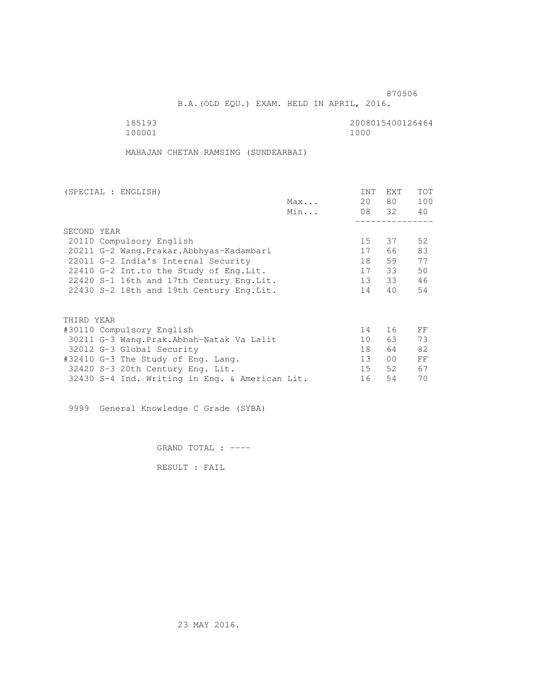B.A.(OLD EQU.) EXAM. HELD IN APRIL, 2016.

 185193 2008015400126464 100001 1000

MAHAJAN CHETAN RAMSING (SUNDEARBAI)

| (SPECIAL : ENGLISH)                            |     | <b>INT</b>      | <b>EXT</b>      | TOT |
|------------------------------------------------|-----|-----------------|-----------------|-----|
|                                                | Max | 20              | 80              | 100 |
|                                                | Min |                 | 08 32           | 40  |
|                                                |     |                 |                 |     |
| SECOND YEAR                                    |     |                 |                 |     |
| 20110 Compulsory English                       |     | 15              | 37              | 52  |
| 20211 G-2 Wang. Prakar. Abbhyas-Kadambari      |     | 17              | 66              | 83  |
| 22011 G-2 India's Internal Security            |     | 18              | 59              | 77  |
| 22410 G-2 Int.to the Study of Eng.Lit.         |     | 17              | 33              | 50  |
| 22420 S-1 16th and 17th Century Eng. Lit.      |     | 13              | 33              | 46  |
| 22430 S-2 18th and 19th Century Eng. Lit.      |     | 14              | 40              | 54  |
|                                                |     |                 |                 |     |
|                                                |     |                 |                 |     |
| THIRD YEAR                                     |     |                 |                 |     |
| #30110 Compulsory English                      |     | 14              | 16              | FF  |
| 30211 G-3 Wang.Prak.Abbah-Natak Va Lalit       |     | 10 <sup>°</sup> | 63 —            | 73  |
| 32012 G-3 Global Security                      |     | 18              | 64              | 82  |
| #32410 G-3 The Study of Eng. Lang.             |     | 13 <sup>°</sup> | 00 <sup>o</sup> | FF  |
| 32420 S-3 20th Century Eng. Lit.               |     | 15              | 52              | 67  |
| 32430 S-4 Ind. Writing in Eng. & American Lit. |     | 16              | 54              | 70  |
|                                                |     |                 |                 |     |

9999 General Knowledge C Grade (SYBA)

GRAND TOTAL : ----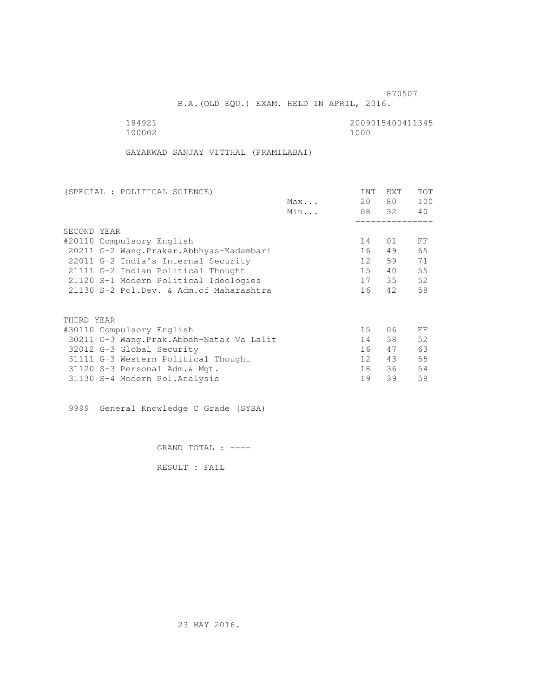and the state of the state of the state of the state of the state of the state of the state of the state of the state of the state of the state of the state of the state of the state of the state of the state of the state

B.A.(OLD EQU.) EXAM. HELD IN APRIL, 2016.

100002

184921 2009015400411345

GAYAKWAD SANJAY VITTHAL (PRAMILABAI)

| <b>INT</b>      | EXT        | TOT   |
|-----------------|------------|-------|
| 20              | 80         | 100   |
|                 |            | 40    |
|                 |            |       |
|                 |            |       |
| 14              | 01         | FF    |
| 16              | 49         | 65    |
| 12              | 59         | 71    |
| $15 -$          | 40         | 55    |
| 17              | 35         | 52    |
| 16              | 42         | 58    |
|                 |            |       |
|                 |            |       |
| 15 <sub>1</sub> | 06         | FF    |
| 14              | 38         | 52    |
| 16              | 47         | 63    |
| 12 <sup>°</sup> | 43         | 55    |
| 18              | 36         | 54    |
| 19              | 39         | 58    |
|                 | Max<br>Min | 08 32 |

9999 General Knowledge C Grade (SYBA)

GRAND TOTAL : ----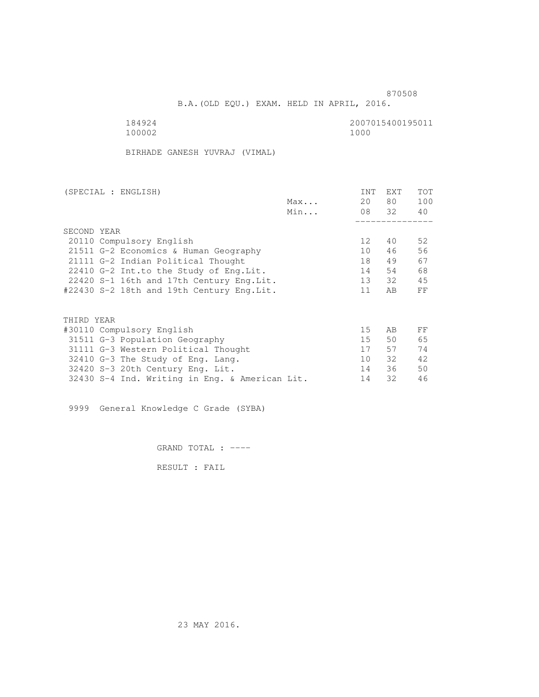B.A.(OLD EQU.) EXAM. HELD IN APRIL, 2016.

100002 1000

184924<br>100002 100002 1000

BIRHADE GANESH YUVRAJ (VIMAL)

| (SPECIAL : ENGLISH)                            |     | <b>INT</b>      | <b>EXT</b> | TOT |
|------------------------------------------------|-----|-----------------|------------|-----|
|                                                | Max | 20              | 80         | 100 |
|                                                | Min |                 | 08 32      | 40  |
|                                                |     |                 |            |     |
| SECOND YEAR                                    |     |                 |            |     |
| 20110 Compulsory English                       |     | 12 <sup>°</sup> | 40         | 52  |
| 21511 G-2 Economics & Human Geography          |     | 10              | 46         | 56  |
| 21111 G-2 Indian Political Thought             |     | 18              | 49         | 67  |
| 22410 G-2 Int.to the Study of Eng. Lit.        |     | 14              | 54         | 68  |
| 22420 S-1 16th and 17th Century Eng. Lit.      |     | 13              | 32         | 45  |
| #22430 S-2 18th and 19th Century Eng.Lit.      |     | 11              | AB         | FF  |
|                                                |     |                 |            |     |
|                                                |     |                 |            |     |
| THIRD YEAR                                     |     |                 |            |     |
| #30110 Compulsory English                      |     | 15              | AB         | FF  |
| 31511 G-3 Population Geography                 |     | 15 <sub>1</sub> | 50         | 65  |
| 31111 G-3 Western Political Thought            |     | 17              | 57         | 74  |
| 32410 G-3 The Study of Eng. Lang.              |     | 10              | 32         | 42  |
| 32420 S-3 20th Century Eng. Lit.               |     | 14              | 36         | 50  |
| 32430 S-4 Ind. Writing in Eng. & American Lit. |     | 14              | 32         | 46  |
|                                                |     |                 |            |     |

9999 General Knowledge C Grade (SYBA)

GRAND TOTAL : ----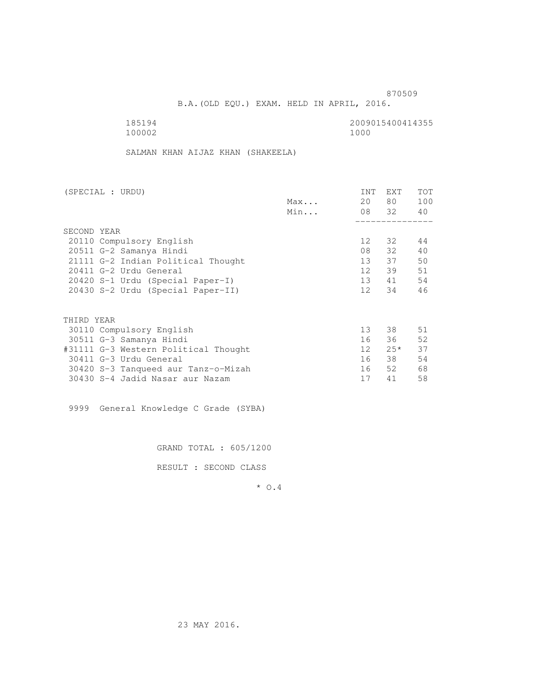B.A.(OLD EQU.) EXAM. HELD IN APRIL, 2016.

| 185194 | 2009015400414355 |
|--------|------------------|
| 100002 | 1000             |

SALMAN KHAN AIJAZ KHAN (SHAKEELA)

| (SPECIAL : URDU)                     |     | <b>INT</b>      | EXT   | TOT |
|--------------------------------------|-----|-----------------|-------|-----|
|                                      | Max | 20              | 80    | 100 |
|                                      | Min |                 | 08 32 | 40  |
|                                      |     |                 |       |     |
| SECOND YEAR                          |     |                 |       |     |
| 20110 Compulsory English             |     | 12 <sup>°</sup> | 32    | 44  |
| 20511 G-2 Samanya Hindi              |     | 08              | 32    | 40  |
| 21111 G-2 Indian Political Thought   |     | 13              | 37    | 50  |
| 20411 G-2 Urdu General               |     | 12 <sup>°</sup> | 39    | 51  |
| 20420 S-1 Urdu (Special Paper-I)     |     | 13              | 41    | 54  |
| 20430 S-2 Urdu (Special Paper-II)    |     | 12 <sup>°</sup> | 34    | 46  |
|                                      |     |                 |       |     |
| THIRD YEAR                           |     |                 |       |     |
| 30110 Compulsory English             |     | 13 <sup>°</sup> | 38    | 51  |
| 30511 G-3 Samanya Hindi              |     | 16              | 36    | 52  |
| #31111 G-3 Western Political Thought |     | 12              | $25*$ | 37  |
| 30411 G-3 Urdu General               |     | 16              | 38    | 54  |
| 30420 S-3 Tanqueed aur Tanz-o-Mizah  |     | 16              | 52    | 68  |
| 30430 S-4 Jadid Nasar aur Nazam      |     | 17              | 41    | 58  |

9999 General Knowledge C Grade (SYBA)

GRAND TOTAL : 605/1200

RESULT : SECOND CLASS

\* O.4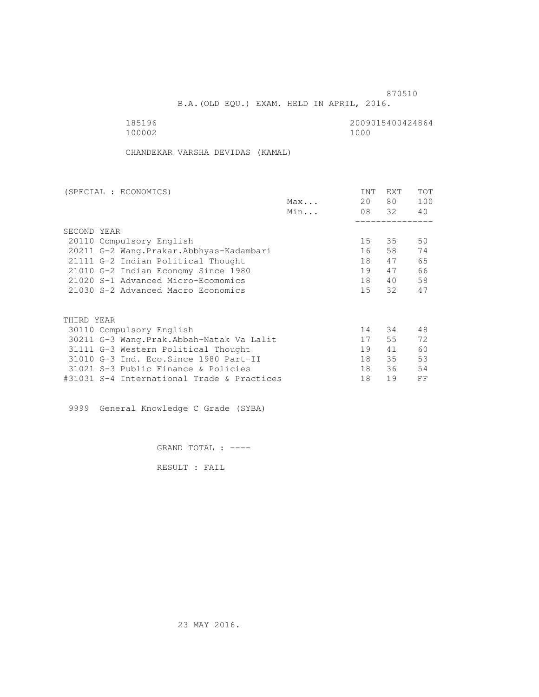B.A.(OLD EQU.) EXAM. HELD IN APRIL, 2016.

 185196 2009015400424864 100002

CHANDEKAR VARSHA DEVIDAS (KAMAL)

| (SPECIAL : ECONOMICS)                      |     | <b>INT</b>      | <b>EXT</b> | TOT |
|--------------------------------------------|-----|-----------------|------------|-----|
|                                            | Max | 20              | 80         | 100 |
|                                            | Min |                 | 08 32      | 40  |
|                                            |     |                 |            |     |
| SECOND YEAR                                |     |                 |            |     |
| 20110 Compulsory English                   |     | 15 <sub>1</sub> | 35         | 50  |
| 20211 G-2 Wang. Prakar. Abbhyas-Kadambari  |     | 16              | 58         | 74  |
| 21111 G-2 Indian Political Thought         |     | 18              | 47         | 65  |
| 21010 G-2 Indian Economy Since 1980        |     | 19              | 47         | 66  |
| 21020 S-1 Advanced Micro-Ecomomics         |     | 18              | 40         | 58  |
| 21030 S-2 Advanced Macro Economics         |     | 15              | 32         | 47  |
|                                            |     |                 |            |     |
| THIRD YEAR                                 |     |                 |            |     |
| 30110 Compulsory English                   |     | 14              | 34         | 48  |
| 30211 G-3 Wang.Prak.Abbah-Natak Va Lalit   |     | 17              | 55         | 72  |
| 31111 G-3 Western Political Thought        |     | 19              | 41         | 60  |
| 31010 G-3 Ind. Eco. Since 1980 Part-II     |     | 18              | 35         | 53  |
| 31021 S-3 Public Finance & Policies        |     | 18              | 36         | 54  |
| #31031 S-4 International Trade & Practices |     | 18              | 19         | FF  |

9999 General Knowledge C Grade (SYBA)

GRAND TOTAL : ----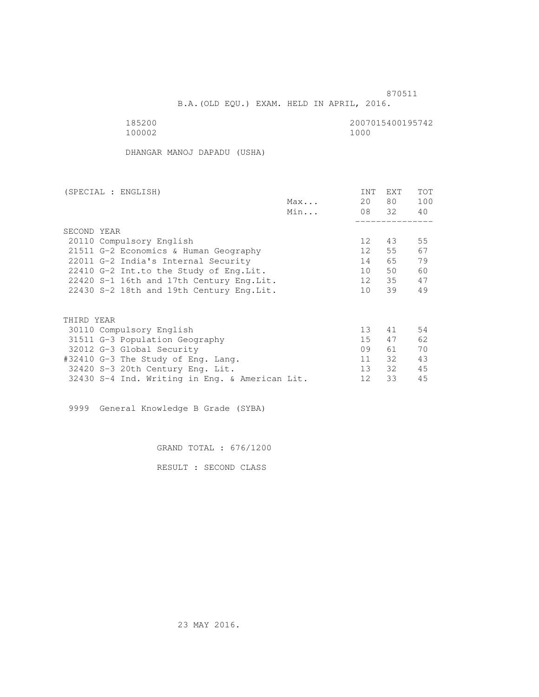B.A.(OLD EQU.) EXAM. HELD IN APRIL, 2016.

185200<br>100002 100002 1000 100002 1000

DHANGAR MANOJ DAPADU (USHA)

| (SPECIAL : ENGLISH)                            |     | <b>INT</b>      | <b>EXT</b> | TOT |
|------------------------------------------------|-----|-----------------|------------|-----|
|                                                | Max | 20              | 80         | 100 |
|                                                | Min |                 | 08 32      | 40  |
|                                                |     |                 |            |     |
| SECOND YEAR                                    |     |                 |            |     |
| 20110 Compulsory English                       |     | 12              | 43         | 55  |
| 21511 G-2 Economics & Human Geography          |     | 12 <sup>°</sup> | 55         | 67  |
| 22011 G-2 India's Internal Security            |     | 14              | 65         | 79  |
| 22410 G-2 Int.to the Study of Eng. Lit.        |     | 10              | 50         | 60  |
| 22420 S-1 16th and 17th Century Eng. Lit.      |     | 12              | 35         | 47  |
| 22430 S-2 18th and 19th Century Eng. Lit.      |     | 10 <sup>1</sup> | 39         | 49  |
|                                                |     |                 |            |     |
|                                                |     |                 |            |     |
| THIRD YEAR                                     |     |                 |            |     |
| 30110 Compulsory English                       |     | 13 <sup>°</sup> | 41         | 54  |
| 31511 G-3 Population Geography                 |     | 15              | 47         | 62  |
| 32012 G-3 Global Security                      |     | 09              | 61         | 70  |
| #32410 G-3 The Study of Eng. Lang.             |     | 11              | 32         | 43  |
| 32420 S-3 20th Century Eng. Lit.               |     | 13 <sup>°</sup> | 32         | 45  |
| 32430 S-4 Ind. Writing in Eng. & American Lit. |     | 12              | 33         | 45  |
|                                                |     |                 |            |     |

9999 General Knowledge B Grade (SYBA)

GRAND TOTAL : 676/1200

RESULT : SECOND CLASS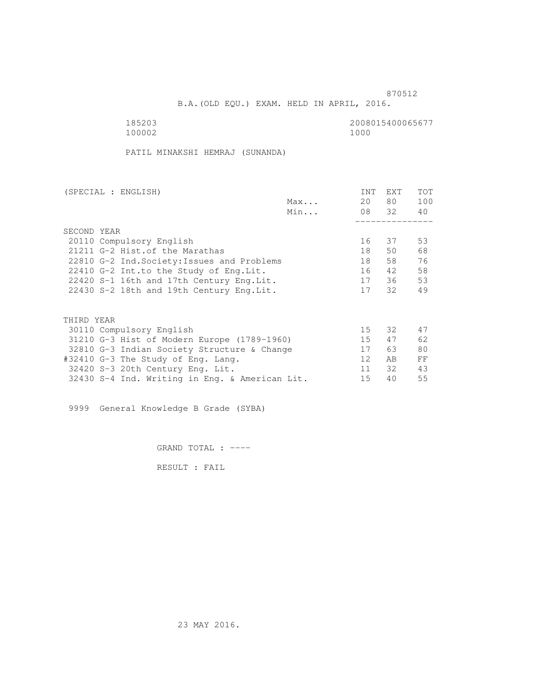B.A.(OLD EQU.) EXAM. HELD IN APRIL, 2016.

185203<br>100002 100002 1000 100002 1000

PATIL MINAKSHI HEMRAJ (SUNANDA)

| (SPECIAL : ENGLISH)                            |     | <b>INT</b> | <b>EXT</b> | TOT |
|------------------------------------------------|-----|------------|------------|-----|
|                                                | Max | 20         | 80 —       | 100 |
|                                                | Min |            | 08 32      | 40  |
|                                                |     |            |            |     |
| SECOND YEAR                                    |     |            |            |     |
| 20110 Compulsory English                       |     | 16         | 37         | 53  |
| 21211 G-2 Hist. of the Marathas                |     | 18         | 50         | 68  |
| 22810 G-2 Ind. Society: Issues and Problems    |     | 18         | 58         | 76  |
| 22410 G-2 Int.to the Study of Eng. Lit.        |     | 16         | 42         | 58  |
| 22420 S-1 16th and 17th Century Eng. Lit.      |     | 17         | 36         | 53  |
| 22430 S-2 18th and 19th Century Eng. Lit.      |     | 17         | 32         | 49  |
|                                                |     |            |            |     |
| THIRD YEAR                                     |     |            |            |     |
| 30110 Compulsory English                       |     | 15         | 32         | 47  |
| 31210 G-3 Hist of Modern Europe (1789-1960)    |     | 15         | 47         | 62  |
| 32810 G-3 Indian Society Structure & Change    |     | 17         | 63         | 80  |
| #32410 G-3 The Study of Eng. Lang.             |     | 12         | AB         | FF  |
| 32420 S-3 20th Century Eng. Lit.               |     | 11         | 32         | 43  |
| 32430 S-4 Ind. Writing in Eng. & American Lit. |     | 15         | 40         | 55  |
|                                                |     |            |            |     |

9999 General Knowledge B Grade (SYBA)

GRAND TOTAL : ----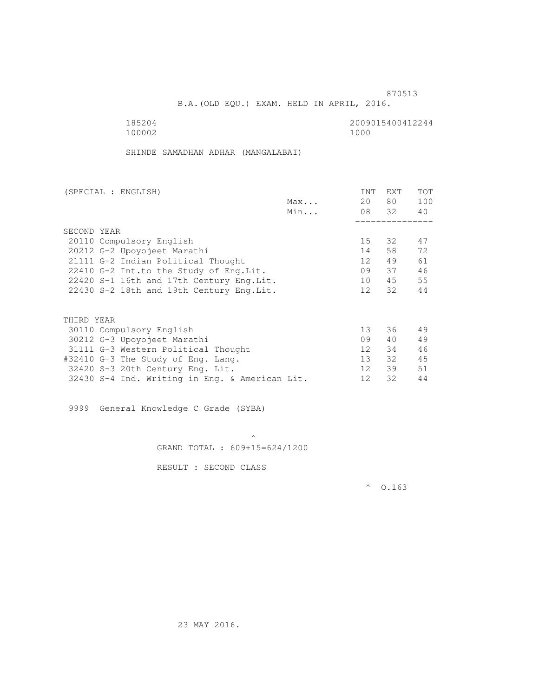B.A.(OLD EQU.) EXAM. HELD IN APRIL, 2016.

 185204 2009015400412244 100002 1000

SHINDE SAMADHAN ADHAR (MANGALABAI)

| 80 —<br>20<br>Max<br>08 32<br>Min<br>SECOND YEAR<br>15<br>32<br>20110 Compulsory English<br>58<br>20212 G-2 Upoyojeet Marathi<br>14<br>49<br>21111 G-2 Indian Political Thought<br>12<br>09<br>37<br>22410 G-2 Int.to the Study of Eng. Lit.<br>45<br>22420 S-1 16th and 17th Century Eng. Lit.<br>10<br>32<br>12<br>22430 S-2 18th and 19th Century Eng. Lit.<br>THIRD YEAR | 100<br>40<br>47<br>72 |
|------------------------------------------------------------------------------------------------------------------------------------------------------------------------------------------------------------------------------------------------------------------------------------------------------------------------------------------------------------------------------|-----------------------|
|                                                                                                                                                                                                                                                                                                                                                                              |                       |
|                                                                                                                                                                                                                                                                                                                                                                              |                       |
|                                                                                                                                                                                                                                                                                                                                                                              |                       |
|                                                                                                                                                                                                                                                                                                                                                                              |                       |
|                                                                                                                                                                                                                                                                                                                                                                              |                       |
|                                                                                                                                                                                                                                                                                                                                                                              |                       |
|                                                                                                                                                                                                                                                                                                                                                                              | 61                    |
|                                                                                                                                                                                                                                                                                                                                                                              | 46                    |
|                                                                                                                                                                                                                                                                                                                                                                              | 55                    |
|                                                                                                                                                                                                                                                                                                                                                                              | 44                    |
|                                                                                                                                                                                                                                                                                                                                                                              |                       |
|                                                                                                                                                                                                                                                                                                                                                                              |                       |
| 13 <sup>°</sup><br>36<br>30110 Compulsory English                                                                                                                                                                                                                                                                                                                            | 49                    |
| 09<br>40<br>30212 G-3 Upoyojeet Marathi                                                                                                                                                                                                                                                                                                                                      | 49                    |
| 34<br>12<br>31111 G-3 Western Political Thought                                                                                                                                                                                                                                                                                                                              | 46                    |
| 13 <sup>7</sup><br>32<br>#32410 G-3 The Study of Eng. Lang.                                                                                                                                                                                                                                                                                                                  | 45                    |
| 39<br>32420 S-3 20th Century Eng. Lit.<br>12 <sup>°</sup>                                                                                                                                                                                                                                                                                                                    | 51                    |
| 32<br>32430 S-4 Ind. Writing in Eng. & American Lit.<br>12                                                                                                                                                                                                                                                                                                                   | 44                    |

9999 General Knowledge C Grade (SYBA)

 $\mathcal{A}$  and  $\mathcal{A}$  are the set of  $\mathcal{A}$ GRAND TOTAL : 609+15=624/1200

RESULT : SECOND CLASS

 $^{\circ}$  0.163

23 MAY 2016.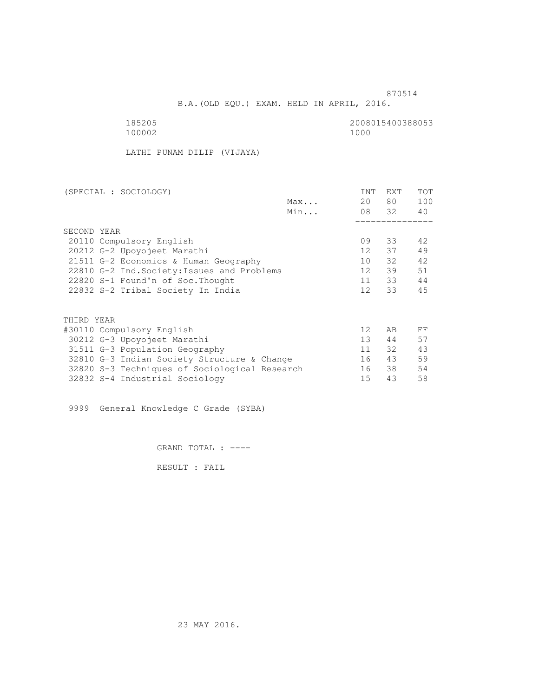B.A.(OLD EQU.) EXAM. HELD IN APRIL, 2016.

185205<br>100002 100002 1000 100002 1000

LATHI PUNAM DILIP (VIJAYA)

| Max<br>Min<br>SECOND YEAR<br>20110 Compulsory English<br>20212 G-2 Upoyojeet Marathi<br>21511 G-2 Economics & Human Geography<br>22810 G-2 Ind. Society: Issues and Problems<br>22820 S-1 Found'n of Soc. Thought<br>22832 S-2 Tribal Society In India | 20<br>09<br>12 <sup>12</sup><br>10 | 80 —<br>08 32<br>33<br>37 | 100<br>40<br>42<br>49 |
|--------------------------------------------------------------------------------------------------------------------------------------------------------------------------------------------------------------------------------------------------------|------------------------------------|---------------------------|-----------------------|
|                                                                                                                                                                                                                                                        |                                    |                           |                       |
|                                                                                                                                                                                                                                                        |                                    |                           |                       |
|                                                                                                                                                                                                                                                        |                                    |                           |                       |
|                                                                                                                                                                                                                                                        |                                    |                           |                       |
|                                                                                                                                                                                                                                                        |                                    |                           |                       |
|                                                                                                                                                                                                                                                        |                                    |                           |                       |
|                                                                                                                                                                                                                                                        |                                    | 32                        | 42                    |
|                                                                                                                                                                                                                                                        | 12 <sup>°</sup>                    | 39                        | 51                    |
|                                                                                                                                                                                                                                                        | 11                                 | 33                        | 44                    |
|                                                                                                                                                                                                                                                        | 12 <sup>12</sup>                   | 33                        | 45                    |
|                                                                                                                                                                                                                                                        |                                    |                           |                       |
| THIRD YEAR                                                                                                                                                                                                                                             |                                    |                           |                       |
| #30110 Compulsory English                                                                                                                                                                                                                              | 12 <sup>°</sup>                    | AB                        | FF                    |
| 30212 G-3 Upoyojeet Marathi                                                                                                                                                                                                                            | 13 <sup>7</sup>                    | 44                        | 57                    |
| 31511 G-3 Population Geography                                                                                                                                                                                                                         | 11                                 | 32                        | 43                    |
| 32810 G-3 Indian Society Structure & Change                                                                                                                                                                                                            | 16                                 | 43                        | 59                    |
| 32820 S-3 Techniques of Sociological Research                                                                                                                                                                                                          | 16                                 | 38                        | 54                    |
| 32832 S-4 Industrial Sociology                                                                                                                                                                                                                         | 15                                 | 43                        | 58                    |

9999 General Knowledge C Grade (SYBA)

GRAND TOTAL : ----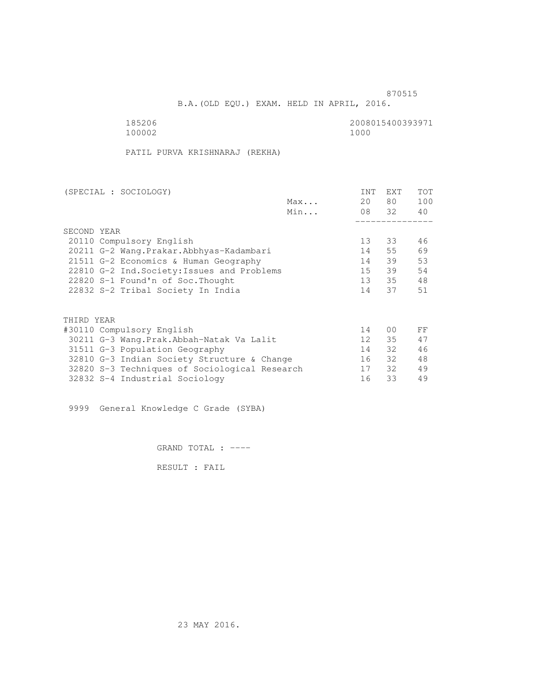B.A.(OLD EQU.) EXAM. HELD IN APRIL, 2016.

185206<br>100002 100002 1000 100002 1000

PATIL PURVA KRISHNARAJ (REKHA)

|     | <b>INT</b>                                                                                                                                                                                                                                                                    | <b>EXT</b> | <b>TOT</b>                |
|-----|-------------------------------------------------------------------------------------------------------------------------------------------------------------------------------------------------------------------------------------------------------------------------------|------------|---------------------------|
| Max | 20                                                                                                                                                                                                                                                                            |            | 100                       |
| Min |                                                                                                                                                                                                                                                                               |            | 40                        |
|     |                                                                                                                                                                                                                                                                               |            |                           |
|     |                                                                                                                                                                                                                                                                               |            |                           |
|     | 13 <sup>°</sup>                                                                                                                                                                                                                                                               | 33         | 46                        |
|     | 14                                                                                                                                                                                                                                                                            | 55         | 69                        |
|     | 14                                                                                                                                                                                                                                                                            | 39         | 53                        |
|     | $15 -$                                                                                                                                                                                                                                                                        | 39         | 54                        |
|     | $13 -$                                                                                                                                                                                                                                                                        |            | 48                        |
|     | 14                                                                                                                                                                                                                                                                            | 37         | 51                        |
|     |                                                                                                                                                                                                                                                                               |            |                           |
|     |                                                                                                                                                                                                                                                                               |            |                           |
|     | 14                                                                                                                                                                                                                                                                            | 00         | FF                        |
|     | 12 <sup>°</sup>                                                                                                                                                                                                                                                               | 35         | 47                        |
|     | 14                                                                                                                                                                                                                                                                            | 32         | 46                        |
|     | 16                                                                                                                                                                                                                                                                            |            | 48                        |
|     | 17                                                                                                                                                                                                                                                                            | 32         | 49                        |
|     | 16                                                                                                                                                                                                                                                                            | 33         | 49                        |
|     | 20211 G-2 Wang. Prakar. Abbhyas-Kadambari<br>21511 G-2 Economics & Human Geography<br>22810 G-2 Ind. Society: Issues and Problems<br>30211 G-3 Wang.Prak.Abbah-Natak Va Lalit<br>32810 G-3 Indian Society Structure & Change<br>32820 S-3 Techniques of Sociological Research |            | 80 —<br>08 32<br>35<br>32 |

9999 General Knowledge C Grade (SYBA)

GRAND TOTAL : ----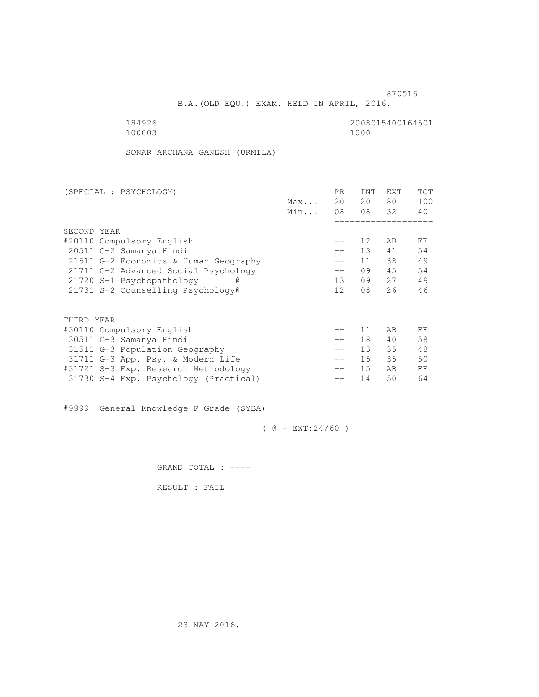B.A.(OLD EQU.) EXAM. HELD IN APRIL, 2016.

184926<br>100003 100003 1000 100003 1000

SONAR ARCHANA GANESH (URMILA)

| (SPECIAL : PSYCHOLOGY)                |     | PR.               | <b>INT</b> | <b>EXT</b> | TOT |
|---------------------------------------|-----|-------------------|------------|------------|-----|
|                                       | Max | 20                | 20         | 80         | 100 |
|                                       | Min | 08                |            | 08 32      | 40  |
|                                       |     |                   |            |            |     |
| SECOND YEAR                           |     |                   |            |            |     |
| #20110 Compulsory English             |     |                   | 12         | AB         | FF  |
| 20511 G-2 Samanya Hindi               |     | $\qquad \qquad -$ | 13         | 41         | 54  |
| 21511 G-2 Economics & Human Geography |     | $- -$             | 11         | 38         | 49  |
| 21711 G-2 Advanced Social Psychology  |     | $\qquad \qquad -$ | 09         | 45         | 54  |
| 21720 S-1 Psychopathology             |     | 13                | 09         | 27         | 49  |
| 21731 S-2 Counselling Psychology@     |     | 12                | 08         | 26         | 46  |
|                                       |     |                   |            |            |     |
| THIRD YEAR                            |     |                   |            |            |     |
| #30110 Compulsory English             |     |                   | 11         | AB         | FF  |
| 30511 G-3 Samanya Hindi               |     | $\qquad \qquad -$ | 18         | 40         | 58  |
| 31511 G-3 Population Geography        |     | $\qquad \qquad -$ | 13         | 35         | 48  |
| 31711 G-3 App. Psy. & Modern Life     |     | $\qquad \qquad -$ | 15         | 35         | 50  |
| #31721 S-3 Exp. Research Methodology  |     | $- -$             | 15         | AB         | FF  |
| 31730 S-4 Exp. Psychology (Practical) |     |                   | 14         | 50         | 64  |
|                                       |     |                   |            |            |     |

#9999 General Knowledge F Grade (SYBA)

 $( @ - EXT: 24/60 )$ 

GRAND TOTAL : ----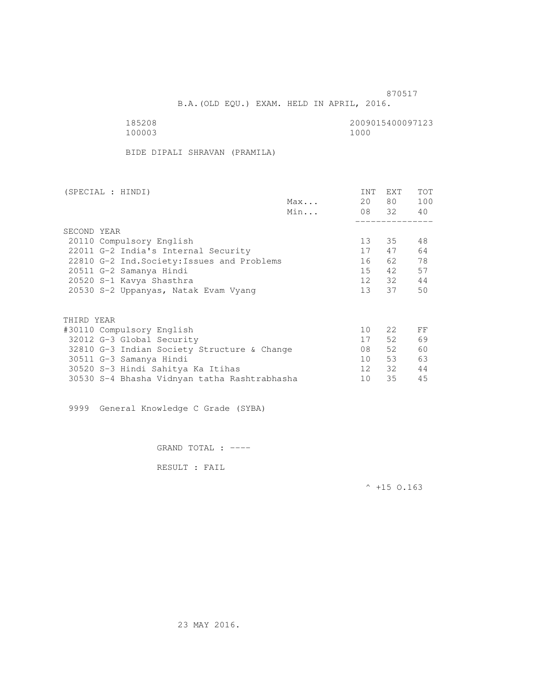B.A.(OLD EQU.) EXAM. HELD IN APRIL, 2016.

100003

185208 2009015400097123

BIDE DIPALI SHRAVAN (PRAMILA)

| (SPECIAL : HINDI)                           |     | INT | <b>EXT</b>       | <b>TOT</b> |
|---------------------------------------------|-----|-----|------------------|------------|
|                                             | Max | 20  | 80               | 100        |
|                                             | Min |     | 08 32            | 40         |
|                                             |     |     |                  |            |
| SECOND YEAR                                 |     |     |                  |            |
| 20110 Compulsory English                    |     | 13  | 35               | 48         |
| 22011 G-2 India's Internal Security         |     | 17  | 47               | 64         |
| 22810 G-2 Ind. Society: Issues and Problems |     | 16  | 62               | 78         |
| 20511 G-2 Samanya Hindi                     |     | 15  | 42               | 57         |
| 20520 S-1 Kavya Shasthra                    |     | 12  | 32 F             | 44         |
| 20530 S-2 Uppanyas, Natak Evam Vyang        |     | 13  | 37               | 50         |
|                                             |     |     |                  |            |
| THIRD YEAR                                  |     |     |                  |            |
| #30110 Compulsory English                   |     | 10  | 2.2 <sub>1</sub> | FF         |
| 32012 G-3 Global Security                   |     | 17  | 52               | 69         |
| 32810 G-3 Indian Society Structure & Change |     | 08  | 52               | 60         |
| 30511 G-3 Samanya Hindi                     |     | 10  | 53               | 63         |
| 30520 S-3 Hindi Sahitya Ka Itihas           |     | 12  | 32               | 44         |

30530 S-4 Bhasha Vidnyan tatha Rashtrabhasha 10 35 45

9999 General Knowledge C Grade (SYBA)

GRAND TOTAL : ----

RESULT : FAIL

 $^{\wedge}$  +15 O.163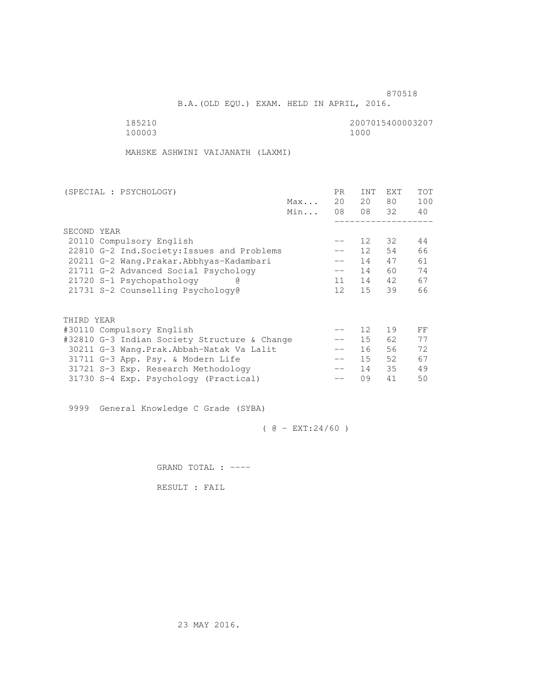B.A.(OLD EQU.) EXAM. HELD IN APRIL, 2016.

100003

185210 2007015400003207<br>100003 100003

MAHSKE ASHWINI VAIJANATH (LAXMI)

| (SPECIAL : PSYCHOLOGY)                       |     | PR.               | <b>INT</b>      | <b>EXT</b> | TOT |
|----------------------------------------------|-----|-------------------|-----------------|------------|-----|
|                                              | Max | 20                | 20              | 80         | 100 |
|                                              | Min | 08                |                 | 08 32      | 40  |
|                                              |     |                   |                 |            |     |
| SECOND YEAR                                  |     |                   |                 |            |     |
| 20110 Compulsory English                     |     | --                | 12              | 32         | 44  |
| 22810 G-2 Ind. Society: Issues and Problems  |     | $- -$             | 12 <sup>1</sup> | 54         | 66  |
| 20211 G-2 Wang.Prakar.Abbhyas-Kadambari      |     | $\qquad \qquad -$ | 14              | 47         | 61  |
| 21711 G-2 Advanced Social Psychology         |     | $- -$             | 14              | 60         | 74  |
| 21720 S-1 Psychopathology<br>G)              |     | 11                | 14              | 42         | 67  |
| 21731 S-2 Counselling Psychology@            |     | 12 <sup>°</sup>   | 15              | 39         | 66  |
|                                              |     |                   |                 |            |     |
| THIRD YEAR                                   |     |                   |                 |            |     |
| #30110 Compulsory English                    |     |                   | 12              | 19         | FF  |
| #32810 G-3 Indian Society Structure & Change |     |                   | 15              | 62         | 77  |
| 30211 G-3 Wang. Prak. Abbah-Natak Va Lalit   |     | $\qquad \qquad -$ | 16              | 56         | 72  |
| 31711 G-3 App. Psy. & Modern Life            |     | $- -$             | 15              | 52         | 67  |
| 31721 S-3 Exp. Research Methodology          |     |                   | 14              | 35         | 49  |
| 31730 S-4 Exp. Psychology (Practical)        |     |                   | 09              | 41         | 50  |
|                                              |     |                   |                 |            |     |

9999 General Knowledge C Grade (SYBA)

 $( @ - EXT: 24/60 )$ 

GRAND TOTAL : ----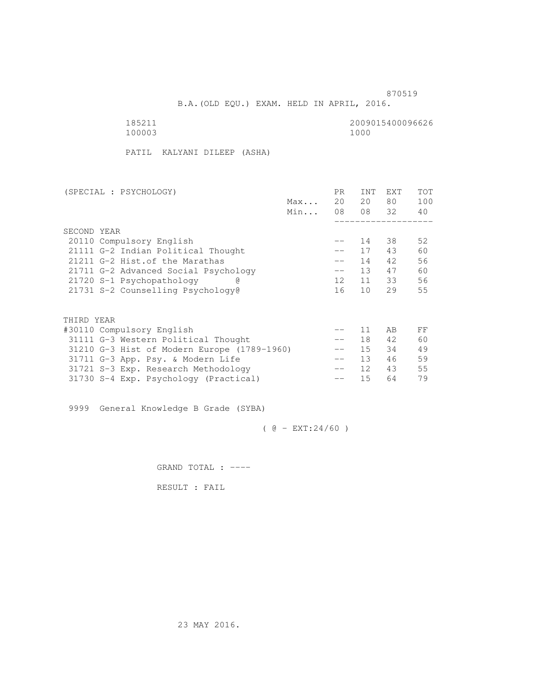B.A.(OLD EQU.) EXAM. HELD IN APRIL, 2016.

100003

185211 2009015400096626

PATIL KALYANI DILEEP (ASHA)

| (SPECIAL : PSYCHOLOGY)                      |     | PR.               | <b>INT</b>      | <b>EXT</b> | TOT |
|---------------------------------------------|-----|-------------------|-----------------|------------|-----|
|                                             | Max | 20                | 20              | 80         | 100 |
|                                             | Min | 08                |                 | 08 32      | 40  |
|                                             |     |                   |                 |            |     |
| SECOND YEAR                                 |     |                   |                 |            |     |
| 20110 Compulsory English                    |     |                   | 14              | 38         | 52  |
| 21111 G-2 Indian Political Thought          |     | $- -$             | 17              | 43         | 60  |
| 21211 G-2 Hist. of the Marathas             |     | $\qquad \qquad -$ | 14              | 42         | 56  |
| 21711 G-2 Advanced Social Psychology        |     | $-\,-$            | 13              | 47         | 60  |
| 21720 S-1 Psychopathology                   |     | 12                | 11              | 33         | 56  |
| 21731 S-2 Counselling Psychology@           |     | 16                | 10 <sup>1</sup> | 29         | 55  |
|                                             |     |                   |                 |            |     |
|                                             |     |                   |                 |            |     |
| THIRD YEAR                                  |     |                   |                 |            |     |
| #30110 Compulsory English                   |     |                   | 11              | AB         | FF  |
| 31111 G-3 Western Political Thought         |     |                   | 18              | 42         | 60  |
| 31210 G-3 Hist of Modern Europe (1789-1960) |     | $-\,-$            | $15 -$          | 34         | 49  |
| 31711 G-3 App. Psy. & Modern Life           |     | $- -$             | 13              | 46         | 59  |
| 31721 S-3 Exp. Research Methodology         |     | $- -$             | 12 <sup>°</sup> | 43         | 55  |
| 31730 S-4 Exp. Psychology (Practical)       |     |                   | 15              | 64         | 79  |
|                                             |     |                   |                 |            |     |

9999 General Knowledge B Grade (SYBA)

 $( @ - EXT: 24/60 )$ 

GRAND TOTAL : ----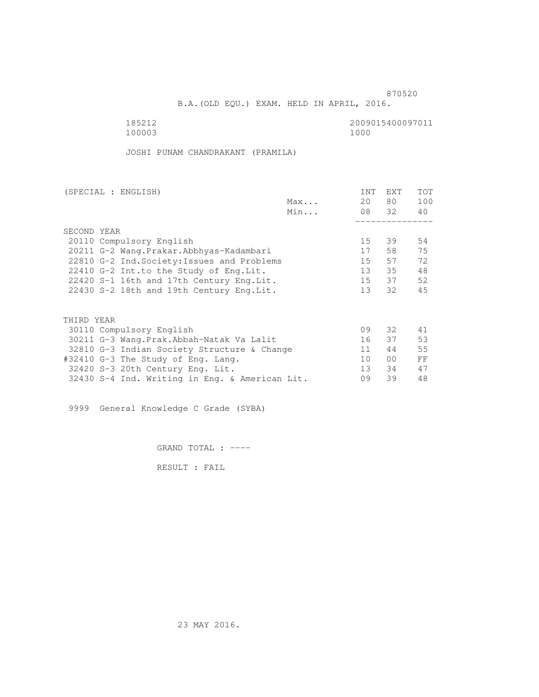B.A.(OLD EQU.) EXAM. HELD IN APRIL, 2016.

100003

185212 2009015400097011

JOSHI PUNAM CHANDRAKANT (PRAMILA)

| (SPECIAL : ENGLISH)                            |     | INT             | EXT             | TOT |
|------------------------------------------------|-----|-----------------|-----------------|-----|
|                                                | Max | 20              | 80 —            | 100 |
|                                                | Min |                 | 08 32           | 40  |
|                                                |     |                 |                 |     |
| SECOND YEAR                                    |     |                 |                 |     |
| 20110 Compulsory English                       |     | 15              | 39              | 54  |
| 20211 G-2 Wang. Prakar. Abbhyas-Kadambari      |     | 17              | 58              | 75  |
| 22810 G-2 Ind. Society: Issues and Problems    |     | 15              | 57              | 72  |
| 22410 G-2 Int.to the Study of Eng. Lit.        |     | 13 <sup>7</sup> | 35              | 48  |
| 22420 S-1 16th and 17th Century Eng. Lit.      |     | 15              | 37              | 52  |
| 22430 S-2 18th and 19th Century Eng. Lit.      |     | 13              | 32              | 45  |
| THIRD YEAR                                     |     |                 |                 |     |
| 30110 Compulsory English                       |     | 09              | 32 F            | 41  |
| 30211 G-3 Wang.Prak.Abbah-Natak Va Lalit       |     | 16              | 37              | 53  |
| 32810 G-3 Indian Society Structure & Change    |     | 11              | 44              | 55  |
|                                                |     | 10              | 00 <sup>o</sup> | FF  |
| #32410 G-3 The Study of Eng. Lang.             |     | 13 <sup>7</sup> | 34              | 47  |
| 32420 S-3 20th Century Eng. Lit.               |     |                 |                 |     |
| 32430 S-4 Ind. Writing in Eng. & American Lit. |     | 09              | 39              | 48  |

9999 General Knowledge C Grade (SYBA)

GRAND TOTAL : ----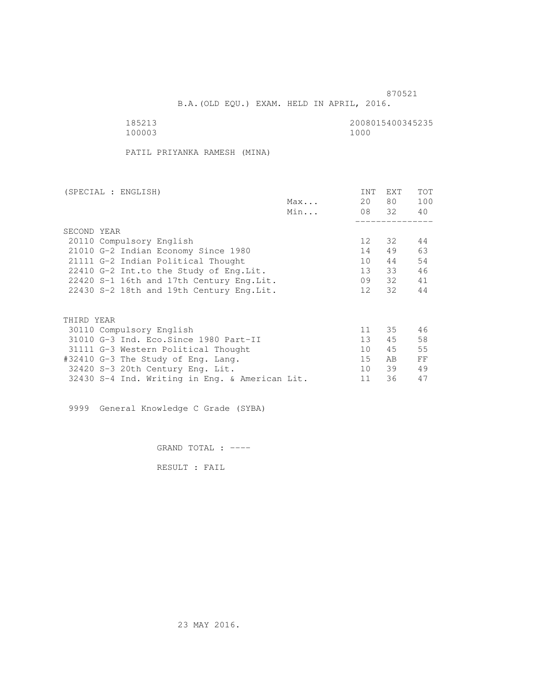B.A.(OLD EQU.) EXAM. HELD IN APRIL, 2016.

 185213 2008015400345235 100003 1000

PATIL PRIYANKA RAMESH (MINA)

| (SPECIAL : ENGLISH)                            | INT             | EXT   | TOT |
|------------------------------------------------|-----------------|-------|-----|
| Max                                            | 20              | 80 —  | 100 |
| Min                                            |                 | 08 32 | 40  |
|                                                |                 |       |     |
| SECOND YEAR                                    |                 |       |     |
| 20110 Compulsory English                       | 12 <sup>°</sup> | 32    | 44  |
| 21010 G-2 Indian Economy Since 1980            | 14              | 49    | 63  |
| 21111 G-2 Indian Political Thought             | 10              | 44    | 54  |
| 22410 G-2 Int.to the Study of Eng.Lit.         | 13              | 33    | 46  |
| 22420 S-1 16th and 17th Century Eng.Lit.       | 09              | 32    | 41  |
| 22430 S-2 18th and 19th Century Eng. Lit.      | 12              | 32    | 44  |
|                                                |                 |       |     |
| THIRD YEAR                                     |                 |       |     |
| 30110 Compulsory English                       | 11              | 35    | 46  |
| 31010 G-3 Ind. Eco. Since 1980 Part-II         | 13 <sup>7</sup> | 45    | 58  |
| 31111 G-3 Western Political Thought            | 10 <sup>1</sup> | 45    | 55  |
| #32410 G-3 The Study of Eng. Lang.             | 15              | AB.   | FF  |
| 32420 S-3 20th Century Eng. Lit.               | 10              | 39    | 49  |
| 32430 S-4 Ind. Writing in Eng. & American Lit. | 11              | 36    | 47  |

9999 General Knowledge C Grade (SYBA)

GRAND TOTAL : ----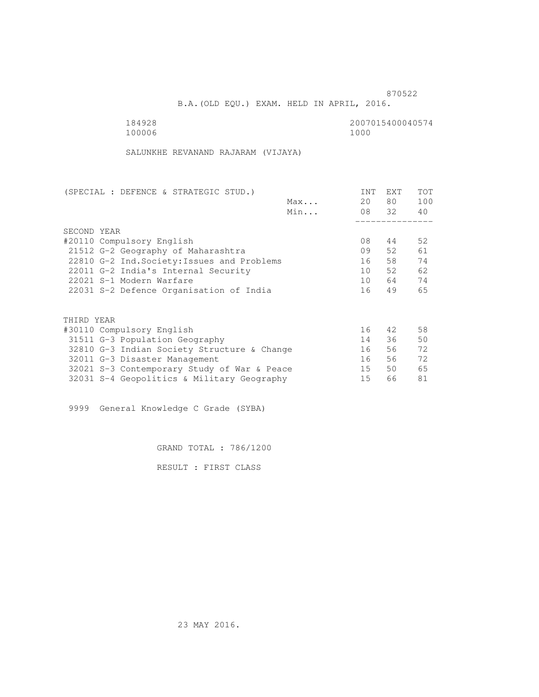B.A.(OLD EQU.) EXAM. HELD IN APRIL, 2016.

100006 1000

184928 2007015400040574

SALUNKHE REVANAND RAJARAM (VIJAYA)

| (SPECIAL : DEFENCE & STRATEGIC STUD.)       |     | <b>INT</b> | EXT   | <b>TOT</b> |
|---------------------------------------------|-----|------------|-------|------------|
|                                             | Max | 20         | 80 —  | 100        |
|                                             | Min |            | 08 32 | 40         |
|                                             |     |            |       |            |
| SECOND YEAR                                 |     |            |       |            |
| #20110 Compulsory English                   |     | 08         | 44    | 52         |
| 21512 G-2 Geography of Maharashtra          |     | 09         | 52    | 61         |
| 22810 G-2 Ind. Society: Issues and Problems |     | 16         | 58    | 74         |
| 22011 G-2 India's Internal Security         |     | 10         | 52    | 62         |
| 22021 S-1 Modern Warfare                    |     | 10         | 64    | 74         |
| 22031 S-2 Defence Organisation of India     |     | 16         | 49    | 65         |
| THIRD YEAR                                  |     |            |       |            |
|                                             |     | 16         | 42    | 58         |
| #30110 Compulsory English                   |     |            |       |            |
| 31511 G-3 Population Geography              |     | 14         | 36    | 50         |
| 32810 G-3 Indian Society Structure & Change |     | 16         | 56    | 72         |
| 32011 G-3 Disaster Management               |     | 16         | 56    | 72         |
| 32021 S-3 Contemporary Study of War & Peace |     | 15         | 50    | 65         |
| 32031 S-4 Geopolitics & Military Geography  |     | 15         | 66    | 81         |

9999 General Knowledge C Grade (SYBA)

GRAND TOTAL : 786/1200

RESULT : FIRST CLASS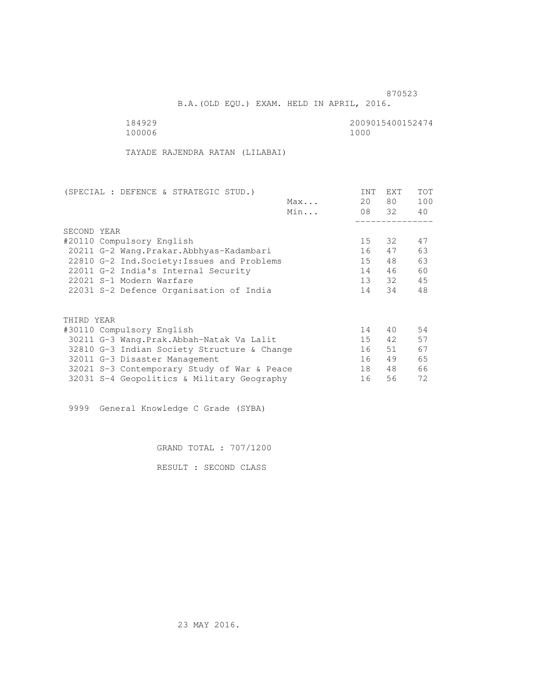B.A.(OLD EQU.) EXAM. HELD IN APRIL, 2016.

| 184929 | 2009015400152474 |
|--------|------------------|
| 100006 | 1000             |

TAYADE RAJENDRA RATAN (LILABAI)

| (SPECIAL : DEFENCE & STRATEGIC STUD.)       |     | <b>INT</b> | <b>EXT</b> | <b>TOT</b> |
|---------------------------------------------|-----|------------|------------|------------|
|                                             | Max | 20         | 80         | 100        |
|                                             | Min |            | 08 32      | 40         |
|                                             |     |            |            |            |
| SECOND YEAR                                 |     |            |            |            |
| #20110 Compulsory English                   |     | 15         | 32         | 47         |
| 20211 G-2 Wang. Prakar. Abbhyas-Kadambari   |     | 16         | 47         | 63         |
| 22810 G-2 Ind. Society: Issues and Problems |     | 15         | 48         | 63         |
| 22011 G-2 India's Internal Security         |     | 14         | 46         | 60         |
| 22021 S-1 Modern Warfare                    |     | 13         | 32         | 45         |
| 22031 S-2 Defence Organisation of India     |     | 14         | 34         | 48         |
|                                             |     |            |            |            |
| THIRD YEAR                                  |     |            |            |            |
| #30110 Compulsory English                   |     | 14         | 40         | 54         |
| 30211 G-3 Wang.Prak.Abbah-Natak Va Lalit    |     | 15         | 42         | 57         |
| 32810 G-3 Indian Society Structure & Change |     | 16         | 51         | 67         |
| 32011 G-3 Disaster Management               |     | 16         | 49         | 65         |
| 32021 S-3 Contemporary Study of War & Peace |     | 18         | 48         | 66         |
| 32031 S-4 Geopolitics & Military Geography  |     | 16         | 56         | 72         |
|                                             |     |            |            |            |

9999 General Knowledge C Grade (SYBA)

GRAND TOTAL : 707/1200

RESULT : SECOND CLASS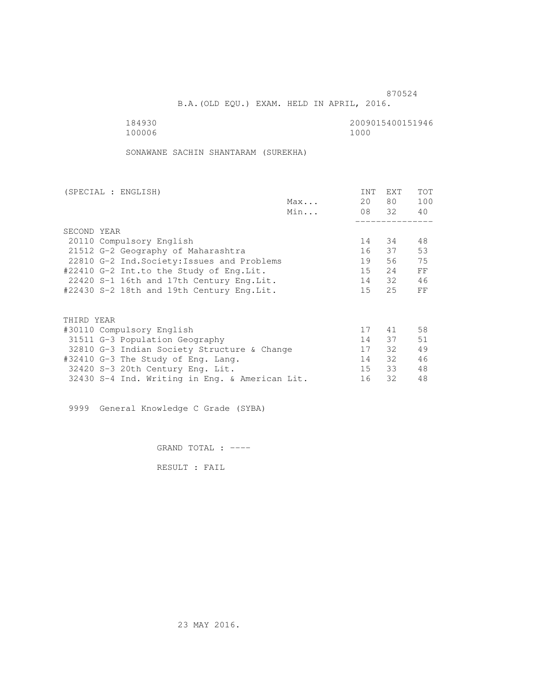B.A.(OLD EQU.) EXAM. HELD IN APRIL, 2016.

184930<br>100006 100006 10000 1000 100006 1000

SONAWANE SACHIN SHANTARAM (SUREKHA)

| (SPECIAL : ENGLISH)                            |     | <b>INT</b> | <b>EXT</b> | TOT |
|------------------------------------------------|-----|------------|------------|-----|
|                                                | Max | 20         | 80         | 100 |
|                                                | Min |            | 08 32      | 40  |
|                                                |     |            |            |     |
| SECOND YEAR                                    |     |            |            |     |
| 20110 Compulsory English                       |     | 14         | 34         | 48  |
| 21512 G-2 Geography of Maharashtra             |     | 16         | 37         | 53  |
| 22810 G-2 Ind. Society: Issues and Problems    |     | 19         | 56         | 75  |
| #22410 G-2 Int.to the Study of Eng.Lit.        |     | 15         | 2.4        | FF  |
| 22420 S-1 16th and 17th Century Eng. Lit.      |     | 14         | 32         | 46  |
| #22430 S-2 18th and 19th Century Eng.Lit.      |     | $15 -$     | 25         | FF  |
|                                                |     |            |            |     |
| THIRD YEAR                                     |     |            |            |     |
| #30110 Compulsory English                      |     | 17         | 41         | 58  |
| 31511 G-3 Population Geography                 |     | 14         | 37         | 51  |
| 32810 G-3 Indian Society Structure & Change    |     | 17         | 32         | 49  |
| #32410 G-3 The Study of Eng. Lang.             |     | 14         | 32         | 46  |
| 32420 S-3 20th Century Eng. Lit.               |     | 15         | 33         | 48  |
| 32430 S-4 Ind. Writing in Eng. & American Lit. |     | 16         | 32         | 48  |
|                                                |     |            |            |     |

9999 General Knowledge C Grade (SYBA)

GRAND TOTAL : ----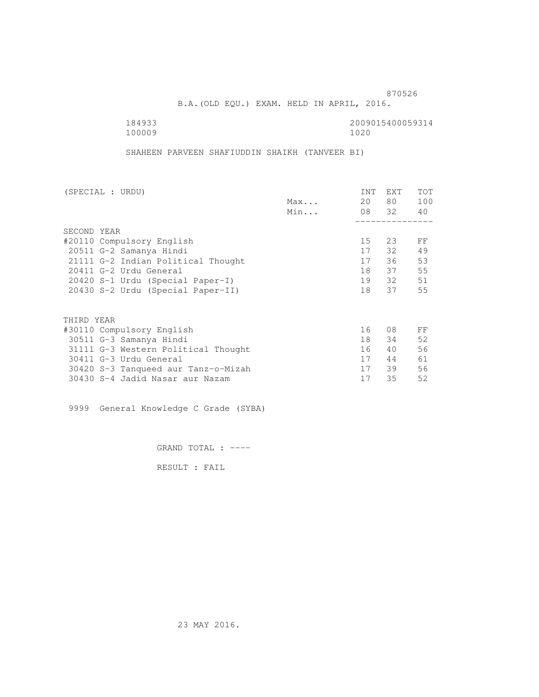B.A.(OLD EQU.) EXAM. HELD IN APRIL, 2016.

100009

184933 2009015400059314

SHAHEEN PARVEEN SHAFIUDDIN SHAIKH (TANVEER BI)

| (SPECIAL : URDU)                    |     | <b>INT</b> | <b>EXT</b> | TOT |
|-------------------------------------|-----|------------|------------|-----|
|                                     | Max | 20         | 80 —       | 100 |
|                                     | Min |            | 08 32      | 40  |
|                                     |     |            |            |     |
| SECOND YEAR                         |     |            |            |     |
| #20110 Compulsory English           |     | 15         | 23         | FF  |
| 20511 G-2 Samanya Hindi             |     | 17         | 32 F       | 49  |
| 21111 G-2 Indian Political Thought  |     | 17         | 36         | 53  |
| 20411 G-2 Urdu General              |     | 18         | 37         | 55  |
| 20420 S-1 Urdu (Special Paper-I)    |     | 19         | 32         | 51  |
| 20430 S-2 Urdu (Special Paper-II)   |     | 18         | 37         | 55  |
|                                     |     |            |            |     |
| THIRD YEAR                          |     |            |            |     |
| #30110 Compulsory English           |     | 16         | 08         | FF  |
| 30511 G-3 Samanya Hindi             |     | 18         | 34         | 52  |
| 31111 G-3 Western Political Thought |     | 16         | 40         | 56  |
| 30411 G-3 Urdu General              |     | 17         | 44         | 61  |
| 30420 S-3 Tanqueed aur Tanz-o-Mizah |     | 17         | 39         | 56  |
| 30430 S-4 Jadid Nasar aur Nazam     |     | 17         | 35         | 52  |
|                                     |     |            |            |     |

9999 General Knowledge C Grade (SYBA)

GRAND TOTAL : ----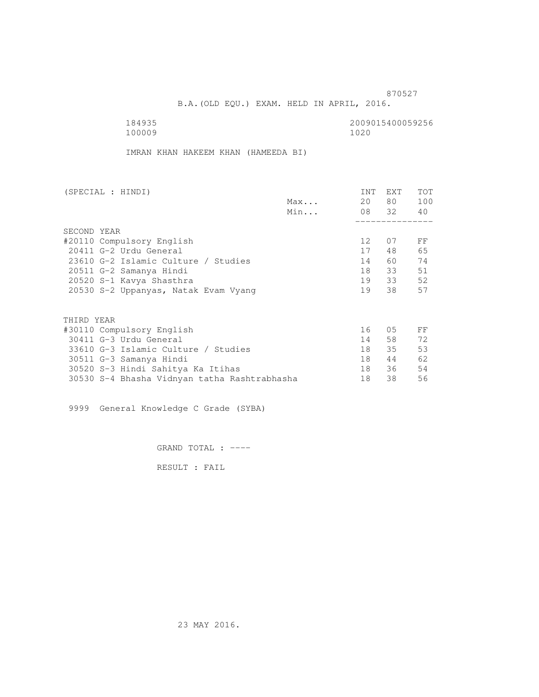B.A.(OLD EQU.) EXAM. HELD IN APRIL, 2016.

 184935 2009015400059256 100009 1020

IMRAN KHAN HAKEEM KHAN (HAMEEDA BI)

| (SPECIAL : HINDI)                            | <b>INT</b>      | EXT   | <b>TOT</b> |
|----------------------------------------------|-----------------|-------|------------|
| Max                                          | 20              | 80 —  | 100        |
| Min                                          |                 | 08 32 | 40         |
|                                              |                 |       |            |
| SECOND YEAR                                  |                 |       |            |
| #20110 Compulsory English                    | 12 <sup>°</sup> | 07    | FF         |
| 20411 G-2 Urdu General                       | 17              | 48    | 65         |
| 23610 G-2 Islamic Culture / Studies          | 14              | 60    | 74         |
| 20511 G-2 Samanya Hindi                      | 18              | 33    | 51         |
| 20520 S-1 Kavya Shasthra                     | 19              | 33    | 52         |
| 20530 S-2 Uppanyas, Natak Evam Vyang         | 19              | 38    | 57         |
|                                              |                 |       |            |
| THIRD YEAR                                   |                 |       |            |
| #30110 Compulsory English                    | 16              | 05    | FF         |
| 30411 G-3 Urdu General                       | 14              | 58    | 72         |
| 33610 G-3 Islamic Culture / Studies          | 18              | 35    | 53         |
| 30511 G-3 Samanya Hindi                      | 18              | 44    | 62         |
| 30520 S-3 Hindi Sahitya Ka Itihas            | 18              | 36    | 54         |
| 30530 S-4 Bhasha Vidnyan tatha Rashtrabhasha | 18              | 38    | 56         |

9999 General Knowledge C Grade (SYBA)

GRAND TOTAL : ----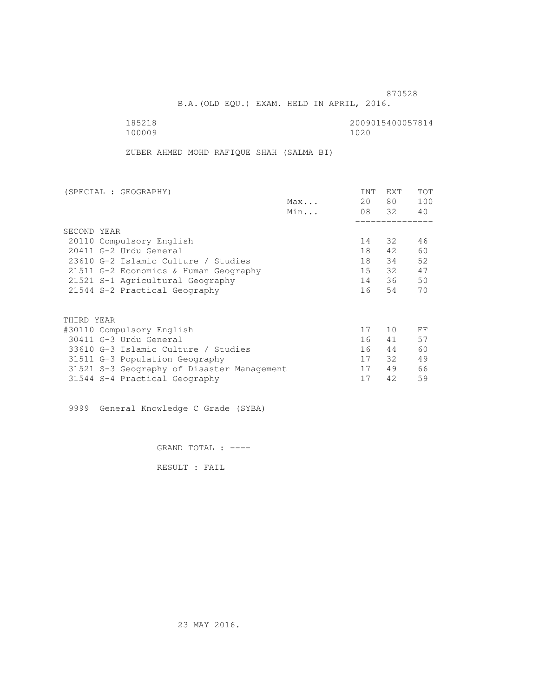B.A.(OLD EQU.) EXAM. HELD IN APRIL, 2016.

 185218 2009015400057814 100009 1020

ZUBER AHMED MOHD RAFIQUE SHAH (SALMA BI)

| (SPECIAL : GEOGRAPHY)                      |     | <b>INT</b> | <b>EXT</b> | TOT |
|--------------------------------------------|-----|------------|------------|-----|
|                                            | Max | 20         | 80         | 100 |
|                                            | Min |            | 08 32      | 40  |
|                                            |     |            |            |     |
| SECOND YEAR                                |     |            |            |     |
| 20110 Compulsory English                   |     | 14         | 32         | 46  |
| 20411 G-2 Urdu General                     |     | 18         | 42         | 60  |
| 23610 G-2 Islamic Culture / Studies        |     | 18         | 34         | 52  |
| 21511 G-2 Economics & Human Geography      |     | 15         | 32         | 47  |
| 21521 S-1 Agricultural Geography           |     | 14         | 36         | 50  |
| 21544 S-2 Practical Geography              |     | 16         | 54         | 70  |
|                                            |     |            |            |     |
| THIRD YEAR                                 |     |            |            |     |
| #30110 Compulsory English                  |     | 17         | 10         | FF  |
| 30411 G-3 Urdu General                     |     | 16         | 41         | 57  |
| 33610 G-3 Islamic Culture / Studies        |     | 16         | 44         | 60  |
| 31511 G-3 Population Geography             |     | 17         | 32         | 49  |
| 31521 S-3 Geography of Disaster Management |     | 17         | 49         | 66  |
| 31544 S-4 Practical Geography              |     | 17         | 42         | 59  |

9999 General Knowledge C Grade (SYBA)

GRAND TOTAL : ----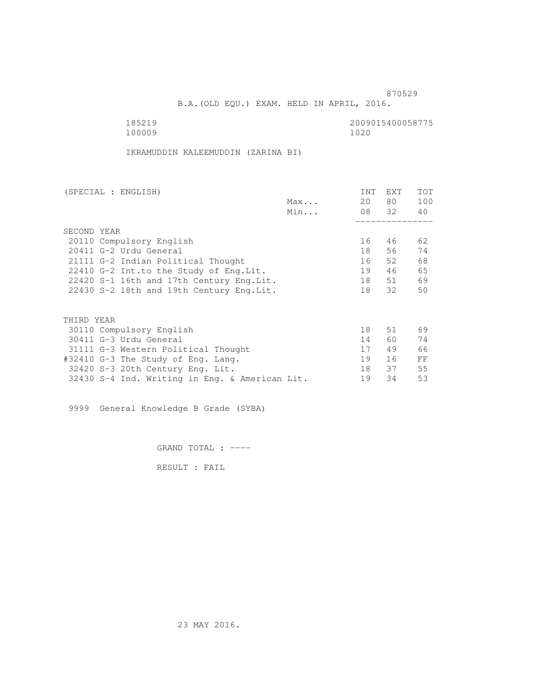B.A.(OLD EQU.) EXAM. HELD IN APRIL, 2016.

100009

185219 2009015400058775

IKRAMUDDIN KALEEMUDDIN (ZARINA BI)

| (SPECIAL : ENGLISH)                            | <b>INT</b> | <b>EXT</b> | TOT |
|------------------------------------------------|------------|------------|-----|
| Max                                            | 20         | 80         | 100 |
| Min                                            |            | 08 32      | 40  |
|                                                |            |            |     |
| SECOND YEAR                                    |            |            |     |
| 20110 Compulsory English                       | 16         | 46         | 62  |
| 20411 G-2 Urdu General                         | 18         | 56         | 74  |
| 21111 G-2 Indian Political Thought             | 16         | 52         | 68  |
| 22410 G-2 Int.to the Study of Eng. Lit.        | 19         | 46         | 65  |
| 22420 S-1 16th and 17th Century Eng. Lit.      | 18         | 51         | 69  |
| 22430 S-2 18th and 19th Century Eng. Lit.      | 18         | 32         | 50  |
|                                                |            |            |     |
| THIRD YEAR                                     |            |            |     |
|                                                | 18         | 51         | 69  |
| 30110 Compulsory English                       |            |            |     |
| 30411 G-3 Urdu General                         | 14         | 60         | 74  |
| 31111 G-3 Western Political Thought            | 17         | 49         | 66  |
| #32410 G-3 The Study of Eng. Lang.             | 19         | 16         | FF  |
| 32420 S-3 20th Century Eng. Lit.               | 18         | 37         | 55  |
| 32430 S-4 Ind. Writing in Eng. & American Lit. | 19         | 34         | 53  |

9999 General Knowledge B Grade (SYBA)

GRAND TOTAL : ----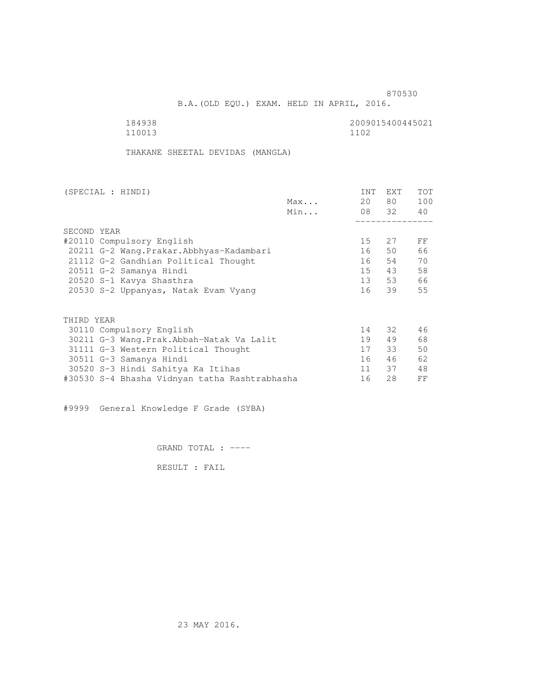B.A.(OLD EQU.) EXAM. HELD IN APRIL, 2016.

| 184938 | 2009015400445021 |
|--------|------------------|
| 110013 | 1102             |

THAKANE SHEETAL DEVIDAS (MANGLA)

| (SPECIAL : HINDI)                             |     | <b>INT</b> | <b>EXT</b> | TOT |
|-----------------------------------------------|-----|------------|------------|-----|
|                                               | Max | 20         | 80 —       | 100 |
|                                               | Min |            | 08 32      | 40  |
|                                               |     |            |            |     |
| SECOND YEAR                                   |     |            |            |     |
| #20110 Compulsory English                     |     | 15         | 27         | FF  |
| 20211 G-2 Wang. Prakar. Abbhyas-Kadambari     |     | 16         | 50         | 66  |
| 21112 G-2 Gandhian Political Thought          |     | 16         | 54         | 70  |
| 20511 G-2 Samanya Hindi                       |     | 15         | 43         | 58  |
| 20520 S-1 Kavya Shasthra                      |     | 13         | 53         | 66  |
| 20530 S-2 Uppanyas, Natak Evam Vyang          |     | 16         | 39         | 55  |
|                                               |     |            |            |     |
| THIRD YEAR                                    |     |            |            |     |
| 30110 Compulsory English                      |     | 14         | 32         | 46  |
| 30211 G-3 Wang.Prak.Abbah-Natak Va Lalit      |     | 19         | 49         | 68  |
| 31111 G-3 Western Political Thought           |     | 17         | 33         | 50  |
| 30511 G-3 Samanya Hindi                       |     | 16         | 46         | 62  |
| 30520 S-3 Hindi Sahitya Ka Itihas             |     | 11         | 37         | 48  |
| #30530 S-4 Bhasha Vidnyan tatha Rashtrabhasha |     | 16         | 28         | FF  |
|                                               |     |            |            |     |

#9999 General Knowledge F Grade (SYBA)

GRAND TOTAL : ----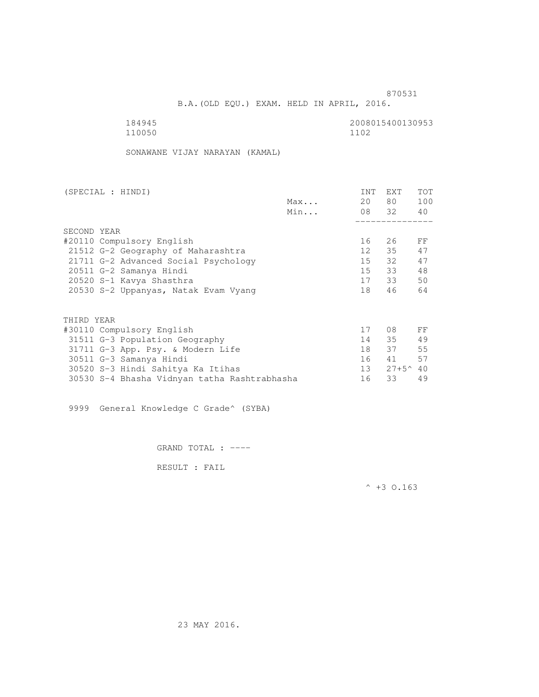B.A.(OLD EQU.) EXAM. HELD IN APRIL, 2016.

| 184945 | 2008015400130953 |
|--------|------------------|
| 110050 | 1102             |

SONAWANE VIJAY NARAYAN (KAMAL)

| (SPECIAL : HINDI)                    |                                              |     | INT | EXT               | <b>TOT</b> |
|--------------------------------------|----------------------------------------------|-----|-----|-------------------|------------|
|                                      |                                              | Max | 20  | 80 —              | 100        |
|                                      |                                              | Min |     | 08 32             | 40         |
|                                      |                                              |     |     |                   |            |
| SECOND YEAR                          |                                              |     |     |                   |            |
| #20110 Compulsory English            |                                              |     | 16  | 26                | FF         |
| 21512 G-2 Geography of Maharashtra   |                                              |     | 12  | 35                | 47         |
| 21711 G-2 Advanced Social Psychology |                                              |     | 15  | 32                | 47         |
| 20511 G-2 Samanya Hindi              |                                              |     | 15  | 33                | 48         |
| 20520 S-1 Kavya Shasthra             |                                              |     |     | 17 33             | 50         |
| 20530 S-2 Uppanyas, Natak Evam Vyang |                                              |     | 18  | 46                | 64         |
| THIRD YEAR                           |                                              |     |     |                   |            |
|                                      |                                              |     | 17  | 08                | FF         |
| #30110 Compulsory English            |                                              |     |     |                   |            |
| 31511 G-3 Population Geography       |                                              |     | 14  | 35                | 49         |
| 31711 G-3 App. Psy. & Modern Life    |                                              |     | 18  | 37                | 55         |
| 30511 G-3 Samanya Hindi              |                                              |     | 16  | 41                | 57         |
| 30520 S-3 Hindi Sahitya Ka Itihas    |                                              |     | 13  | $27+5^{\circ}$ 40 |            |
|                                      | 30530 S-4 Bhasha Vidnyan tatha Rashtrabhasha |     | 16  | 33                | 49         |

9999 General Knowledge C Grade^ (SYBA)

GRAND TOTAL : ----

RESULT : FAIL

 $^{\wedge}$  +3 O.163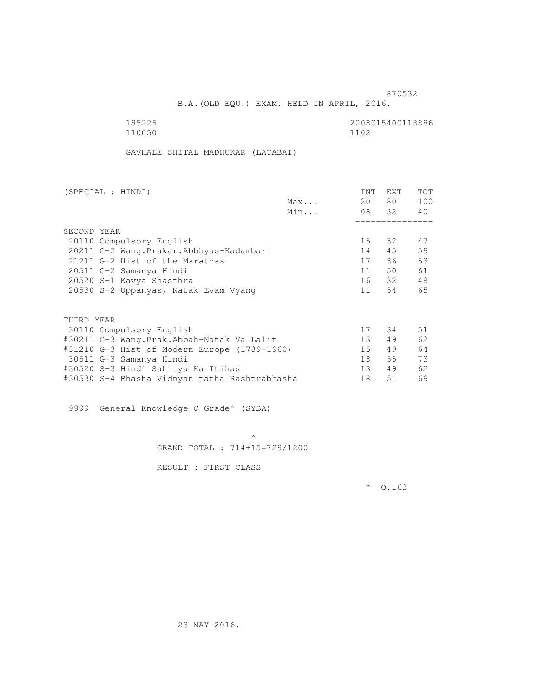B.A.(OLD EQU.) EXAM. HELD IN APRIL, 2016.

| 185225 | 2008015400118886 |
|--------|------------------|
| 110050 | 1102             |

GAVHALE SHITAL MADHUKAR (LATABAI)

| (SPECIAL : HINDI)                             |     | INT | <b>EXT</b> | TOT |
|-----------------------------------------------|-----|-----|------------|-----|
|                                               | Max | 20  | 80 —       | 100 |
|                                               | Min |     | 08 32      | 40  |
|                                               |     |     |            |     |
| SECOND YEAR                                   |     |     |            |     |
| 20110 Compulsory English                      |     | 15  | 32         | 47  |
| 20211 G-2 Wang. Prakar. Abbhyas-Kadambari     |     | 14  | 45         | 59  |
| 21211 G-2 Hist. of the Marathas               |     | 17  | 36         | 53  |
| 20511 G-2 Samanya Hindi                       |     | 11  | 50         | 61  |
| 20520 S-1 Kavya Shasthra                      |     |     | 16 32      | 48  |
| 20530 S-2 Uppanyas, Natak Evam Vyang          |     | 11  | 54         | 65  |
|                                               |     |     |            |     |
| THIRD YEAR                                    |     |     |            |     |
| 30110 Compulsory English                      |     | 17  | 34         | 51  |
| #30211 G-3 Wang.Prak.Abbah-Natak Va Lalit     |     | 13  | 49         | 62  |
| #31210 G-3 Hist of Modern Europe (1789-1960)  |     | 15  | 49         | 64  |
| 30511 G-3 Samanya Hindi                       |     | 18  | 55         | 73  |
| #30520 S-3 Hindi Sahitya Ka Itihas            |     | 13  | 49         | 62  |
| #30530 S-4 Bhasha Vidnyan tatha Rashtrabhasha |     | 18  | 51         | 69  |
|                                               |     |     |            |     |

9999 General Knowledge C Grade^ (SYBA)

 $\mathcal{A}$  and  $\mathcal{A}$  are the set of  $\mathcal{A}$ GRAND TOTAL : 714+15=729/1200

RESULT : FIRST CLASS

 $^{\circ}$  0.163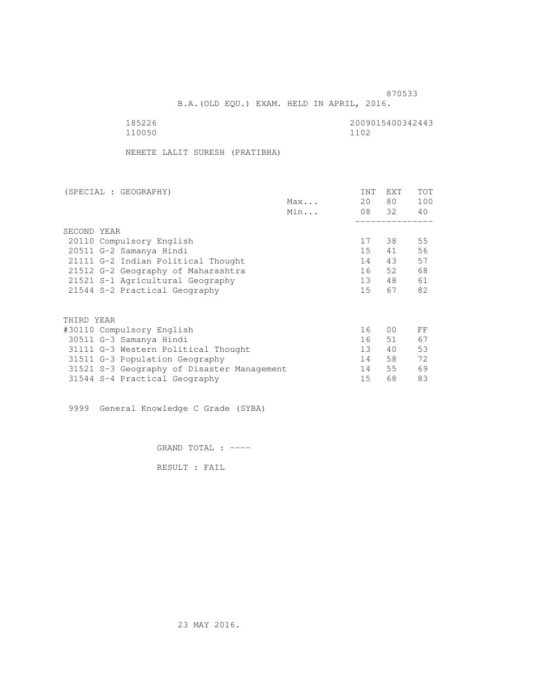and the state of the state of the state of the state of the state of the state of the state of the state of the state of the state of the state of the state of the state of the state of the state of the state of the state

B.A.(OLD EQU.) EXAM. HELD IN APRIL, 2016.

| 185226 | 2009015400342443 |
|--------|------------------|
| 110050 | 1102             |

NEHETE LALIT SURESH (PRATIBHA)

| (SPECIAL : GEOGRAPHY)                      |     | <b>INT</b> | EXT   | <b>TOT</b> |
|--------------------------------------------|-----|------------|-------|------------|
|                                            | Max | 20         | 80 —  | 100        |
|                                            | Min |            | 08 32 | 40         |
|                                            |     |            |       |            |
| SECOND YEAR                                |     |            |       |            |
| 20110 Compulsory English                   |     | 17         | 38    | 55         |
| 20511 G-2 Samanya Hindi                    |     | 15         | 41    | 56         |
| 21111 G-2 Indian Political Thought         |     | 14         | 43    | 57         |
| 21512 G-2 Geography of Maharashtra         |     | 16         | 52    | 68         |
| 21521 S-1 Agricultural Geography           |     | 13         | 48    | 61         |
| 21544 S-2 Practical Geography              |     | 15         | 67    | 82         |
| THIRD YEAR                                 |     |            |       |            |
|                                            |     | 16         | 00    | FF         |
| #30110 Compulsory English                  |     |            |       |            |
| 30511 G-3 Samanya Hindi                    |     | 16         | 51    | 67         |
| 31111 G-3 Western Political Thought        |     | 13         | 40    | 53         |
| 31511 G-3 Population Geography             |     | 14         | 58    | 72         |
| 31521 S-3 Geography of Disaster Management |     | 14         | 55    | 69         |
| 31544 S-4 Practical Geography              |     | 15         | 68    | 83         |

9999 General Knowledge C Grade (SYBA)

GRAND TOTAL : ----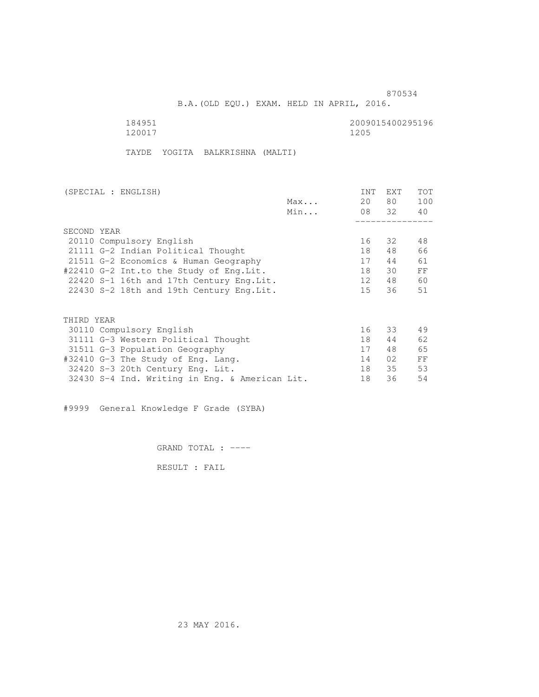B.A.(OLD EQU.) EXAM. HELD IN APRIL, 2016.

120017

184951<br>120017 120017 120017 120017

TAYDE YOGITA BALKRISHNA (MALTI)

| (SPECIAL : ENGLISH)                            | <b>INT</b> | <b>EXT</b> | TOT |
|------------------------------------------------|------------|------------|-----|
| Max                                            | 20         | 80         | 100 |
| Min                                            |            | 08 32      | 40  |
|                                                |            |            |     |
| SECOND YEAR                                    |            |            |     |
| 20110 Compulsory English                       | 16         | 32         | 48  |
| 21111 G-2 Indian Political Thought             | 18         | 48         | 66  |
| 21511 G-2 Economics & Human Geography          | 17         | 44         | 61  |
| #22410 G-2 Int.to the Study of Eng.Lit.        | 18         | 30         | FF  |
| 22420 S-1 16th and 17th Century Eng. Lit.      | 12         | 48         | 60  |
| 22430 S-2 18th and 19th Century Eng. Lit.      | 15         | 36         | 51  |
|                                                |            |            |     |
| THIRD YEAR                                     |            |            |     |
| 30110 Compulsory English                       | 16         | 33         | 49  |
|                                                |            |            |     |
| 31111 G-3 Western Political Thought            | 18         | 44         | 62  |
| 31511 G-3 Population Geography                 | 17         | 48         | 65  |
| #32410 G-3 The Study of Eng. Lang.             | 14         | 02         | FF  |
| 32420 S-3 20th Century Eng. Lit.               | 18         | 35         | 53  |
| 32430 S-4 Ind. Writing in Eng. & American Lit. | 18         | 36         | 54  |

#9999 General Knowledge F Grade (SYBA)

GRAND TOTAL : ----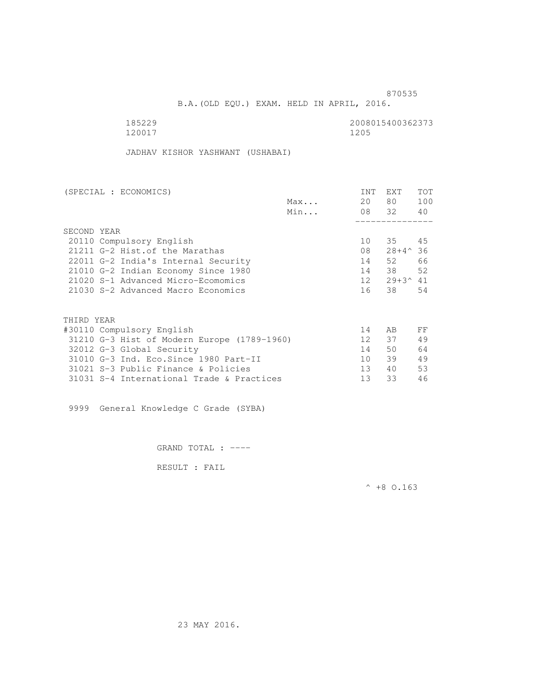B.A.(OLD EQU.) EXAM. HELD IN APRIL, 2016.

| 185229 | 2008015400362373 |
|--------|------------------|
| 120017 | 1205             |

JADHAV KISHOR YASHWANT (USHABAI)

| (SPECIAL : ECONOMICS)                       | <b>INT</b>      | <b>EXT</b>          | TOT |
|---------------------------------------------|-----------------|---------------------|-----|
| Max                                         | 20              | 80                  | 100 |
| Min                                         |                 | 08 32               | 40  |
|                                             |                 |                     |     |
| SECOND YEAR                                 |                 |                     |     |
| 20110 Compulsory English                    | 10              | 35                  | 45  |
| 21211 G-2 Hist. of the Marathas             | 08              | $28+4^{\wedge}36$   |     |
| 22011 G-2 India's Internal Security         | 14              | 52                  | 66  |
| 21010 G-2 Indian Economy Since 1980         | 14              | 38                  | 52  |
| 21020 S-1 Advanced Micro-Ecomomics          | 12              | $29 + 3^{\circ} 41$ |     |
| 21030 S-2 Advanced Macro Economics          | 16              | 38                  | 54  |
|                                             |                 |                     |     |
| THIRD YEAR                                  |                 |                     |     |
| #30110 Compulsory English                   | 14              | AB                  | FF  |
| 31210 G-3 Hist of Modern Europe (1789-1960) | 12 <sup>°</sup> | 37                  | 49  |
| 32012 G-3 Global Security                   | 14              | 50                  | 64  |
| 31010 G-3 Ind. Eco. Since 1980 Part-II      | 10              | 39                  | 49  |
| 31021 S-3 Public Finance & Policies         | 13 <sup>°</sup> | 40                  | 53  |
| 31031 S-4 International Trade & Practices   | 13              | 33                  | 46  |

9999 General Knowledge C Grade (SYBA)

GRAND TOTAL : ----

RESULT : FAIL

 $^{\wedge}$  +8 O.163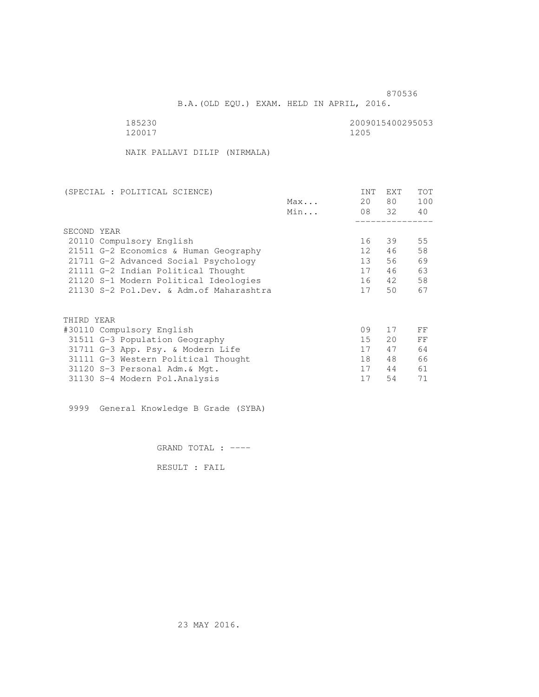B.A.(OLD EQU.) EXAM. HELD IN APRIL, 2016.

120017 1205

185230 2009015400295053

NAIK PALLAVI DILIP (NIRMALA)

| (SPECIAL : POLITICAL SCIENCE)            |     | <b>INT</b>      | EXT   | TOT |
|------------------------------------------|-----|-----------------|-------|-----|
|                                          | Max | 20              | 80    | 100 |
|                                          | Min |                 | 08 32 | 40  |
|                                          |     |                 |       |     |
| SECOND YEAR                              |     |                 |       |     |
| 20110 Compulsory English                 |     | 16              | 39    | 55  |
| 21511 G-2 Economics & Human Geography    |     | 12 <sup>7</sup> | 46    | 58  |
| 21711 G-2 Advanced Social Psychology     |     | 13              | 56    | 69  |
| 21111 G-2 Indian Political Thought       |     | 17              | 46    | 63  |
| 21120 S-1 Modern Political Ideologies    |     | 16              | 42    | 58  |
| 21130 S-2 Pol.Dev. & Adm. of Maharashtra |     | 17              | 50    | 67  |
|                                          |     |                 |       |     |
| THIRD YEAR                               |     |                 |       |     |
| #30110 Compulsory English                |     | 09              | 17    | FF  |
| 31511 G-3 Population Geography           |     | 15              | 20    | FF  |
| 31711 G-3 App. Psy. & Modern Life        |     | 17              | 47    | 64  |
| 31111 G-3 Western Political Thought      |     | 18              | 48    | 66  |
| 31120 S-3 Personal Adm. & Mgt.           |     | 17              | 44    | 61  |
| 31130 S-4 Modern Pol.Analysis            |     | 17              | 54    | 71  |

9999 General Knowledge B Grade (SYBA)

GRAND TOTAL : ----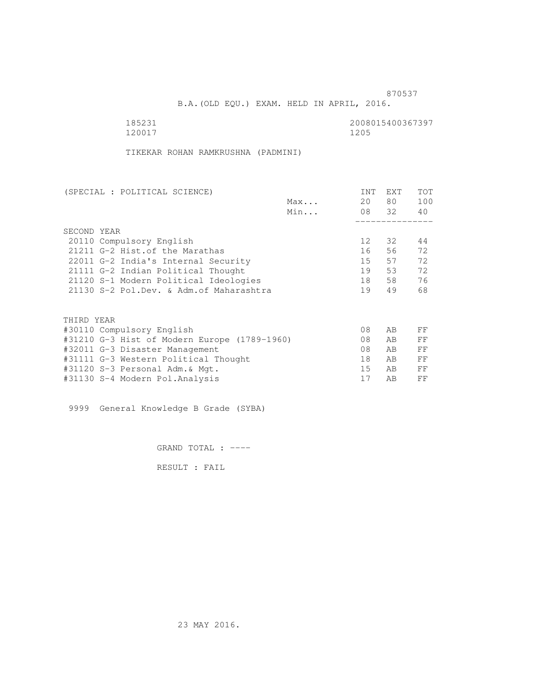B.A.(OLD EQU.) EXAM. HELD IN APRIL, 2016.

120017 1205

185231<br>120017 120017 120017 120017

TIKEKAR ROHAN RAMKRUSHNA (PADMINI)

| (SPECIAL : POLITICAL SCIENCE)                |     | <b>INT</b> | <b>EXT</b> | TOT |
|----------------------------------------------|-----|------------|------------|-----|
|                                              | Max | 20         | 80         | 100 |
|                                              | Min |            | 08 32      | 40  |
|                                              |     |            |            |     |
| SECOND YEAR                                  |     |            |            |     |
| 20110 Compulsory English                     |     | 12         | 32         | 44  |
| 21211 G-2 Hist. of the Marathas              |     | 16         | 56         | 72  |
| 22011 G-2 India's Internal Security          |     | 15         | 57         | 72  |
| 21111 G-2 Indian Political Thought           |     | 19         | 53         | 72  |
| 21120 S-1 Modern Political Ideologies        |     | 18         | 58         | 76  |
| 21130 S-2 Pol.Dev. & Adm. of Maharashtra     |     | 19         | 49         | 68  |
|                                              |     |            |            |     |
|                                              |     |            |            |     |
| THIRD YEAR                                   |     |            |            |     |
| #30110 Compulsory English                    |     | 08         | AB         | FF  |
| #31210 G-3 Hist of Modern Europe (1789-1960) |     | 08         | AB         | FF  |
| #32011 G-3 Disaster Management               |     | 08         | AB         | FF  |
| #31111 G-3 Western Political Thought         |     | 18         | AB         | FF  |
| #31120 S-3 Personal Adm.& Mqt.               |     | 15         | AB         | FF  |
| #31130 S-4 Modern Pol.Analysis               |     | 17         | AB         | FF  |

9999 General Knowledge B Grade (SYBA)

GRAND TOTAL : ----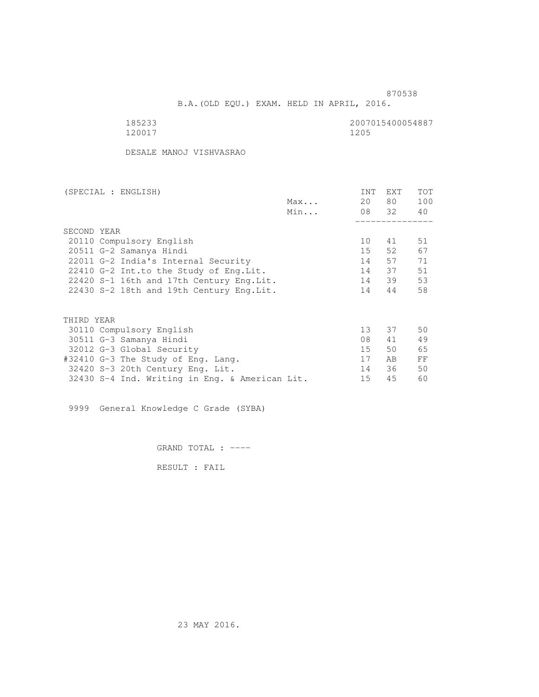B.A.(OLD EQU.) EXAM. HELD IN APRIL, 2016.

| ⊾                      |  |
|------------------------|--|
| つ<br>Π<br>$\leftarrow$ |  |

2007015400054887<br>1205

DESALE MANOJ VISHVASRAO

| (SPECIAL : ENGLISH)                            | INT             | EXT      | TOT |
|------------------------------------------------|-----------------|----------|-----|
| Max                                            | 20              | 80 —     | 100 |
| Min                                            |                 | 08 32 40 |     |
|                                                |                 |          |     |
| SECOND YEAR                                    |                 |          |     |
| 20110 Compulsory English                       | 10 <sup>1</sup> | 41       | 51  |
| 20511 G-2 Samanya Hindi                        | $15 -$          | 52.      | 67  |
| 22011 G-2 India's Internal Security            | 14              | 57       | 71  |
| 22410 G-2 Int.to the Study of Eng. Lit.        | 14              | 37       | 51  |
| 22420 S-1 16th and 17th Century Eng.Lit.       | 14              | 39       | 53  |
| 22430 S-2 18th and 19th Century Eng.Lit.       | 14              | 44       | 58  |
| THIRD YEAR                                     |                 |          |     |
| 30110 Compulsory English                       | 13 <sup>7</sup> | 37       | 50  |
| 30511 G-3 Samanya Hindi                        | 08              | 41       | 49  |
|                                                | 15              | 50       | 65  |
| 32012 G-3 Global Security                      | 17              |          |     |
| #32410 G-3 The Study of Eng. Lang.             |                 | AB       | FF  |
| 32420 S-3 20th Century Eng. Lit.               | 14              | 36       | 50  |
| 32430 S-4 Ind. Writing in Eng. & American Lit. | 15              | 45       | 60  |

9999 General Knowledge C Grade (SYBA)

GRAND TOTAL : ----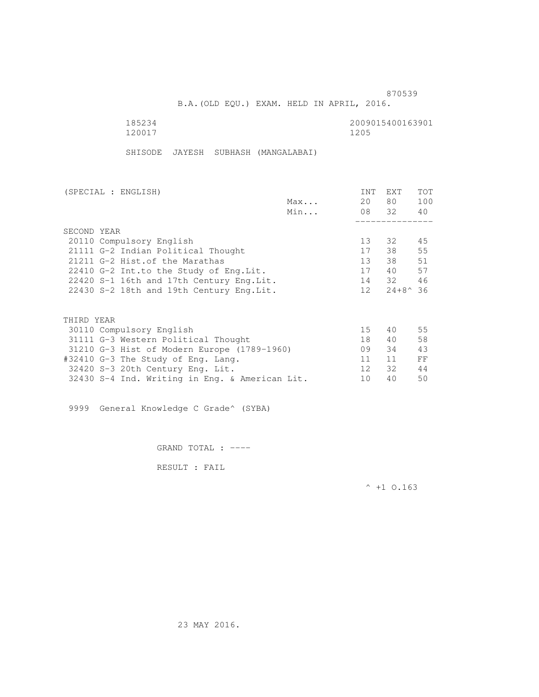B.A.(OLD EQU.) EXAM. HELD IN APRIL, 2016.

| 185234 | 2009015400163901 |
|--------|------------------|
| 120017 | 1205             |

SHISODE JAYESH SUBHASH (MANGALABAI)

| (SPECIAL : ENGLISH)                            |     | <b>INT</b>      | EXT                 | TOT |
|------------------------------------------------|-----|-----------------|---------------------|-----|
|                                                | Max | 20              | 80 —                | 100 |
|                                                | Min |                 | 08 32               | 40  |
|                                                |     |                 |                     |     |
| SECOND YEAR                                    |     |                 |                     |     |
| 20110 Compulsory English                       |     | 13 <sup>°</sup> | 32                  | 45  |
| 21111 G-2 Indian Political Thought             |     | 17              | 38                  | 55  |
| 21211 G-2 Hist. of the Marathas                |     | 13 <sup>°</sup> | 38                  | 51  |
| 22410 G-2 Int.to the Study of Eng. Lit.        |     | 17              | 40                  | 57  |
| 22420 S-1 16th and 17th Century Eng. Lit.      |     | 14              | 32                  | 46  |
| 22430 S-2 18th and 19th Century Eng. Lit.      |     | 12 <sup>1</sup> | $24 + 8^{\circ} 36$ |     |
|                                                |     |                 |                     |     |
| THIRD YEAR                                     |     |                 |                     |     |
| 30110 Compulsory English                       |     | 15              | 40                  | 55  |
| 31111 G-3 Western Political Thought            |     | 18              | 40                  | 58  |
| 31210 G-3 Hist of Modern Europe (1789-1960)    |     | 09              | 34                  | 43  |
| #32410 G-3 The Study of Eng. Lang.             |     | 11              | 11                  | FF  |
| 32420 S-3 20th Century Eng. Lit.               |     | 12 <sup>°</sup> | 32                  | 44  |
| 32430 S-4 Ind. Writing in Eng. & American Lit. |     | 10              | 40                  | 50  |

9999 General Knowledge C Grade^ (SYBA)

GRAND TOTAL : ----

RESULT : FAIL

 $^{\wedge}$  +1 O.163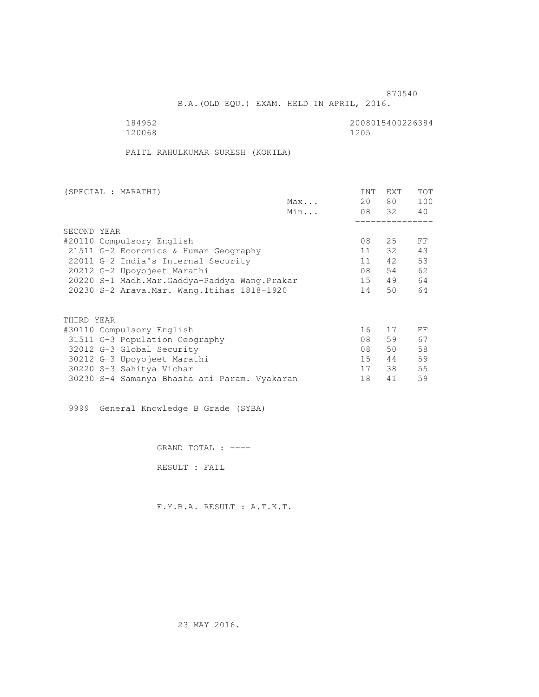B.A.(OLD EQU.) EXAM. HELD IN APRIL, 2016.

120068 1205

184952 2008015400226384

PAITL RAHULKUMAR SURESH (KOKILA)

|     | <b>INT</b>                                                                                                                                                                                                                   | EXT  | TOT   |
|-----|------------------------------------------------------------------------------------------------------------------------------------------------------------------------------------------------------------------------------|------|-------|
| Max | 20                                                                                                                                                                                                                           | 80 — | 100   |
| Min |                                                                                                                                                                                                                              |      | 40    |
|     |                                                                                                                                                                                                                              |      |       |
|     |                                                                                                                                                                                                                              |      |       |
|     | 08                                                                                                                                                                                                                           | 25   | FF    |
|     | 11                                                                                                                                                                                                                           | 32   | 43    |
|     | 11                                                                                                                                                                                                                           | 42   | 53    |
|     | 08                                                                                                                                                                                                                           | 54   | 62    |
|     | 15                                                                                                                                                                                                                           | 49   | 64    |
|     | 14                                                                                                                                                                                                                           | 50   | 64    |
|     |                                                                                                                                                                                                                              |      |       |
|     |                                                                                                                                                                                                                              |      |       |
|     | 16                                                                                                                                                                                                                           | 17   | FF    |
|     | 08                                                                                                                                                                                                                           | 59   | 67    |
|     | 08                                                                                                                                                                                                                           | 50   | 58    |
|     | 15 <sup>7</sup>                                                                                                                                                                                                              | 44   | 59    |
|     | 17                                                                                                                                                                                                                           | 38   | 55    |
|     | 18                                                                                                                                                                                                                           | 41   | 59    |
|     | 21511 G-2 Economics & Human Geography<br>22011 G-2 India's Internal Security<br>20220 S-1 Madh.Mar.Gaddya-Paddya Wang.Prakar<br>20230 S-2 Arava. Mar. Wang. Itihas 1818-1920<br>30230 S-4 Samanya Bhasha ani Param. Vyakaran |      | 08 32 |

9999 General Knowledge B Grade (SYBA)

GRAND TOTAL : ----

RESULT : FAIL

F.Y.B.A. RESULT : A.T.K.T.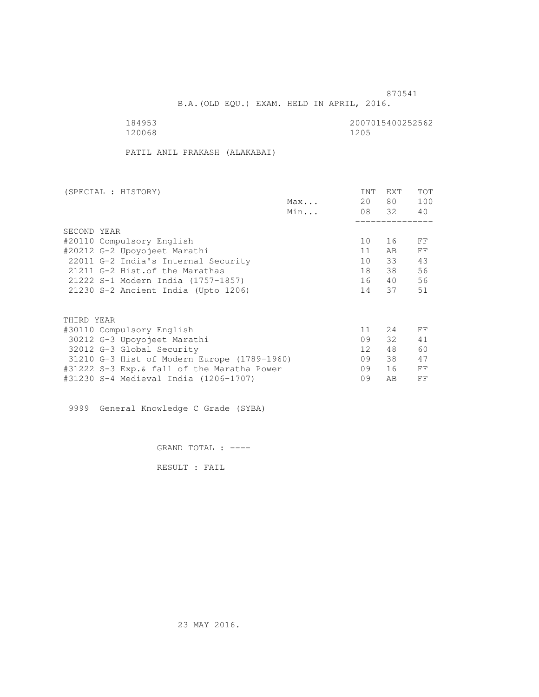B.A.(OLD EQU.) EXAM. HELD IN APRIL, 2016.

120068

184953 2007015400252562

PATIL ANIL PRAKASH (ALAKABAI)

| (SPECIAL : HISTORY)                         |     | <b>INT</b>      | <b>EXT</b> | TOT |
|---------------------------------------------|-----|-----------------|------------|-----|
|                                             | Max | 20              | 80 —       | 100 |
|                                             | Min |                 | 08 32      | 40  |
|                                             |     |                 |            |     |
| SECOND YEAR                                 |     |                 |            |     |
| #20110 Compulsory English                   |     | 10              | 16         | FF  |
| #20212 G-2 Upoyojeet Marathi                |     | 11              | AB.        | FF  |
| 22011 G-2 India's Internal Security         |     | 10              | 33         | 43  |
| 21211 G-2 Hist. of the Marathas             |     | 18              | 38         | 56  |
| 21222 S-1 Modern India (1757-1857)          |     | 16              | 40         | 56  |
| 21230 S-2 Ancient India (Upto 1206)         |     | 14              | 37         | 51  |
|                                             |     |                 |            |     |
| THIRD YEAR                                  |     |                 |            |     |
| #30110 Compulsory English                   |     | 11              | 24         | FF  |
| 30212 G-3 Upoyojeet Marathi                 |     | 09              | 32         | 41  |
| 32012 G-3 Global Security                   |     | 12 <sup>°</sup> | 48         | 60  |
| 31210 G-3 Hist of Modern Europe (1789-1960) |     | 09              | 38         | 47  |
| #31222 S-3 Exp.& fall of the Maratha Power  |     | 09              | 16         | FF  |
| #31230 S-4 Medieval India (1206-1707)       |     | 09              | AB         | FF  |
|                                             |     |                 |            |     |

9999 General Knowledge C Grade (SYBA)

GRAND TOTAL : ----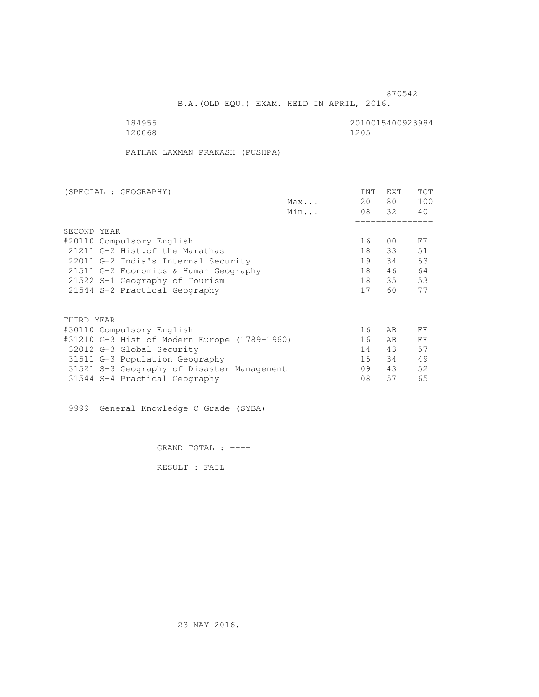B.A.(OLD EQU.) EXAM. HELD IN APRIL, 2016.

| 184955 | 2010015400923984 |
|--------|------------------|
| 120068 | 1205             |

PATHAK LAXMAN PRAKASH (PUSHPA)

| (SPECIAL : GEOGRAPHY)                        | <b>INT</b> | <b>EXT</b> | <b>TOT</b> |
|----------------------------------------------|------------|------------|------------|
| Max                                          | 20         | 80         | 100        |
| Min                                          |            | 08 32      | 40         |
|                                              |            |            |            |
| SECOND YEAR                                  |            |            |            |
| #20110 Compulsory English                    | 16         | 00         | FF         |
| 21211 G-2 Hist. of the Marathas              | 18         | 33         | 51         |
| 22011 G-2 India's Internal Security          | 19         | 34         | 53         |
| 21511 G-2 Economics & Human Geography        | 18         | 46         | 64         |
| 21522 S-1 Geography of Tourism               | 18         | 35         | 53         |
| 21544 S-2 Practical Geography                | 17         | 60         | 77         |
|                                              |            |            |            |
| THIRD YEAR                                   |            |            |            |
| #30110 Compulsory English                    | 16         | AB         | FF         |
| #31210 G-3 Hist of Modern Europe (1789-1960) | 16         | AB         | FF         |
| 32012 G-3 Global Security                    | 14         | 43         | 57         |
| 31511 G-3 Population Geography               | 15         | 34         | 49         |
| 31521 S-3 Geography of Disaster Management   | 09         | 43         | 52         |
| 31544 S-4 Practical Geography                | 08         | 57         | 65         |

9999 General Knowledge C Grade (SYBA)

GRAND TOTAL : ----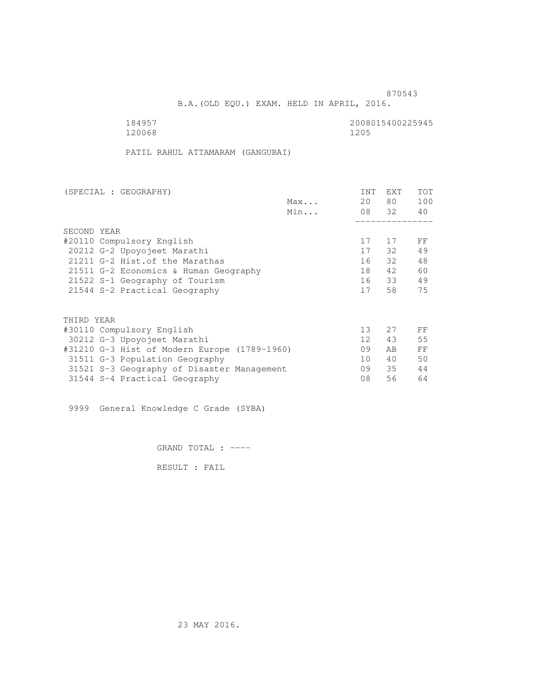B.A.(OLD EQU.) EXAM. HELD IN APRIL, 2016.

184957 2008015400225945<br>120068 12006 120068

PATIL RAHUL ATTAMARAM (GANGUBAI)

| (SPECIAL : GEOGRAPHY)                        |     | INT             | <b>EXT</b> | <b>TOT</b> |
|----------------------------------------------|-----|-----------------|------------|------------|
|                                              | Max | 20              | 80 —       | 100        |
|                                              | Min |                 | 08 32      | 40         |
|                                              |     |                 |            |            |
| SECOND YEAR                                  |     |                 |            |            |
| #20110 Compulsory English                    |     | 17              | 17         | FF         |
| 20212 G-2 Upoyojeet Marathi                  |     | 17              | 32         | 49         |
| 21211 G-2 Hist. of the Marathas              |     | 16              | 32         | 48         |
| 21511 G-2 Economics & Human Geography        |     | 18              | 42         | 60         |
| 21522 S-1 Geography of Tourism               |     | 16              | 33         | 49         |
| 21544 S-2 Practical Geography                |     | 17              | 58         | 75         |
|                                              |     |                 |            |            |
| THIRD YEAR                                   |     |                 |            |            |
| #30110 Compulsory English                    |     | 13 <sup>°</sup> | 2.7        | FF         |
| 30212 G-3 Upoyojeet Marathi                  |     | 12 <sup>°</sup> | 43         | 55         |
| #31210 G-3 Hist of Modern Europe (1789-1960) |     | 09              | AB.        | FF         |
| 31511 G-3 Population Geography               |     | 10              | 40         | 50         |
| 31521 S-3 Geography of Disaster Management   |     | 09              | 35         | 44         |
| 31544 S-4 Practical Geography                |     | 08              | 56         | 64         |

9999 General Knowledge C Grade (SYBA)

GRAND TOTAL : ----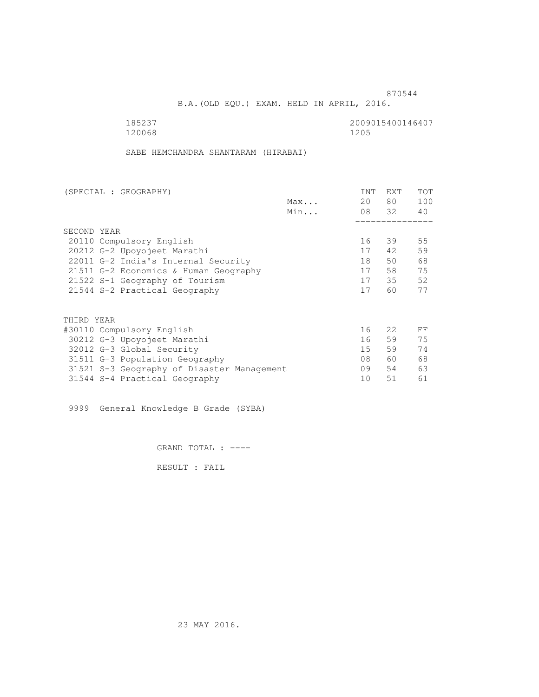B.A.(OLD EQU.) EXAM. HELD IN APRIL, 2016.

120068

185237<br>120068 120068 1205

SABE HEMCHANDRA SHANTARAM (HIRABAI)

| (SPECIAL : GEOGRAPHY)                      |     | INT | <b>EXT</b>       | <b>TOT</b> |
|--------------------------------------------|-----|-----|------------------|------------|
|                                            | Max | 20  | 80               | 100        |
|                                            | Min |     | 08 32            | 40         |
|                                            |     |     |                  |            |
| SECOND YEAR                                |     |     |                  |            |
| 20110 Compulsory English                   |     | 16  | 39               | 55         |
| 20212 G-2 Upoyojeet Marathi                |     | 17  | 42               | 59         |
| 22011 G-2 India's Internal Security        |     | 18  | 50               | 68         |
| 21511 G-2 Economics & Human Geography      |     | 17  | 58               | 75         |
| 21522 S-1 Geography of Tourism             |     | 17  | 35               | 52         |
| 21544 S-2 Practical Geography              |     | 17  | 60               | 77         |
|                                            |     |     |                  |            |
| THIRD YEAR                                 |     |     |                  |            |
| #30110 Compulsory English                  |     | 16  | 2.2 <sub>1</sub> | FF         |
| 30212 G-3 Upoyojeet Marathi                |     | 16  | 59               | 75         |
| 32012 G-3 Global Security                  |     | 15  | 59               | 74         |
| 31511 G-3 Population Geography             |     | 08  | 60               | 68         |
| 31521 S-3 Geography of Disaster Management |     | 09  | 54               | 63         |
| 31544 S-4 Practical Geography              |     | 10  | 51               | 61         |
|                                            |     |     |                  |            |

9999 General Knowledge B Grade (SYBA)

GRAND TOTAL : ----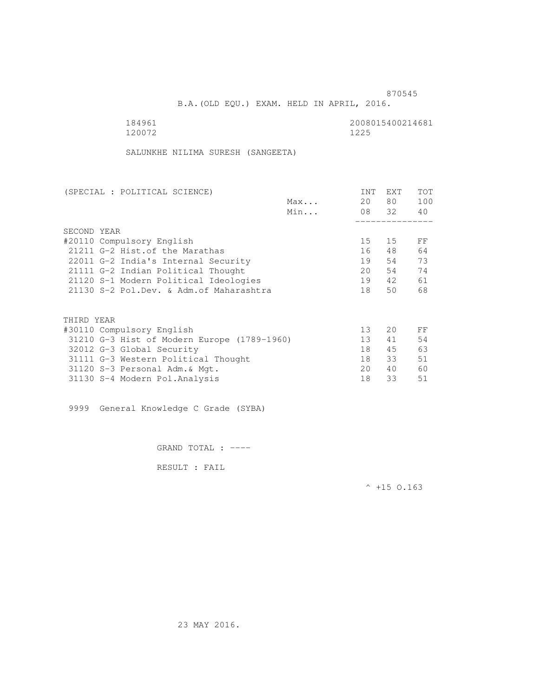B.A.(OLD EQU.) EXAM. HELD IN APRIL, 2016.

184961 2008015400214681 2008015400214681 120072 1225

SALUNKHE NILIMA SURESH (SANGEETA)

| (SPECIAL : POLITICAL SCIENCE)               |     | INT             | EXT   | <b>TOT</b> |
|---------------------------------------------|-----|-----------------|-------|------------|
|                                             | Max | 20              | 80    | 100        |
|                                             | Min |                 | 08 32 | 40         |
|                                             |     |                 |       |            |
| SECOND YEAR                                 |     |                 |       |            |
| #20110 Compulsory English                   |     | 15              | 15    | FF         |
| 21211 G-2 Hist. of the Marathas             |     | 16              | 48    | 64         |
| 22011 G-2 India's Internal Security         |     | 19              | 54    | 73         |
| 21111 G-2 Indian Political Thought          |     | 20              | 54    | 74         |
| 21120 S-1 Modern Political Ideologies       |     | 19              | 42    | 61         |
| 21130 S-2 Pol.Dev. & Adm. of Maharashtra    |     | 18              | 50    | 68         |
|                                             |     |                 |       |            |
| THIRD YEAR                                  |     |                 |       |            |
| #30110 Compulsory English                   |     | 13              | 20    | FF         |
| 31210 G-3 Hist of Modern Europe (1789-1960) |     | 13 <sup>°</sup> | 41    | 54         |
| 32012 G-3 Global Security                   |     | 18              | 45    | 63         |
| 31111 G-3 Western Political Thought         |     | 18              | 33    | 51         |
| 31120 S-3 Personal Adm. & Mgt.              |     | 20              | 40    | 60         |
| 31130 S-4 Modern Pol.Analysis               |     | 18              | 33    | 51         |

9999 General Knowledge C Grade (SYBA)

GRAND TOTAL : ----

RESULT : FAIL

 $^{\wedge}$  +15 O.163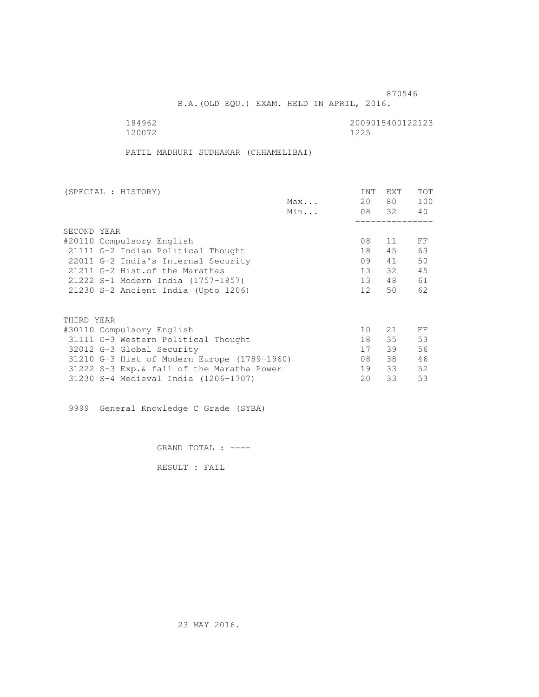B.A.(OLD EQU.) EXAM. HELD IN APRIL, 2016.

184962<br>120072 120072 120072 120072

PATIL MADHURI SUDHAKAR (CHHAMELIBAI)

| (SPECIAL : HISTORY)                         |     | <b>INT</b>      | <b>EXT</b> | TOT |
|---------------------------------------------|-----|-----------------|------------|-----|
|                                             | Max | 20              | 80         | 100 |
|                                             | Min |                 | 08 32      | 40  |
|                                             |     |                 |            |     |
| SECOND YEAR                                 |     |                 |            |     |
| #20110 Compulsory English                   |     | 08              | 11         | FF  |
| 21111 G-2 Indian Political Thought          |     | 18              | 45         | 63  |
| 22011 G-2 India's Internal Security         |     | 09              | 41         | 50  |
| 21211 G-2 Hist. of the Marathas             |     | 13              | 32         | 45  |
| 21222 S-1 Modern India (1757-1857)          |     | 13              | 48         | 61  |
| 21230 S-2 Ancient India (Upto 1206)         |     | 12 <sup>1</sup> | 50         | 62  |
|                                             |     |                 |            |     |
| THIRD YEAR                                  |     |                 |            |     |
| #30110 Compulsory English                   |     | 10              | 21         | FF  |
| 31111 G-3 Western Political Thought         |     | 18              | 35         | 53  |
| 32012 G-3 Global Security                   |     | 17              | 39         | 56  |
| 31210 G-3 Hist of Modern Europe (1789-1960) |     | 08              | 38         | 46  |
| 31222 S-3 Exp. & fall of the Maratha Power  |     | 19              | 33         | 52  |
| 31230 S-4 Medieval India (1206-1707)        |     | 20              | 33         | 53  |
|                                             |     |                 |            |     |

9999 General Knowledge C Grade (SYBA)

GRAND TOTAL : ----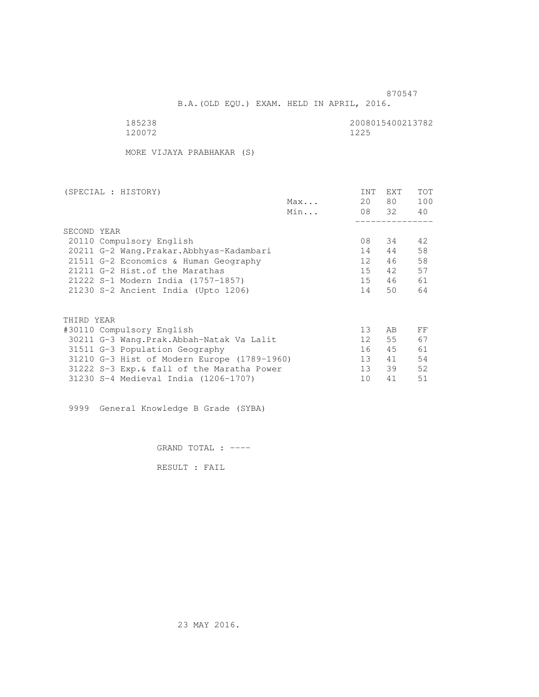B.A.(OLD EQU.) EXAM. HELD IN APRIL, 2016.

| 185238 | 2008015400213782 |
|--------|------------------|
| 120072 | 1225             |

MORE VIJAYA PRABHAKAR (S)

| (SPECIAL : HISTORY)                         |     | INT             | <b>EXT</b> | TOT |
|---------------------------------------------|-----|-----------------|------------|-----|
|                                             | Max | 20              | 80 —       | 100 |
|                                             | Min |                 | 08 32      | 40  |
|                                             |     |                 |            |     |
| SECOND YEAR                                 |     |                 |            |     |
| 20110 Compulsory English                    |     | 08              | - 34       | 42  |
| 20211 G-2 Wang.Prakar.Abbhyas-Kadambari     |     | 14              | 44         | 58  |
| 21511 G-2 Economics & Human Geography       |     | 12              | 46         | 58  |
| 21211 G-2 Hist. of the Marathas             |     | 15              | 42         | 57  |
| 21222 S-1 Modern India (1757-1857)          |     | 15              | 46         | 61  |
| 21230 S-2 Ancient India (Upto 1206)         |     | 14              | 50         | 64  |
|                                             |     |                 |            |     |
| THIRD YEAR                                  |     |                 |            |     |
| #30110 Compulsory English                   |     | 13              | AB         | FF  |
| 30211 G-3 Wang.Prak.Abbah-Natak Va Lalit    |     | 12              | 55         | 67  |
| 31511 G-3 Population Geography              |     | 16              | 45         | 61  |
| 31210 G-3 Hist of Modern Europe (1789-1960) |     | 13              | 41         | 54  |
| 31222 S-3 Exp. & fall of the Maratha Power  |     | 13 <sup>7</sup> | 39         | 52  |
| 31230 S-4 Medieval India (1206-1707)        |     | 10              | 41         | 51  |
|                                             |     |                 |            |     |

9999 General Knowledge B Grade (SYBA)

GRAND TOTAL : ----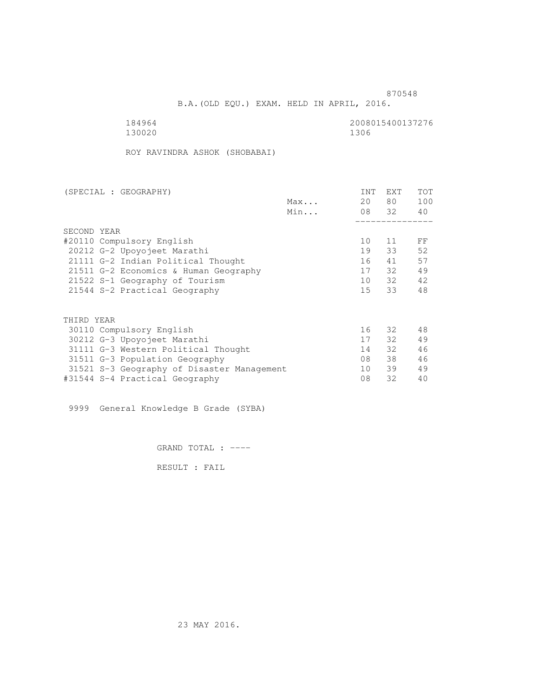B.A.(OLD EQU.) EXAM. HELD IN APRIL, 2016.

184964<br>130020 130020 1300 130020

ROY RAVINDRA ASHOK (SHOBABAI)

| (SPECIAL : GEOGRAPHY)                      |     | INT | EXT   | TOT |
|--------------------------------------------|-----|-----|-------|-----|
|                                            | Max | 20  | 80 —  | 100 |
|                                            | Min |     | 08 32 | 40  |
|                                            |     |     |       |     |
| SECOND YEAR                                |     |     |       |     |
| #20110 Compulsory English                  |     | 10  | 11    | FF  |
| 20212 G-2 Upoyojeet Marathi                |     | 19  | 33    | 52  |
| 21111 G-2 Indian Political Thought         |     | 16  | 41    | 57  |
| 21511 G-2 Economics & Human Geography      |     | 17  | 32    | 49  |
| 21522 S-1 Geography of Tourism             |     | 10  | 32    | 42  |
| 21544 S-2 Practical Geography              |     | 15  | 33    | 48  |
| THIRD YEAR                                 |     |     |       |     |
| 30110 Compulsory English                   |     | 16  | - 32  | 48  |
| 30212 G-3 Upoyojeet Marathi                |     | 17  | 32    | 49  |
| 31111 G-3 Western Political Thought        |     | 14  | 32    | 46  |
| 31511 G-3 Population Geography             |     | 08  | 38    | 46  |
| 31521 S-3 Geography of Disaster Management |     | 10  | 39    | 49  |
| #31544 S-4 Practical Geography             |     | 08  | 32    | 40  |
|                                            |     |     |       |     |

9999 General Knowledge B Grade (SYBA)

GRAND TOTAL : ----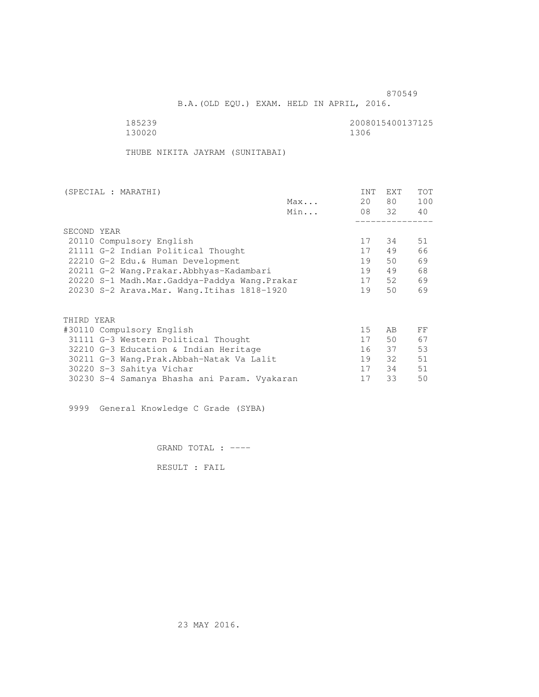B.A.(OLD EQU.) EXAM. HELD IN APRIL, 2016.

130020 1306

185239 2008015400137125

THUBE NIKITA JAYRAM (SUNITABAI)

| (SPECIAL : MARATHI) |                                              |     | INT | <b>EXT</b> | TOT |
|---------------------|----------------------------------------------|-----|-----|------------|-----|
|                     |                                              | Max | 20  | 80         | 100 |
|                     |                                              | Min |     | 08 32      | 40  |
|                     |                                              |     |     |            |     |
| SECOND YEAR         |                                              |     |     |            |     |
|                     | 20110 Compulsory English                     |     | 17  | 34         | 51  |
|                     | 21111 G-2 Indian Political Thought           |     | 17  | 49         | 66  |
|                     | 22210 G-2 Edu. & Human Development           |     | 19  | 50         | 69  |
|                     | 20211 G-2 Wang.Prakar.Abbhyas-Kadambari      |     | 19  | 49         | 68  |
|                     | 20220 S-1 Madh.Mar.Gaddya-Paddya Wang.Prakar |     | 17  | 52         | 69  |
|                     | 20230 S-2 Arava. Mar. Wang. Itihas 1818-1920 |     | 19  | 50         | 69  |
|                     |                                              |     |     |            |     |
| THIRD YEAR          |                                              |     |     |            |     |
|                     | #30110 Compulsory English                    |     | 15  | AB         | FF  |
|                     | 31111 G-3 Western Political Thought          |     | 17  | 50         | 67  |
|                     | 32210 G-3 Education & Indian Heritage        |     | 16  | 37         | 53  |
|                     | 30211 G-3 Wang.Prak.Abbah-Natak Va Lalit     |     | 19  | 32         | 51  |
|                     | 30220 S-3 Sahitya Vichar                     |     | 17  | 34         | 51  |
|                     | 30230 S-4 Samanya Bhasha ani Param. Vyakaran |     | 17  | 33         | 50  |
|                     |                                              |     |     |            |     |

9999 General Knowledge C Grade (SYBA)

GRAND TOTAL : ----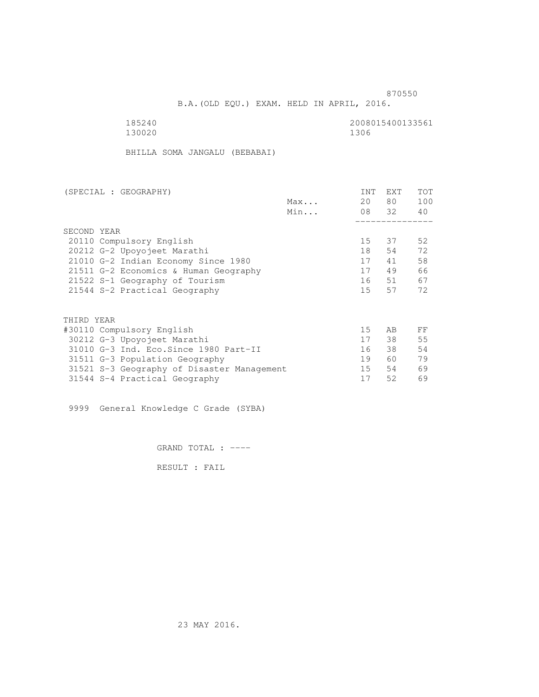B.A.(OLD EQU.) EXAM. HELD IN APRIL, 2016.

130020 1306

185240 2008015400133561

BHILLA SOMA JANGALU (BEBABAI)

| (SPECIAL : GEOGRAPHY)                      |     | <b>INT</b> | <b>EXT</b> | TOT |
|--------------------------------------------|-----|------------|------------|-----|
|                                            | Max | 20         | 80         | 100 |
|                                            | Min |            | 08 32      | 40  |
|                                            |     |            |            |     |
| SECOND YEAR                                |     |            |            |     |
| 20110 Compulsory English                   |     | 15         | 37         | 52  |
| 20212 G-2 Upoyojeet Marathi                |     | 18         | 54         | 72  |
| 21010 G-2 Indian Economy Since 1980        |     | 17         | 41         | 58  |
| 21511 G-2 Economics & Human Geography      |     | 17         | 49         | 66  |
| 21522 S-1 Geography of Tourism             |     | 16         | 51         | 67  |
| 21544 S-2 Practical Geography              |     | 15         | 57         | 72  |
|                                            |     |            |            |     |
| THIRD YEAR                                 |     |            |            |     |
| #30110 Compulsory English                  |     | 15         | AB         | FF  |
| 30212 G-3 Upoyojeet Marathi                |     | 17         | 38         | 55  |
| 31010 G-3 Ind. Eco. Since 1980 Part-II     |     | 16         | 38         | 54  |
| 31511 G-3 Population Geography             |     | 19         | 60         | 79  |
| 31521 S-3 Geography of Disaster Management |     | $15 -$     | 54         | 69  |
| 31544 S-4 Practical Geography              |     | 17         | 52         | 69  |
|                                            |     |            |            |     |

9999 General Knowledge C Grade (SYBA)

GRAND TOTAL : ----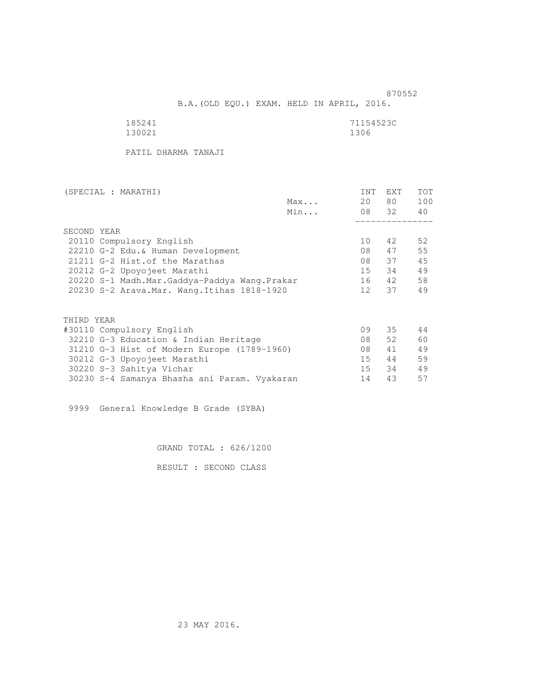B.A.(OLD EQU.) EXAM. HELD IN APRIL, 2016.

| 185241 | 71154523C |
|--------|-----------|
| 130021 | 1306      |

PATIL DHARMA TANAJI

| (SPECIAL : MARATHI)                          |     | INT | <b>EXT</b> | TOT |
|----------------------------------------------|-----|-----|------------|-----|
|                                              | Max | 20  | 80 —       | 100 |
|                                              | Min |     | 08 32      | 40  |
|                                              |     |     |            |     |
| SECOND YEAR                                  |     |     |            |     |
| 20110 Compulsory English                     |     | 10  | 42         | 52  |
| 22210 G-2 Edu. & Human Development           |     | 08  | 47         | 55  |
| 21211 G-2 Hist. of the Marathas              |     | 08  | 37         | 45  |
| 20212 G-2 Upoyojeet Marathi                  |     | 15  | 34         | 49  |
| 20220 S-1 Madh.Mar.Gaddya-Paddya Wang.Prakar |     | 16  | 42         | 58  |
| 20230 S-2 Arava. Mar. Wang. Itihas 1818-1920 |     | 12  | 37         | 49  |
|                                              |     |     |            |     |
| THIRD YEAR                                   |     |     |            |     |
| #30110 Compulsory English                    |     | 09  | 35         | 44  |
| 32210 G-3 Education & Indian Heritage        |     | 08  | 52         | 60  |
| 31210 G-3 Hist of Modern Europe (1789-1960)  |     | 08  | 41         | 49  |
| 30212 G-3 Upoyojeet Marathi                  |     | 15  | 44         | 59  |
| 30220 S-3 Sahitya Vichar                     |     | 15  | 34         | 49  |
|                                              |     |     |            | 57  |
| 30230 S-4 Samanya Bhasha ani Param. Vyakaran |     | 14  | 43         |     |

9999 General Knowledge B Grade (SYBA)

GRAND TOTAL : 626/1200

RESULT : SECOND CLASS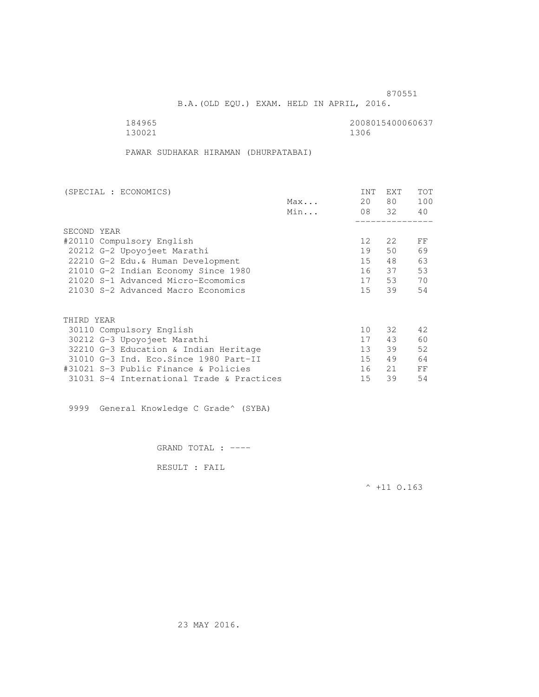B.A.(OLD EQU.) EXAM. HELD IN APRIL, 2016.

184965<br>130021 130021 1300 130021 1306

PAWAR SUDHAKAR HIRAMAN (DHURPATABAI)

| (SPECIAL : ECONOMICS)                     |     | <b>INT</b>      | <b>EXT</b> | TOT |
|-------------------------------------------|-----|-----------------|------------|-----|
|                                           | Max | 20              | 80         | 100 |
|                                           | Min |                 | 08 32      | 40  |
|                                           |     |                 |            |     |
| SECOND YEAR                               |     |                 |            |     |
| #20110 Compulsory English                 |     | 12 <sup>°</sup> | 2.2        | FF  |
| 20212 G-2 Upoyojeet Marathi               |     | 19              | 50         | 69  |
| 22210 G-2 Edu. & Human Development        |     | 15              | 48         | 63  |
| 21010 G-2 Indian Economy Since 1980       |     | 16              | 37         | 53  |
| 21020 S-1 Advanced Micro-Ecomomics        |     | 17              | 53         | 70  |
| 21030 S-2 Advanced Macro Economics        |     | 15              | 39         | 54  |
| THIRD YEAR                                |     |                 |            |     |
| 30110 Compulsory English                  |     | 10              | 32         | 42  |
| 30212 G-3 Upoyojeet Marathi               |     | 17              | 43         | 60  |
| 32210 G-3 Education & Indian Heritage     |     | 13              | 39         | 52  |
| 31010 G-3 Ind. Eco. Since 1980 Part-II    |     | 15              | 49         | 64  |
|                                           |     |                 |            |     |
| #31021 S-3 Public Finance & Policies      |     | 16              | 21         | FF  |
| 31031 S-4 International Trade & Practices |     | 15              | 39         | 54  |

9999 General Knowledge C Grade^ (SYBA)

GRAND TOTAL : ----

RESULT : FAIL

 $^{\wedge}$  +11 0.163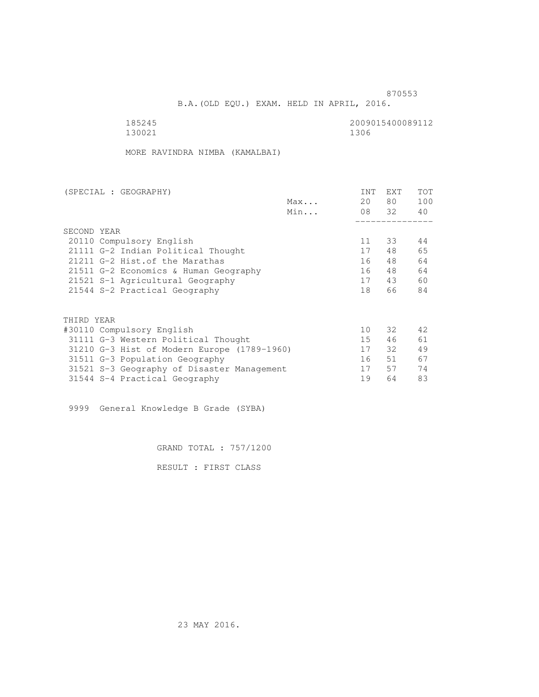B.A.(OLD EQU.) EXAM. HELD IN APRIL, 2016.

 185245 2009015400089112 130021 1306

MORE RAVINDRA NIMBA (KAMALBAI)

| (SPECIAL : GEOGRAPHY)                       | <b>INT</b> | <b>EXT</b> | TOT |
|---------------------------------------------|------------|------------|-----|
| Max                                         | 20         | 80         | 100 |
| Min                                         |            | 08 32      | 40  |
|                                             |            |            |     |
| SECOND YEAR                                 |            |            |     |
| 20110 Compulsory English                    | 11         | 33         | 44  |
| 21111 G-2 Indian Political Thought          | 17         | 48         | 65  |
| 21211 G-2 Hist. of the Marathas             | 16         | 48         | 64  |
| 21511 G-2 Economics & Human Geography       | 16         | 48         | 64  |
| 21521 S-1 Agricultural Geography            | 17         | 43         | 60  |
| 21544 S-2 Practical Geography               | 18         | 66         | 84  |
| THIRD YEAR                                  |            |            |     |
| #30110 Compulsory English                   | 10         | 32         | 42  |
| 31111 G-3 Western Political Thought         | 15         | 46         | 61  |
|                                             |            |            |     |
| 31210 G-3 Hist of Modern Europe (1789-1960) | 17         | 32         | 49  |
| 31511 G-3 Population Geography              | 16         | 51         | 67  |
| 31521 S-3 Geography of Disaster Management  | 17         | 57         | 74  |
| 31544 S-4 Practical Geography               | 19         | 64         | 83  |

9999 General Knowledge B Grade (SYBA)

GRAND TOTAL : 757/1200

RESULT : FIRST CLASS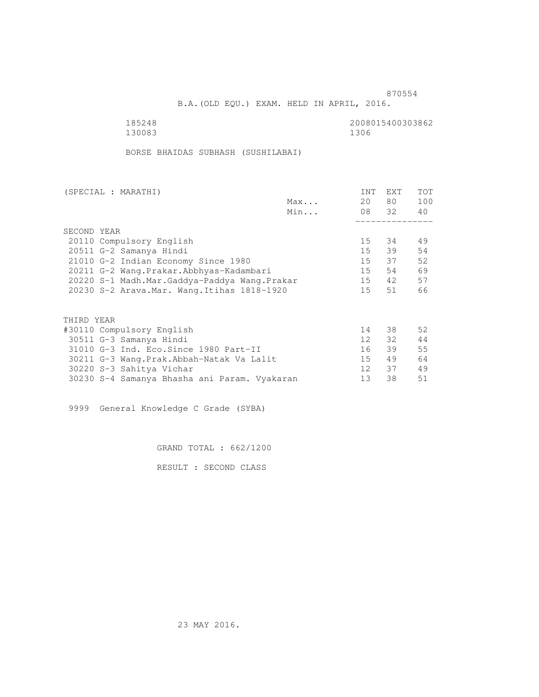B.A.(OLD EQU.) EXAM. HELD IN APRIL, 2016.

130083

185248 2008015400303862

BORSE BHAIDAS SUBHASH (SUSHILABAI)

| (SPECIAL : MARATHI) |                                              |     | INT             | <b>EXT</b> | <b>TOT</b> |
|---------------------|----------------------------------------------|-----|-----------------|------------|------------|
|                     |                                              | Max | 20              | 80 —       | 100        |
|                     |                                              | Min |                 | 08 32      | 40         |
|                     |                                              |     |                 |            |            |
| SECOND YEAR         |                                              |     |                 |            |            |
|                     | 20110 Compulsory English                     |     | 15              | 34         | 49         |
|                     | 20511 G-2 Samanya Hindi                      |     | $15 -$          | 39         | 54         |
|                     | 21010 G-2 Indian Economy Since 1980          |     | 15              | 37         | 52         |
|                     | 20211 G-2 Wang.Prakar.Abbhyas-Kadambari      |     | 15              | 54         | 69         |
|                     | 20220 S-1 Madh.Mar.Gaddya-Paddya Wang.Prakar |     | 15              | 42         | 57         |
|                     | 20230 S-2 Arava. Mar. Wang. Itihas 1818-1920 |     | $15 -$          | 51         | 66         |
|                     |                                              |     |                 |            |            |
| THIRD YEAR          |                                              |     |                 |            |            |
|                     | #30110 Compulsory English                    |     | 14              | 38         | 52         |
|                     | 30511 G-3 Samanya Hindi                      |     | 12              | 32         | 44         |
|                     | 31010 G-3 Ind. Eco. Since 1980 Part-II       |     | 16              | 39         | 55         |
|                     | 30211 G-3 Wang.Prak.Abbah-Natak Va Lalit     |     | 15              | 49         | 64         |
|                     | 30220 S-3 Sahitya Vichar                     |     | 12 <sup>1</sup> | 37         | 49         |
|                     | 30230 S-4 Samanya Bhasha ani Param. Vyakaran |     | 13              | 38         | 51         |
|                     |                                              |     |                 |            |            |

9999 General Knowledge C Grade (SYBA)

GRAND TOTAL : 662/1200

RESULT : SECOND CLASS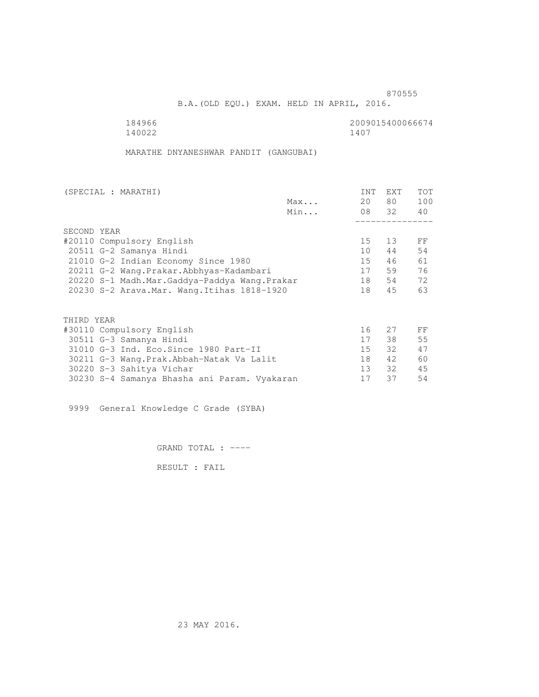and the state of the state of the state of the state of the state of the state of the state of the state of the state of the state of the state of the state of the state of the state of the state of the state of the state

B.A.(OLD EQU.) EXAM. HELD IN APRIL, 2016.

140022 1407

184966 2009015400066674<br>140022 1407

MARATHE DNYANESHWAR PANDIT (GANGUBAI)

| (SPECIAL : MARATHI) |                                              |     | INT    | <b>EXT</b> | <b>TOT</b> |
|---------------------|----------------------------------------------|-----|--------|------------|------------|
|                     |                                              | Max | 20     | 80 —       | 100        |
|                     |                                              | Min |        | 08 32      | 40         |
|                     |                                              |     |        |            |            |
| SECOND YEAR         |                                              |     |        |            |            |
|                     | #20110 Compulsory English                    |     | 15     | 13         | FF         |
|                     | 20511 G-2 Samanya Hindi                      |     | 10     | 44         | 54         |
|                     | 21010 G-2 Indian Economy Since 1980          |     | 15     | 46         | 61         |
|                     | 20211 G-2 Wang.Prakar.Abbhyas-Kadambari      |     | 17     | 59         | 76         |
|                     | 20220 S-1 Madh.Mar.Gaddya-Paddya Wang.Prakar |     | 18     | 54         | 72         |
|                     | 20230 S-2 Arava. Mar. Wang. Itihas 1818-1920 |     | 18     | 45         | 63         |
|                     |                                              |     |        |            |            |
| THIRD YEAR          |                                              |     |        |            |            |
|                     | #30110 Compulsory English                    |     | 16     | 27         | FF         |
|                     | 30511 G-3 Samanya Hindi                      |     | 17     | 38         | 55         |
|                     | 31010 G-3 Ind. Eco. Since 1980 Part-II       |     | $15 -$ | $32 -$     | 47         |
|                     | 30211 G-3 Wang.Prak.Abbah-Natak Va Lalit     |     | 18     | 42         | 60         |
|                     | 30220 S-3 Sahitya Vichar                     |     | 13     | 32         | 45         |
|                     | 30230 S-4 Samanya Bhasha ani Param. Vyakaran |     | 17     | 37         | 54         |
|                     |                                              |     |        |            |            |

9999 General Knowledge C Grade (SYBA)

GRAND TOTAL : ----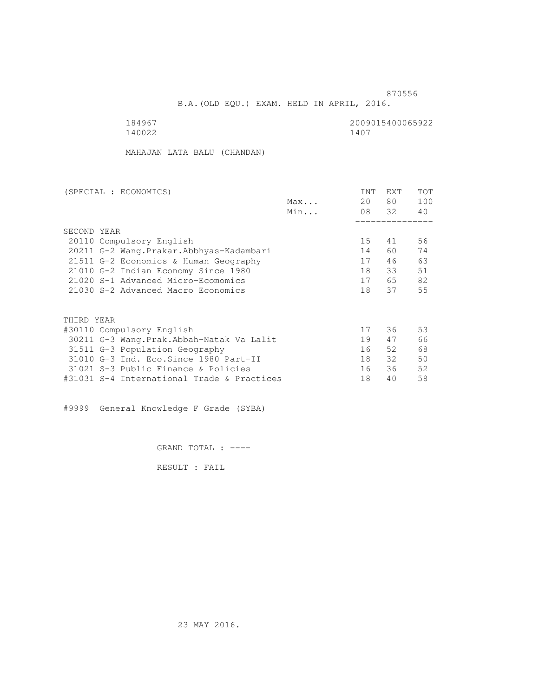B.A.(OLD EQU.) EXAM. HELD IN APRIL, 2016.

140022 1407

184967 2009015400065922<br>140022 140022

MAHAJAN LATA BALU (CHANDAN)

| (SPECIAL : ECONOMICS)                      |     | <b>INT</b> | <b>EXT</b> | TOT |
|--------------------------------------------|-----|------------|------------|-----|
|                                            | Max | 20         | 80         | 100 |
|                                            | Min |            | 08 32      | 40  |
|                                            |     |            |            |     |
| SECOND YEAR                                |     |            |            |     |
| 20110 Compulsory English                   |     | 15         | 41         | 56  |
| 20211 G-2 Wang. Prakar. Abbhyas-Kadambari  |     | 14         | 60         | 74  |
| 21511 G-2 Economics & Human Geography      |     | 17         | 46         | 63  |
| 21010 G-2 Indian Economy Since 1980        |     | 18         | 33         | 51  |
| 21020 S-1 Advanced Micro-Ecomomics         |     | 17         | 65         | 82  |
| 21030 S-2 Advanced Macro Economics         |     | 18         | 37         | 55  |
|                                            |     |            |            |     |
| THIRD YEAR                                 |     |            |            |     |
| #30110 Compulsory English                  |     | 17         | 36         | 53  |
| 30211 G-3 Wang.Prak.Abbah-Natak Va Lalit   |     | 19         | 47         | 66  |
| 31511 G-3 Population Geography             |     | 16         | 52         | 68  |
| 31010 G-3 Ind. Eco. Since 1980 Part-II     |     | 18         | 32         | 50  |
| 31021 S-3 Public Finance & Policies        |     | 16         | 36         | 52  |
| #31031 S-4 International Trade & Practices |     | 18         | 40         | 58  |

#9999 General Knowledge F Grade (SYBA)

GRAND TOTAL : ----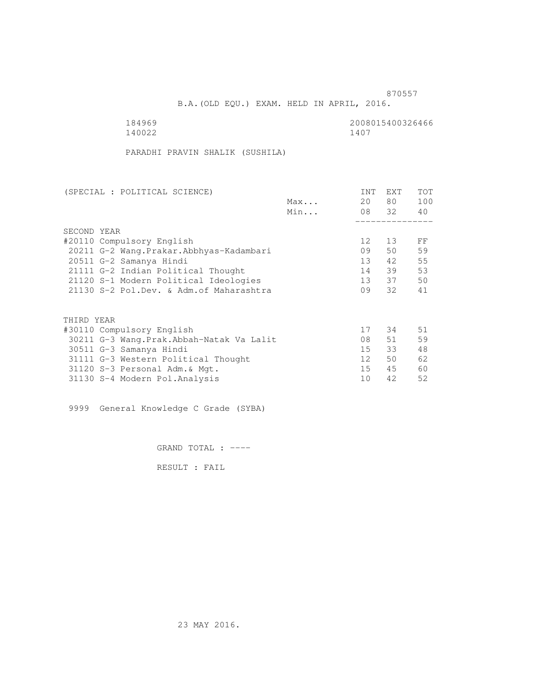B.A.(OLD EQU.) EXAM. HELD IN APRIL, 2016.

| 184969 | 2008015400326466 |
|--------|------------------|
| 140022 | 1407             |

PARADHI PRAVIN SHALIK (SUSHILA)

| (SPECIAL : POLITICAL SCIENCE)              |     | INT             | <b>EXT</b> | TOT |
|--------------------------------------------|-----|-----------------|------------|-----|
|                                            | Max | 20              | 80 —       | 100 |
|                                            | Min |                 | 08 32      | 40  |
|                                            |     |                 |            |     |
| SECOND YEAR                                |     |                 |            |     |
| #20110 Compulsory English                  |     | 12 <sup>°</sup> | 13         | FF  |
| 20211 G-2 Wang.Prakar.Abbhyas-Kadambari    |     | 09              | 50         | 59  |
| 20511 G-2 Samanya Hindi                    |     | $13 -$          | 42         | 55  |
| 21111 G-2 Indian Political Thought         |     | 14              | 39         | 53  |
| 21120 S-1 Modern Political Ideologies      |     | 13              | 37         | 50  |
| 21130 S-2 Pol.Dev. & Adm. of Maharashtra   |     | 09              | 32         | 41  |
|                                            |     |                 |            |     |
| THIRD YEAR                                 |     |                 |            |     |
| #30110 Compulsory English                  |     | 17              | 34         | 51  |
| 30211 G-3 Wang. Prak. Abbah-Natak Va Lalit |     | 08              | 51         | 59  |
| 30511 G-3 Samanya Hindi                    |     | 15              | 33         | 48  |
| 31111 G-3 Western Political Thought        |     | 12 <sup>7</sup> | 50         | 62  |
| 31120 S-3 Personal Adm. & Mgt.             |     | 15              | 45         | 60  |
| 31130 S-4 Modern Pol.Analysis              |     | 10              | 42         | 52  |
|                                            |     |                 |            |     |

9999 General Knowledge C Grade (SYBA)

GRAND TOTAL : ----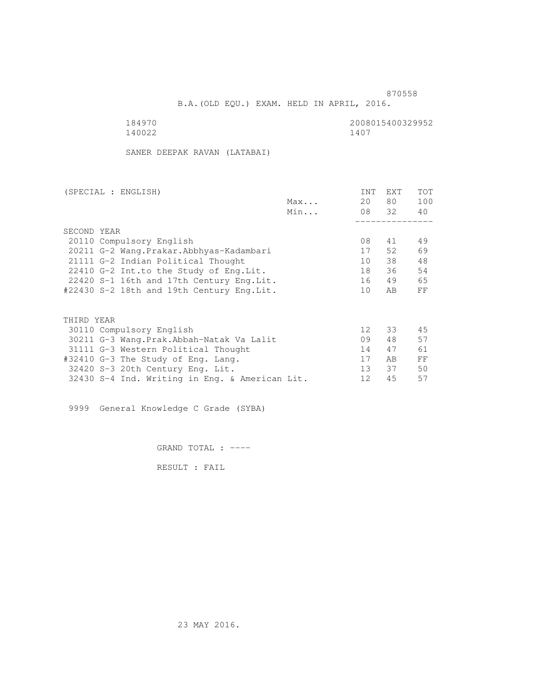B.A.(OLD EQU.) EXAM. HELD IN APRIL, 2016.

184970<br>140022 140022 1400 140022 1407

SANER DEEPAK RAVAN (LATABAI)

| (SPECIAL : ENGLISH)                            |     | INT               | EXT   | <b>TOT</b> |
|------------------------------------------------|-----|-------------------|-------|------------|
|                                                | Max | 20                | 80 —  | 100        |
|                                                | Min |                   | 08 32 | 40         |
|                                                |     |                   |       |            |
| SECOND YEAR                                    |     |                   |       |            |
| 20110 Compulsory English                       |     | 08                | 41    | 49         |
| 20211 G-2 Wang. Prakar. Abbhyas-Kadambari      |     | 17                | 52.   | 69         |
| 21111 G-2 Indian Political Thought             |     | 10                | 38    | 48         |
| 22410 G-2 Int.to the Study of Eng.Lit.         |     | 18                | 36    | 54         |
| 22420 S-1 16th and 17th Century Eng. Lit.      |     | 16                | 49    | 65         |
| #22430 S-2 18th and 19th Century Eng.Lit.      |     | 10                | AB    | FF         |
|                                                |     |                   |       |            |
| THIRD YEAR                                     |     |                   |       |            |
| 30110 Compulsory English                       |     | 12 <sup>°</sup>   | 33    | 45         |
| 30211 G-3 Wang.Prak.Abbah-Natak Va Lalit       |     | 09                | 48    | 57         |
| 31111 G-3 Western Political Thought            |     | 14                | 47    | 61         |
| #32410 G-3 The Study of Eng. Lang.             |     | 17                | AB.   | FF         |
| 32420 S-3 20th Century Eng. Lit.               |     | 13 <sup>°</sup>   | 37    | 50         |
| 32430 S-4 Ind. Writing in Eng. & American Lit. |     | $12 \overline{ }$ | 45    | 57         |
|                                                |     |                   |       |            |

9999 General Knowledge C Grade (SYBA)

GRAND TOTAL : ----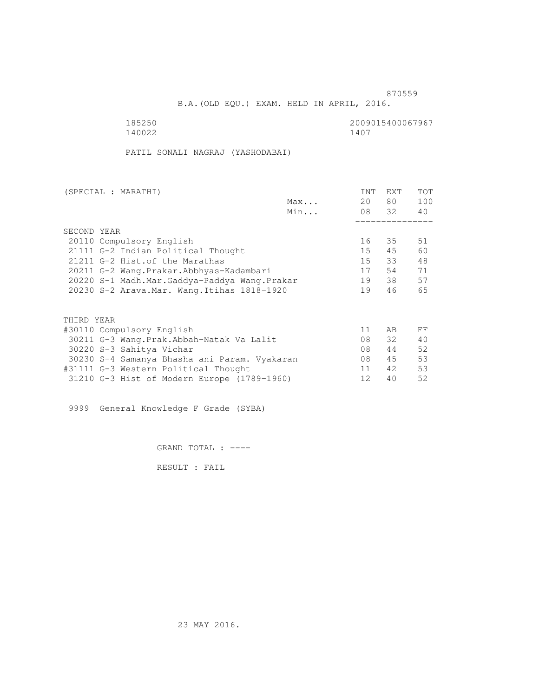B.A.(OLD EQU.) EXAM. HELD IN APRIL, 2016.

140022

185250 2009015400067967<br>140022 1400

PATIL SONALI NAGRAJ (YASHODABAI)

| (SPECIAL : MARATHI)                          |     | INT             | EXT   | <b>TOT</b> |
|----------------------------------------------|-----|-----------------|-------|------------|
|                                              | Max | 20              | 80 —  | 100        |
|                                              | Min |                 | 08 32 | 40         |
|                                              |     |                 |       |            |
| SECOND YEAR                                  |     |                 |       |            |
| 20110 Compulsory English                     |     | 16              | 35    | 51         |
| 21111 G-2 Indian Political Thought           |     | 15              | 45    | 60         |
| 21211 G-2 Hist. of the Marathas              |     | 15              | 33    | 48         |
| 20211 G-2 Wang.Prakar.Abbhyas-Kadambari      |     | 17              | 54    | 71         |
| 20220 S-1 Madh.Mar.Gaddya-Paddya Wang.Prakar |     | 19              | 38    | 57         |
| 20230 S-2 Arava. Mar. Wang. Itihas 1818-1920 |     | 19              | 46    | 65         |
|                                              |     |                 |       |            |
|                                              |     |                 |       |            |
| THIRD YEAR                                   |     |                 |       |            |
| #30110 Compulsory English                    |     | 11              | AB    | FF         |
| 30211 G-3 Wang.Prak.Abbah-Natak Va Lalit     |     | 08              | 32    | 40         |
| 30220 S-3 Sahitya Vichar                     |     | 08              | 44    | 52         |
| 30230 S-4 Samanya Bhasha ani Param. Vyakaran |     | 08              | 45    | 53         |
| #31111 G-3 Western Political Thought         |     | 11 <sup>1</sup> | 42    | 53         |
| 31210 G-3 Hist of Modern Europe (1789-1960)  |     | 12              | 40    | 52         |

9999 General Knowledge F Grade (SYBA)

GRAND TOTAL : ----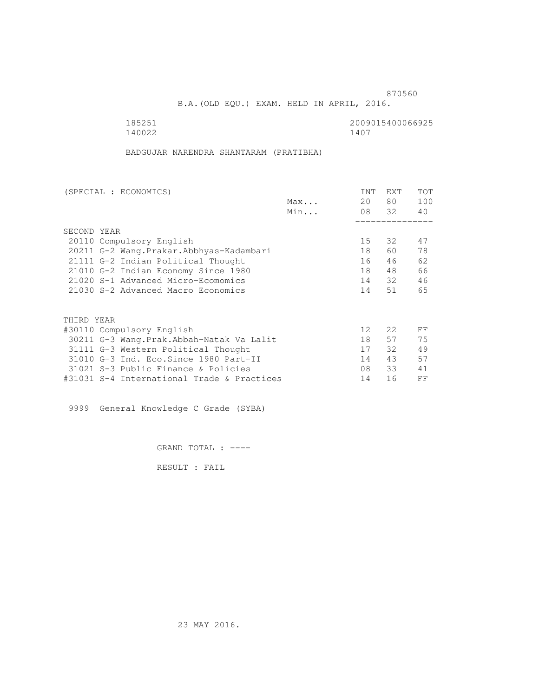B.A.(OLD EQU.) EXAM. HELD IN APRIL, 2016.

140022

185251<br>140022 140022 1400

BADGUJAR NARENDRA SHANTARAM (PRATIBHA)

| (SPECIAL : ECONOMICS)                      |     | <b>INT</b>        | <b>EXT</b> | TOT |
|--------------------------------------------|-----|-------------------|------------|-----|
|                                            | Max | 20                | 80         | 100 |
|                                            | Min |                   | 08 32      | 40  |
|                                            |     |                   |            |     |
| SECOND YEAR                                |     |                   |            |     |
| 20110 Compulsory English                   |     | 15                | 32         | 47  |
| 20211 G-2 Wang. Prakar. Abbhyas-Kadambari  |     | 18                | 60         | 78  |
| 21111 G-2 Indian Political Thought         |     | 16                | 46         | 62  |
| 21010 G-2 Indian Economy Since 1980        |     | 18                | 48         | 66  |
| 21020 S-1 Advanced Micro-Ecomomics         |     | 14                | - 32       | 46  |
| 21030 S-2 Advanced Macro Economics         |     | 14                | 51         | 65  |
|                                            |     |                   |            |     |
| THIRD YEAR                                 |     |                   |            |     |
| #30110 Compulsory English                  |     | $12 \overline{ }$ | 22         | FF  |
| 30211 G-3 Wang.Prak.Abbah-Natak Va Lalit   |     | 18                | 57         | 75  |
| 31111 G-3 Western Political Thought        |     | 17                | 32         | 49  |
| 31010 G-3 Ind. Eco. Since 1980 Part-II     |     | 14                | 43         | 57  |
| 31021 S-3 Public Finance & Policies        |     | 08                | 33         | 41  |
| #31031 S-4 International Trade & Practices |     | 14                | 16         | FF  |

9999 General Knowledge C Grade (SYBA)

GRAND TOTAL : ----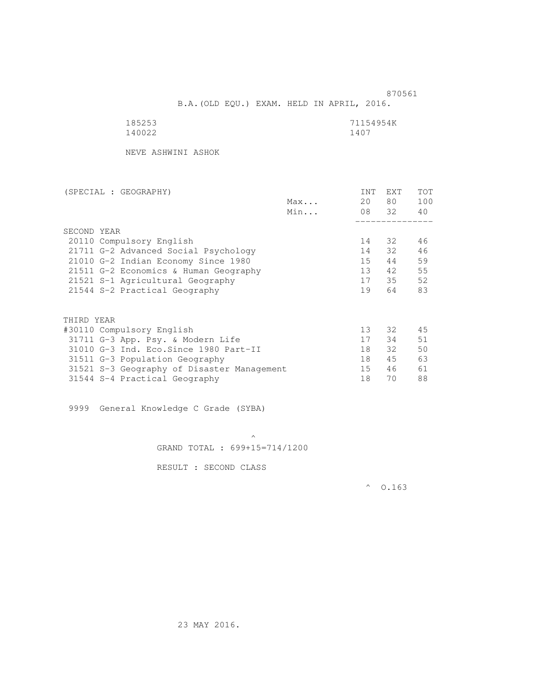870561 B.A.(OLD EQU.) EXAM. HELD IN APRIL, 2016.

| 185253 | 71154954K |
|--------|-----------|
| 140022 | 1407      |

NEVE ASHWINI ASHOK

| (SPECIAL : GEOGRAPHY)                      |     | INT             | <b>EXT</b> | <b>TOT</b> |
|--------------------------------------------|-----|-----------------|------------|------------|
|                                            | Max | 20              | 80 —       | 100        |
|                                            | Min |                 | 08 32      | 40         |
|                                            |     |                 |            |            |
| SECOND YEAR                                |     |                 |            |            |
| 20110 Compulsory English                   |     | 14              | 32         | 46         |
| 21711 G-2 Advanced Social Psychology       |     | 14              | 32         | 46         |
| 21010 G-2 Indian Economy Since 1980        |     | 15              | 44         | 59         |
| 21511 G-2 Economics & Human Geography      |     | 13 <sup>7</sup> | 42         | 55         |
| 21521 S-1 Agricultural Geography           |     | 17              | 35         | 52         |
| 21544 S-2 Practical Geography              |     | 19              | 64         | 83         |
| THIRD YEAR                                 |     |                 |            |            |
| #30110 Compulsory English                  |     | 13              | 32         | 45         |
| 31711 G-3 App. Psy. & Modern Life          |     | 17              | 34         | 51         |
| 31010 G-3 Ind. Eco. Since 1980 Part-II     |     | 18              | 32         | 50         |
| 31511 G-3 Population Geography             |     | 18              | 45         | 63         |
| 31521 S-3 Geography of Disaster Management |     | 15              | 46         | 61         |
|                                            |     | 18              | 70         | 88         |
| 31544 S-4 Practical Geography              |     |                 |            |            |

9999 General Knowledge C Grade (SYBA)

 $\mathcal{A}$  and  $\mathcal{A}$  are the set of  $\mathcal{A}$ GRAND TOTAL : 699+15=714/1200

RESULT : SECOND CLASS

 $^{\circ}$  0.163

23 MAY 2016.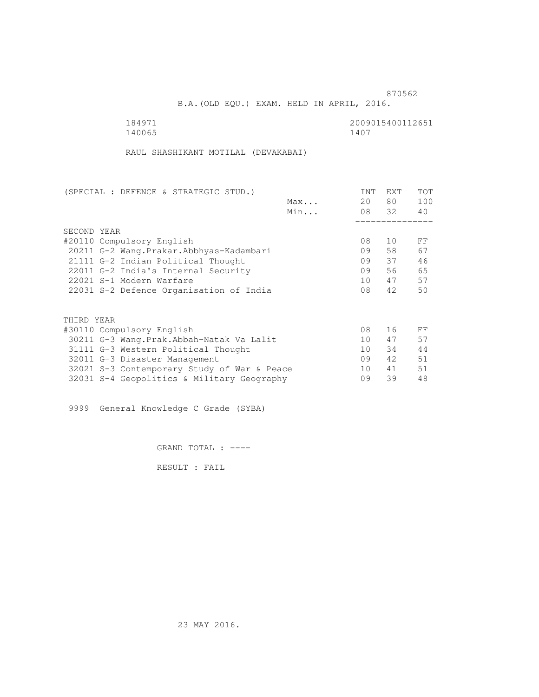B.A.(OLD EQU.) EXAM. HELD IN APRIL, 2016.

| 184971 | 2009015400112651 |
|--------|------------------|
| 140065 | 1407             |

RAUL SHASHIKANT MOTILAL (DEVAKABAI)

| (SPECIAL : DEFENCE & STRATEGIC STUD.)       |     | INT             | <b>EXT</b> | TOT |
|---------------------------------------------|-----|-----------------|------------|-----|
|                                             | Max | 20              | 80 —       | 100 |
|                                             | Min |                 | 08 32      | 40  |
|                                             |     |                 |            |     |
| SECOND YEAR                                 |     |                 |            |     |
| #20110 Compulsory English                   |     | 08              | 10         | FF  |
| 20211 G-2 Wang. Prakar. Abbhyas-Kadambari   |     | 09              | 58         | 67  |
| 21111 G-2 Indian Political Thought          |     | 09              | 37         | 46  |
| 22011 G-2 India's Internal Security         |     | 09              | 56         | 65  |
| 22021 S-1 Modern Warfare                    |     | 10              | 47         | 57  |
| 22031 S-2 Defence Organisation of India     |     | 08              | 42         | 50  |
|                                             |     |                 |            |     |
|                                             |     |                 |            |     |
| THIRD YEAR                                  |     |                 |            |     |
| #30110 Compulsory English                   |     | 08              | 16         | FF  |
| 30211 G-3 Wang. Prak. Abbah-Natak Va Lalit  |     | 10 <sup>1</sup> | 47         | 57  |
| 31111 G-3 Western Political Thought         |     | 10 <sup>1</sup> | 34         | 44  |
| 32011 G-3 Disaster Management               |     | 09              | 42         | 51  |
| 32021 S-3 Contemporary Study of War & Peace |     | 10              | 41         | 51  |
| 32031 S-4 Geopolitics & Military Geography  |     | 09              | 39         | 48  |
|                                             |     |                 |            |     |

9999 General Knowledge C Grade (SYBA)

GRAND TOTAL : ----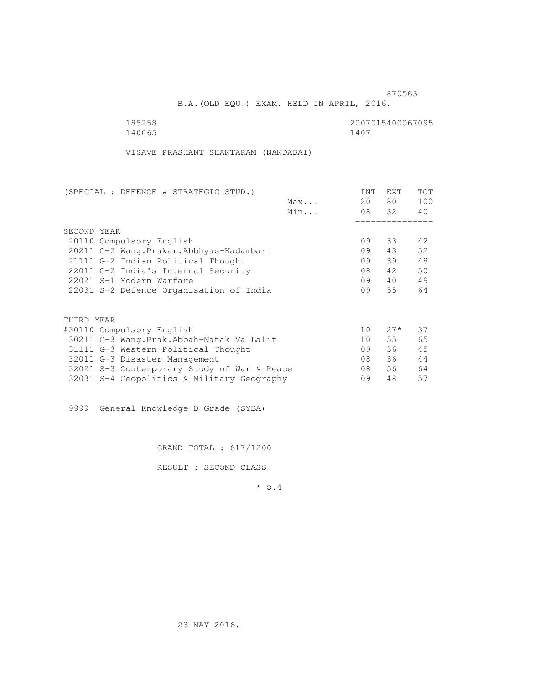B.A.(OLD EQU.) EXAM. HELD IN APRIL, 2016.

| 185258 | 2007015400067095 |
|--------|------------------|
| 140065 | 1407             |

VISAVE PRASHANT SHANTARAM (NANDABAI)

| (SPECIAL : DEFENCE & STRATEGIC STUD.)       |     | INT             | <b>EXT</b> | TOT |
|---------------------------------------------|-----|-----------------|------------|-----|
|                                             | Max | 20              | 80 —       | 100 |
|                                             | Min |                 | 08 32      | 40  |
|                                             |     |                 |            |     |
| SECOND YEAR                                 |     |                 |            |     |
| 20110 Compulsory English                    |     | 09              | 33         | 42. |
| 20211 G-2 Wang. Prakar. Abbhyas-Kadambari   |     | 09              | 43         | 52  |
| 21111 G-2 Indian Political Thought          |     | 09              | 39         | 48  |
| 22011 G-2 India's Internal Security         |     | 08              | 42         | 50  |
| 22021 S-1 Modern Warfare                    |     | 09              | 40         | 49  |
| 22031 S-2 Defence Organisation of India     |     | 09              | 55         | 64  |
|                                             |     |                 |            |     |
| THIRD YEAR                                  |     |                 |            |     |
| #30110 Compulsory English                   |     | 10 <sup>°</sup> | $27*$      | 37  |
| 30211 G-3 Wang. Prak. Abbah-Natak Va Lalit  |     | 10              | 55         | 65  |
| 31111 G-3 Western Political Thought         |     | 09              | 36         | 45  |
| 32011 G-3 Disaster Management               |     | 08              | 36         | 44  |
| 32021 S-3 Contemporary Study of War & Peace |     | 08              | 56         | 64  |
| 32031 S-4 Geopolitics & Military Geography  |     | 09              | 48         | 57  |
|                                             |     |                 |            |     |

9999 General Knowledge B Grade (SYBA)

GRAND TOTAL : 617/1200

RESULT : SECOND CLASS

\* O.4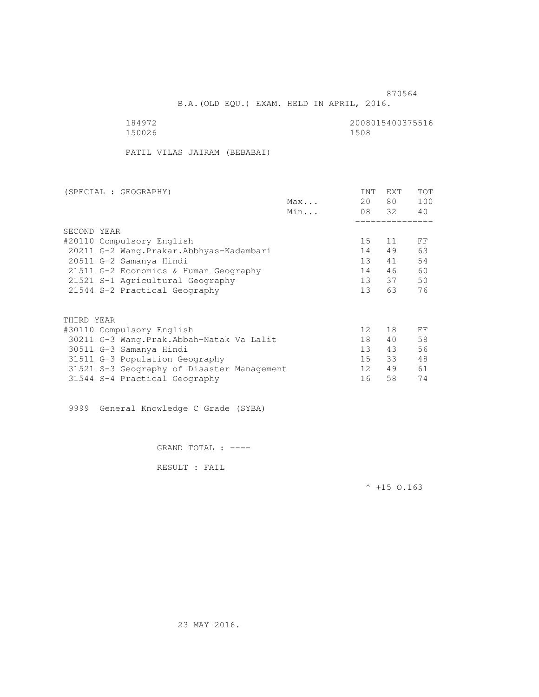B.A.(OLD EQU.) EXAM. HELD IN APRIL, 2016.

150026 1508

184972 2008015400375516

PATIL VILAS JAIRAM (BEBABAI)

| (SPECIAL : GEOGRAPHY)                      |     | <b>INT</b>      | EXT   | <b>TOT</b> |
|--------------------------------------------|-----|-----------------|-------|------------|
|                                            | Max | 20              | 80 —  | 100        |
|                                            | Min |                 | 08 32 | 40         |
|                                            |     |                 |       |            |
| SECOND YEAR                                |     |                 |       |            |
| #20110 Compulsory English                  |     | 15 <sub>1</sub> | 11    | FF         |
| 20211 G-2 Wang. Prakar. Abbhyas-Kadambari  |     | 14              | 49    | 63         |
| 20511 G-2 Samanya Hindi                    |     | 13 <sup>°</sup> | 41    | 54         |
| 21511 G-2 Economics & Human Geography      |     | 14              | 46    | 60         |
| 21521 S-1 Agricultural Geography           |     | 13              | 37    | 50         |
| 21544 S-2 Practical Geography              |     | 13 <sup>7</sup> | 63    | 76         |
|                                            |     |                 |       |            |
| THIRD YEAR                                 |     |                 |       |            |
| #30110 Compulsory English                  |     | 12 <sup>°</sup> | 18    | FF         |
| 30211 G-3 Wang.Prak.Abbah-Natak Va Lalit   |     | 18              | 40    | 58         |
| 30511 G-3 Samanya Hindi                    |     | 13 <sup>7</sup> | 43    | 56         |
| 31511 G-3 Population Geography             |     | 15              | 33    | 48         |
| 31521 S-3 Geography of Disaster Management |     | 12 <sup>7</sup> | 49    | 61         |
| 31544 S-4 Practical Geography              |     | 16              | 58    | 74         |

9999 General Knowledge C Grade (SYBA)

GRAND TOTAL : ----

RESULT : FAIL

 $^{\wedge}$  +15 O.163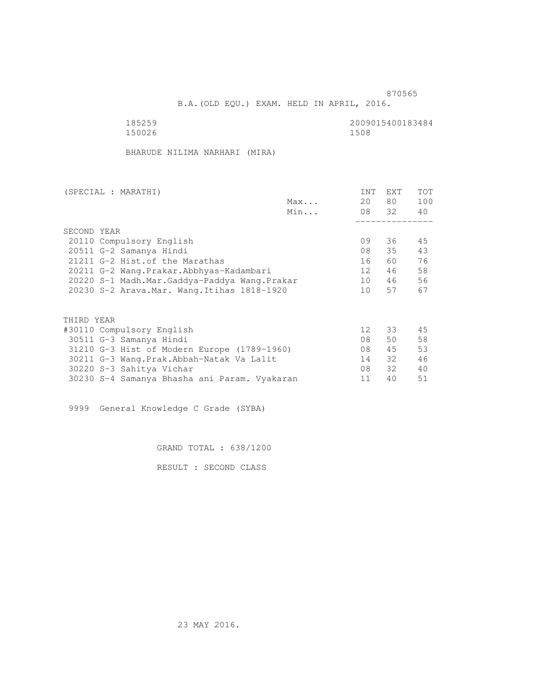B.A.(OLD EQU.) EXAM. HELD IN APRIL, 2016.

| 185259 | 2009015400183484 |
|--------|------------------|
| 150026 | 1508             |

BHARUDE NILIMA NARHARI (MIRA)

| Max<br>Min                                   | 20              | 80 —<br>08 32 | 100<br>40 |
|----------------------------------------------|-----------------|---------------|-----------|
|                                              |                 |               |           |
|                                              |                 |               |           |
|                                              |                 |               |           |
| SECOND YEAR                                  |                 |               |           |
| 20110 Compulsory English                     | 09              | 36            | 45        |
| 20511 G-2 Samanya Hindi                      | 08              | 35            | 43        |
| 21211 G-2 Hist. of the Marathas              | 16              | 60 —          | 76        |
| 20211 G-2 Wang.Prakar.Abbhyas-Kadambari      | 12 <sup>7</sup> | 46            | 58        |
| 20220 S-1 Madh.Mar.Gaddya-Paddya Wang.Prakar | 10              | 46            | 56        |
| 20230 S-2 Arava. Mar. Wang. Itihas 1818-1920 | 10              | 57            | 67        |
|                                              |                 |               |           |
|                                              |                 |               |           |
| THIRD YEAR                                   |                 |               |           |
| #30110 Compulsory English                    | 12 <sup>°</sup> | 33            | 45        |
| 30511 G-3 Samanya Hindi                      | 08              | 50            | 58        |
| 31210 G-3 Hist of Modern Europe (1789-1960)  | 08              | 45            | 53        |
| 30211 G-3 Wang.Prak.Abbah-Natak Va Lalit     | 14              | 32            | 46        |
| 30220 S-3 Sahitya Vichar                     | 08              | 32            | 40        |
| 30230 S-4 Samanya Bhasha ani Param. Vyakaran | 11              | 40            | 51        |

9999 General Knowledge C Grade (SYBA)

GRAND TOTAL : 638/1200

RESULT : SECOND CLASS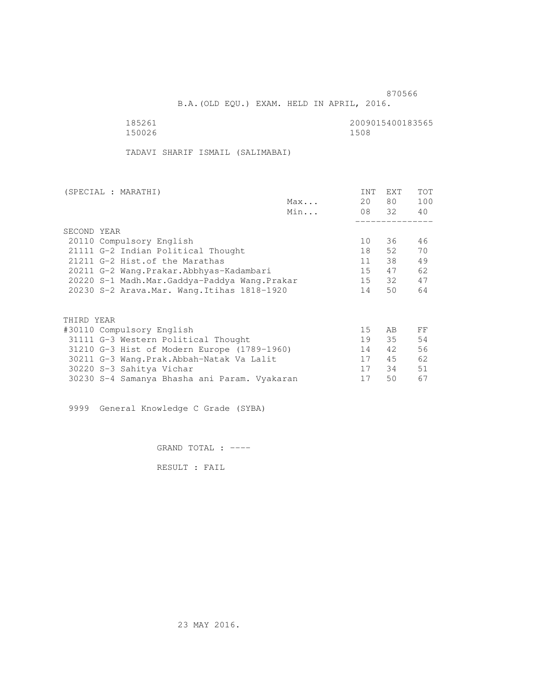B.A.(OLD EQU.) EXAM. HELD IN APRIL, 2016.

 185261 2009015400183565 150026

TADAVI SHARIF ISMAIL (SALIMABAI)

| (SPECIAL : MARATHI)                          |     | <b>INT</b> | <b>EXT</b> | TOT |
|----------------------------------------------|-----|------------|------------|-----|
|                                              | Max | 20         | 80         | 100 |
|                                              | Min |            | 08 32      | 40  |
|                                              |     |            |            |     |
| SECOND YEAR                                  |     |            |            |     |
| 20110 Compulsory English                     |     | 10         | 36         | 46  |
| 21111 G-2 Indian Political Thought           |     | 18         | 52         | 70  |
| 21211 G-2 Hist. of the Marathas              |     | 11         | 38         | 49  |
| 20211 G-2 Wang.Prakar.Abbhyas-Kadambari      |     | 15         | 47         | 62  |
| 20220 S-1 Madh.Mar.Gaddya-Paddya Wang.Prakar |     | 15         | 32         | 47  |
| 20230 S-2 Arava. Mar. Wang. Itihas 1818-1920 |     | 14         | 50         | 64  |
|                                              |     |            |            |     |
| THIRD YEAR                                   |     |            |            |     |
| #30110 Compulsory English                    |     | 15         | AB.        | FF  |
| 31111 G-3 Western Political Thought          |     | 19         | 35         | 54  |
| 31210 G-3 Hist of Modern Europe (1789-1960)  |     | 14         | 42         | 56  |
| 30211 G-3 Wang.Prak.Abbah-Natak Va Lalit     |     | 17         | 45         | 62  |
| 30220 S-3 Sahitya Vichar                     |     | 17         | 34         | 51  |
| 30230 S-4 Samanya Bhasha ani Param. Vyakaran |     | 17         | 50         | 67  |
|                                              |     |            |            |     |

9999 General Knowledge C Grade (SYBA)

GRAND TOTAL : ----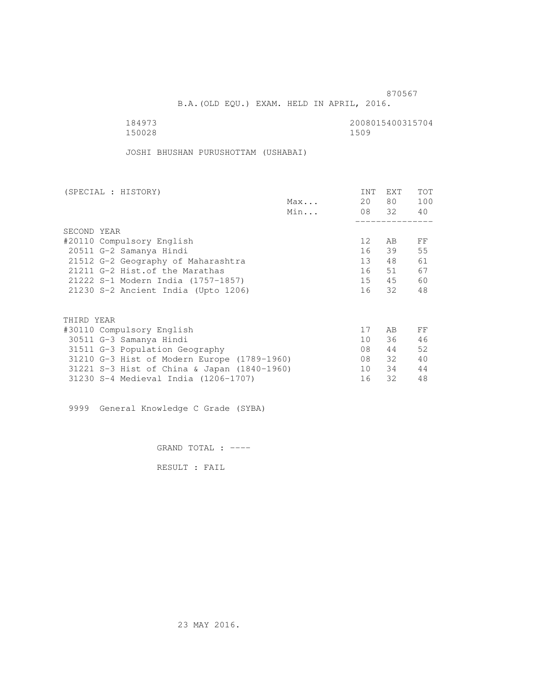B.A.(OLD EQU.) EXAM. HELD IN APRIL, 2016.

 184973 2008015400315704 150028 1509

JOSHI BHUSHAN PURUSHOTTAM (USHABAI)

| (SPECIAL : HISTORY)                         |     | <b>INT</b> | <b>EXT</b> | TOT |
|---------------------------------------------|-----|------------|------------|-----|
|                                             | Max | 20         | 80 —       | 100 |
|                                             | Min |            | 08 32      | 40  |
|                                             |     |            |            |     |
| SECOND YEAR                                 |     |            |            |     |
| #20110 Compulsory English                   |     | 12         | AB         | FF  |
| 20511 G-2 Samanya Hindi                     |     | 16         | 39         | 55  |
| 21512 G-2 Geography of Maharashtra          |     | 13         | 48         | 61  |
| 21211 G-2 Hist. of the Marathas             |     | 16         | 51         | 67  |
| 21222 S-1 Modern India (1757-1857)          |     | 15         | 45         | 60  |
| 21230 S-2 Ancient India (Upto 1206)         |     | 16         | 32         | 48  |
|                                             |     |            |            |     |
| THIRD YEAR                                  |     |            |            |     |
| #30110 Compulsory English                   |     | 17         | AB         | FF  |
| 30511 G-3 Samanya Hindi                     |     | 10         | 36         | 46  |
| 31511 G-3 Population Geography              |     | 08         | 44         | 52  |
| 31210 G-3 Hist of Modern Europe (1789-1960) |     | 08         | 32         | 40  |
| 31221 S-3 Hist of China & Japan (1840-1960) |     | 10         | 34         | 44  |
| 31230 S-4 Medieval India (1206-1707)        |     | 16         | 32         | 48  |
|                                             |     |            |            |     |

9999 General Knowledge C Grade (SYBA)

GRAND TOTAL : ----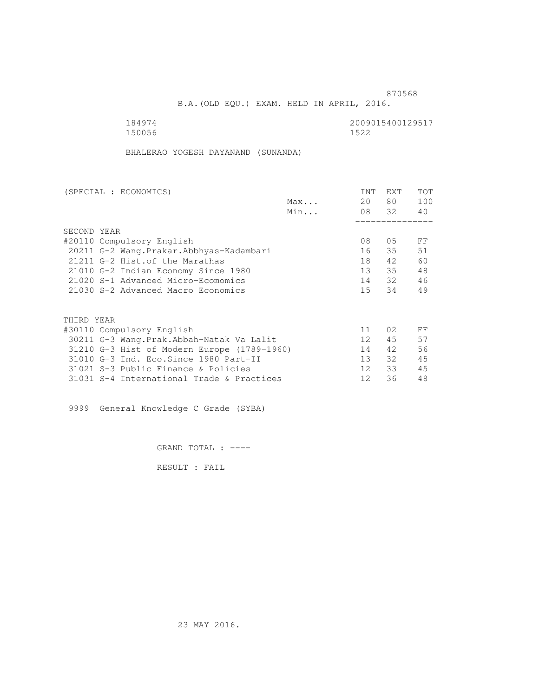B.A.(OLD EQU.) EXAM. HELD IN APRIL, 2016.

 184974 2009015400129517 150056 1522

BHALERAO YOGESH DAYANAND (SUNANDA)

| (SPECIAL : ECONOMICS)                       |     | <b>INT</b>      | <b>EXT</b> | TOT |
|---------------------------------------------|-----|-----------------|------------|-----|
|                                             | Max | 20              | 80 —       | 100 |
|                                             | Min |                 | 08 32      | 40  |
|                                             |     |                 |            |     |
| SECOND YEAR                                 |     |                 |            |     |
| #20110 Compulsory English                   |     | 08              | 05         | FF  |
| 20211 G-2 Wang. Prakar. Abbhyas-Kadambari   |     | 16              | 35         | 51  |
| 21211 G-2 Hist. of the Marathas             |     | 18              | 42         | 60  |
| 21010 G-2 Indian Economy Since 1980         |     | 13 <sup>7</sup> | 35         | 48  |
| 21020 S-1 Advanced Micro-Ecomomics          |     | 14              | 32         | 46  |
| 21030 S-2 Advanced Macro Economics          |     | 15              | 34         | 49  |
|                                             |     |                 |            |     |
| THIRD YEAR                                  |     |                 |            |     |
| #30110 Compulsory English                   |     | 11              | 02         | FF  |
| 30211 G-3 Wang.Prak.Abbah-Natak Va Lalit    |     | 12 <sup>°</sup> | 45         | 57  |
| 31210 G-3 Hist of Modern Europe (1789-1960) |     | 14              | 42         | 56  |
| 31010 G-3 Ind. Eco. Since 1980 Part-II      |     | 13              | 32         | 45  |
| 31021 S-3 Public Finance & Policies         |     | 12 <sup>°</sup> | 33         | 45  |
| 31031 S-4 International Trade & Practices   |     | 12              | 36         | 48  |
|                                             |     |                 |            |     |

9999 General Knowledge C Grade (SYBA)

GRAND TOTAL : ----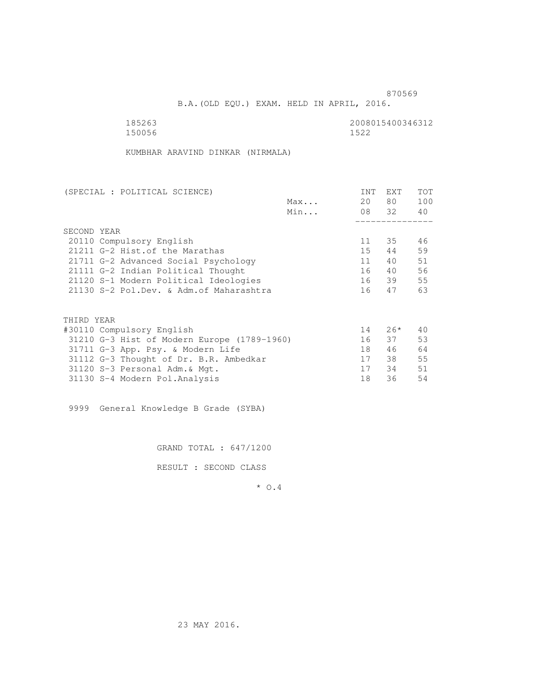B.A.(OLD EQU.) EXAM. HELD IN APRIL, 2016.

| 185263 | 2008015400346312 |
|--------|------------------|
| 150056 | 1522             |

KUMBHAR ARAVIND DINKAR (NIRMALA)

| (SPECIAL : POLITICAL SCIENCE)               | INT | EXT      | TOT |
|---------------------------------------------|-----|----------|-----|
| Max                                         | 20  | 80 —     | 100 |
| Min                                         |     | 08 32 40 |     |
|                                             |     |          |     |
| SECOND YEAR                                 |     |          |     |
| 20110 Compulsory English                    | 11  | 35       | 46  |
| 21211 G-2 Hist. of the Marathas             | 15  | 44       | 59  |
| 21711 G-2 Advanced Social Psychology        | 11  | 40       | 51  |
| 21111 G-2 Indian Political Thought          | 16  | 40       | 56  |
| 21120 S-1 Modern Political Ideologies       |     | 16 39    | 55  |
| 21130 S-2 Pol.Dev. & Adm. of Maharashtra    | 16  | 47       | 63  |
|                                             |     |          |     |
| THIRD YEAR                                  |     |          |     |
| #30110 Compulsory English                   | 14  | $26*$    | 40  |
| 31210 G-3 Hist of Modern Europe (1789-1960) |     | 16 37    | 53  |
| 31711 G-3 App. Psy. & Modern Life           | 18  | 46       | 64  |
| 31112 G-3 Thought of Dr. B.R. Ambedkar      | 17  | 38       | 55  |
| 31120 S-3 Personal Adm. & Mgt.              | 17  | 34       | 51  |
| 31130 S-4 Modern Pol.Analysis               | 18  | 36       | 54  |

9999 General Knowledge B Grade (SYBA)

GRAND TOTAL : 647/1200

RESULT : SECOND CLASS

\* O.4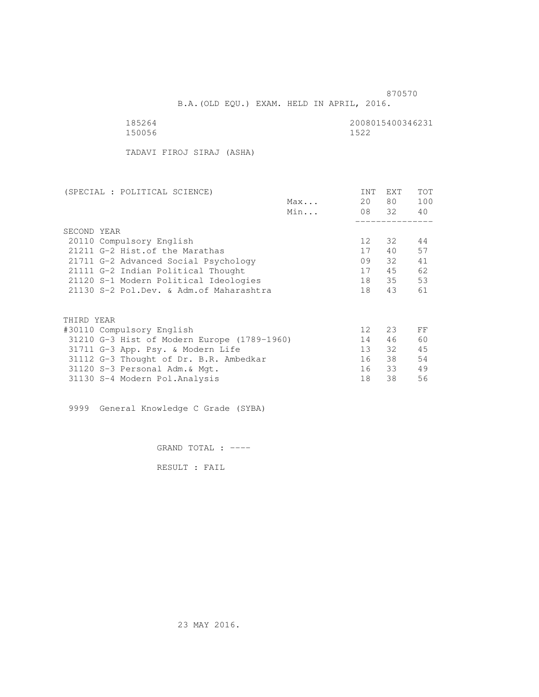B.A.(OLD EQU.) EXAM. HELD IN APRIL, 2016.

150056 1522

185264 2008015400346231

TADAVI FIROJ SIRAJ (ASHA)

| INT             | EXT  | TOT                              |
|-----------------|------|----------------------------------|
|                 | 80 — | 100                              |
|                 |      |                                  |
|                 |      |                                  |
|                 |      |                                  |
| 12 <sup>°</sup> | 32   | 44                               |
| 17              | 40   | 57                               |
| 09              | 32   | 41                               |
| 17              | 45   | 62                               |
| 18              |      | 53                               |
| 18              | 43   | 61                               |
|                 |      |                                  |
|                 |      |                                  |
| 12 <sup>°</sup> | 23   | FF                               |
| 14              | 46   | 60                               |
| 13 <sup>7</sup> | 32   | 45                               |
| 16              |      | 54                               |
| 16              |      | 49                               |
| 18              | 38   | 56                               |
|                 |      | 20<br>08 32 40<br>35<br>38<br>33 |

9999 General Knowledge C Grade (SYBA)

GRAND TOTAL : ----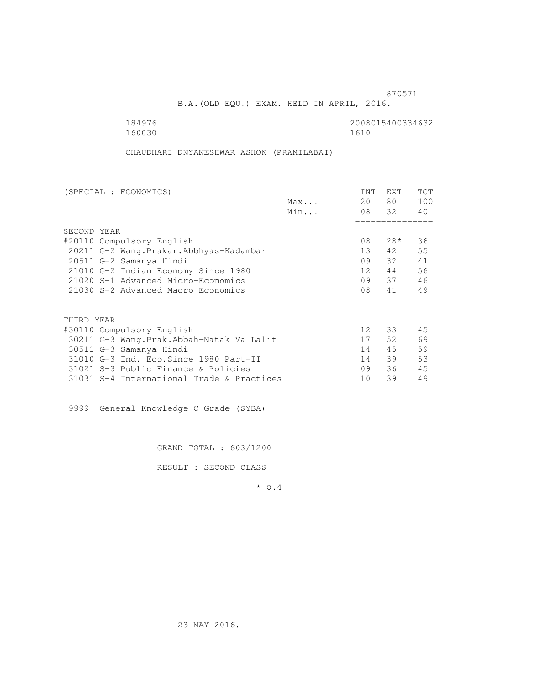B.A.(OLD EQU.) EXAM. HELD IN APRIL, 2016.

160030 1610

184976 2008015400334632

CHAUDHARI DNYANESHWAR ASHOK (PRAMILABAI)

|     | <b>INT</b>      | <b>EXT</b> | TOT         |
|-----|-----------------|------------|-------------|
|     | 20              | 80 —       | 100         |
| Min |                 |            | 40          |
|     |                 |            |             |
|     |                 |            |             |
|     | 08              | $28*$      | 36          |
|     | 13              | 42         | 55          |
|     | 09              | 32         | 41          |
|     | 12 <sup>°</sup> | 44         | 56          |
|     | 09              |            | 46          |
|     | 08              | 41         | 49          |
|     |                 |            |             |
|     |                 |            |             |
|     | 12 <sup>°</sup> | 33         | 45          |
|     | 17              | 52         | 69          |
|     | 14              | 45         | 59          |
|     | 14              | 39         | 53          |
|     | 09              | 36         | 45          |
|     | 10              | 39         | 49          |
|     | Max             |            | 08 32<br>37 |

9999 General Knowledge C Grade (SYBA)

GRAND TOTAL : 603/1200

RESULT : SECOND CLASS

\* O.4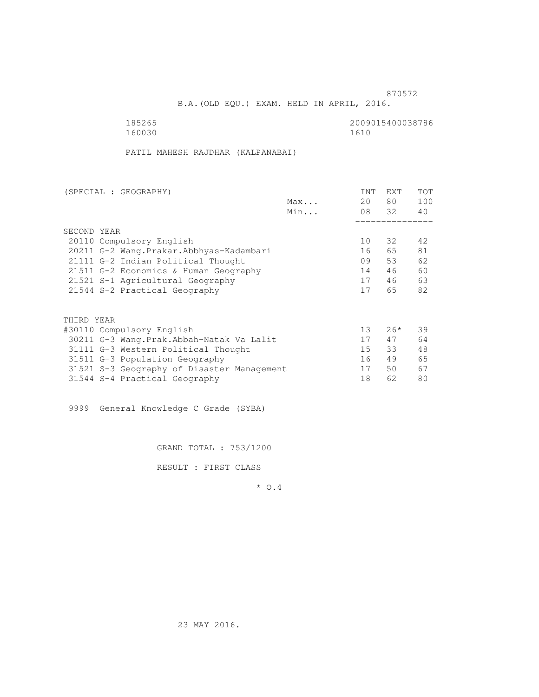B.A.(OLD EQU.) EXAM. HELD IN APRIL, 2016.

160030 1610

185265 2009015400038786

PATIL MAHESH RAJDHAR (KALPANABAI)

| (SPECIAL : GEOGRAPHY)                      |     | <b>INT</b>      | <b>EXT</b> | TOT |
|--------------------------------------------|-----|-----------------|------------|-----|
|                                            | Max | 20              | 80         | 100 |
|                                            | Min |                 | 08 32      | 40  |
|                                            |     |                 |            |     |
| SECOND YEAR                                |     |                 |            |     |
| 20110 Compulsory English                   |     | 10              | 32         | 42  |
| 20211 G-2 Wang. Prakar. Abbhyas-Kadambari  |     | 16              | 65         | 81  |
| 21111 G-2 Indian Political Thought         |     | 09              | 53         | 62  |
| 21511 G-2 Economics & Human Geography      |     | 14              | 46         | 60  |
| 21521 S-1 Agricultural Geography           |     | 17              | 46         | 63  |
| 21544 S-2 Practical Geography              |     | 17              | 65         | 82  |
|                                            |     |                 |            |     |
| THIRD YEAR                                 |     |                 |            |     |
| #30110 Compulsory English                  |     | 13 <sup>°</sup> | $26*$      | 39  |
| 30211 G-3 Wang.Prak.Abbah-Natak Va Lalit   |     | 17              | 47         | 64  |
| 31111 G-3 Western Political Thought        |     | 15 <sub>1</sub> | 33         | 48  |
| 31511 G-3 Population Geography             |     | 16              | 49         | 65  |
| 31521 S-3 Geography of Disaster Management |     | 17              | 50         | 67  |
| 31544 S-4 Practical Geography              |     | 18              | 62         | 80  |

9999 General Knowledge C Grade (SYBA)

GRAND TOTAL : 753/1200

RESULT : FIRST CLASS

\* O.4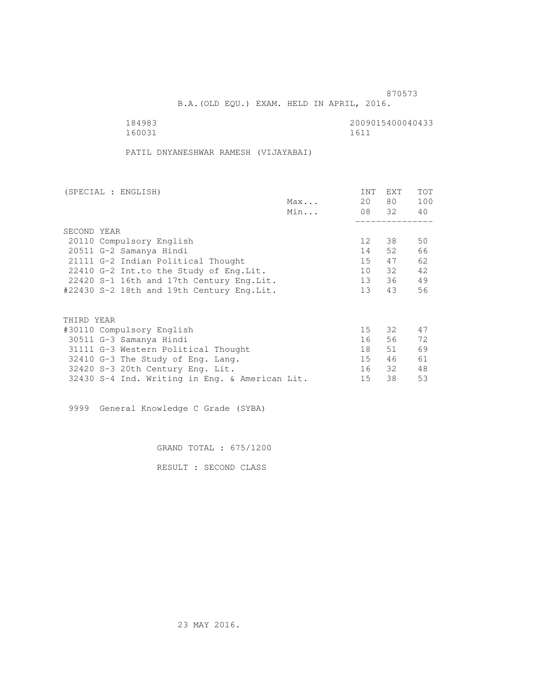B.A.(OLD EQU.) EXAM. HELD IN APRIL, 2016.

 184983 2009015400040433 160031 1611

PATIL DNYANESHWAR RAMESH (VIJAYABAI)

| (SPECIAL : ENGLISH)                            |     | <b>INT</b>      | EXT   | <b>TOT</b> |
|------------------------------------------------|-----|-----------------|-------|------------|
|                                                | Max | 20              | 80 —  | 100        |
|                                                | Min |                 | 08 32 | 40         |
|                                                |     |                 |       |            |
| SECOND YEAR                                    |     |                 |       |            |
| 20110 Compulsory English                       |     | 12 <sup>°</sup> | 38    | 50         |
| 20511 G-2 Samanya Hindi                        |     | 14              | 52    | 66         |
| 21111 G-2 Indian Political Thought             |     | 15              | 47    | 62         |
| 22410 G-2 Int.to the Study of Eng. Lit.        |     | 10              | 32    | 42         |
| 22420 S-1 16th and 17th Century Eng. Lit.      |     | 13              | 36    | 49         |
| #22430 S-2 18th and 19th Century Eng.Lit.      |     | 13              | 43    | 56         |
|                                                |     |                 |       |            |
| THIRD YEAR                                     |     |                 |       |            |
| #30110 Compulsory English                      |     | 15 <sub>1</sub> | 32    | 47         |
| 30511 G-3 Samanya Hindi                        |     | 16              | 56    | 72         |
| 31111 G-3 Western Political Thought            |     | 18              | 51    | 69         |
| 32410 G-3 The Study of Eng. Lang.              |     | 15              | 46    | 61         |
| 32420 S-3 20th Century Eng. Lit.               |     | 16              | 32    | 48         |
| 32430 S-4 Ind. Writing in Eng. & American Lit. |     | 15              | 38    | 53         |

9999 General Knowledge C Grade (SYBA)

GRAND TOTAL : 675/1200

RESULT : SECOND CLASS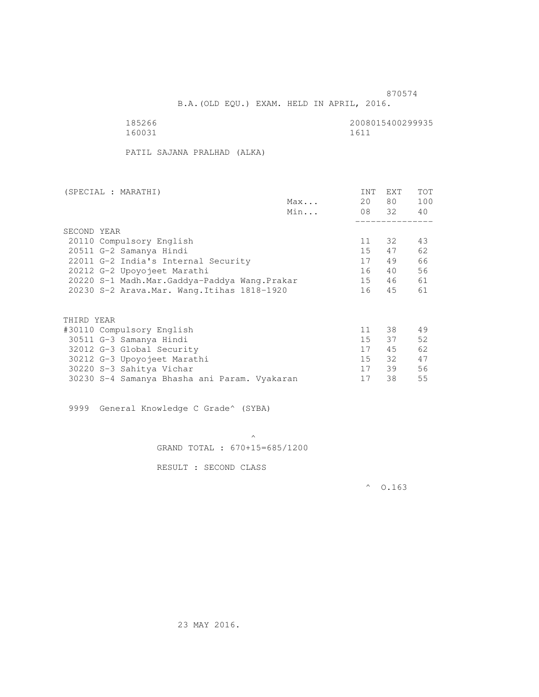B.A.(OLD EQU.) EXAM. HELD IN APRIL, 2016.

| 185266 | 2008015400299935 |
|--------|------------------|
| 160031 | 1611             |

PATIL SAJANA PRALHAD (ALKA)

| (SPECIAL : MARATHI)                          |     | <b>INT</b> | EXT   | <b>TOT</b> |
|----------------------------------------------|-----|------------|-------|------------|
|                                              | Max | 20         | 80 —  | 100        |
|                                              | Min |            | 08 32 | 40         |
|                                              |     |            |       |            |
| SECOND YEAR                                  |     |            |       |            |
| 20110 Compulsory English                     |     | 11         | 32    | 43         |
| 20511 G-2 Samanya Hindi                      |     | 15         | 47    | 62         |
| 22011 G-2 India's Internal Security          |     | 17         | 49    | 66         |
| 20212 G-2 Upoyojeet Marathi                  |     | 16         | 40    | 56         |
| 20220 S-1 Madh.Mar.Gaddya-Paddya Wang.Prakar |     | 15         | 46    | 61         |
| 20230 S-2 Arava. Mar. Wang. Itihas 1818-1920 |     | 16         | 45    | 61         |
|                                              |     |            |       |            |
| THIRD YEAR                                   |     |            |       |            |
| #30110 Compulsory English                    |     | 11         | 38    | 49         |
| 30511 G-3 Samanya Hindi                      |     | 15         | 37    | 52         |
| 32012 G-3 Global Security                    |     | 17         | 45    | 62         |
| 30212 G-3 Upoyojeet Marathi                  |     | 15         | 32    | 47         |
|                                              |     |            |       |            |
| 30220 S-3 Sahitya Vichar                     |     | 17         | 39    | 56         |
| 30230 S-4 Samanya Bhasha ani Param. Vyakaran |     | 17         | 38    | 55         |

9999 General Knowledge C Grade^ (SYBA)

 $\mathcal{A}$  and  $\mathcal{A}$  are the set of  $\mathcal{A}$ GRAND TOTAL : 670+15=685/1200

RESULT : SECOND CLASS

 $^{\circ}$  0.163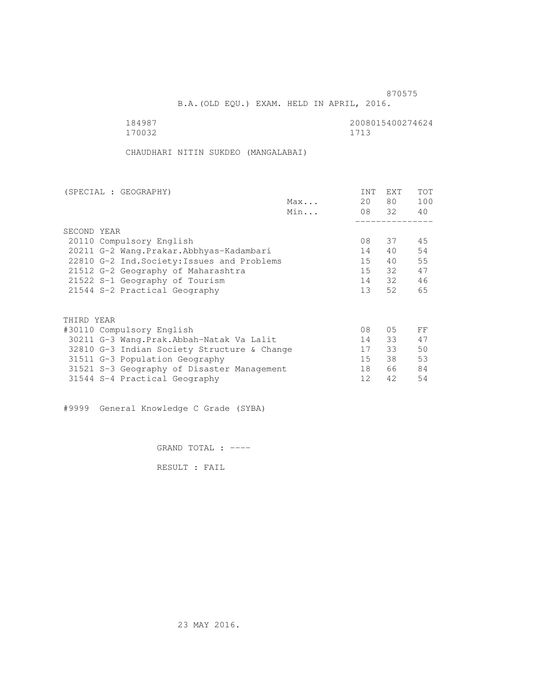B.A.(OLD EQU.) EXAM. HELD IN APRIL, 2016.

184987 2008015400274624<br>170032 170032 1713 170032 1713

CHAUDHARI NITIN SUKDEO (MANGALABAI)

| (SPECIAL : GEOGRAPHY)                       |     | <b>INT</b>      | <b>EXT</b> | TOT |
|---------------------------------------------|-----|-----------------|------------|-----|
|                                             | Max | 20              | 80 —       | 100 |
|                                             | Min |                 | 08 32      | 40  |
|                                             |     |                 |            |     |
| SECOND YEAR                                 |     |                 |            |     |
| 20110 Compulsory English                    |     | 08              | 37         | 45  |
| 20211 G-2 Wang. Prakar. Abbhyas-Kadambari   |     | 14              | 40         | 54  |
| 22810 G-2 Ind. Society: Issues and Problems |     | 15              | 40         | 55  |
| 21512 G-2 Geography of Maharashtra          |     | 15              | 32         | 47  |
| 21522 S-1 Geography of Tourism              |     | 14              | 32         | 46  |
| 21544 S-2 Practical Geography               |     | 13 <sup>7</sup> | 52         | 65  |
|                                             |     |                 |            |     |
| THIRD YEAR                                  |     |                 |            |     |
| #30110 Compulsory English                   |     | 08              | 05         | FF  |
| 30211 G-3 Wang.Prak.Abbah-Natak Va Lalit    |     | 14              | 33         | 47  |
| 32810 G-3 Indian Society Structure & Change |     | 17              | 33         | 50  |
| 31511 G-3 Population Geography              |     | 15              | 38         | 53  |
| 31521 S-3 Geography of Disaster Management  |     | 18              | 66         | 84  |
| 31544 S-4 Practical Geography               |     | 12              | 42         | 54  |
|                                             |     |                 |            |     |

#9999 General Knowledge C Grade (SYBA)

GRAND TOTAL : ----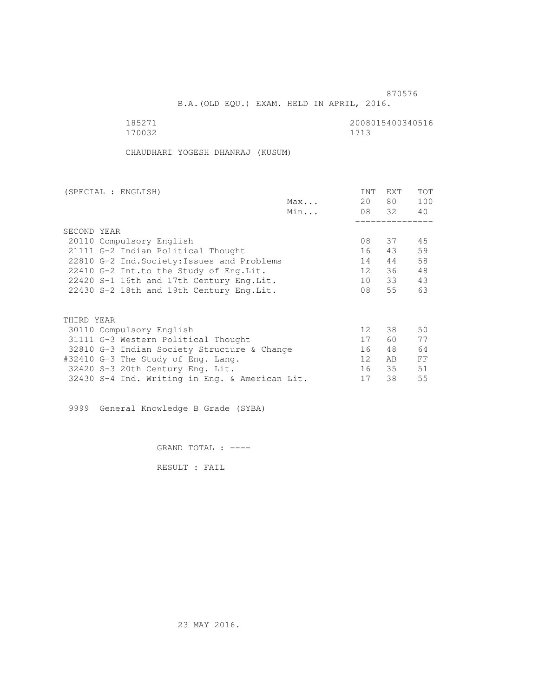B.A.(OLD EQU.) EXAM. HELD IN APRIL, 2016.

185271 2008015400340516<br>170032 170032 1713 170032

CHAUDHARI YOGESH DHANRAJ (KUSUM)

| (SPECIAL : ENGLISH)                            |     | <b>INT</b>      | <b>EXT</b> | TOT |
|------------------------------------------------|-----|-----------------|------------|-----|
|                                                | Max | 20              | 80         | 100 |
|                                                | Min |                 | 08 32      | 40  |
|                                                |     |                 |            |     |
| SECOND YEAR                                    |     |                 |            |     |
| 20110 Compulsory English                       |     | 08              | 37         | 45  |
| 21111 G-2 Indian Political Thought             |     | 16              | 43         | 59  |
| 22810 G-2 Ind. Society: Issues and Problems    |     | 14              | 44         | 58  |
| 22410 G-2 Int.to the Study of Eng. Lit.        |     | 12 <sup>7</sup> | 36         | 48  |
| 22420 S-1 16th and 17th Century Eng. Lit.      |     | 10              | 33         | 43  |
| 22430 S-2 18th and 19th Century Eng. Lit.      |     | 08              | 55         | 63  |
|                                                |     |                 |            |     |
|                                                |     |                 |            |     |
| THIRD YEAR                                     |     |                 |            |     |
| 30110 Compulsory English                       |     | 12 <sup>°</sup> | 38         | 50  |
| 31111 G-3 Western Political Thought            |     | 17              | 60         | 77  |
| 32810 G-3 Indian Society Structure & Change    |     | 16              | 48         | 64  |
| #32410 G-3 The Study of Eng. Lang.             |     | 12              | AB         | FF  |
| 32420 S-3 20th Century Eng. Lit.               |     | 16              | 35         | 51  |
| 32430 S-4 Ind. Writing in Eng. & American Lit. |     | 17              | 38         | 55  |

9999 General Knowledge B Grade (SYBA)

GRAND TOTAL : ----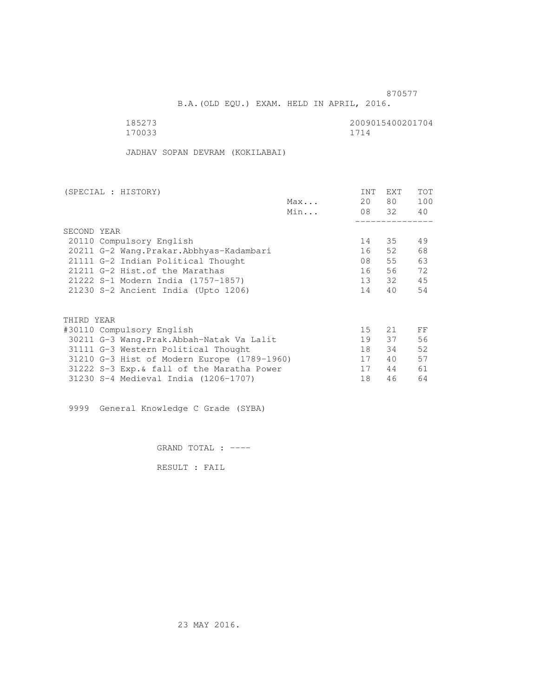and the state of the state of the state of the state of the state of the state of the state of the state of the state of the state of the state of the state of the state of the state of the state of the state of the state

B.A.(OLD EQU.) EXAM. HELD IN APRIL, 2016.

| 185273 | 2009015400201704 |
|--------|------------------|
| 170033 | 1714             |

JADHAV SOPAN DEVRAM (KOKILABAI)

| (SPECIAL : HISTORY)                         |     | <b>INT</b> | <b>EXT</b> | TOT |
|---------------------------------------------|-----|------------|------------|-----|
|                                             | Max | 20         | 80 —       | 100 |
|                                             | Min |            | 08 32      | 40  |
|                                             |     |            |            |     |
| SECOND YEAR                                 |     |            |            |     |
| 20110 Compulsory English                    |     | 14         | 35         | 49  |
| 20211 G-2 Wang. Prakar. Abbhyas-Kadambari   |     | 16         | 52         | 68  |
| 21111 G-2 Indian Political Thought          |     | 08         | 55         | 63  |
| 21211 G-2 Hist. of the Marathas             |     | 16         | 56         | 72  |
| 21222 S-1 Modern India (1757-1857)          |     | 13         | 32         | 45  |
| 21230 S-2 Ancient India (Upto 1206)         |     | 14         | 40         | 54  |
|                                             |     |            |            |     |
| THIRD YEAR                                  |     |            |            |     |
| #30110 Compulsory English                   |     | 15         | 21         | FF  |
| 30211 G-3 Wang.Prak.Abbah-Natak Va Lalit    |     | 19         | 37         | 56  |
| 31111 G-3 Western Political Thought         |     | 18         | 34         | 52  |
| 31210 G-3 Hist of Modern Europe (1789-1960) |     | 17         | 40         | 57  |
| 31222 S-3 Exp. & fall of the Maratha Power  |     | 17         | 44         | 61  |
| 31230 S-4 Medieval India (1206-1707)        |     | 18         | 46         | 64  |
|                                             |     |            |            |     |

9999 General Knowledge C Grade (SYBA)

GRAND TOTAL : ----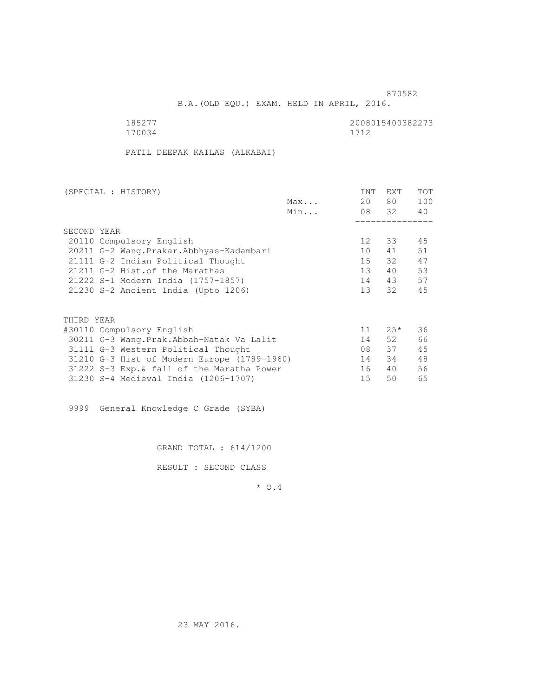B.A.(OLD EQU.) EXAM. HELD IN APRIL, 2016.

170034 1712

185277 2008015400382273

PATIL DEEPAK KAILAS (ALKABAI)

| (SPECIAL : HISTORY) |                                             |     | INT             | EXT    | TOT |
|---------------------|---------------------------------------------|-----|-----------------|--------|-----|
|                     |                                             | Max | 20              | 80 —   | 100 |
|                     |                                             | Min |                 | 08 32  | 40  |
|                     |                                             |     |                 |        |     |
| SECOND YEAR         |                                             |     |                 |        |     |
|                     | 20110 Compulsory English                    |     | 12 <sup>°</sup> | 33     | 45  |
|                     | 20211 G-2 Wang. Prakar. Abbhyas-Kadambari   |     | 10              | 41     | 51  |
|                     | 21111 G-2 Indian Political Thought          |     | 15              | 32     | 47  |
|                     | 21211 G-2 Hist. of the Marathas             |     | 13 <sup>7</sup> | 40     | 53  |
|                     | 21222 S-1 Modern India (1757-1857)          |     | 14              | 43     | 57  |
|                     | 21230 S-2 Ancient India (Upto 1206)         |     | 13              | 32     | 45  |
|                     |                                             |     |                 |        |     |
| THIRD YEAR          |                                             |     |                 |        |     |
|                     | #30110 Compulsory English                   |     | 11              | $2.5*$ | 36  |
|                     | 30211 G-3 Wang.Prak.Abbah-Natak Va Lalit    |     | 14              | 52     | 66  |
|                     | 31111 G-3 Western Political Thought         |     | 08              | 37     | 45  |
|                     | 31210 G-3 Hist of Modern Europe (1789-1960) |     | 14              | 34     | 48  |
|                     | 31222 S-3 Exp. & fall of the Maratha Power  |     | 16              | 40     | 56  |
|                     | 31230 S-4 Medieval India (1206-1707)        |     | 15              | 50     | 65  |

9999 General Knowledge C Grade (SYBA)

GRAND TOTAL : 614/1200

RESULT : SECOND CLASS

\* O.4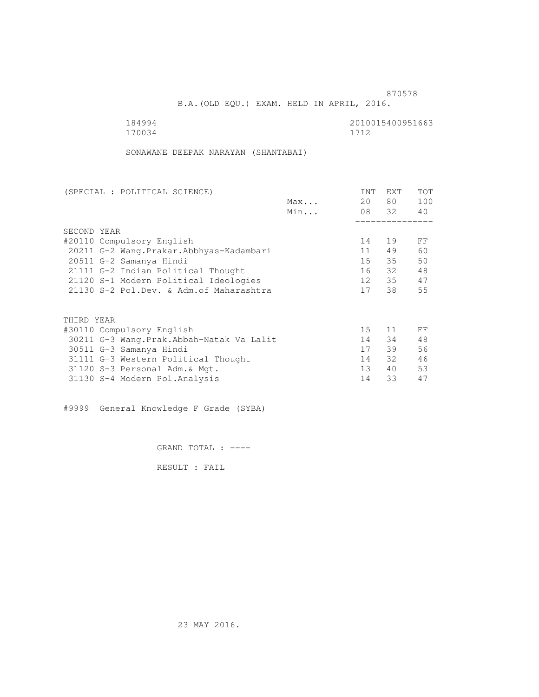B.A.(OLD EQU.) EXAM. HELD IN APRIL, 2016.

170034 1712

184994 2010015400951663

SONAWANE DEEPAK NARAYAN (SHANTABAI)

| (SPECIAL : POLITICAL SCIENCE)             |     | INT             | <b>EXT</b> | TOT |
|-------------------------------------------|-----|-----------------|------------|-----|
|                                           | Max | 20              | 80 —       | 100 |
|                                           | Min |                 | 08 32      | 40  |
|                                           |     |                 |            |     |
| SECOND YEAR                               |     |                 |            |     |
| #20110 Compulsory English                 |     | 14              | 19         | FF  |
| 20211 G-2 Wang. Prakar. Abbhyas-Kadambari |     | 11              | 49         | 60  |
| 20511 G-2 Samanya Hindi                   |     | 15              | 35         | 50  |
| 21111 G-2 Indian Political Thought        |     | 16              | 32         | 48  |
| 21120 S-1 Modern Political Ideologies     |     | 12              | 35         | 47  |
| 21130 S-2 Pol.Dev. & Adm. of Maharashtra  |     | 17              | 38         | 55  |
|                                           |     |                 |            |     |
| THIRD YEAR                                |     |                 |            |     |
| #30110 Compulsory English                 |     | 15              | 11         | FF  |
| 30211 G-3 Wang.Prak.Abbah-Natak Va Lalit  |     | 14              | 34         | 48  |
| 30511 G-3 Samanya Hindi                   |     | 17              | 39         | 56  |
| 31111 G-3 Western Political Thought       |     | 14              | 32         | 46  |
| 31120 S-3 Personal Adm. & Mgt.            |     | 13 <sup>7</sup> | 40         | 53  |
| 31130 S-4 Modern Pol.Analysis             |     | 14              | 33         | 47  |
|                                           |     |                 |            |     |

#9999 General Knowledge F Grade (SYBA)

GRAND TOTAL : ----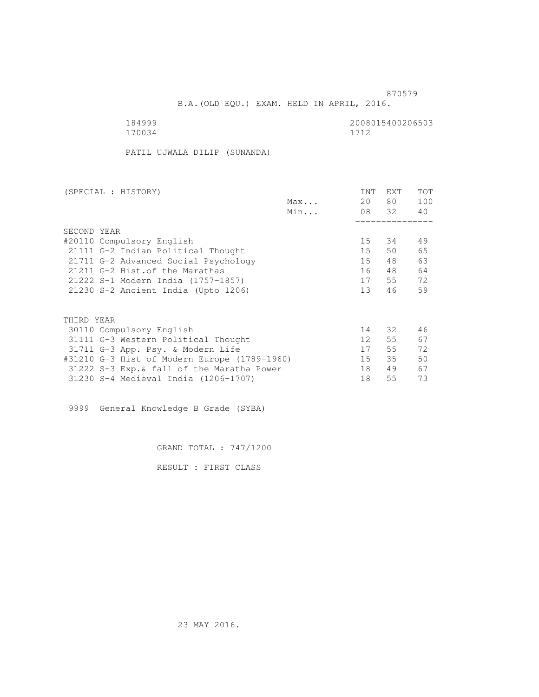B.A.(OLD EQU.) EXAM. HELD IN APRIL, 2016.

 184999 2008015400206503 170034 1712

PATIL UJWALA DILIP (SUNANDA)

| (SPECIAL : HISTORY)                          |     | INT             | <b>EXT</b> | TOT |
|----------------------------------------------|-----|-----------------|------------|-----|
|                                              | Max | 20              | 80 —       | 100 |
|                                              | Min |                 | 08 32      | 40  |
|                                              |     |                 |            |     |
| SECOND YEAR                                  |     |                 |            |     |
| #20110 Compulsory English                    |     | 15              | 34         | 49  |
| 21111 G-2 Indian Political Thought           |     | 15              | 50         | 65  |
| 21711 G-2 Advanced Social Psychology         |     | 15              | 48         | 63  |
| 21211 G-2 Hist. of the Marathas              |     | 16              | 48         | 64  |
| 21222 S-1 Modern India (1757-1857)           |     | 17              | 55         | 72  |
| 21230 S-2 Ancient India (Upto 1206)          |     | 13 <sup>7</sup> | 46         | 59  |
|                                              |     |                 |            |     |
| THIRD YEAR                                   |     |                 |            |     |
| 30110 Compulsory English                     |     | 14              | 32         | 46  |
| 31111 G-3 Western Political Thought          |     | 12 <sup>7</sup> | 55         | 67  |
| 31711 G-3 App. Psy. & Modern Life            |     | 17              | 55         | 72  |
| #31210 G-3 Hist of Modern Europe (1789-1960) |     | 15              | 35         | 50  |
| 31222 S-3 Exp. & fall of the Maratha Power   |     | 18              | 49         | 67  |
| 31230 S-4 Medieval India (1206-1707)         |     | 18              | 55         | 73  |
|                                              |     |                 |            |     |

9999 General Knowledge B Grade (SYBA)

GRAND TOTAL : 747/1200

RESULT : FIRST CLASS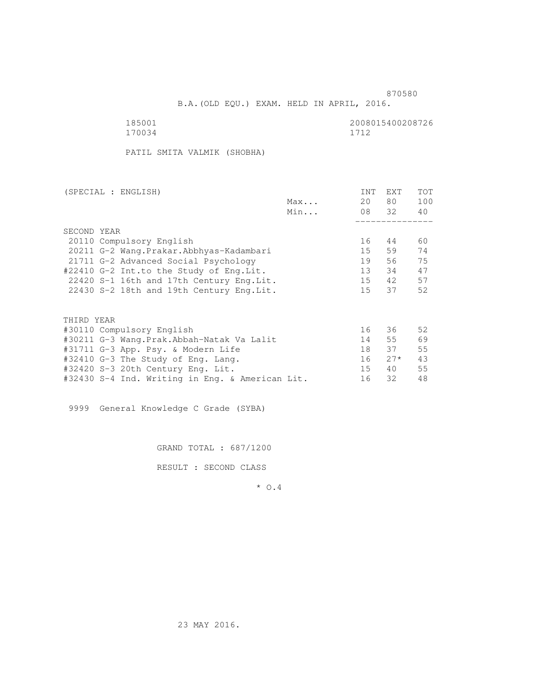B.A.(OLD EQU.) EXAM. HELD IN APRIL, 2016.

185001<br>170034 170034 170034 170034 1712

PATIL SMITA VALMIK (SHOBHA)

| (SPECIAL : ENGLISH)                             | <b>INT</b>      | <b>EXT</b> | TOT |
|-------------------------------------------------|-----------------|------------|-----|
| Max                                             | 20              | 80         | 100 |
| Min                                             |                 | 08 32      | 40  |
|                                                 |                 |            |     |
| SECOND YEAR                                     |                 |            |     |
| 20110 Compulsory English                        | 16              | 44         | 60  |
| 20211 G-2 Wang. Prakar. Abbhyas-Kadambari       | 15              | 59         | 74  |
| 21711 G-2 Advanced Social Psychology            | 19              | 56         | 75  |
| #22410 G-2 Int.to the Study of Eng.Lit.         | 13 <sup>°</sup> | 34         | 47  |
| 22420 S-1 16th and 17th Century Eng. Lit.       | 15              | 42         | 57  |
| 22430 S-2 18th and 19th Century Eng. Lit.       | 15              | 37         | 52  |
|                                                 |                 |            |     |
| THIRD YEAR                                      |                 |            |     |
| #30110 Compulsory English                       | 16              | 36         | 52  |
| #30211 G-3 Wang.Prak.Abbah-Natak Va Lalit       | 14              | 55         | 69  |
| #31711 G-3 App. Psy. & Modern Life              | 18              | 37         | 55  |
| #32410 G-3 The Study of Eng. Lang.              | 16              | $27*$      | 43  |
| #32420 S-3 20th Century Eng. Lit.               | 15 <sub>1</sub> | 40         | 55  |
| #32430 S-4 Ind. Writing in Eng. & American Lit. | 16              | 32         | 48  |

9999 General Knowledge C Grade (SYBA)

GRAND TOTAL : 687/1200

RESULT : SECOND CLASS

\* O.4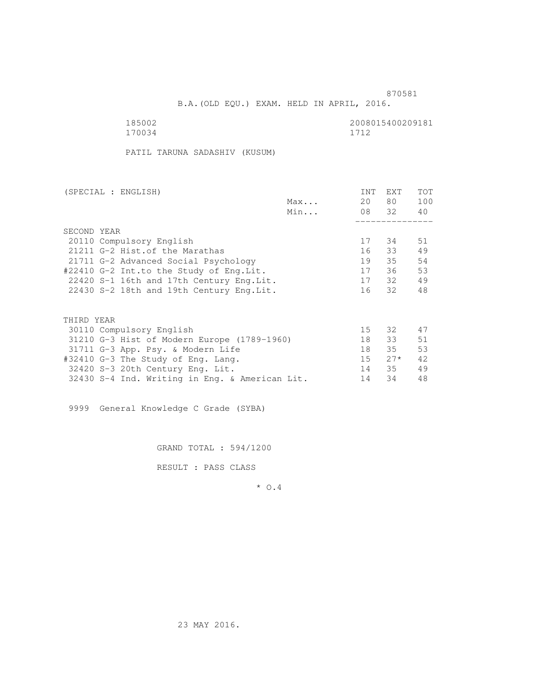B.A.(OLD EQU.) EXAM. HELD IN APRIL, 2016.

185002<br>170034 170034 170034 170034 1712

PATIL TARUNA SADASHIV (KUSUM)

| (SPECIAL : ENGLISH)                            |     | INT    | EXT   | <b>TOT</b> |
|------------------------------------------------|-----|--------|-------|------------|
|                                                | Max | 20     | 80 —  | 100        |
|                                                | Min |        | 08 32 | 40         |
|                                                |     |        |       |            |
| SECOND YEAR                                    |     |        |       |            |
| 20110 Compulsory English                       |     | 17     | 34    | 51         |
| 21211 G-2 Hist. of the Marathas                |     | 16     | 33    | 49         |
| 21711 G-2 Advanced Social Psychology           |     | 19     | 35    | 54         |
| #22410 G-2 Int.to the Study of Eng.Lit.        |     | 17     | 36    | 53         |
| 22420 S-1 16th and 17th Century Eng. Lit.      |     |        | 17 32 | 49         |
| 22430 S-2 18th and 19th Century Eng.Lit.       |     |        | 16 32 | 48         |
|                                                |     |        |       |            |
| THIRD YEAR                                     |     |        |       |            |
| 30110 Compulsory English                       |     | 15     | 32    | 47         |
| 31210 G-3 Hist of Modern Europe (1789-1960)    |     | 18     | 33    | 51         |
| 31711 G-3 App. Psy. & Modern Life              |     | 18     | 35    | 53         |
| #32410 G-3 The Study of Eng. Lang.             |     | $15 -$ | $27*$ | 42         |
| 32420 S-3 20th Century Eng. Lit.               |     | 14     | 35    | 49         |
| 32430 S-4 Ind. Writing in Eng. & American Lit. |     | 14     | 34    | 48         |
|                                                |     |        |       |            |

9999 General Knowledge C Grade (SYBA)

GRAND TOTAL : 594/1200

RESULT : PASS CLASS

\* O.4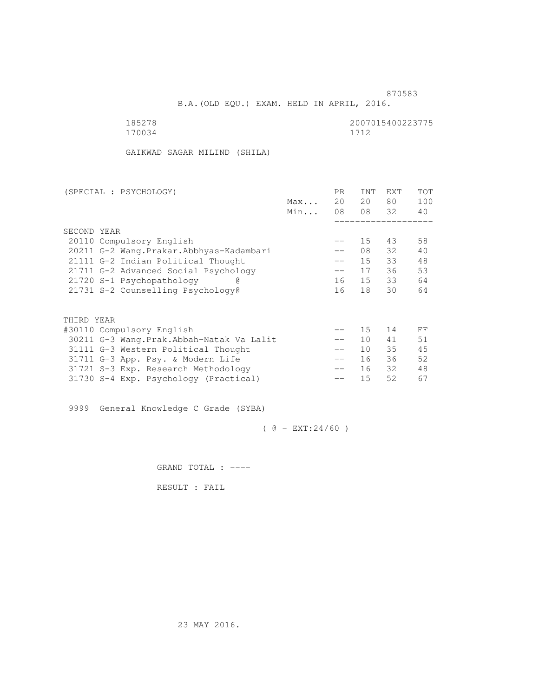B.A.(OLD EQU.) EXAM. HELD IN APRIL, 2016.

| 185278 | 2007015400223775 |
|--------|------------------|
| 170034 | 1712             |

GAIKWAD SAGAR MILIND (SHILA)

| (SPECIAL : PSYCHOLOGY)                     |     | PR.    | <b>INT</b>      | <b>EXT</b> | TOT |
|--------------------------------------------|-----|--------|-----------------|------------|-----|
|                                            | Max | 20     | 20              | 80         | 100 |
|                                            | Min | 08     | 08 32           |            | 40  |
|                                            |     |        |                 |            |     |
| SECOND YEAR                                |     |        |                 |            |     |
| 20110 Compulsory English                   |     | $- -$  | 15              | 43         | 58  |
| 20211 G-2 Wang. Prakar. Abbhyas-Kadambari  |     |        | 08              | 32         | 40  |
| 21111 G-2 Indian Political Thought         |     | $- -$  | 15              | 33         | 48  |
| 21711 G-2 Advanced Social Psychology       |     | $-\,-$ | 17              | 36         | 53  |
| 21720 S-1 Psychopathology                  |     | 16     | 15              | 33         | 64  |
| 21731 S-2 Counselling Psychology@          |     | 16     | 18              | 30         | 64  |
|                                            |     |        |                 |            |     |
|                                            |     |        |                 |            |     |
| THIRD YEAR                                 |     |        |                 |            |     |
| #30110 Compulsory English                  |     |        | 15              | 14         | FF  |
| 30211 G-3 Wang. Prak. Abbah-Natak Va Lalit |     | $- -$  | 10 <sup>°</sup> | 41         | 51  |
| 31111 G-3 Western Political Thought        |     | $- -$  | 10 <sup>1</sup> | 35         | 45  |
| 31711 G-3 App. Psy. & Modern Life          |     | $- -$  | 16              | 36         | 52  |
| 31721 S-3 Exp. Research Methodology        |     | $- -$  | 16              | 32         | 48  |
| 31730 S-4 Exp. Psychology (Practical)      |     |        | 15              | 52         | 67  |
|                                            |     |        |                 |            |     |

9999 General Knowledge C Grade (SYBA)

 $( @ - EXT: 24/60 )$ 

GRAND TOTAL : ----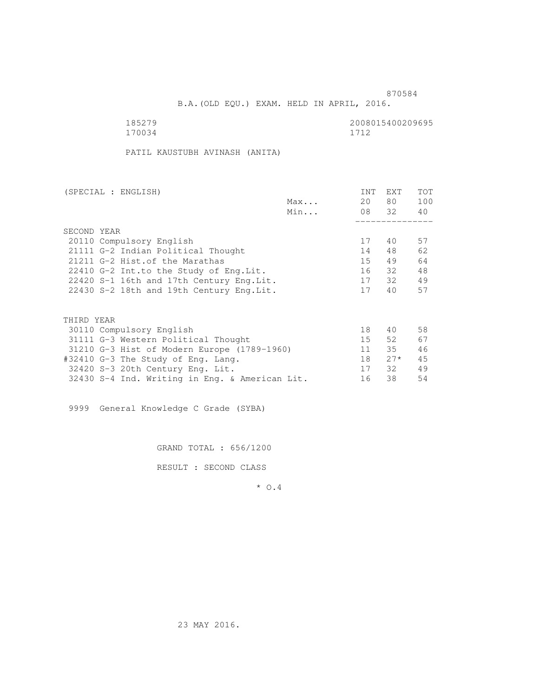B.A.(OLD EQU.) EXAM. HELD IN APRIL, 2016.

| 185279 | 2008015400209695 |
|--------|------------------|
| 170034 | 1712             |

PATIL KAUSTUBH AVINASH (ANITA)

| (SPECIAL : ENGLISH)                            |     | <b>INT</b>      | EXT   | TOT |
|------------------------------------------------|-----|-----------------|-------|-----|
|                                                | Max | 20              | 80    | 100 |
|                                                | Min |                 | 08 32 | 40  |
|                                                |     |                 |       |     |
| SECOND YEAR                                    |     |                 |       |     |
| 20110 Compulsory English                       |     | 17              | 40    | 57  |
| 21111 G-2 Indian Political Thought             |     | 14              | 48    | 62  |
| 21211 G-2 Hist. of the Marathas                |     | 15 <sub>1</sub> | 49    | 64  |
| 22410 G-2 Int.to the Study of Eng. Lit.        |     | 16              | - 32  | 48  |
| 22420 S-1 16th and 17th Century Eng. Lit.      |     | 17              | 32    | 49  |
| 22430 S-2 18th and 19th Century Eng. Lit.      |     | 17              | 40    | 57  |
|                                                |     |                 |       |     |
| THIRD YEAR                                     |     |                 |       |     |
| 30110 Compulsory English                       |     | 18              | 40    | 58  |
| 31111 G-3 Western Political Thought            |     | 15              | 52    | 67  |
| 31210 G-3 Hist of Modern Europe (1789-1960)    |     | 11              | 35    | 46  |
| #32410 G-3 The Study of Eng. Lang.             |     | 18              | $27*$ | 45  |
| 32420 S-3 20th Century Eng. Lit.               |     | 17              | 32    | 49  |
| 32430 S-4 Ind. Writing in Eng. & American Lit. |     | 16              | 38    | 54  |

9999 General Knowledge C Grade (SYBA)

GRAND TOTAL : 656/1200

RESULT : SECOND CLASS

\* O.4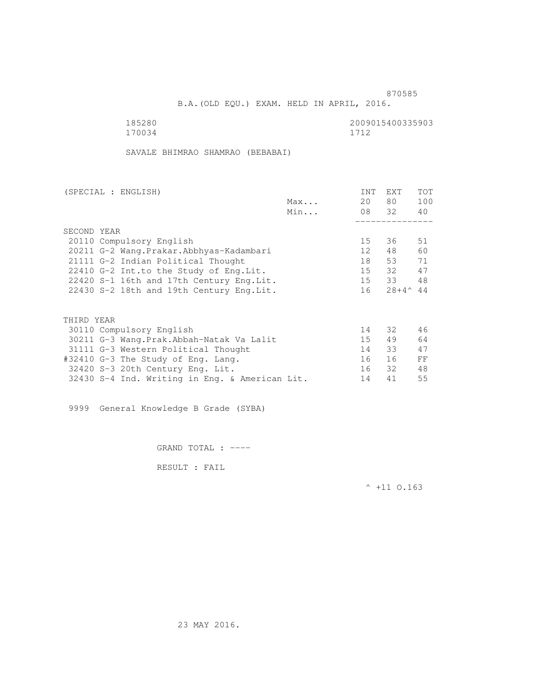B.A.(OLD EQU.) EXAM. HELD IN APRIL, 2016.

| 185280 | 2009015400335903 |
|--------|------------------|
| 170034 | 1712             |

SAVALE BHIMRAO SHAMRAO (BEBABAI)

| (SPECIAL : ENGLISH)      |                                                |     | <b>INT</b>      | <b>EXT</b>         | TOT |
|--------------------------|------------------------------------------------|-----|-----------------|--------------------|-----|
|                          |                                                | Max | 20              | 80                 | 100 |
|                          |                                                | Min |                 | 08 32              | 40  |
|                          |                                                |     |                 |                    |     |
| SECOND YEAR              |                                                |     |                 |                    |     |
| 20110 Compulsory English |                                                |     | 15 <sub>1</sub> | 36                 | 51  |
|                          | 20211 G-2 Wang. Prakar. Abbhyas-Kadambari      |     | 12              | 48                 | 60  |
|                          | 21111 G-2 Indian Political Thought             |     | 18              | 53                 | 71  |
|                          | 22410 G-2 Int.to the Study of Eng. Lit.        |     | 15              | 32                 | 47  |
|                          | 22420 S-1 16th and 17th Century Eng. Lit.      |     | 15              | 33                 | 48  |
|                          | 22430 S-2 18th and 19th Century Eng. Lit.      |     | 16              | $28+4^{\wedge} 44$ |     |
|                          |                                                |     |                 |                    |     |
| THIRD YEAR               |                                                |     |                 |                    |     |
| 30110 Compulsory English |                                                |     | 14              | 32                 | 46  |
|                          | 30211 G-3 Wang.Prak.Abbah-Natak Va Lalit       |     | 15              | 49                 | 64  |
|                          | 31111 G-3 Western Political Thought            |     | 14              | 33                 | 47  |
|                          | #32410 G-3 The Study of Eng. Lang.             |     | 16              | 16                 | FF  |
|                          | 32420 S-3 20th Century Eng. Lit.               |     | 16              | 32                 | 48  |
|                          | 32430 S-4 Ind. Writing in Eng. & American Lit. |     | 14              | 41                 | 55  |

9999 General Knowledge B Grade (SYBA)

GRAND TOTAL : ----

RESULT : FAIL

 $^{\wedge}$  +11 O.163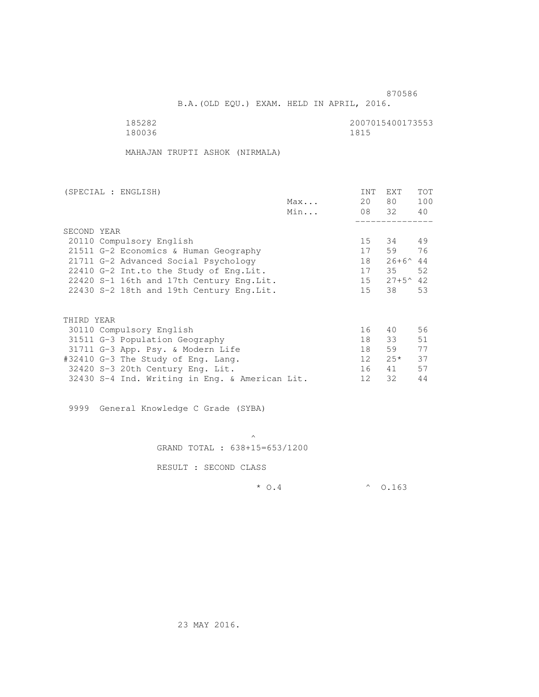B.A.(OLD EQU.) EXAM. HELD IN APRIL, 2016.

 185282 2007015400173553 180036 1815

MAHAJAN TRUPTI ASHOK (NIRMALA)

| (SPECIAL : ENGLISH)                            |     | <b>INT</b>      | <b>EXT</b>        | TOT |
|------------------------------------------------|-----|-----------------|-------------------|-----|
|                                                | Max | 20              | 80                | 100 |
|                                                | Min |                 | 08 32             | 40  |
|                                                |     |                 |                   |     |
| SECOND YEAR                                    |     |                 |                   |     |
| 20110 Compulsory English                       |     | 15              | 34                | 49  |
| 21511 G-2 Economics & Human Geography          |     | 17              | 59                | 76  |
| 21711 G-2 Advanced Social Psychology           |     | 18              | $26+6^{\circ}$ 44 |     |
| 22410 G-2 Int.to the Study of Eng. Lit.        |     | 17              | 35                | 52  |
| 22420 S-1 16th and 17th Century Eng. Lit.      |     | 15              | $27+5^{\sim}42$   |     |
| 22430 S-2 18th and 19th Century Eng. Lit.      |     | 15              | 38                | 53  |
|                                                |     |                 |                   |     |
| THIRD YEAR                                     |     |                 |                   |     |
| 30110 Compulsory English                       |     | 16              | 40                | 56  |
| 31511 G-3 Population Geography                 |     | 18              | 33                | 51  |
| 31711 G-3 App. Psy. & Modern Life              |     | 18              | 59                | 77  |
| #32410 G-3 The Study of Eng. Lang.             |     | 12 <sup>°</sup> | $2.5*$            | 37  |
| 32420 S-3 20th Century Eng. Lit.               |     | 16              | 41                | 57  |
| 32430 S-4 Ind. Writing in Eng. & American Lit. |     | 12              | 32                | 44  |

9999 General Knowledge C Grade (SYBA)

 $\mathcal{A}$  and  $\mathcal{A}$  are the set of  $\mathcal{A}$ GRAND TOTAL : 638+15=653/1200

RESULT : SECOND CLASS

 $*$  0.4  $*$  0.163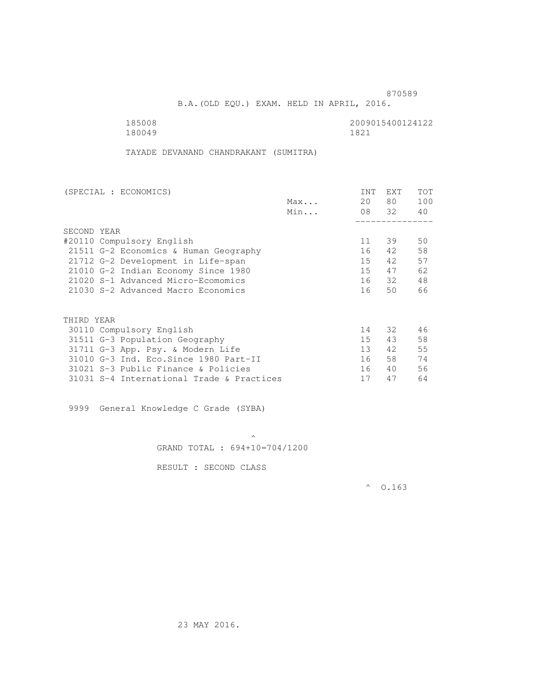B.A.(OLD EQU.) EXAM. HELD IN APRIL, 2016.

180049

185008 2009015400124122<br>180049 1821

TAYADE DEVANAND CHANDRAKANT (SUMITRA)

| (SPECIAL : ECONOMICS)                     |     | <b>INT</b>      | <b>EXT</b> | TOT |
|-------------------------------------------|-----|-----------------|------------|-----|
|                                           | Max | 20              | 80         | 100 |
|                                           | Min |                 | 08 32      | 40  |
|                                           |     |                 |            |     |
| SECOND YEAR                               |     |                 |            |     |
| #20110 Compulsory English                 |     | 11              | 39         | 50  |
| 21511 G-2 Economics & Human Geography     |     | 16              | 42         | 58  |
| 21712 G-2 Development in Life-span        |     | 15              | 42         | 57  |
| 21010 G-2 Indian Economy Since 1980       |     | 15 <sub>1</sub> | 47         | 62  |
| 21020 S-1 Advanced Micro-Ecomomics        |     | 16              | 32         | 48  |
| 21030 S-2 Advanced Macro Economics        |     | 16              | 50         | 66  |
|                                           |     |                 |            |     |
| THIRD YEAR                                |     |                 |            |     |
|                                           |     |                 |            |     |
| 30110 Compulsory English                  |     | 14              | 32         | 46  |
| 31511 G-3 Population Geography            |     | 15              | 43         | 58  |
| 31711 G-3 App. Psy. & Modern Life         |     | 13 <sup>°</sup> | 42         | 55  |
| 31010 G-3 Ind. Eco. Since 1980 Part-II    |     | 16              | 58         | 74  |
| 31021 S-3 Public Finance & Policies       |     | 16              | 40         | 56  |
| 31031 S-4 International Trade & Practices |     | 17              | 47         | 64  |
|                                           |     |                 |            |     |

9999 General Knowledge C Grade (SYBA)

 $\mathcal{A}$  and  $\mathcal{A}$  are the set of  $\mathcal{A}$ GRAND TOTAL : 694+10=704/1200

RESULT : SECOND CLASS

 $^{\circ}$  0.163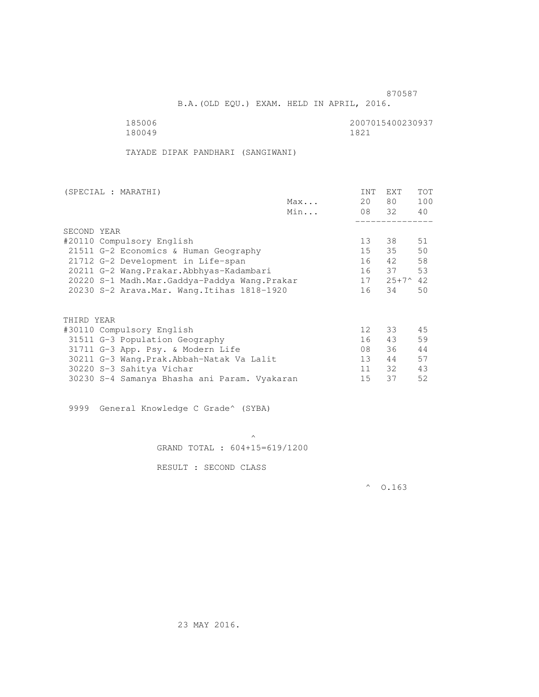B.A.(OLD EQU.) EXAM. HELD IN APRIL, 2016.

180049

185006 2007015400230937<br>180049 1821

TAYADE DIPAK PANDHARI (SANGIWANI)

| (SPECIAL : MARATHI)                          |     | <b>INT</b>      | <b>EXT</b>         | TOT |
|----------------------------------------------|-----|-----------------|--------------------|-----|
|                                              | Max | 20              | 80 —               | 100 |
|                                              | Min |                 | 08 32              | 40  |
|                                              |     |                 |                    |     |
| SECOND YEAR                                  |     |                 |                    |     |
| #20110 Compulsory English                    |     | 13              | 38                 | 51  |
| 21511 G-2 Economics & Human Geography        |     | 15              | 35                 | 50  |
| 21712 G-2 Development in Life-span           |     | 16              | 42                 | 58  |
| 20211 G-2 Wang.Prakar.Abbhyas-Kadambari      |     |                 | 16 37              | 53  |
| 20220 S-1 Madh.Mar.Gaddya-Paddya Wang.Prakar |     | 17              | $25+7^{\wedge}$ 42 |     |
| 20230 S-2 Arava. Mar. Wang. Itihas 1818-1920 |     | 16              | 34                 | 50  |
|                                              |     |                 |                    |     |
| THIRD YEAR                                   |     |                 |                    |     |
| #30110 Compulsory English                    |     | 12 <sup>°</sup> | 33                 | 45  |
| 31511 G-3 Population Geography               |     | 16              | 43                 | 59  |
| 31711 G-3 App. Psy. & Modern Life            |     | 08              | 36                 | 44  |
| 30211 G-3 Wang.Prak.Abbah-Natak Va Lalit     |     | 13 <sup>°</sup> | 44                 | 57  |
| 30220 S-3 Sahitya Vichar                     |     | 11              | 32                 | 43  |
| 30230 S-4 Samanya Bhasha ani Param. Vyakaran |     | 15              | 37                 | 52  |
|                                              |     |                 |                    |     |

9999 General Knowledge C Grade^ (SYBA)

 $\mathcal{A}$  and  $\mathcal{A}$  are the set of  $\mathcal{A}$ GRAND TOTAL : 604+15=619/1200

RESULT : SECOND CLASS

 $^{\circ}$  0.163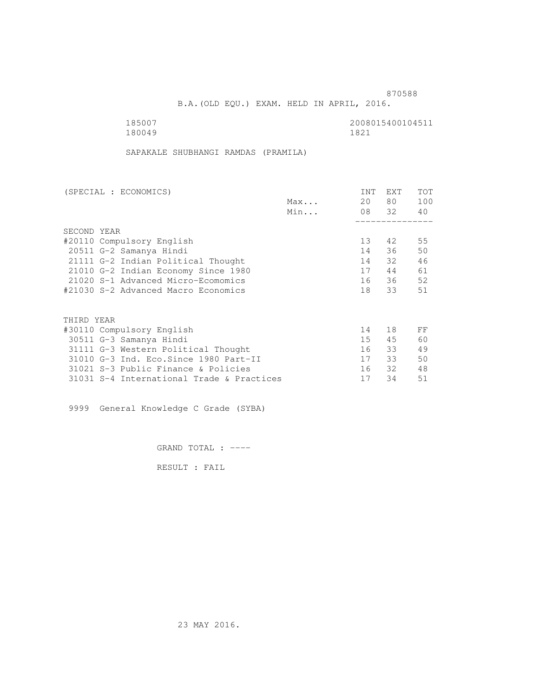B.A.(OLD EQU.) EXAM. HELD IN APRIL, 2016.

 185007 2008015400104511 180049 1821

SAPAKALE SHUBHANGI RAMDAS (PRAMILA)

| (SPECIAL : ECONOMICS)                     | <b>INT</b>      | EXT   | TOT |
|-------------------------------------------|-----------------|-------|-----|
| Max                                       | 20              | 80    | 100 |
| Min                                       |                 | 08 32 | 40  |
|                                           |                 |       |     |
| SECOND YEAR                               |                 |       |     |
| #20110 Compulsory English                 | 13 <sup>°</sup> | 42    | 55  |
| 20511 G-2 Samanya Hindi                   | 14              | 36    | 50  |
| 21111 G-2 Indian Political Thought        | 14              | 32    | 46  |
| 21010 G-2 Indian Economy Since 1980       | 17              | 44    | 61  |
| 21020 S-1 Advanced Micro-Ecomomics        | 16              | 36    | 52  |
| #21030 S-2 Advanced Macro Economics       | 18              | 33    | 51  |
|                                           |                 |       |     |
| THIRD YEAR                                |                 |       |     |
| #30110 Compulsory English                 | 14              | 18    | FF  |
| 30511 G-3 Samanya Hindi                   | 15 <sub>1</sub> | 45    | 60  |
| 31111 G-3 Western Political Thought       | 16              | 33    | 49  |
| 31010 G-3 Ind. Eco. Since 1980 Part-II    | 17              | 33    | 50  |
| 31021 S-3 Public Finance & Policies       | 16              | 32    | 48  |
| 31031 S-4 International Trade & Practices | 17              | 34    | 51  |

9999 General Knowledge C Grade (SYBA)

GRAND TOTAL : ----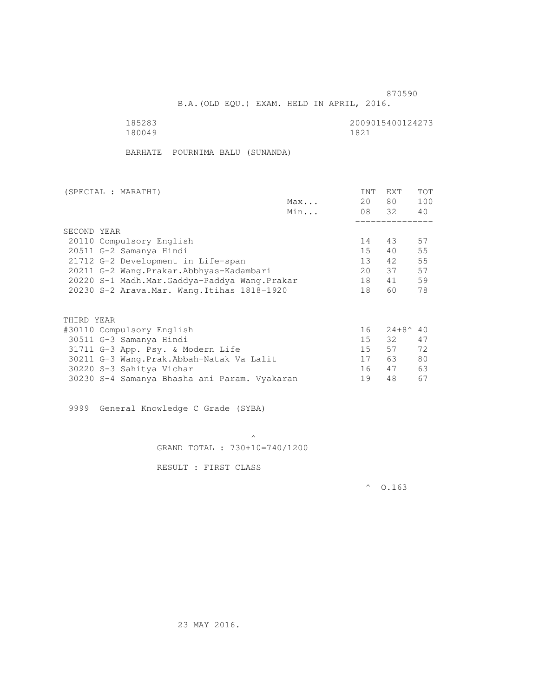B.A.(OLD EQU.) EXAM. HELD IN APRIL, 2016.

| 185283 | 2009015400124273 |
|--------|------------------|
| 180049 | 1821             |

BARHATE POURNIMA BALU (SUNANDA)

| (SPECIAL : MARATHI)                          | <b>INT</b>      | <b>EXT</b>       | <b>TOT</b> |
|----------------------------------------------|-----------------|------------------|------------|
| Max                                          | 20              | 80               | 100        |
| Min                                          |                 | 08 32            | 40         |
|                                              |                 |                  |            |
| SECOND YEAR                                  |                 |                  |            |
| 20110 Compulsory English                     | 14              | 43               | 57         |
| 20511 G-2 Samanya Hindi                      | 15 <sup>7</sup> | 40               | 55         |
| 21712 G-2 Development in Life-span           | 13 <sup>°</sup> | 42               | 55         |
| 20211 G-2 Wang.Prakar.Abbhyas-Kadambari      | 2.0             | 37               | 57         |
| 20220 S-1 Madh.Mar.Gaddya-Paddya Wang.Prakar | 18              | 41               | 59         |
| 20230 S-2 Arava.Mar. Wang.Itihas 1818-1920   | 18              | 60               | 78         |
|                                              |                 |                  |            |
| THIRD YEAR                                   |                 |                  |            |
| #30110 Compulsory English                    | 16              | $24 + 8^{\circ}$ | 40         |
| 30511 G-3 Samanya Hindi                      | 15              | 32               | 47         |
| 31711 G-3 App. Psy. & Modern Life            | 15              | 57               | 72         |
| 30211 G-3 Wang.Prak.Abbah-Natak Va Lalit     | 17              | 63               | 80         |
| 30220 S-3 Sahitya Vichar                     | 16              | 47               | 63         |

9999 General Knowledge C Grade (SYBA)

 $\mathcal{A}$  and  $\mathcal{A}$  are the set of  $\mathcal{A}$ GRAND TOTAL : 730+10=740/1200

30230 S-4 Samanya Bhasha ani Param. Vyakaran 19 48 67

RESULT : FIRST CLASS

 $^{\circ}$  0.163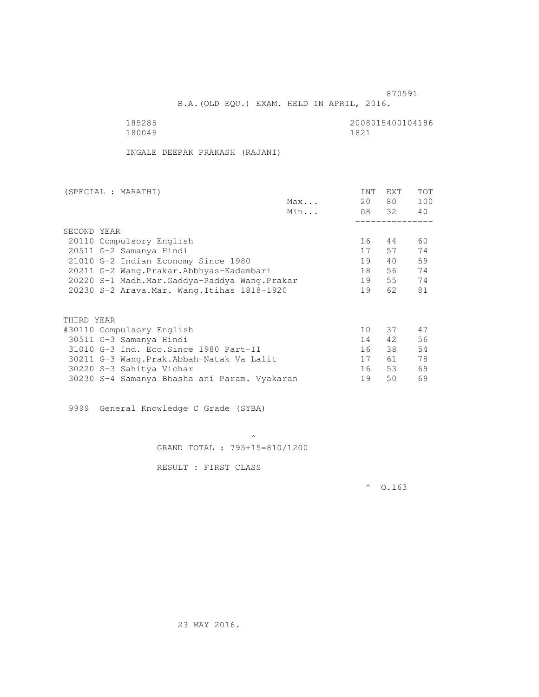B.A.(OLD EQU.) EXAM. HELD IN APRIL, 2016.

 185285 2008015400104186 180049

INGALE DEEPAK PRAKASH (RAJANI)

| (SPECIAL : MARATHI) |                                              |     | <b>INT</b>      | <b>EXT</b> | <b>TOT</b> |
|---------------------|----------------------------------------------|-----|-----------------|------------|------------|
|                     |                                              | Max | 20              | 80 —       | 100        |
|                     |                                              | Min |                 | 08 32      | 40         |
|                     |                                              |     |                 |            |            |
| SECOND YEAR         |                                              |     |                 |            |            |
|                     | 20110 Compulsory English                     |     | 16              | 44         | 60         |
|                     | 20511 G-2 Samanya Hindi                      |     | 17              | 57         | 74         |
|                     | 21010 G-2 Indian Economy Since 1980          |     | 19              | 40         | 59         |
|                     | 20211 G-2 Wang.Prakar.Abbhyas-Kadambari      |     | 18              | 56         | 74         |
|                     | 20220 S-1 Madh.Mar.Gaddya-Paddya Wang.Prakar |     | 19              | 55         | 74         |
|                     | 20230 S-2 Arava. Mar. Wang. Itihas 1818-1920 |     | 19              | 62         | 81         |
|                     |                                              |     |                 |            |            |
| THIRD YEAR          |                                              |     |                 |            |            |
|                     | #30110 Compulsory English                    |     | 10 <sup>°</sup> | 37         | 47         |
|                     | 30511 G-3 Samanya Hindi                      |     | 14              | 42         | 56         |
|                     | 31010 G-3 Ind. Eco. Since 1980 Part-II       |     | 16              | 38         | 54         |
|                     | 30211 G-3 Wang.Prak.Abbah-Natak Va Lalit     |     | 17              | 61         | 78         |
|                     | 30220 S-3 Sahitya Vichar                     |     | 16              | 53         | 69         |
|                     | 30230 S-4 Samanya Bhasha ani Param. Vyakaran |     | 19              | 50         | 69         |
|                     |                                              |     |                 |            |            |

9999 General Knowledge C Grade (SYBA)

 $\mathcal{A}$  and  $\mathcal{A}$  are the set of  $\mathcal{A}$ GRAND TOTAL : 795+15=810/1200

RESULT : FIRST CLASS

 $^{\circ}$  0.163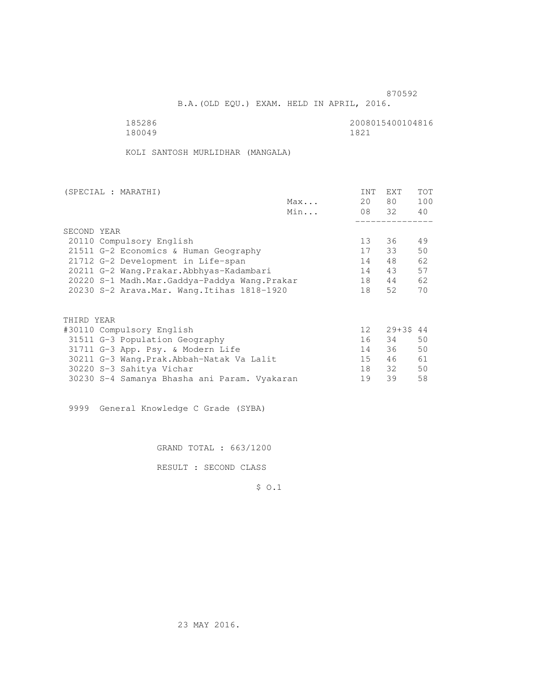B.A.(OLD EQU.) EXAM. HELD IN APRIL, 2016.

185286<br>180049 180049 180049 180049 1821

KOLI SANTOSH MURLIDHAR (MANGALA)

| (SPECIAL : MARATHI)                          |     | <b>INT</b>      | <b>EXT</b>  | TOT |
|----------------------------------------------|-----|-----------------|-------------|-----|
|                                              | Max | 20              | 80 —        | 100 |
|                                              | Min |                 | 08 32       | 40  |
|                                              |     |                 |             |     |
| SECOND YEAR                                  |     |                 |             |     |
| 20110 Compulsory English                     |     | 13 <sup>°</sup> | 36          | 49  |
| 21511 G-2 Economics & Human Geography        |     | 17              | 33          | 50  |
| 21712 G-2 Development in Life-span           |     | 14              | 48          | 62  |
| 20211 G-2 Wang.Prakar.Abbhyas-Kadambari      |     | 14              | 43          | 57  |
| 20220 S-1 Madh.Mar.Gaddya-Paddya Wang.Prakar |     | 18              | 44          | 62  |
| 20230 S-2 Arava. Mar. Wang. Itihas 1818-1920 |     | 18              | 52          | 70  |
|                                              |     |                 |             |     |
| THIRD YEAR                                   |     |                 |             |     |
| #30110 Compulsory English                    |     | 12              | $29 + 3544$ |     |
| 31511 G-3 Population Geography               |     | 16              | 34          | 50  |
| 31711 G-3 App. Psy. & Modern Life            |     | 14              | 36          | 50  |
| 30211 G-3 Wang.Prak.Abbah-Natak Va Lalit     |     | 15              | 46          | 61  |
| 30220 S-3 Sahitya Vichar                     |     | 18              | 32          | 50  |
| 30230 S-4 Samanya Bhasha ani Param. Vyakaran |     | 19              | 39          | 58  |
|                                              |     |                 |             |     |

9999 General Knowledge C Grade (SYBA)

GRAND TOTAL : 663/1200

RESULT : SECOND CLASS

\$ O.1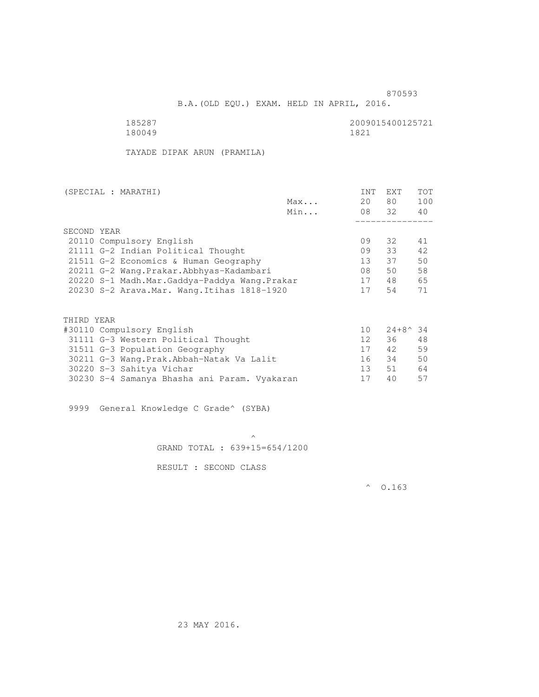B.A.(OLD EQU.) EXAM. HELD IN APRIL, 2016.

 185287 2009015400125721 180049 1821

TAYADE DIPAK ARUN (PRAMILA)

| (SPECIAL : MARATHI)                          |     | <b>INT</b>        | <b>EXT</b>       | <b>TOT</b> |
|----------------------------------------------|-----|-------------------|------------------|------------|
|                                              | Max | 20                | 80               | 100        |
|                                              | Min | 08 32             |                  | 40         |
|                                              |     |                   |                  |            |
| SECOND YEAR                                  |     |                   |                  |            |
| 20110 Compulsory English                     |     | 09                | 32               | 41         |
| 21111 G-2 Indian Political Thought           |     | 09                | 33               | 42.        |
| 21511 G-2 Economics & Human Geography        |     | 13                | 37               | 50         |
| 20211 G-2 Wang. Prakar. Abbhyas-Kadambari    |     | 08                | 50               | 58         |
| 20220 S-1 Madh.Mar.Gaddya-Paddya Wang.Prakar |     | 17                | 48               | 65         |
| 20230 S-2 Arava.Mar. Wang.Itihas 1818-1920   |     | 17                | 54               | 71         |
|                                              |     |                   |                  |            |
|                                              |     |                   |                  |            |
| THIRD YEAR                                   |     |                   |                  |            |
| #30110 Compulsory English                    |     | 10                | $24+8^{\circ}34$ |            |
| 31111 G-3 Western Political Thought          |     | $12 \overline{ }$ | 36               | 48         |
| 31511 G-3 Population Geography               |     | 17                | 42               | 59         |
| 30211 G-3 Wang.Prak.Abbah-Natak Va Lalit     |     | 16                | 34               | 50         |
| 30220 S-3 Sahitya Vichar                     |     | 13                | 51               | 64         |

9999 General Knowledge C Grade^ (SYBA)

 $\mathcal{A}$  and  $\mathcal{A}$  are the set of  $\mathcal{A}$ GRAND TOTAL : 639+15=654/1200

30230 S-4 Samanya Bhasha ani Param. Vyakaran 17 40 57

RESULT : SECOND CLASS

 $^{\circ}$  0.163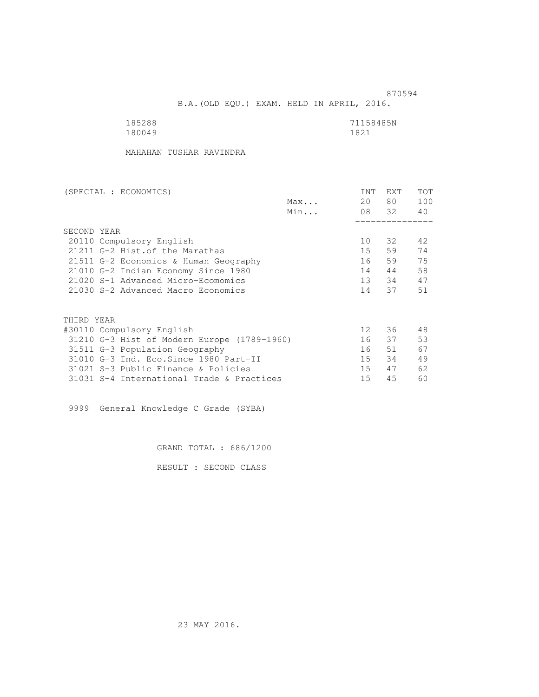B.A.(OLD EQU.) EXAM. HELD IN APRIL, 2016.

| 185288 | 71158485N |
|--------|-----------|
| 180049 | 1821      |

MAHAHAN TUSHAR RAVINDRA

| (SPECIAL : ECONOMICS)                       |     | <b>INT</b> | <b>EXT</b> | TOT |
|---------------------------------------------|-----|------------|------------|-----|
|                                             | Max | 20         | 80 —       | 100 |
|                                             | Min |            | 08 32      | 40  |
|                                             |     |            |            |     |
| SECOND YEAR                                 |     |            |            |     |
| 20110 Compulsory English                    |     | 10         | 32         | 42  |
| 21211 G-2 Hist. of the Marathas             |     | 15         | 59         | 74  |
| 21511 G-2 Economics & Human Geography       |     | 16         | 59         | 75  |
| 21010 G-2 Indian Economy Since 1980         |     | 14         | 44         | 58  |
| 21020 S-1 Advanced Micro-Ecomomics          |     | 13         | 34         | 47  |
| 21030 S-2 Advanced Macro Economics          |     | 14         | 37         | 51  |
|                                             |     |            |            |     |
| THIRD YEAR                                  |     |            |            |     |
| #30110 Compulsory English                   |     | 12         | 36         | 48  |
| 31210 G-3 Hist of Modern Europe (1789-1960) |     | 16         | 37         | 53  |
| 31511 G-3 Population Geography              |     | 16         | 51         | 67  |
| 31010 G-3 Ind. Eco. Since 1980 Part-II      |     | 15         | 34         | 49  |
| 31021 S-3 Public Finance & Policies         |     | 15         | 47         | 62  |
| 31031 S-4 International Trade & Practices   |     | 15         | 45         | 60  |

9999 General Knowledge C Grade (SYBA)

GRAND TOTAL : 686/1200

RESULT : SECOND CLASS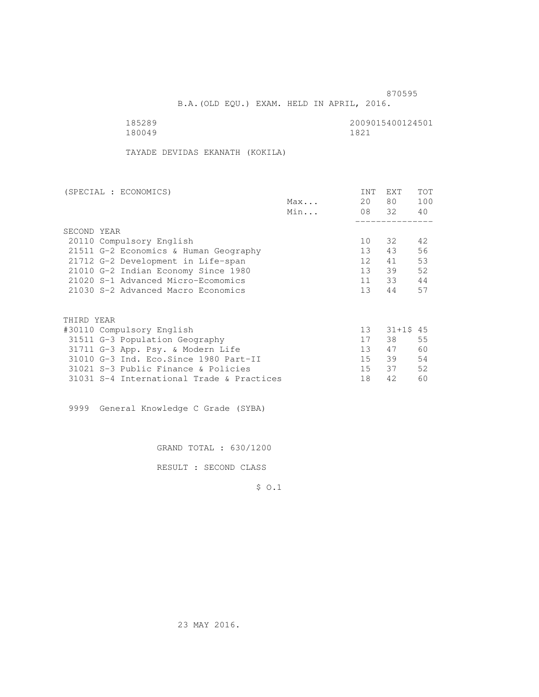B.A.(OLD EQU.) EXAM. HELD IN APRIL, 2016.

| 185289 | 2009015400124501 |
|--------|------------------|
| 180049 | 1821             |

TAYADE DEVIDAS EKANATH (KOKILA)

| (SPECIAL : ECONOMICS)                     |     | <b>INT</b>      | <b>EXT</b> | TOT |
|-------------------------------------------|-----|-----------------|------------|-----|
|                                           | Max | 20              | 80 —       | 100 |
|                                           | Min |                 | 08 32      | 40  |
|                                           |     |                 |            |     |
| SECOND YEAR                               |     |                 |            |     |
| 20110 Compulsory English                  |     | 10              | 32         | 42  |
| 21511 G-2 Economics & Human Geography     |     | 13 <sup>°</sup> | 43         | 56  |
| 21712 G-2 Development in Life-span        |     | 12 <sup>°</sup> | 41         | 53  |
| 21010 G-2 Indian Economy Since 1980       |     | 13              | 39         | 52  |
| 21020 S-1 Advanced Micro-Ecomomics        |     | 11              | 33         | 44  |
| 21030 S-2 Advanced Macro Economics        |     | 13              | 44         | 57  |
|                                           |     |                 |            |     |
|                                           |     |                 |            |     |
| THIRD YEAR                                |     |                 |            |     |
| #30110 Compulsory English                 |     | 13              | $31+15$ 45 |     |
| 31511 G-3 Population Geography            |     | 17              | 38         | 55  |
| 31711 G-3 App. Psy. & Modern Life         |     | 13 <sup>7</sup> | 47         | 60  |
| 31010 G-3 Ind. Eco. Since 1980 Part-II    |     | 15 <sub>1</sub> | 39         | 54  |
| 31021 S-3 Public Finance & Policies       |     | 15              | 37         | 52  |
| 31031 S-4 International Trade & Practices |     | 18              | 42         | 60  |
|                                           |     |                 |            |     |

9999 General Knowledge C Grade (SYBA)

GRAND TOTAL : 630/1200

RESULT : SECOND CLASS

\$ O.1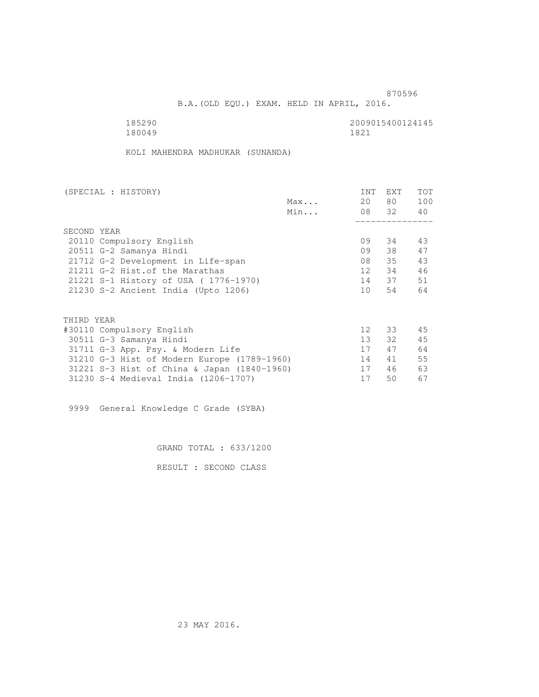B.A.(OLD EQU.) EXAM. HELD IN APRIL, 2016.

| 185290 | 2009015400124145 |
|--------|------------------|
| 180049 | 1821             |

KOLI MAHENDRA MADHUKAR (SUNANDA)

| (SPECIAL : HISTORY)                         |     | INT             | <b>EXT</b> | TOT |
|---------------------------------------------|-----|-----------------|------------|-----|
|                                             | Max | 20              | 80 —       | 100 |
|                                             | Min |                 | 08 32 40   |     |
|                                             |     |                 |            |     |
| SECOND YEAR                                 |     |                 |            |     |
| 20110 Compulsory English                    |     | 09              | 34         | 43  |
| 20511 G-2 Samanya Hindi                     |     | 09              | 38         | 47  |
| 21712 G-2 Development in Life-span          |     | 08              | 35         | 43  |
| 21211 G-2 Hist. of the Marathas             |     | 12              | 34         | 46  |
| 21221 S-1 History of USA (1776-1970)        |     |                 | 14 37      | 51  |
| 21230 S-2 Ancient India (Upto 1206)         |     | 10              | 54         | 64  |
|                                             |     |                 |            |     |
| THIRD YEAR                                  |     |                 |            |     |
| #30110 Compulsory English                   |     | 12 <sup>°</sup> | 33         | 45  |
| 30511 G-3 Samanya Hindi                     |     | 13              | 32         | 45  |
| 31711 G-3 App. Psy. & Modern Life           |     | 17              | 47         | 64  |
| 31210 G-3 Hist of Modern Europe (1789-1960) |     | 14              | 41         | 55  |
| 31221 S-3 Hist of China & Japan (1840-1960) |     | 17              | 46         | 63  |
| 31230 S-4 Medieval India (1206-1707)        |     | 17              | 50         | 67  |
|                                             |     |                 |            |     |

9999 General Knowledge C Grade (SYBA)

GRAND TOTAL : 633/1200

RESULT : SECOND CLASS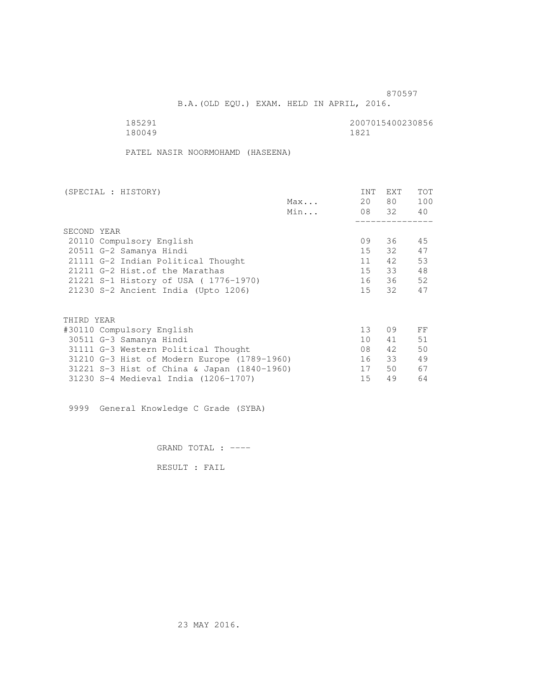B.A.(OLD EQU.) EXAM. HELD IN APRIL, 2016.

| 185291 | 2007015400230856 |
|--------|------------------|
| 180049 | 1821             |

PATEL NASIR NOORMOHAMD (HASEENA)

| (SPECIAL : HISTORY)                         |     | <b>INT</b> | <b>EXT</b> | TOT |
|---------------------------------------------|-----|------------|------------|-----|
|                                             | Max | 20         | 80 —       | 100 |
|                                             | Min |            | 08 32 40   |     |
|                                             |     |            |            |     |
| SECOND YEAR                                 |     |            |            |     |
| 20110 Compulsory English                    |     | 09         | 36         | 45  |
| 20511 G-2 Samanya Hindi                     |     | 15         | 32         | 47  |
| 21111 G-2 Indian Political Thought          |     | 11         | 42         | 53  |
| 21211 G-2 Hist. of the Marathas             |     | 15         | 33         | 48  |
| 21221 S-1 History of USA (1776-1970)        |     |            | 16 36      | 52  |
| 21230 S-2 Ancient India (Upto 1206)         |     | 15         | 32         | 47  |
|                                             |     |            |            |     |
| THIRD YEAR                                  |     |            |            |     |
| #30110 Compulsory English                   |     | 13         | 09         | FF  |
| 30511 G-3 Samanya Hindi                     |     | 10         | 41         | 51  |
| 31111 G-3 Western Political Thought         |     | 08         | 42         | 50  |
| 31210 G-3 Hist of Modern Europe (1789-1960) |     | 16         | 33         | 49  |
| 31221 S-3 Hist of China & Japan (1840-1960) |     | 17         | 50         | 67  |
| 31230 S-4 Medieval India (1206-1707)        |     | 15         | 49         | 64  |
|                                             |     |            |            |     |

9999 General Knowledge C Grade (SYBA)

GRAND TOTAL : ----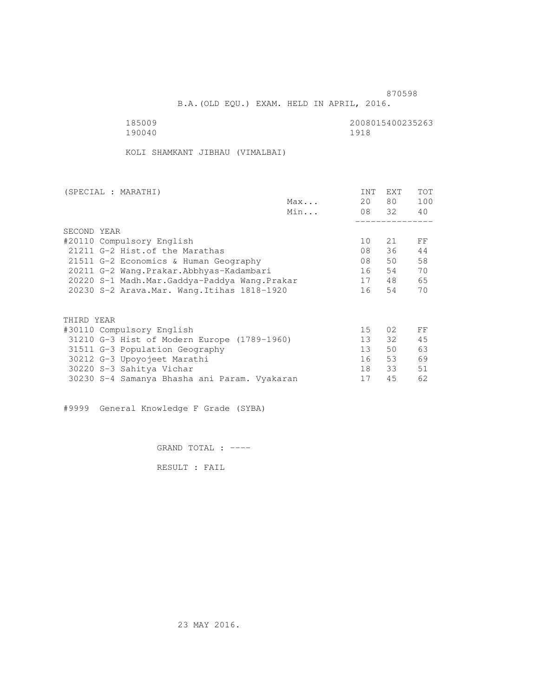B.A.(OLD EQU.) EXAM. HELD IN APRIL, 2016.

 185009 2008015400235263 190040 1918

KOLI SHAMKANT JIBHAU (VIMALBAI)

| (SPECIAL : MARATHI)                          |     | <b>INT</b>      | <b>EXT</b> | TOT |
|----------------------------------------------|-----|-----------------|------------|-----|
|                                              | Max | 20              | 80 —       | 100 |
|                                              | Min |                 | 08 32      | 40  |
|                                              |     |                 |            |     |
| SECOND YEAR                                  |     |                 |            |     |
| #20110 Compulsory English                    |     | 10              | 21         | FF  |
| 21211 G-2 Hist. of the Marathas              |     | 08              | 36         | 44  |
| 21511 G-2 Economics & Human Geography        |     | 08              | 50         | 58  |
| 20211 G-2 Wang.Prakar.Abbhyas-Kadambari      |     | 16              | 54         | 70  |
| 20220 S-1 Madh.Mar.Gaddya-Paddya Wang.Prakar |     | 17              | 48         | 65  |
| 20230 S-2 Arava. Mar. Wang. Itihas 1818-1920 |     | 16              | 54         | 70  |
|                                              |     |                 |            |     |
| THIRD YEAR                                   |     |                 |            |     |
| #30110 Compulsory English                    |     | 15              | 02         | FF  |
| 31210 G-3 Hist of Modern Europe (1789-1960)  |     | 13              | 32         | 45  |
| 31511 G-3 Population Geography               |     | 13 <sup>°</sup> | 50         | 63  |
| 30212 G-3 Upoyojeet Marathi                  |     | 16              | 53         | 69  |
| 30220 S-3 Sahitya Vichar                     |     | 18              | 33         | 51  |
| 30230 S-4 Samanya Bhasha ani Param. Vyakaran |     | 17              | 45         | 62  |
|                                              |     |                 |            |     |

#9999 General Knowledge F Grade (SYBA)

GRAND TOTAL : ----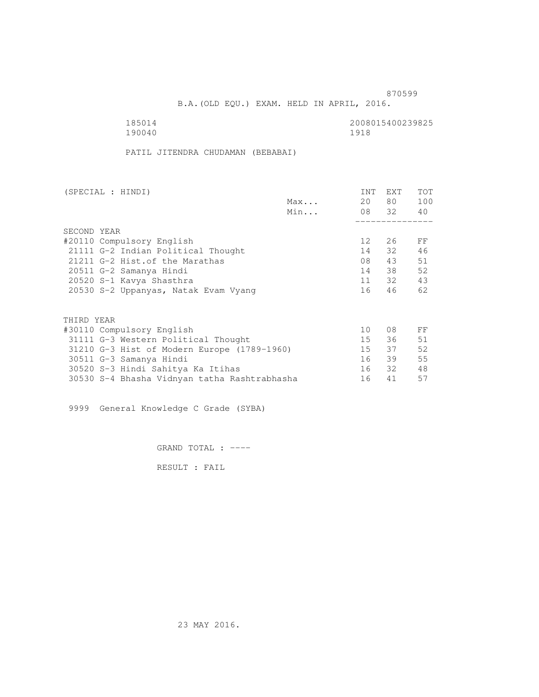B.A.(OLD EQU.) EXAM. HELD IN APRIL, 2016.

 185014 2008015400239825 190040 1918

PATIL JITENDRA CHUDAMAN (BEBABAI)

| (SPECIAL : HINDI)                            |     | INT             | <b>EXT</b> | TOT |
|----------------------------------------------|-----|-----------------|------------|-----|
|                                              | Max | 20              | 80 —       | 100 |
|                                              | Min |                 | 08 32 40   |     |
|                                              |     |                 |            |     |
| SECOND YEAR                                  |     |                 |            |     |
| #20110 Compulsory English                    |     | 12 <sup>°</sup> | 26         | FF  |
| 21111 G-2 Indian Political Thought           |     | 14              | 32         | 46  |
| 21211 G-2 Hist. of the Marathas              |     | 08              | 43         | 51  |
| 20511 G-2 Samanya Hindi                      |     | 14              | 38         | 52  |
| 20520 S-1 Kavya Shasthra                     |     | 11              | 32         | 43  |
| 20530 S-2 Uppanyas, Natak Evam Vyang         |     | 16              | 46         | 62  |
|                                              |     |                 |            |     |
| THIRD YEAR                                   |     |                 |            |     |
| #30110 Compulsory English                    |     | 10              | 08         | FF  |
| 31111 G-3 Western Political Thought          |     | 15              | 36         | 51  |
| 31210 G-3 Hist of Modern Europe (1789-1960)  |     | 15              | 37         | 52  |
| 30511 G-3 Samanya Hindi                      |     | 16              | 39         | 55  |
| 30520 S-3 Hindi Sahitya Ka Itihas            |     | 16              | 32         | 48  |
| 30530 S-4 Bhasha Vidnyan tatha Rashtrabhasha |     | 16              | 41         | 57  |
|                                              |     |                 |            |     |

9999 General Knowledge C Grade (SYBA)

GRAND TOTAL : ----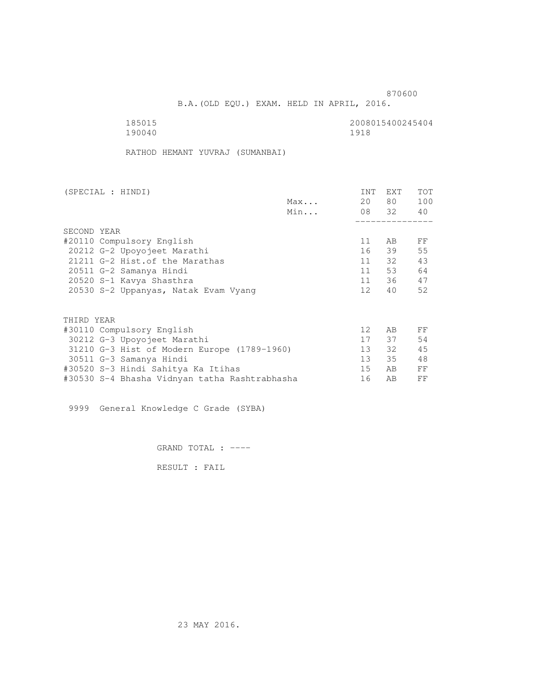B.A.(OLD EQU.) EXAM. HELD IN APRIL, 2016.

| 185015 | 2008015400245404 |
|--------|------------------|
| 190040 | 1918             |

RATHOD HEMANT YUVRAJ (SUMANBAI)

| (SPECIAL : HINDI)                             |     | INT             | EXT      | <b>TOT</b> |
|-----------------------------------------------|-----|-----------------|----------|------------|
|                                               | Max | 20              | 80 —     | 100        |
|                                               | Min |                 | 08 32 40 |            |
|                                               |     |                 |          |            |
| SECOND YEAR                                   |     |                 |          |            |
| #20110 Compulsory English                     |     | 11              | AB.      | FF         |
| 20212 G-2 Upoyojeet Marathi                   |     | 16              | 39       | 55         |
| 21211 G-2 Hist. of the Marathas               |     |                 | 11 32    | 43         |
| 20511 G-2 Samanya Hindi                       |     | 11              | 53       | 64         |
| 20520 S-1 Kavya Shasthra                      |     |                 | 11 36    | 47         |
| 20530 S-2 Uppanyas, Natak Evam Vyang          |     | 12              | 40       | 52         |
| THIRD YEAR                                    |     |                 |          |            |
|                                               |     | 12 <sup>°</sup> |          |            |
| #30110 Compulsory English                     |     |                 | AB       | FF         |
| 30212 G-3 Upoyojeet Marathi                   |     | 17              | 37       | 54         |
| 31210 G-3 Hist of Modern Europe (1789-1960)   |     | 13              | 32       | 45         |
| 30511 G-3 Samanya Hindi                       |     | 13              | 35       | 48         |
| #30520 S-3 Hindi Sahitya Ka Itihas            |     | 15              | AB.      | FF         |
| #30530 S-4 Bhasha Vidnyan tatha Rashtrabhasha |     | 16              | AВ       | FF         |

9999 General Knowledge C Grade (SYBA)

GRAND TOTAL : ----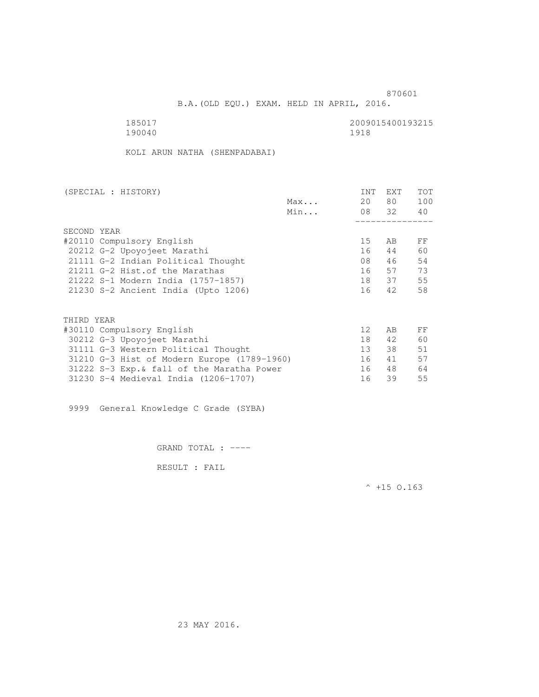B.A.(OLD EQU.) EXAM. HELD IN APRIL, 2016.

| 185017 | 2009015400193215 |
|--------|------------------|
| 190040 | 1918             |

KOLI ARUN NATHA (SHENPADABAI)

| (SPECIAL : HISTORY)                         |     | <b>INT</b>        | EXT   | TOT |
|---------------------------------------------|-----|-------------------|-------|-----|
|                                             | Max | 20                | 80 —  | 100 |
|                                             | Min |                   | 08 32 | 40  |
|                                             |     |                   |       |     |
| SECOND YEAR                                 |     |                   |       |     |
| #20110 Compulsory English                   |     | 15                | AB    | FF  |
| 20212 G-2 Upoyojeet Marathi                 |     | 16                | 44    | 60  |
| 21111 G-2 Indian Political Thought          |     | 08                | 46    | 54  |
| 21211 G-2 Hist. of the Marathas             |     | 16                | 57    | 73  |
| 21222 S-1 Modern India (1757-1857)          |     | 18                | 37    | 55  |
| 21230 S-2 Ancient India (Upto 1206)         |     | 16                | 42    | 58  |
|                                             |     |                   |       |     |
| THIRD YEAR                                  |     |                   |       |     |
| #30110 Compulsory English                   |     | $12 \overline{ }$ | AB    | FF  |
| 30212 G-3 Upoyojeet Marathi                 |     | 18                | 42    | 60  |
| 31111 G-3 Western Political Thought         |     | 13 <sup>7</sup>   | 38    | 51  |
| 31210 G-3 Hist of Modern Europe (1789-1960) |     | 16                | 41    | 57  |
| 31222 S-3 Exp. & fall of the Maratha Power  |     | 16                | 48    | 64  |
| 31230 S-4 Medieval India (1206-1707)        |     | 16                | 39    | 55  |
|                                             |     |                   |       |     |

9999 General Knowledge C Grade (SYBA)

GRAND TOTAL : ----

RESULT : FAIL

 $^{\wedge}$  +15 O.163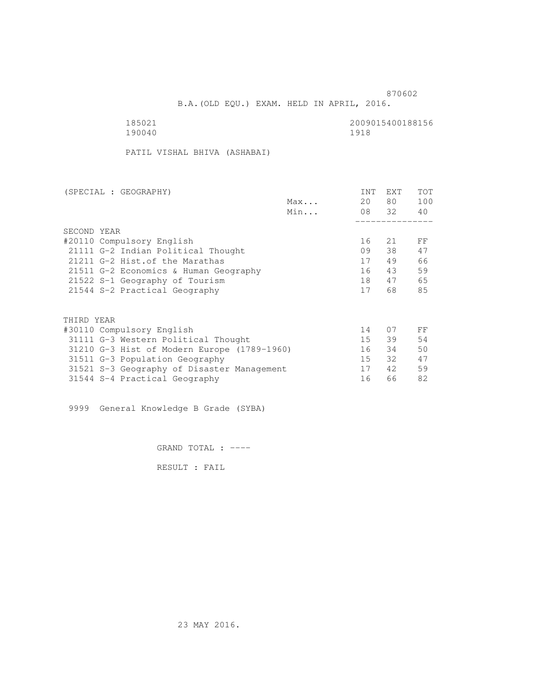B.A.(OLD EQU.) EXAM. HELD IN APRIL, 2016.

185021 2009015400188156<br>190040 1918 1920 190040 1918

PATIL VISHAL BHIVA (ASHABAI)

| (SPECIAL : GEOGRAPHY)                       | <b>INT</b> | <b>EXT</b> | TOT |
|---------------------------------------------|------------|------------|-----|
| Max                                         | 20         | 80         | 100 |
| Min                                         |            | 08 32      | 40  |
|                                             |            |            |     |
| SECOND YEAR                                 |            |            |     |
| #20110 Compulsory English                   | 16         | 21         | FF  |
| 21111 G-2 Indian Political Thought          | 09         | 38         | 47  |
| 21211 G-2 Hist. of the Marathas             | 17         | 49         | 66  |
| 21511 G-2 Economics & Human Geography       | 16         | 43         | 59  |
| 21522 S-1 Geography of Tourism              | 18         | 47         | 65  |
| 21544 S-2 Practical Geography               | 17         | 68         | 85  |
|                                             |            |            |     |
| THIRD YEAR                                  |            |            |     |
| #30110 Compulsory English                   | 14         | 07         | FF  |
| 31111 G-3 Western Political Thought         | 15         | 39         | 54  |
| 31210 G-3 Hist of Modern Europe (1789-1960) | 16         | 34         | 50  |
| 31511 G-3 Population Geography              | 15         | 32         | 47  |
| 31521 S-3 Geography of Disaster Management  | 17         | 42         | 59  |
| 31544 S-4 Practical Geography               | 16         | 66         | 82  |

9999 General Knowledge B Grade (SYBA)

GRAND TOTAL : ----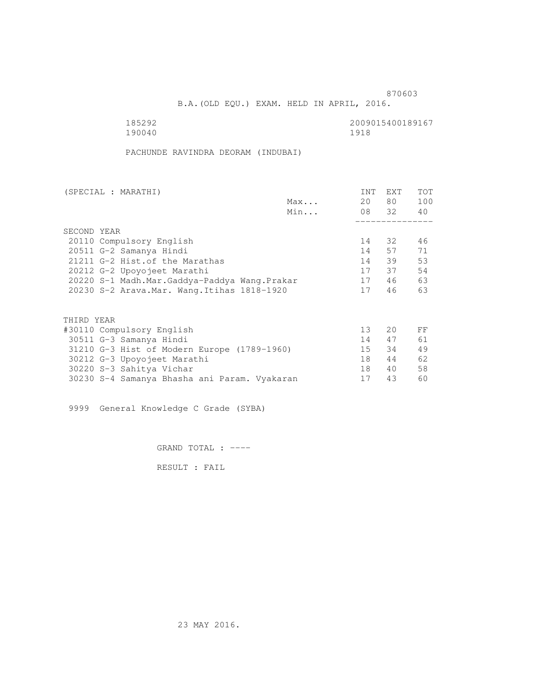B.A.(OLD EQU.) EXAM. HELD IN APRIL, 2016.

190040 1918

185292 2009015400189167

PACHUNDE RAVINDRA DEORAM (INDUBAI)

| (SPECIAL : MARATHI)                          |     | INT | EXT      | <b>TOT</b> |
|----------------------------------------------|-----|-----|----------|------------|
|                                              | Max | 20  | 80 —     | 100        |
|                                              | Min |     | 08 32 40 |            |
|                                              |     |     |          |            |
| SECOND YEAR                                  |     |     |          |            |
| 20110 Compulsory English                     |     | 14  | 32       | 46         |
| 20511 G-2 Samanya Hindi                      |     | 14  | 57       | 71         |
| 21211 G-2 Hist. of the Marathas              |     | 14  | 39       | 53         |
| 20212 G-2 Upoyojeet Marathi                  |     | 17  | 37       | 54         |
| 20220 S-1 Madh.Mar.Gaddya-Paddya Wang.Prakar |     | 17  | 46       | 63         |
| 20230 S-2 Arava. Mar. Wang. Itihas 1818-1920 |     | 17  | 46       | 63         |
|                                              |     |     |          |            |
| THIRD YEAR                                   |     |     |          |            |
| #30110 Compulsory English                    |     | 13  | 20       | FF         |
| 30511 G-3 Samanya Hindi                      |     | 14  | 47       | 61         |
| 31210 G-3 Hist of Modern Europe (1789-1960)  |     | 15  | 34       | 49         |
| 30212 G-3 Upoyojeet Marathi                  |     | 18  | 44       | 62         |
| 30220 S-3 Sahitya Vichar                     |     | 18  | 40       | 58         |
| 30230 S-4 Samanya Bhasha ani Param. Vyakaran |     | 17  | 43       | 60         |
|                                              |     |     |          |            |

9999 General Knowledge C Grade (SYBA)

GRAND TOTAL : ----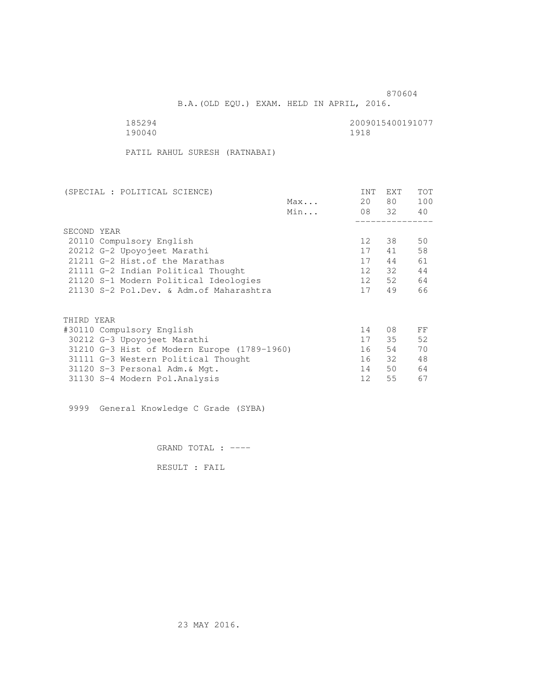870604 B.A.(OLD EQU.) EXAM. HELD IN APRIL, 2016.

| 185294 | 2009015400191077 |
|--------|------------------|
| 190040 | 1918             |

PATIL RAHUL SURESH (RATNABAI)

| (SPECIAL : POLITICAL SCIENCE)               | <b>INT</b> | <b>EXT</b> | TOT |
|---------------------------------------------|------------|------------|-----|
| Max                                         | 20         | 80 —       | 100 |
| Min                                         |            | 08 32      | 40  |
|                                             |            |            |     |
| SECOND YEAR                                 |            |            |     |
| 20110 Compulsory English                    | 12         | 38         | 50  |
| 20212 G-2 Upoyojeet Marathi                 | 17         | 41         | 58  |
| 21211 G-2 Hist. of the Marathas             | 17         | 44         | 61  |
| 21111 G-2 Indian Political Thought          | 12         | 32         | 44  |
| 21120 S-1 Modern Political Ideologies       | 12         | 52         | 64  |
| 21130 S-2 Pol.Dev. & Adm. of Maharashtra    | 17         | 49         | 66  |
|                                             |            |            |     |
|                                             |            |            |     |
| THIRD YEAR                                  |            |            |     |
| #30110 Compulsory English                   | 14         | 08         | FF  |
| 30212 G-3 Upoyojeet Marathi                 | 17         | 35         | 52  |
| 31210 G-3 Hist of Modern Europe (1789-1960) | 16         | 54         | 70  |
| 31111 G-3 Western Political Thought         | 16         | 32         | 48  |
| 31120 S-3 Personal Adm. & Mgt.              | 14         | 50         | 64  |
| 31130 S-4 Modern Pol.Analysis               | 12         | 55         | 67  |

9999 General Knowledge C Grade (SYBA)

GRAND TOTAL : ----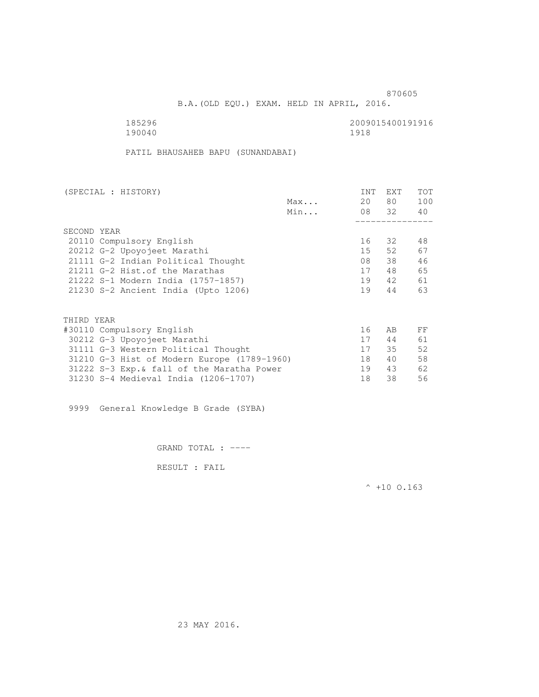B.A.(OLD EQU.) EXAM. HELD IN APRIL, 2016.

185296 2009015400191916<br>190040 190040 1918 190040

PATIL BHAUSAHEB BAPU (SUNANDABAI)

| (SPECIAL : HISTORY)                         |     | <b>INT</b> | EXT   | TOT |
|---------------------------------------------|-----|------------|-------|-----|
|                                             | Max | 20         | 80 —  | 100 |
|                                             | Min |            | 08 32 | 40  |
|                                             |     |            |       |     |
| SECOND YEAR                                 |     |            |       |     |
| 20110 Compulsory English                    |     | 16         | 32    | 48  |
| 20212 G-2 Upoyojeet Marathi                 |     | $15 -$     | 52    | 67  |
| 21111 G-2 Indian Political Thought          |     | 08         | 38    | 46  |
| 21211 G-2 Hist. of the Marathas             |     | 17         | 48    | 65  |
| 21222 S-1 Modern India (1757-1857)          |     | 19         | 42    | 61  |
| 21230 S-2 Ancient India (Upto 1206)         |     | 19         | 44    | 63  |
|                                             |     |            |       |     |
| THIRD YEAR                                  |     |            |       |     |
| #30110 Compulsory English                   |     | 16         | AB    | FF  |
| 30212 G-3 Upoyojeet Marathi                 |     | 17         | 44    | 61  |
| 31111 G-3 Western Political Thought         |     | 17         | 35    | 52  |
| 31210 G-3 Hist of Modern Europe (1789-1960) |     | 18         | 40    | 58  |
| 31222 S-3 Exp. & fall of the Maratha Power  |     | 19         | 43    | 62  |
| 31230 S-4 Medieval India (1206-1707)        |     | 18         | 38    | 56  |
|                                             |     |            |       |     |

9999 General Knowledge B Grade (SYBA)

GRAND TOTAL : ----

RESULT : FAIL

 $^{\wedge}$  +10 O.163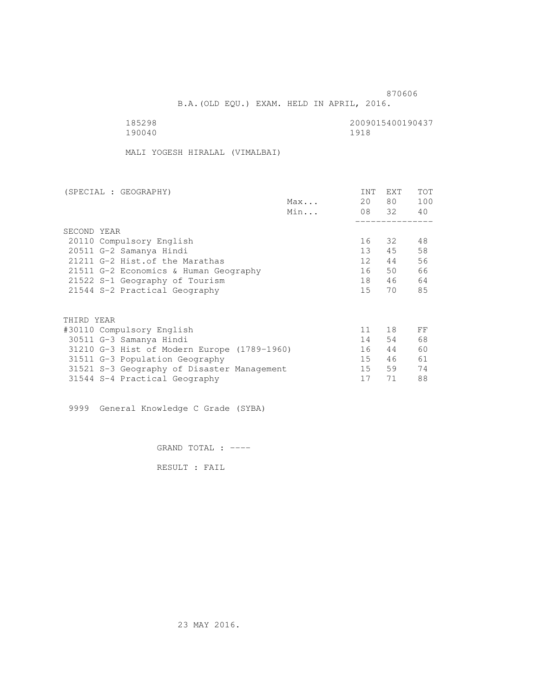B.A.(OLD EQU.) EXAM. HELD IN APRIL, 2016.

| 185298 | 2009015400190437 |
|--------|------------------|
| 190040 | 1918             |

MALI YOGESH HIRALAL (VIMALBAI)

| (SPECIAL : GEOGRAPHY)                       |     | INT             | EXT   | <b>TOT</b> |
|---------------------------------------------|-----|-----------------|-------|------------|
|                                             | Max | 20              | 80 —  | 100        |
|                                             | Min |                 | 08 32 | 40         |
| SECOND YEAR                                 |     |                 |       |            |
| 20110 Compulsory English                    |     | 16              | 32    | 48         |
| 20511 G-2 Samanya Hindi                     |     | 13 <sup>7</sup> | 45    | 58         |
| 21211 G-2 Hist. of the Marathas             |     | 12              | 44    | 56         |
| 21511 G-2 Economics & Human Geography       |     | 16              | 50    | 66         |
|                                             |     | 18              |       | 64         |
| 21522 S-1 Geography of Tourism              |     |                 | 46    |            |
| 21544 S-2 Practical Geography               |     | 15              | 70    | 85         |
|                                             |     |                 |       |            |
| THIRD YEAR                                  |     |                 |       |            |
| #30110 Compulsory English                   |     | 11              | 18    | FF         |
| 30511 G-3 Samanya Hindi                     |     | 14              | 54    | 68         |
| 31210 G-3 Hist of Modern Europe (1789-1960) |     | 16              | 44    | 60         |
| 31511 G-3 Population Geography              |     | 15              | 46    | 61         |
| 31521 S-3 Geography of Disaster Management  |     | 15              | 59    | 74         |
| 31544 S-4 Practical Geography               |     | 17              | 71    | 88         |
|                                             |     |                 |       |            |

9999 General Knowledge C Grade (SYBA)

GRAND TOTAL : ----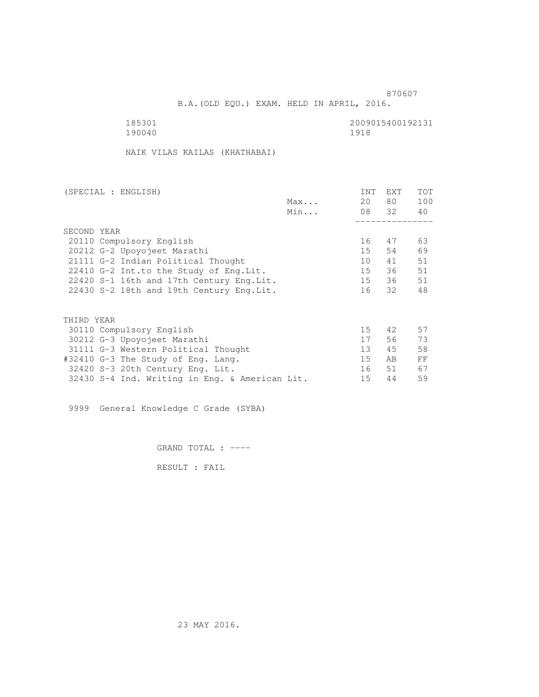B.A.(OLD EQU.) EXAM. HELD IN APRIL, 2016.

185301<br>190040 190040 1918 1918 190040 1918

NAIK VILAS KAILAS (KHATHABAI)

| (SPECIAL : ENGLISH)                            |     | INT             | EXT      | TOT |
|------------------------------------------------|-----|-----------------|----------|-----|
|                                                | Max | 20              | 80 —     | 100 |
|                                                | Min |                 | 08 32 40 |     |
|                                                |     |                 |          |     |
| SECOND YEAR                                    |     |                 |          |     |
| 20110 Compulsory English                       |     | 16              | 47       | 63  |
| 20212 G-2 Upoyojeet Marathi                    |     | 15              | 54       | 69  |
| 21111 G-2 Indian Political Thought             |     | 10              | 41       | 51  |
| 22410 G-2 Int.to the Study of Eng. Lit.        |     | 15              | 36       | 51  |
| 22420 S-1 16th and 17th Century Eng. Lit.      |     |                 | 15 36    | 51  |
| 22430 S-2 18th and 19th Century Eng.Lit.       |     |                 | 16 32    | 48  |
|                                                |     |                 |          |     |
| THIRD YEAR                                     |     |                 |          |     |
| 30110 Compulsory English                       |     | $15 -$          | 42       | 57  |
| 30212 G-3 Upoyojeet Marathi                    |     | 17              | 56       | 73  |
| 31111 G-3 Western Political Thought            |     | 13 <sup>°</sup> | 45       | 58  |
| #32410 G-3 The Study of Eng. Lang.             |     | 15              | AB       | FF  |
| 32420 S-3 20th Century Eng. Lit.               |     |                 | 16 51    | 67  |
| 32430 S-4 Ind. Writing in Eng. & American Lit. |     | 15              | 44       | 59  |
|                                                |     |                 |          |     |

9999 General Knowledge C Grade (SYBA)

GRAND TOTAL : ----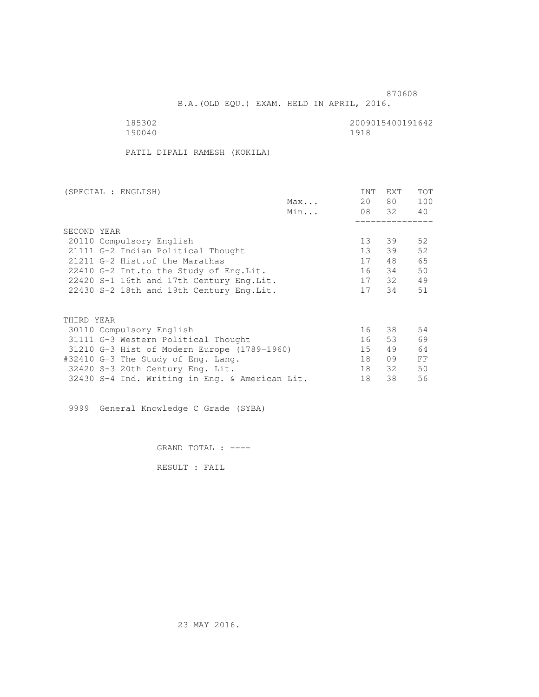B.A.(OLD EQU.) EXAM. HELD IN APRIL, 2016.

 185302 2009015400191642 190040 1918

PATIL DIPALI RAMESH (KOKILA)

| (SPECIAL : ENGLISH)                            |     | INT             | <b>EXT</b> | TOT |
|------------------------------------------------|-----|-----------------|------------|-----|
|                                                | Max | 20              | 80         | 100 |
|                                                | Min |                 | 08 32      | 40  |
|                                                |     |                 |            |     |
| SECOND YEAR                                    |     |                 |            |     |
| 20110 Compulsory English                       |     | 13              | 39         | 52  |
| 21111 G-2 Indian Political Thought             |     | 13 <sup>7</sup> | 39         | 52  |
| 21211 G-2 Hist. of the Marathas                |     | 17              | 48         | 65  |
| 22410 G-2 Int.to the Study of Eng. Lit.        |     | 16              | 34         | 50  |
| 22420 S-1 16th and 17th Century Eng. Lit.      |     | 17              | 32         | 49  |
| 22430 S-2 18th and 19th Century Eng. Lit.      |     | 17              | 34         | 51  |
|                                                |     |                 |            |     |
|                                                |     |                 |            |     |
| THIRD YEAR                                     |     |                 |            |     |
| 30110 Compulsory English                       |     | 16              | 38         | 54  |
| 31111 G-3 Western Political Thought            |     | 16              | 53         | 69  |
| 31210 G-3 Hist of Modern Europe (1789-1960)    |     | 15              | 49         | 64  |
| #32410 G-3 The Study of Eng. Lang.             |     | 18              | 09         | FF  |
| 32420 S-3 20th Century Eng. Lit.               |     | 18              | 32         | 50  |
| 32430 S-4 Ind. Writing in Eng. & American Lit. |     | 18              | 38         | 56  |
|                                                |     |                 |            |     |

9999 General Knowledge C Grade (SYBA)

GRAND TOTAL : ----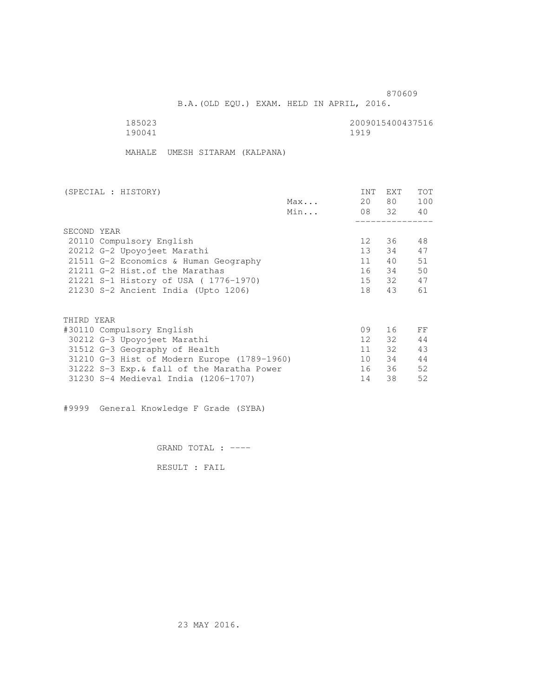B.A.(OLD EQU.) EXAM. HELD IN APRIL, 2016.

| 185023 | 2009015400437516 |
|--------|------------------|
| 190041 | 1919             |

MAHALE UMESH SITARAM (KALPANA)

| (SPECIAL : HISTORY)                         |     | INT             | EXT      | TOT |
|---------------------------------------------|-----|-----------------|----------|-----|
|                                             | Max | 20              | 80 —     | 100 |
|                                             | Min |                 | 08 32 40 |     |
|                                             |     |                 |          |     |
| SECOND YEAR                                 |     |                 |          |     |
| 20110 Compulsory English                    |     | 12              | 36       | 48  |
| 20212 G-2 Upoyojeet Marathi                 |     | 13 <sup>7</sup> | 34       | 47  |
| 21511 G-2 Economics & Human Geography       |     | 11              | 40       | 51  |
| 21211 G-2 Hist. of the Marathas             |     | 16              | 34       | 50  |
| 21221 S-1 History of USA (1776-1970)        |     |                 | 15 32    | 47  |
| 21230 S-2 Ancient India (Upto 1206)         |     | 18              | 43       | 61  |
|                                             |     |                 |          |     |
| THIRD YEAR                                  |     |                 |          |     |
| #30110 Compulsory English                   |     | 09              | 16       | FF  |
| 30212 G-3 Upoyojeet Marathi                 |     | 12              | 32       | 44  |
| 31512 G-3 Geography of Health               |     | 11              | $32 -$   | 43  |
| 31210 G-3 Hist of Modern Europe (1789-1960) |     | 10              | 34       | 44  |
| 31222 S-3 Exp. & fall of the Maratha Power  |     | 16              | 36       | 52  |
| 31230 S-4 Medieval India (1206-1707)        |     | 14              | 38       | 52  |
|                                             |     |                 |          |     |

#9999 General Knowledge F Grade (SYBA)

GRAND TOTAL : ----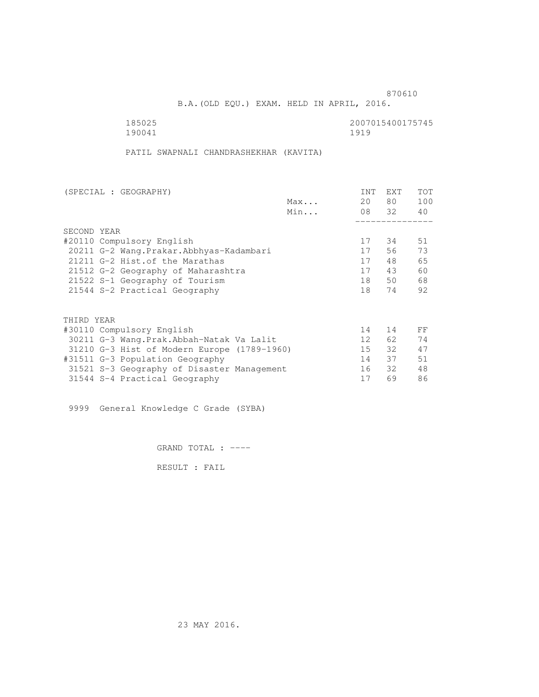B.A.(OLD EQU.) EXAM. HELD IN APRIL, 2016.

185025<br>190041 190041 190041 190041

PATIL SWAPNALI CHANDRASHEKHAR (KAVITA)

| (SPECIAL : GEOGRAPHY)                       |     | INT             | <b>EXT</b> | TOT |
|---------------------------------------------|-----|-----------------|------------|-----|
|                                             | Max | 20              | 80         | 100 |
|                                             | Min |                 | 08 32      | 40  |
|                                             |     |                 |            |     |
| SECOND YEAR                                 |     |                 |            |     |
| #20110 Compulsory English                   |     | 17              | 34         | 51  |
| 20211 G-2 Wang. Prakar. Abbhyas-Kadambari   |     | 17              | 56         | 73  |
| 21211 G-2 Hist. of the Marathas             |     | 17              | 48         | 65  |
| 21512 G-2 Geography of Maharashtra          |     | 17              | 43         | 60  |
| 21522 S-1 Geography of Tourism              |     | 18              | 50         | 68  |
| 21544 S-2 Practical Geography               |     | 18              | 74         | 92  |
|                                             |     |                 |            |     |
| THIRD YEAR                                  |     |                 |            |     |
| #30110 Compulsory English                   |     | 14              | 14         | FF  |
| 30211 G-3 Wang.Prak.Abbah-Natak Va Lalit    |     | 12 <sup>°</sup> | 62         | 74  |
| 31210 G-3 Hist of Modern Europe (1789-1960) |     | 15              | 32         | 47  |
| #31511 G-3 Population Geography             |     | 14              | 37         | 51  |
| 31521 S-3 Geography of Disaster Management  |     | 16              | 32         | 48  |
| 31544 S-4 Practical Geography               |     | 17              | 69         | 86  |
|                                             |     |                 |            |     |

9999 General Knowledge C Grade (SYBA)

GRAND TOTAL : ----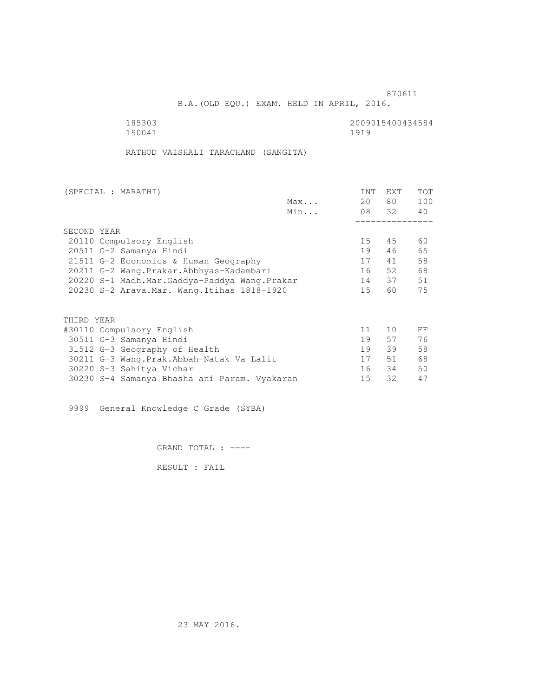B.A.(OLD EQU.) EXAM. HELD IN APRIL, 2016.

190041

185303 2009015400434584

RATHOD VAISHALI TARACHAND (SANGITA)

| (SPECIAL : MARATHI) |                                              |     | INT | <b>EXT</b> | <b>TOT</b> |
|---------------------|----------------------------------------------|-----|-----|------------|------------|
|                     |                                              | Max | 20  | 80 —       | 100        |
|                     |                                              | Min |     | 08 32      | 40         |
|                     |                                              |     |     |            |            |
| SECOND YEAR         |                                              |     |     |            |            |
|                     | 20110 Compulsory English                     |     | 15  | 45         | 60         |
|                     | 20511 G-2 Samanya Hindi                      |     | 19  | 46         | 65         |
|                     | 21511 G-2 Economics & Human Geography        |     | 17  | 41         | 58         |
|                     | 20211 G-2 Wang.Prakar.Abbhyas-Kadambari      |     | 16  | 52         | 68         |
|                     | 20220 S-1 Madh.Mar.Gaddya-Paddya Wang.Prakar |     | 14  | 37         | 51         |
|                     | 20230 S-2 Arava. Mar. Wang. Itihas 1818-1920 |     | 15  | 60         | 75         |
|                     |                                              |     |     |            |            |
| THIRD YEAR          |                                              |     |     |            |            |
|                     | #30110 Compulsory English                    |     | 11  | 10         | FF         |
|                     | 30511 G-3 Samanya Hindi                      |     | 19  | 57         | 76         |
|                     | 31512 G-3 Geography of Health                |     | 19  | 39         | 58         |
|                     | 30211 G-3 Wang.Prak.Abbah-Natak Va Lalit     |     | 17  | 51         | 68         |
|                     | 30220 S-3 Sahitya Vichar                     |     | 16  | 34         | 50         |
|                     | 30230 S-4 Samanya Bhasha ani Param. Vyakaran |     | 15  | 32         | 47         |
|                     |                                              |     |     |            |            |

9999 General Knowledge C Grade (SYBA)

GRAND TOTAL : ----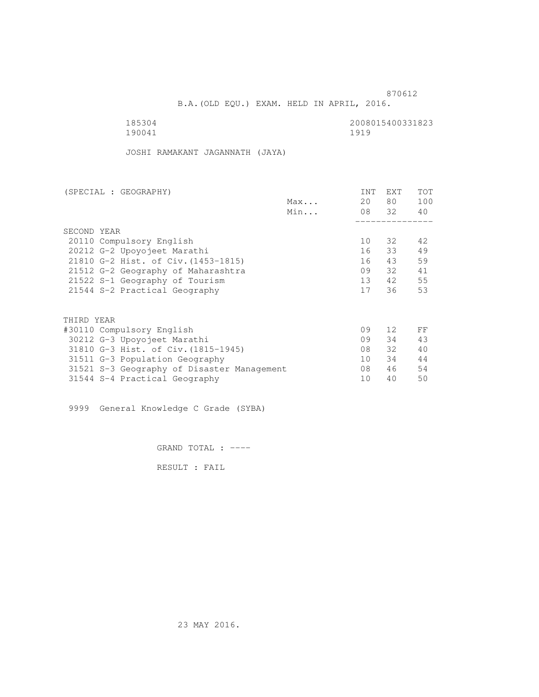B.A.(OLD EQU.) EXAM. HELD IN APRIL, 2016.

 185304 2008015400331823 190041 1919

JOSHI RAMAKANT JAGANNATH (JAYA)

| Max<br>Min                                 | 20 | 80 —<br>08 32 | 100<br>40 |
|--------------------------------------------|----|---------------|-----------|
|                                            |    |               |           |
|                                            |    |               |           |
|                                            |    |               |           |
| SECOND YEAR                                |    |               |           |
| 20110 Compulsory English                   | 10 | 32            | 42        |
| 20212 G-2 Upoyojeet Marathi                | 16 | 33            | 49        |
| 21810 G-2 Hist. of Civ. (1453-1815)        | 16 | 43            | 59        |
| 21512 G-2 Geography of Maharashtra         | 09 | 32 F          | 41        |
| 21522 S-1 Geography of Tourism             | 13 | 42            | 55        |
| 21544 S-2 Practical Geography              | 17 | 36            | 53        |
| THIRD YEAR                                 |    |               |           |
| #30110 Compulsory English                  | 09 | 12            | FF        |
| 30212 G-3 Upoyojeet Marathi                | 09 | 34            | 43        |
| 31810 G-3 Hist. of Civ. (1815-1945)        | 08 | 32            | 40        |
| 31511 G-3 Population Geography             | 10 | 34            | 44        |
| 31521 S-3 Geography of Disaster Management | 08 | 46            | 54        |
| 31544 S-4 Practical Geography              | 10 | 40            | 50        |

9999 General Knowledge C Grade (SYBA)

GRAND TOTAL : ----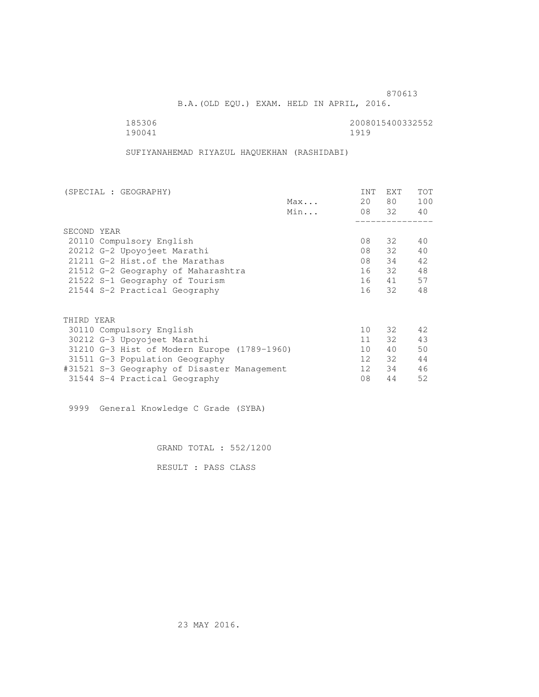B.A.(OLD EQU.) EXAM. HELD IN APRIL, 2016.

 185306 2008015400332552 190041 1919

SUFIYANAHEMAD RIYAZUL HAQUEKHAN (RASHIDABI)

| (SPECIAL : GEOGRAPHY)                       |  |  | INT             | <b>EXT</b>      | <b>TOT</b> |     |
|---------------------------------------------|--|--|-----------------|-----------------|------------|-----|
|                                             |  |  | Max             | 20              | 80 —       | 100 |
|                                             |  |  | Min             |                 | 08 32      | 40  |
|                                             |  |  |                 |                 |            |     |
| SECOND YEAR                                 |  |  |                 |                 |            |     |
| 20110 Compulsory English                    |  |  |                 | 08              | 32         | 40  |
| 20212 G-2 Upoyojeet Marathi                 |  |  | 08              | 32              | 40         |     |
| 21211 G-2 Hist.of the Marathas              |  |  | 08              | 34              | 42         |     |
| 21512 G-2 Geography of Maharashtra          |  |  | 16              | 32              | 48         |     |
| 21522 S-1 Geography of Tourism              |  |  | 16              | 41              | 57         |     |
| 21544 S-2 Practical Geography               |  |  | 16              | 32              | 48         |     |
|                                             |  |  |                 |                 |            |     |
| THIRD YEAR                                  |  |  |                 |                 |            |     |
| 30110 Compulsory English                    |  |  | 10              | 32              | 42         |     |
| 30212 G-3 Upoyojeet Marathi                 |  |  | 11              | 32              | 43         |     |
| 31210 G-3 Hist of Modern Europe (1789-1960) |  |  | 10              | 40              | 50         |     |
| 31511 G-3 Population Geography              |  |  |                 | 12 <sup>°</sup> | 32         | 44  |
| #31521 S-3 Geography of Disaster Management |  |  | 12 <sup>7</sup> | 34              | 46         |     |
| 31544 S-4 Practical Geography               |  |  | 08              | 44              | 52         |     |

9999 General Knowledge C Grade (SYBA)

GRAND TOTAL : 552/1200

RESULT : PASS CLASS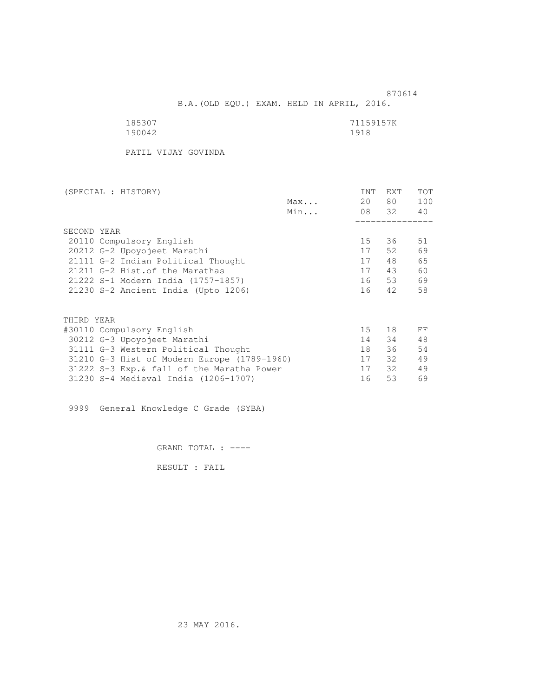B.A.(OLD EQU.) EXAM. HELD IN APRIL, 2016.

| 185307 | 71159157K |
|--------|-----------|
| 190042 | 1918      |

PATIL VIJAY GOVINDA

| <b>INT</b> | <b>EXT</b> | TOT                 |
|------------|------------|---------------------|
|            |            | 100                 |
|            |            | 40                  |
|            |            |                     |
|            |            |                     |
| 15         | 36         | 51                  |
| 17         | 52         | 69                  |
| 17         | 48         | 65                  |
| 17         | 43         | 60                  |
| 16         | 53         | 69                  |
| 16         | 42         | 58                  |
|            |            |                     |
|            |            |                     |
| 15         | 18         | FF                  |
| 14         | 34         | 48                  |
| 18         | 36         | 54                  |
| 17         | 32         | 49                  |
| 17         | 32         | 49                  |
| 16         | 53         | 69                  |
|            |            | 80 —<br>20<br>08 32 |

9999 General Knowledge C Grade (SYBA)

GRAND TOTAL : ----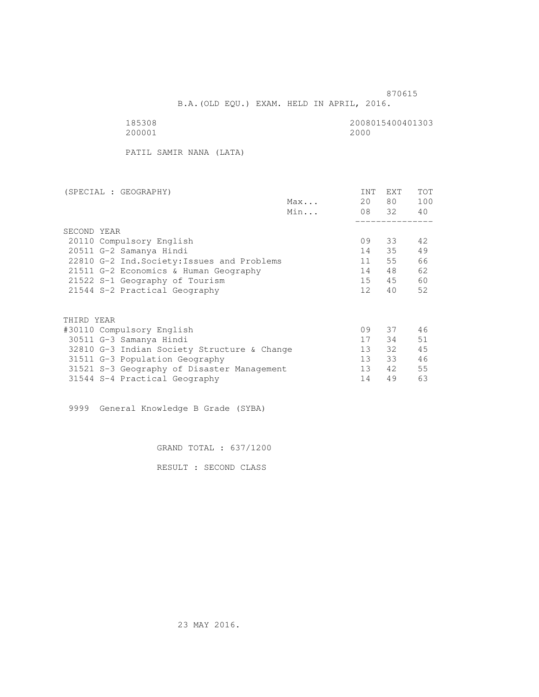B.A.(OLD EQU.) EXAM. HELD IN APRIL, 2016.

 185308 2008015400401303 200001 2000

PATIL SAMIR NANA (LATA)

| (SPECIAL : GEOGRAPHY)                       |     | <b>INT</b>      | EXT   | <b>TOT</b> |
|---------------------------------------------|-----|-----------------|-------|------------|
|                                             | Max | 20              | 80 —  | 100        |
|                                             | Min |                 | 08 32 | 40         |
|                                             |     |                 |       |            |
| SECOND YEAR                                 |     |                 |       |            |
| 20110 Compulsory English                    |     | 09              | 33    | 42         |
| 20511 G-2 Samanya Hindi                     |     | 14              | 35    | 49         |
| 22810 G-2 Ind. Society: Issues and Problems |     | 11              | 55    | 66         |
| 21511 G-2 Economics & Human Geography       |     | 14              | 48    | 62         |
| 21522 S-1 Geography of Tourism              |     | 15              | 45    | 60         |
| 21544 S-2 Practical Geography               |     | 12 <sup>°</sup> | 40    | 52         |
| THIRD YEAR                                  |     |                 |       |            |
| #30110 Compulsory English                   |     | 09              | 37    | 46         |
| 30511 G-3 Samanya Hindi                     |     | 17              | 34    | 51         |
|                                             |     |                 |       |            |
| 32810 G-3 Indian Society Structure & Change |     | 13              | 32    | 45         |
| 31511 G-3 Population Geography              |     | 13              | 33    | 46         |
| 31521 S-3 Geography of Disaster Management  |     | 13              | 42    | 55         |
| 31544 S-4 Practical Geography               |     | 14              | 49    | 63         |

9999 General Knowledge B Grade (SYBA)

GRAND TOTAL : 637/1200

RESULT : SECOND CLASS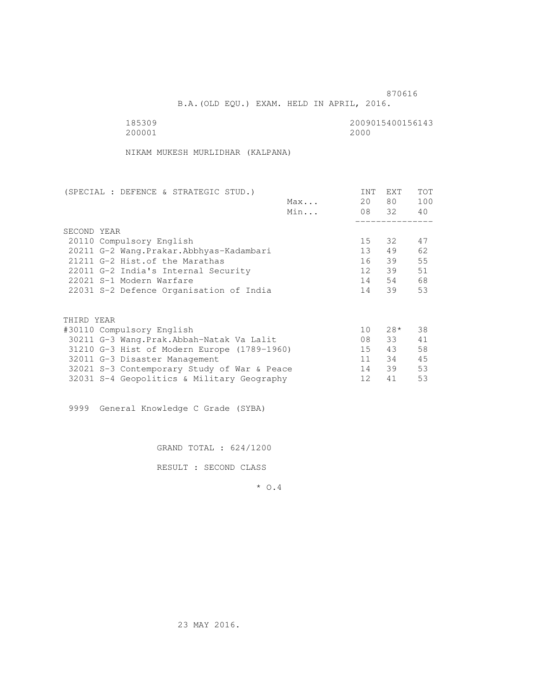B.A.(OLD EQU.) EXAM. HELD IN APRIL, 2016.

| 185309 | 2009015400156143 |
|--------|------------------|
| 200001 | 2000             |

NIKAM MUKESH MURLIDHAR (KALPANA)

| (SPECIAL : DEFENCE & STRATEGIC STUD.)       |     | INT             | EXT   | <b>TOT</b> |
|---------------------------------------------|-----|-----------------|-------|------------|
|                                             | Max | 20              | 80 —  | 100        |
|                                             | Min |                 | 08 32 | 40         |
|                                             |     |                 |       |            |
| SECOND YEAR                                 |     |                 |       |            |
| 20110 Compulsory English                    |     | 15              | 32    | 47         |
| 20211 G-2 Wang. Prakar. Abbhyas-Kadambari   |     | 13 <sup>7</sup> | 49    | 62         |
| 21211 G-2 Hist.of the Marathas              |     | 16              | 39    | 55         |
| 22011 G-2 India's Internal Security         |     | 12 <sup>7</sup> | 39    | 51         |
| 22021 S-1 Modern Warfare                    |     | 14              | 54    | 68         |
| 22031 S-2 Defence Organisation of India     |     | 14              | 39    | 53         |
| THIRD YEAR                                  |     |                 |       |            |
| #30110 Compulsory English                   |     | 10              | $28*$ | 38         |
| 30211 G-3 Wang.Prak.Abbah-Natak Va Lalit    |     | 08              | 33    | 41         |
| 31210 G-3 Hist of Modern Europe (1789-1960) |     | $15 -$          | 43    | 58         |
|                                             |     | 11              | 34    | 45         |
| 32011 G-3 Disaster Management               |     |                 |       |            |
| 32021 S-3 Contemporary Study of War & Peace |     | 14              | 39    | 53         |
| 32031 S-4 Geopolitics & Military Geography  |     | 12              | 41    | 53         |
|                                             |     |                 |       |            |

9999 General Knowledge C Grade (SYBA)

GRAND TOTAL : 624/1200

RESULT : SECOND CLASS

\* O.4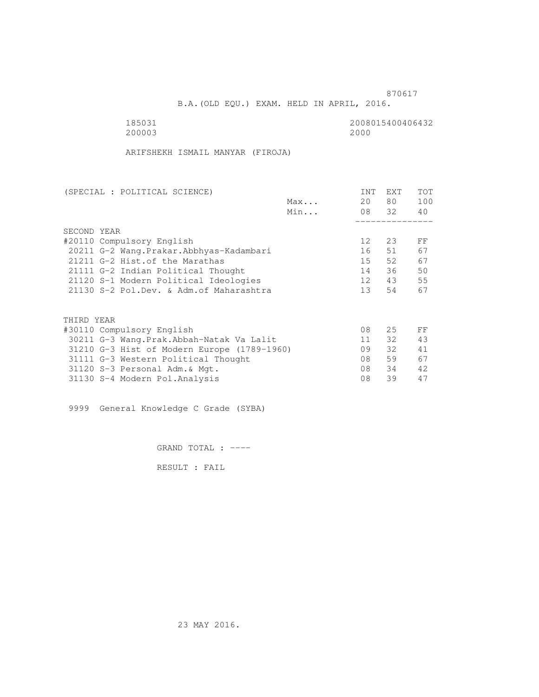B.A.(OLD EQU.) EXAM. HELD IN APRIL, 2016.

 185031 2008015400406432 200003 2000

ARIFSHEKH ISMAIL MANYAR (FIROJA)

| <b>INT</b>      | <b>EXT</b> | TOT                             |
|-----------------|------------|---------------------------------|
| 20              |            | 100                             |
|                 |            | 40                              |
|                 |            |                                 |
|                 |            |                                 |
| 12 <sup>°</sup> | 23         | FF                              |
| 16              | 51         | 67                              |
| 15              |            | 67                              |
| 14              |            | 50                              |
| 12              |            | 55                              |
| 13 <sup>7</sup> | 54         | 67                              |
|                 |            |                                 |
|                 |            |                                 |
| 08              | 25         | FF                              |
| 11              | 32         | 43                              |
| 09              | 32         | 41                              |
| 08              | 59         | 67                              |
| 08              | 34         | 42                              |
| 08              | 39         | 47                              |
|                 |            | 80 —<br>08 32<br>52<br>36<br>43 |

9999 General Knowledge C Grade (SYBA)

GRAND TOTAL : ----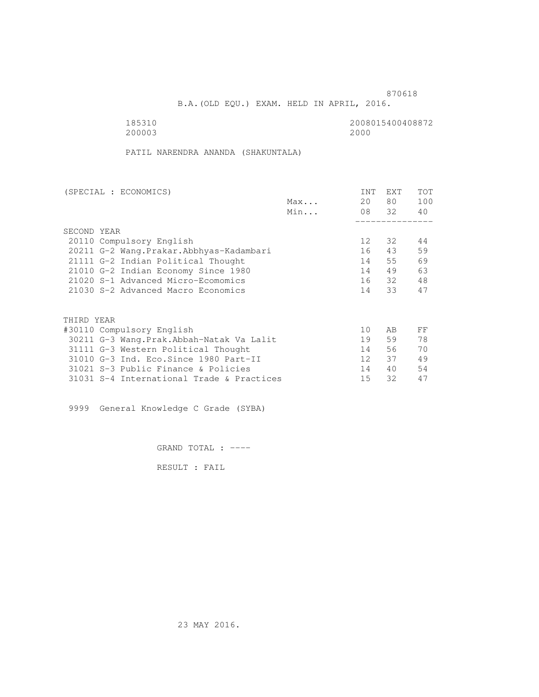B.A.(OLD EQU.) EXAM. HELD IN APRIL, 2016.

200003 2000

185310<br>200003 200003 2000 2000

PATIL NARENDRA ANANDA (SHAKUNTALA)

| (SPECIAL : ECONOMICS)                     |     | <b>INT</b>        | <b>EXT</b> | TOT |
|-------------------------------------------|-----|-------------------|------------|-----|
|                                           | Max | 20                | 80         | 100 |
|                                           | Min | 08 32             |            | 40  |
|                                           |     |                   |            |     |
| SECOND YEAR                               |     |                   |            |     |
| 20110 Compulsory English                  |     | $12 \overline{ }$ | 32         | 44  |
| 20211 G-2 Wang. Prakar. Abbhyas-Kadambari |     | 16                | 43         | 59  |
| 21111 G-2 Indian Political Thought        |     | 14                | 55         | 69  |
| 21010 G-2 Indian Economy Since 1980       |     | 14                | 49         | 63  |
| 21020 S-1 Advanced Micro-Ecomomics        |     | 16                | - 32       | 48  |
| 21030 S-2 Advanced Macro Economics        |     | 14                | 33         | 47  |
|                                           |     |                   |            |     |
| THIRD YEAR                                |     |                   |            |     |
| #30110 Compulsory English                 |     | 10                | AB         | FF  |
| 30211 G-3 Wang.Prak.Abbah-Natak Va Lalit  |     | 19                | 59         | 78  |
| 31111 G-3 Western Political Thought       |     | 14                | 56         | 70  |
| 31010 G-3 Ind. Eco. Since 1980 Part-II    |     | 12 <sup>°</sup>   | 37         | 49  |
| 31021 S-3 Public Finance & Policies       |     | 14                | 40         | 54  |
| 31031 S-4 International Trade & Practices |     | 15                | 32         | 47  |

9999 General Knowledge C Grade (SYBA)

GRAND TOTAL : ----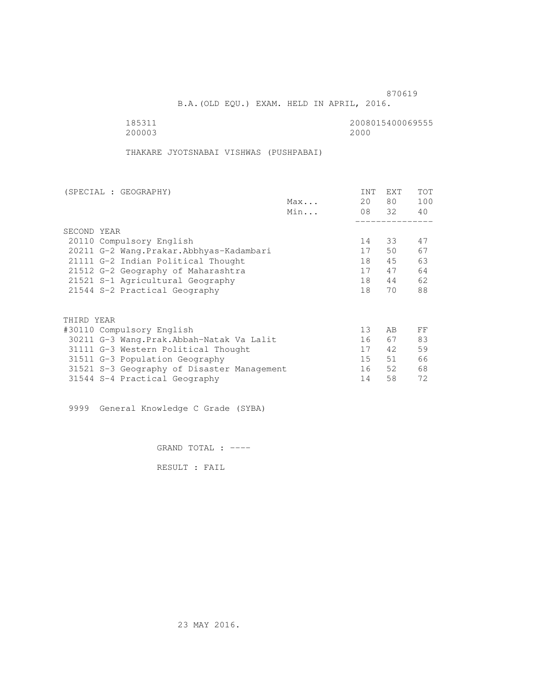B.A.(OLD EQU.) EXAM. HELD IN APRIL, 2016.

200003

185311 2008015400069555

THAKARE JYOTSNABAI VISHWAS (PUSHPABAI)

| (SPECIAL : GEOGRAPHY)                      |     | <b>INT</b>      | <b>EXT</b> | <b>TOT</b> |
|--------------------------------------------|-----|-----------------|------------|------------|
|                                            | Max | 20              | 80         | 100        |
|                                            | Min |                 | 08 32      | 40         |
|                                            |     |                 |            |            |
| SECOND YEAR                                |     |                 |            |            |
| 20110 Compulsory English                   |     | 14              | 33         | 47         |
| 20211 G-2 Wang. Prakar. Abbhyas-Kadambari  |     | 17              | 50         | 67         |
| 21111 G-2 Indian Political Thought         |     | 18              | 45         | 63         |
| 21512 G-2 Geography of Maharashtra         |     | 17              | 47         | 64         |
| 21521 S-1 Agricultural Geography           |     | 18              | 44         | 62         |
| 21544 S-2 Practical Geography              |     | 18              | 70         | 88         |
|                                            |     |                 |            |            |
| THIRD YEAR                                 |     |                 |            |            |
| #30110 Compulsory English                  |     | 13              | AB         | FF         |
| 30211 G-3 Wang.Prak.Abbah-Natak Va Lalit   |     | 16              | 67         | 83         |
| 31111 G-3 Western Political Thought        |     | 17              | 42         | 59         |
| 31511 G-3 Population Geography             |     | 15 <sub>1</sub> | 51         | 66         |
| 31521 S-3 Geography of Disaster Management |     | 16              | 52         | 68         |
| 31544 S-4 Practical Geography              |     | 14              | 58         | 72         |

9999 General Knowledge C Grade (SYBA)

GRAND TOTAL : ----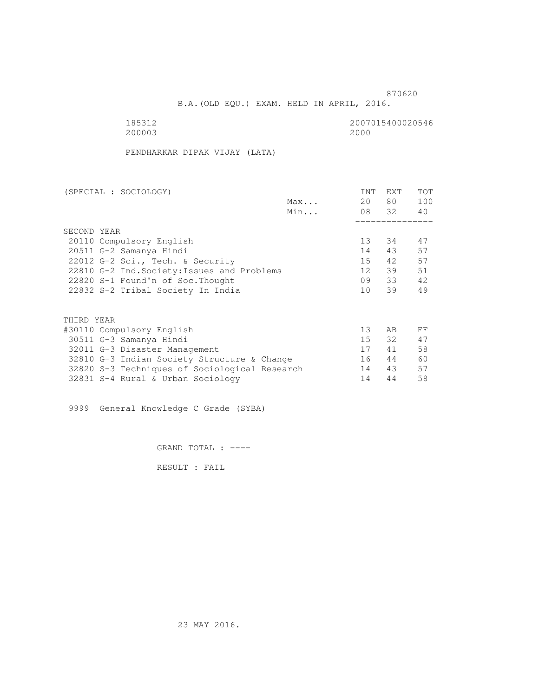B.A.(OLD EQU.) EXAM. HELD IN APRIL, 2016.

185312<br>200003 200003 2000 200003 2000

PENDHARKAR DIPAK VIJAY (LATA)

| (SPECIAL : SOCIOLOGY)                         |     | <b>INT</b>      | <b>EXT</b> | TOT |
|-----------------------------------------------|-----|-----------------|------------|-----|
|                                               | Max | 20              | 80 —       | 100 |
|                                               | Min |                 | 08 32      | 40  |
|                                               |     |                 |            |     |
| SECOND YEAR                                   |     |                 |            |     |
| 20110 Compulsory English                      |     | 13 <sup>°</sup> | 34         | 47  |
| 20511 G-2 Samanya Hindi                       |     | 14              | 43         | 57  |
| 22012 G-2 Sci., Tech. & Security              |     | 15              | 42         | 57  |
| 22810 G-2 Ind. Society: Issues and Problems   |     | 12 <sup>°</sup> | 39         | 51  |
| 22820 S-1 Found'n of Soc. Thought             |     | 09              | 33         | 42  |
| 22832 S-2 Tribal Society In India             |     | 10 <sup>1</sup> | 39         | 49  |
|                                               |     |                 |            |     |
|                                               |     |                 |            |     |
| THIRD YEAR                                    |     |                 |            |     |
| #30110 Compulsory English                     |     | 13 <sup>°</sup> | AB         | FF  |
| 30511 G-3 Samanya Hindi                       |     | 15              | 32         | 47  |
| 32011 G-3 Disaster Management                 |     | 17              | 41         | 58  |
| 32810 G-3 Indian Society Structure & Change   |     | 16              | 44         | 60  |
| 32820 S-3 Techniques of Sociological Research |     | 14              | 43         | 57  |
| 32831 S-4 Rural & Urban Sociology             |     | 14              | 44         | 58  |

9999 General Knowledge C Grade (SYBA)

GRAND TOTAL : ----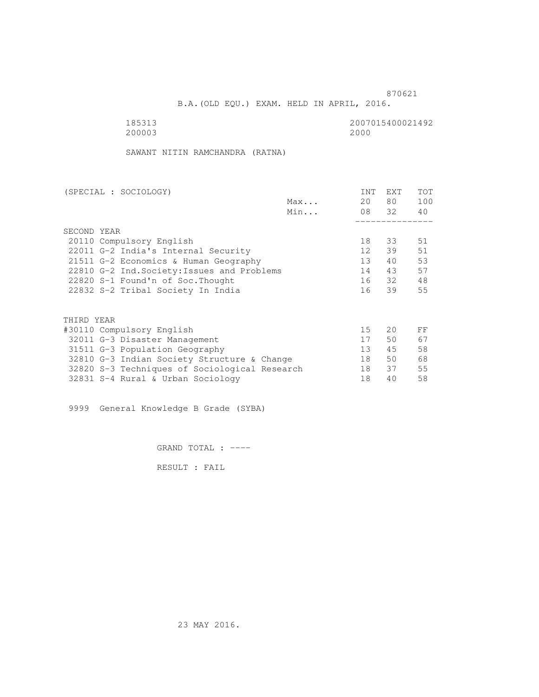B.A.(OLD EQU.) EXAM. HELD IN APRIL, 2016.

185313<br>200003 200003 2000 200003 2000

SAWANT NITIN RAMCHANDRA (RATNA)

| (SPECIAL : SOCIOLOGY)     |                                               |     | <b>INT</b>      | <b>EXT</b> | TOT |  |
|---------------------------|-----------------------------------------------|-----|-----------------|------------|-----|--|
|                           |                                               | Max | 20              | 80         | 100 |  |
|                           |                                               | Min |                 | 08 32      | 40  |  |
|                           |                                               |     |                 |            |     |  |
| SECOND YEAR               |                                               |     |                 |            |     |  |
| 20110 Compulsory English  |                                               |     | 18              | 33         | 51  |  |
|                           | 22011 G-2 India's Internal Security           |     | 12 <sup>°</sup> | 39         | 51  |  |
|                           | 21511 G-2 Economics & Human Geography         |     | 13              | 40         | 53  |  |
|                           | 22810 G-2 Ind. Society: Issues and Problems   |     | 14              | 43         | 57  |  |
|                           | 22820 S-1 Found'n of Soc. Thought             |     | 16              | - 32       | 48  |  |
|                           | 22832 S-2 Tribal Society In India             |     | 16              | 39         | 55  |  |
|                           |                                               |     |                 |            |     |  |
| THIRD YEAR                |                                               |     |                 |            |     |  |
| #30110 Compulsory English |                                               |     | 15              | 20         | FF  |  |
|                           | 32011 G-3 Disaster Management                 |     | 17              | 50         | 67  |  |
|                           | 31511 G-3 Population Geography                |     | 13              | 45         | 58  |  |
|                           | 32810 G-3 Indian Society Structure & Change   |     | 18              | 50         | 68  |  |
|                           | 32820 S-3 Techniques of Sociological Research |     | 18              | 37         | 55  |  |
|                           | 32831 S-4 Rural & Urban Sociology             |     | 18              | 40         | 58  |  |
|                           |                                               |     |                 |            |     |  |

9999 General Knowledge B Grade (SYBA)

GRAND TOTAL : ----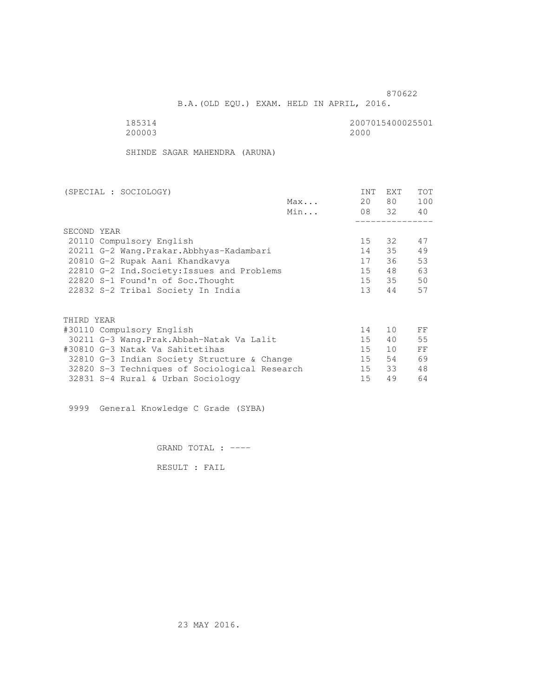B.A.(OLD EQU.) EXAM. HELD IN APRIL, 2016.

185314<br>200003 200003 2000 200003 2000

SHINDE SAGAR MAHENDRA (ARUNA)

| (SPECIAL : SOCIOLOGY)                         |     | <b>INT</b>      | <b>EXT</b> | <b>TOT</b> |
|-----------------------------------------------|-----|-----------------|------------|------------|
|                                               | Max | 20              | 80 —       | 100        |
|                                               | Min |                 | 08 32      | 40         |
|                                               |     |                 |            |            |
| SECOND YEAR                                   |     |                 |            |            |
| 20110 Compulsory English                      |     | 15              | 32         | 47         |
| 20211 G-2 Wang. Prakar. Abbhyas-Kadambari     |     | 14              | 35         | 49         |
| 20810 G-2 Rupak Aani Khandkavya               |     | 17              | 36         | 53         |
| 22810 G-2 Ind. Society: Issues and Problems   |     | 15              | 48         | 63         |
| 22820 S-1 Found'n of Soc. Thought             |     | 15              | 35         | 50         |
| 22832 S-2 Tribal Society In India             |     | 13 <sup>°</sup> | 44         | 57         |
|                                               |     |                 |            |            |
| THIRD YEAR                                    |     |                 |            |            |
| #30110 Compulsory English                     |     | 14              | 10         | FF         |
| 30211 G-3 Wang.Prak.Abbah-Natak Va Lalit      |     | 15 <sub>1</sub> | 40         | 55         |
| #30810 G-3 Natak Va Sahitetihas               |     | 15              | 10         | FF         |
| 32810 G-3 Indian Society Structure & Change   |     | 15              | 54         | 69         |
| 32820 S-3 Techniques of Sociological Research |     | 15              | 33         | 48         |
| 32831 S-4 Rural & Urban Sociology             |     | 15              | 49         | 64         |
|                                               |     |                 |            |            |

9999 General Knowledge C Grade (SYBA)

GRAND TOTAL : ----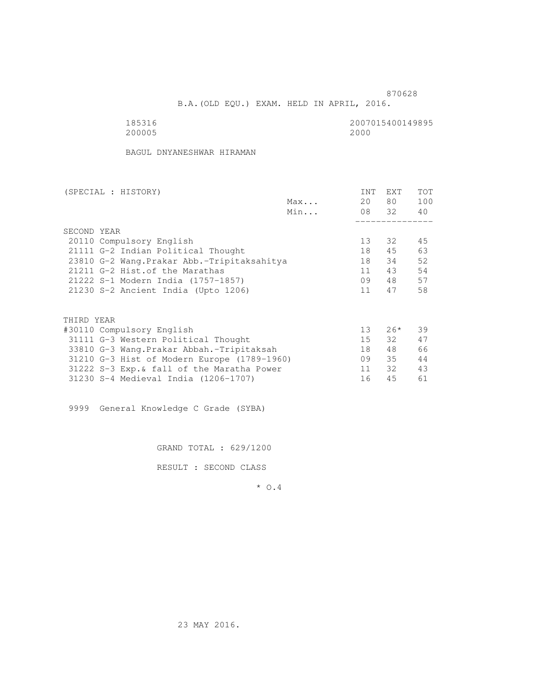B.A.(OLD EQU.) EXAM. HELD IN APRIL, 2016.

185316<br>200005 200005 2000 200005 2000

BAGUL DNYANESHWAR HIRAMAN

| (SPECIAL : HISTORY)                         |     | <b>INT</b>      | <b>EXT</b> | TOT |
|---------------------------------------------|-----|-----------------|------------|-----|
|                                             | Max | 20              | 80 —       | 100 |
|                                             | Min |                 | 08 32      | 40  |
|                                             |     |                 |            |     |
| SECOND YEAR                                 |     |                 |            |     |
| 20110 Compulsory English                    |     | 13              | 32         | 45  |
| 21111 G-2 Indian Political Thought          |     | 18              | 45         | 63  |
| 23810 G-2 Wang. Prakar Abb.-Tripitaksahitya |     | 18              | 34         | 52  |
| 21211 G-2 Hist. of the Marathas             |     | 11              | 43         | 54  |
| 21222 S-1 Modern India (1757-1857)          |     | 09              | 48         | 57  |
| 21230 S-2 Ancient India (Upto 1206)         |     | 11              | 47         | 58  |
|                                             |     |                 |            |     |
| THIRD YEAR                                  |     |                 |            |     |
| #30110 Compulsory English                   |     | 13 <sup>°</sup> | $26*$      | 39  |
| 31111 G-3 Western Political Thought         |     | 15              | 32         | 47  |
| 33810 G-3 Wang.Prakar Abbah.-Tripitaksah    |     | 18              | 48         | 66  |
| 31210 G-3 Hist of Modern Europe (1789-1960) |     | 09              | 35         | 44  |
| 31222 S-3 Exp. & fall of the Maratha Power  |     | 11              | 32         | 43  |
| 31230 S-4 Medieval India (1206-1707)        |     | 16              | 45         | 61  |
|                                             |     |                 |            |     |

9999 General Knowledge C Grade (SYBA)

GRAND TOTAL : 629/1200

RESULT : SECOND CLASS

\* O.4

23 MAY 2016.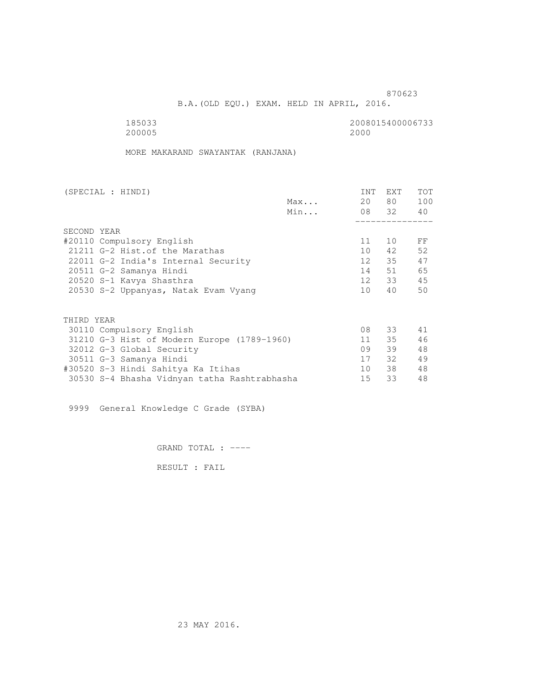B.A.(OLD EQU.) EXAM. HELD IN APRIL, 2016.

 185033 2008015400006733 200005 2000

MORE MAKARAND SWAYANTAK (RANJANA)

| (SPECIAL : HINDI)                            |     | INT              | <b>EXT</b> | TOT |
|----------------------------------------------|-----|------------------|------------|-----|
|                                              | Max | 20               | 80 —       | 100 |
|                                              | Min |                  | 08 32 40   |     |
|                                              |     |                  |            |     |
| SECOND YEAR                                  |     |                  |            |     |
| #20110 Compulsory English                    |     | 11               | 10         | FF  |
| 21211 G-2 Hist.of the Marathas               |     | 10 <sup>1</sup>  | 42         | 52  |
| 22011 G-2 India's Internal Security          |     | 12 <sup>12</sup> | 35         | 47  |
| 20511 G-2 Samanya Hindi                      |     | 14               | 51         | 65  |
| 20520 S-1 Kavya Shasthra                     |     | 12               | 33         | 45  |
| 20530 S-2 Uppanyas, Natak Evam Vyang         |     | 10 <sup>1</sup>  | 40         | 50  |
|                                              |     |                  |            |     |
| THIRD YEAR                                   |     |                  |            |     |
| 30110 Compulsory English                     |     | 08               | 33         | 41  |
| 31210 G-3 Hist of Modern Europe (1789-1960)  |     | 11               | 35         | 46  |
| 32012 G-3 Global Security                    |     | 09               | 39         | 48  |
| 30511 G-3 Samanya Hindi                      |     | 17               | 32         | 49  |
| #30520 S-3 Hindi Sahitya Ka Itihas           |     | 10 <sup>1</sup>  | 38         | 48  |
| 30530 S-4 Bhasha Vidnyan tatha Rashtrabhasha |     | 15               | 33         | 48  |
|                                              |     |                  |            |     |

9999 General Knowledge C Grade (SYBA)

GRAND TOTAL : ----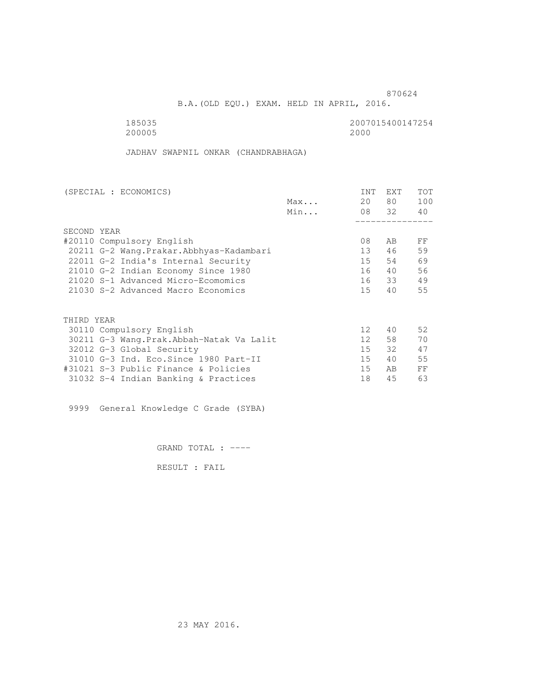B.A.(OLD EQU.) EXAM. HELD IN APRIL, 2016.

 185035 2007015400147254 200005 2000

JADHAV SWAPNIL ONKAR (CHANDRABHAGA)

| (SPECIAL : ECONOMICS)                     |     | <b>INT</b>      | <b>EXT</b>     | TOT |
|-------------------------------------------|-----|-----------------|----------------|-----|
|                                           | Max | 20              | 80             | 100 |
|                                           | Min |                 | 08 32          | 40  |
|                                           |     |                 |                |     |
| SECOND YEAR                               |     |                 |                |     |
| #20110 Compulsory English                 |     | 08              | AB             | FF  |
| 20211 G-2 Wang. Prakar. Abbhyas-Kadambari |     | 13              | 46             | 59  |
| 22011 G-2 India's Internal Security       |     | 15              | 54             | 69  |
| 21010 G-2 Indian Economy Since 1980       |     | 16              | 40             | 56  |
| 21020 S-1 Advanced Micro-Ecomomics        |     | 16              | 33             | 49  |
| 21030 S-2 Advanced Macro Economics        |     | 15 <sub>1</sub> | 40             | 55  |
|                                           |     |                 |                |     |
| THIRD YEAR                                |     |                 |                |     |
| 30110 Compulsory English                  |     | 12 <sup>°</sup> | 40             | 52  |
| 30211 G-3 Wang.Prak.Abbah-Natak Va Lalit  |     | 12 <sup>°</sup> | 58             | 70  |
| 32012 G-3 Global Security                 |     | 15              | 32             | 47  |
| 31010 G-3 Ind. Eco. Since 1980 Part-II    |     | 15              | 40             | 55  |
| #31021 S-3 Public Finance & Policies      |     | 15              | A <sub>B</sub> | FF  |
| 31032 S-4 Indian Banking & Practices      |     | 18              | 45             | 63  |

9999 General Knowledge C Grade (SYBA)

GRAND TOTAL : ----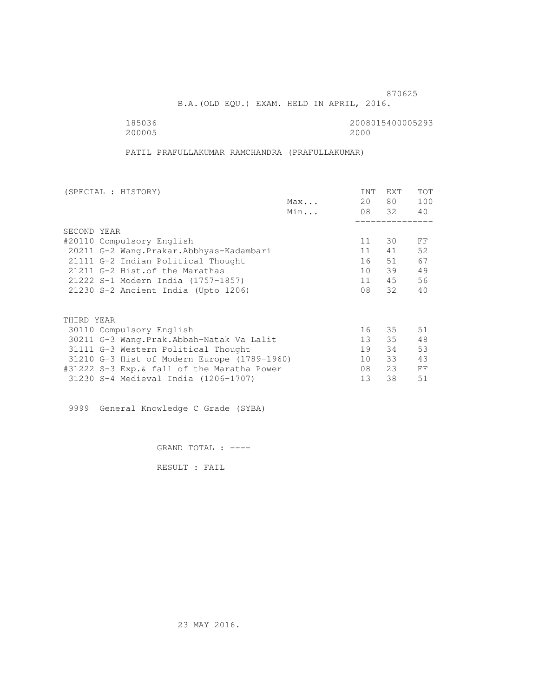B.A.(OLD EQU.) EXAM. HELD IN APRIL, 2016.

 185036 2008015400005293 200005 2000

PATIL PRAFULLAKUMAR RAMCHANDRA (PRAFULLAKUMAR)

| (SPECIAL : HISTORY)                         |     | <b>INT</b> | <b>EXT</b> | TOT |
|---------------------------------------------|-----|------------|------------|-----|
|                                             | Max | 20         | 80 —       | 100 |
|                                             | Min |            | 08 32      | 40  |
|                                             |     |            |            |     |
| SECOND YEAR                                 |     |            |            |     |
| #20110 Compulsory English                   |     | 11         | 30         | FF  |
| 20211 G-2 Wang. Prakar. Abbhyas-Kadambari   |     | 11         | 41         | 52  |
| 21111 G-2 Indian Political Thought          |     | 16         | 51         | 67  |
| 21211 G-2 Hist. of the Marathas             |     | 10         | 39         | 49  |
| 21222 S-1 Modern India (1757-1857)          |     | 11         | 45         | 56  |
| 21230 S-2 Ancient India (Upto 1206)         |     | 08         | 32         | 40  |
|                                             |     |            |            |     |
| THIRD YEAR                                  |     |            |            |     |
| 30110 Compulsory English                    |     | 16         | 35         | 51  |
| 30211 G-3 Wang.Prak.Abbah-Natak Va Lalit    |     | 13         | 35         | 48  |
| 31111 G-3 Western Political Thought         |     | 19         | 34         | 53  |
| 31210 G-3 Hist of Modern Europe (1789-1960) |     | 10         | 33         | 43  |
| #31222 S-3 Exp.& fall of the Maratha Power  |     | 08         | 23         | FF  |
| 31230 S-4 Medieval India (1206-1707)        |     | 13         | 38         | 51  |
|                                             |     |            |            |     |

9999 General Knowledge C Grade (SYBA)

GRAND TOTAL : ----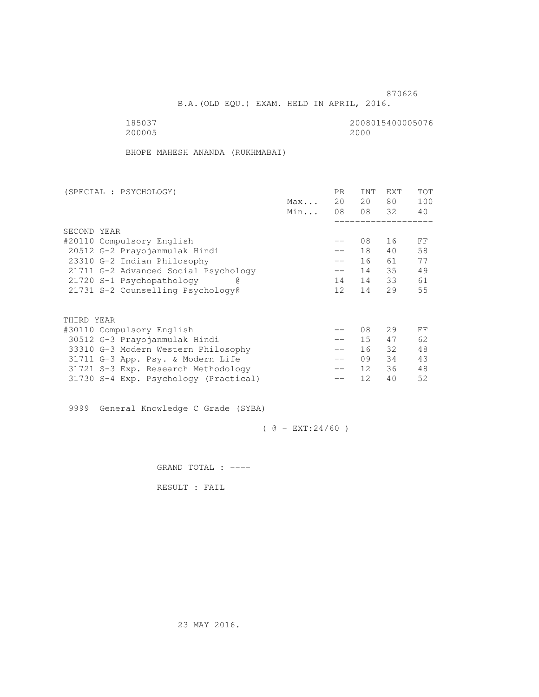B.A.(OLD EQU.) EXAM. HELD IN APRIL, 2016.

185037<br>200005<br>200005 2000 200005 2000

BHOPE MAHESH ANANDA (RUKHMABAI)

| (SPECIAL : PSYCHOLOGY)                |     | PR.               | <b>INT</b>      | <b>EXT</b> | TOT |
|---------------------------------------|-----|-------------------|-----------------|------------|-----|
|                                       | Max | 20                | 20              | 80         | 100 |
|                                       | Min | 08                |                 | 08 32      | 40  |
|                                       |     |                   |                 |            |     |
| SECOND YEAR                           |     |                   |                 |            |     |
| #20110 Compulsory English             |     |                   | 08              | 16         | FF  |
| 20512 G-2 Prayojanmulak Hindi         |     | $- -$             | 18              | 40         | 58  |
| 23310 G-2 Indian Philosophy           |     | $\qquad \qquad -$ | 16              | 61         | 77  |
| 21711 G-2 Advanced Social Psychology  |     | $-\,-$            | 14              | 35         | 49  |
| 21720 S-1 Psychopathology             |     | 14                | 14              | 33         | 61  |
| 21731 S-2 Counselling Psychology@     |     | 12 <sup>°</sup>   | 14              | 29         | 55  |
|                                       |     |                   |                 |            |     |
| THIRD YEAR                            |     |                   |                 |            |     |
| #30110 Compulsory English             |     |                   | 08              | 29         | FF  |
| 30512 G-3 Prayojanmulak Hindi         |     |                   | 15 <sub>1</sub> | 47         | 62  |
| 33310 G-3 Modern Western Philosophy   |     | $\qquad \qquad -$ | 16              | 32         | 48  |
| 31711 G-3 App. Psy. & Modern Life     |     | $\qquad \qquad -$ | 09              | 34         | 43  |
| 31721 S-3 Exp. Research Methodology   |     | $- -$             | 12 <sup>°</sup> | 36         | 48  |
| 31730 S-4 Exp. Psychology (Practical) |     |                   | 12              | 40         | 52  |
|                                       |     |                   |                 |            |     |

9999 General Knowledge C Grade (SYBA)

 $( @ - EXT: 24/60 )$ 

GRAND TOTAL : ----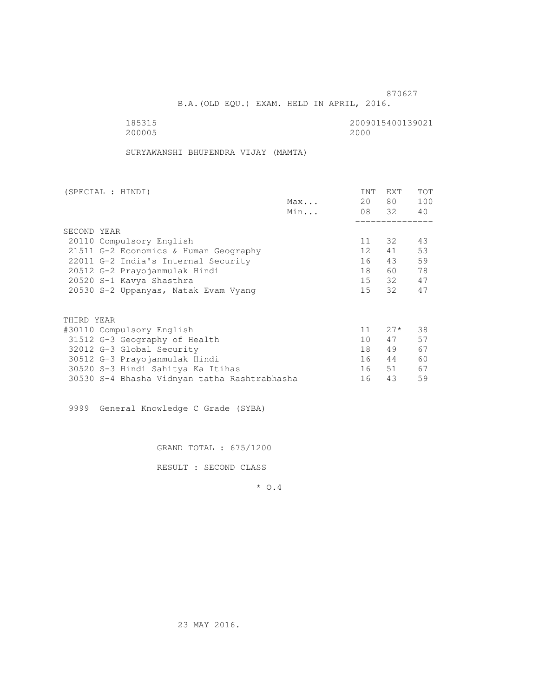B.A.(OLD EQU.) EXAM. HELD IN APRIL, 2016.

185315<br>200005 200005 20000 2000 200005 2000

SURYAWANSHI BHUPENDRA VIJAY (MAMTA)

| (SPECIAL : HINDI)                            |     | INT             | EXT   | <b>TOT</b> |
|----------------------------------------------|-----|-----------------|-------|------------|
|                                              | Max | 20              | 80 —  | 100        |
|                                              | Min |                 | 08 32 | 40         |
|                                              |     |                 |       |            |
| SECOND YEAR                                  |     |                 |       |            |
| 20110 Compulsory English                     |     | 11              | 32    | 43         |
| 21511 G-2 Economics & Human Geography        |     | 12 <sup>7</sup> | 41    | 53         |
| 22011 G-2 India's Internal Security          |     | 16              | 43    | 59         |
| 20512 G-2 Prayojanmulak Hindi                |     | 18              | 60    | 78         |
| 20520 S-1 Kavya Shasthra                     |     |                 | 15 32 | 47         |
| 20530 S-2 Uppanyas, Natak Evam Vyang         |     | 15              | 32    | 47         |
| THIRD YEAR                                   |     |                 |       |            |
|                                              |     |                 |       |            |
| #30110 Compulsory English                    |     | 11              | $27*$ | 38         |
| 31512 G-3 Geography of Health                |     | 10 <sup>1</sup> | 47    | 57         |
| 32012 G-3 Global Security                    |     | 18              | 49    | 67         |
| 30512 G-3 Prayojanmulak Hindi                |     | 16              | 44    | 60         |
| 30520 S-3 Hindi Sahitya Ka Itihas            |     | 16              | 51    | 67         |
| 30530 S-4 Bhasha Vidnyan tatha Rashtrabhasha |     | 16              | 43    | 59         |

9999 General Knowledge C Grade (SYBA)

GRAND TOTAL : 675/1200

RESULT : SECOND CLASS

\* O.4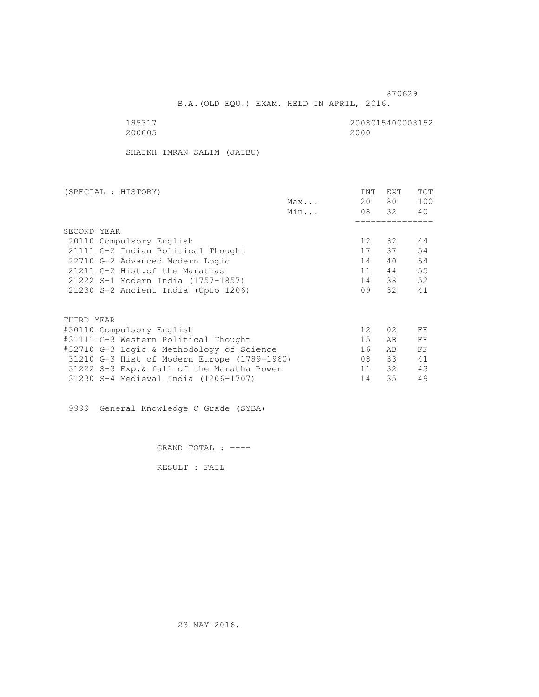B.A.(OLD EQU.) EXAM. HELD IN APRIL, 2016.

 185317 2008015400008152 200005 2000

SHAIKH IMRAN SALIM (JAIBU)

| (SPECIAL : HISTORY)                         |     | INT             | EXT   | TOT |
|---------------------------------------------|-----|-----------------|-------|-----|
|                                             | Max | 20              | 80    | 100 |
|                                             | Min |                 | 08 32 | 40  |
|                                             |     |                 |       |     |
| SECOND YEAR                                 |     |                 |       |     |
| 20110 Compulsory English                    |     | 12              | 32    | 44  |
| 21111 G-2 Indian Political Thought          |     | 17              | 37    | 54  |
| 22710 G-2 Advanced Modern Logic             |     | 14              | 40    | 54  |
| 21211 G-2 Hist. of the Marathas             |     | 11              | 44    | 55  |
| 21222 S-1 Modern India (1757-1857)          |     | 14              | 38    | 52  |
| 21230 S-2 Ancient India (Upto 1206)         |     | 09              | 32    | 41  |
|                                             |     |                 |       |     |
| THIRD YEAR                                  |     |                 |       |     |
| #30110 Compulsory English                   |     | 12 <sup>°</sup> | 02    | FF  |
| #31111 G-3 Western Political Thought        |     | 15              | AB    | FF  |
| #32710 G-3 Logic & Methodology of Science   |     | 16              | AB.   | FF  |
| 31210 G-3 Hist of Modern Europe (1789-1960) |     | 08              | 33    | 41  |
| 31222 S-3 Exp. & fall of the Maratha Power  |     | 11              | 32    | 43  |
| 31230 S-4 Medieval India (1206-1707)        |     | 14              | 35    | 49  |
|                                             |     |                 |       |     |

9999 General Knowledge C Grade (SYBA)

GRAND TOTAL : ----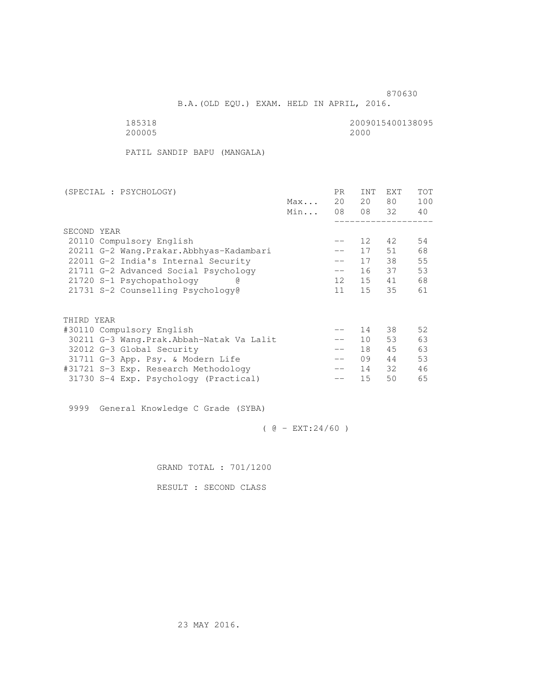B.A.(OLD EQU.) EXAM. HELD IN APRIL, 2016.

185318<br>200005 200005 20000 2000 200005 2000

PATIL SANDIP BAPU (MANGALA)

| (SPECIAL : PSYCHOLOGY)                     |     | PR.               | <b>INT</b>      | <b>EXT</b> | TOT |
|--------------------------------------------|-----|-------------------|-----------------|------------|-----|
|                                            | Max | 20                | 20              | 80         | 100 |
|                                            | Min | 08                |                 | 08 32      | 40  |
|                                            |     |                   |                 |            |     |
| SECOND YEAR                                |     |                   |                 |            |     |
| 20110 Compulsory English                   |     | --                | 12              | 42         | 54  |
| 20211 G-2 Wang. Prakar. Abbhyas-Kadambari  |     |                   | 17              | 51         | 68  |
| 22011 G-2 India's Internal Security        |     | $\qquad \qquad -$ | 17              | 38         | 55  |
| 21711 G-2 Advanced Social Psychology       |     | $-\,-$            | 16              | 37         | 53  |
| 21720 S-1 Psychopathology                  |     | 12 <sup>°</sup>   | 15              | 41         | 68  |
| 21731 S-2 Counselling Psychology@          |     | 11                | 15              | 35         | 61  |
|                                            |     |                   |                 |            |     |
| THIRD YEAR                                 |     |                   |                 |            |     |
| #30110 Compulsory English                  |     |                   | 14              | 38         | 52  |
| 30211 G-3 Wang. Prak. Abbah-Natak Va Lalit |     |                   | 10 <sup>°</sup> | 53         | 63  |
| 32012 G-3 Global Security                  |     | $\qquad \qquad -$ | 18              | 45         | 63  |
| 31711 G-3 App. Psy. & Modern Life          |     | $\qquad \qquad -$ | 09              | 44         | 53  |
| #31721 S-3 Exp. Research Methodology       |     | $- -$             | 14              | 32         | 46  |
| 31730 S-4 Exp. Psychology (Practical)      |     |                   | 15              | 50         | 65  |
|                                            |     |                   |                 |            |     |

9999 General Knowledge C Grade (SYBA)

 $( @ - EXT: 24/60 )$ 

GRAND TOTAL : 701/1200

RESULT : SECOND CLASS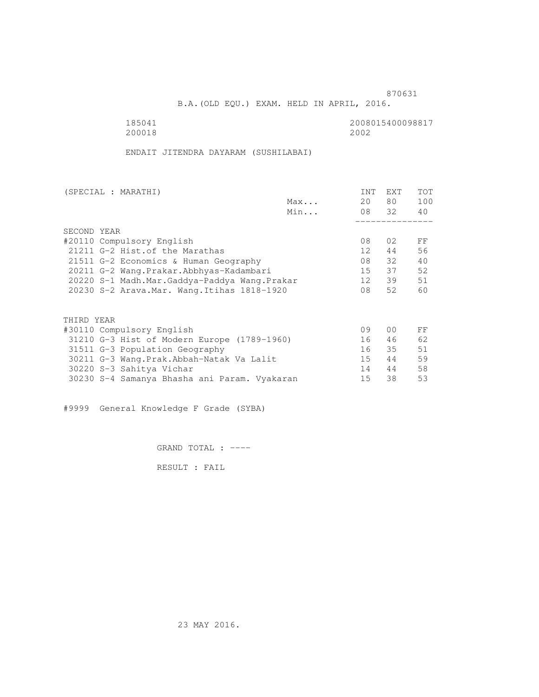B.A.(OLD EQU.) EXAM. HELD IN APRIL, 2016.

 185041 2008015400098817 200018 2002

ENDAIT JITENDRA DAYARAM (SUSHILABAI)

| (SPECIAL : MARATHI)                          |     | INT             | <b>EXT</b>     | TOT |
|----------------------------------------------|-----|-----------------|----------------|-----|
|                                              | Max | 20              | 80 —           | 100 |
|                                              | Min |                 | 08 32          | 40  |
|                                              |     |                 |                |     |
| SECOND YEAR                                  |     |                 |                |     |
| #20110 Compulsory English                    |     | 08              | 02             | FF  |
| 21211 G-2 Hist. of the Marathas              |     | 12 <sup>1</sup> | 44             | 56  |
| 21511 G-2 Economics & Human Geography        |     | 08              | 32             | 40  |
| 20211 G-2 Wang.Prakar.Abbhyas-Kadambari      |     | 15              | 37             | 52  |
| 20220 S-1 Madh.Mar.Gaddya-Paddya Wang.Prakar |     | 12              | 39             | 51  |
| 20230 S-2 Arava. Mar. Wang. Itihas 1818-1920 |     | 08              | 52             | 60  |
|                                              |     |                 |                |     |
| THIRD YEAR                                   |     |                 |                |     |
| #30110 Compulsory English                    |     | 09              | 0 <sub>0</sub> | FF  |
| 31210 G-3 Hist of Modern Europe (1789-1960)  |     | 16              | 46             | 62  |
| 31511 G-3 Population Geography               |     | 16              | 35             | 51  |
| 30211 G-3 Wang.Prak.Abbah-Natak Va Lalit     |     | 15              | 44             | 59  |
| 30220 S-3 Sahitya Vichar                     |     | 14              | 44             | 58  |
| 30230 S-4 Samanya Bhasha ani Param. Vyakaran |     | 15              | 38             | 53  |
|                                              |     |                 |                |     |

#9999 General Knowledge F Grade (SYBA)

GRAND TOTAL : ----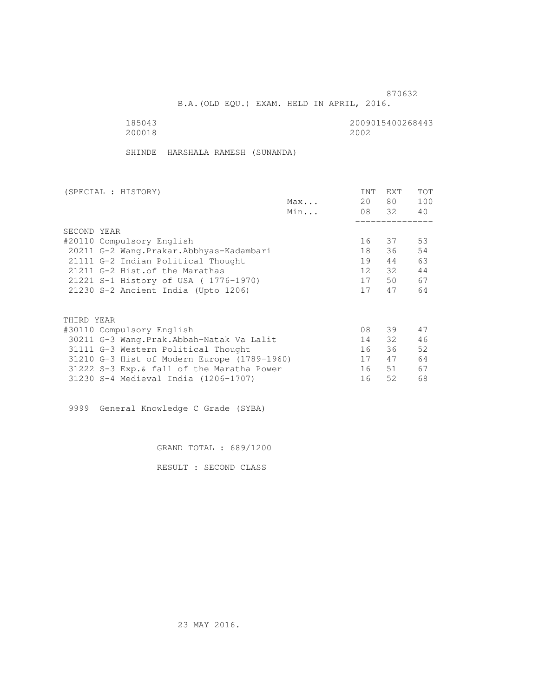B.A.(OLD EQU.) EXAM. HELD IN APRIL, 2016.

185043<br>200018 200018 200018 200018 2002

SHINDE HARSHALA RAMESH (SUNANDA)

| (SPECIAL : HISTORY)                         |     | INT             | <b>EXT</b> | TOT |
|---------------------------------------------|-----|-----------------|------------|-----|
|                                             | Max | 20              | 80 —       | 100 |
|                                             | Min |                 | 08 32      | 40  |
|                                             |     |                 |            |     |
| SECOND YEAR                                 |     |                 |            |     |
| #20110 Compulsory English                   |     | 16              | 37         | 53  |
| 20211 G-2 Wang. Prakar. Abbhyas-Kadambari   |     | 18              | 36         | 54  |
| 21111 G-2 Indian Political Thought          |     | 19              | 44         | 63  |
| 21211 G-2 Hist. of the Marathas             |     | 12 <sup>7</sup> | 32         | 44  |
| 21221 S-1 History of USA (1776-1970)        |     | 17              | 50         | 67  |
| 21230 S-2 Ancient India (Upto 1206)         |     | 17              | 47         | 64  |
|                                             |     |                 |            |     |
| THIRD YEAR                                  |     |                 |            |     |
| #30110 Compulsory English                   |     | 08              | 39         | 47  |
| 30211 G-3 Wang.Prak.Abbah-Natak Va Lalit    |     | 14              | 32         | 46  |
| 31111 G-3 Western Political Thought         |     | 16              | 36         | 52  |
| 31210 G-3 Hist of Modern Europe (1789-1960) |     | 17              | 47         | 64  |
| 31222 S-3 Exp. & fall of the Maratha Power  |     | 16              | 51         | 67  |
| 31230 S-4 Medieval India (1206-1707)        |     | 16              | 52         | 68  |
|                                             |     |                 |            |     |

9999 General Knowledge C Grade (SYBA)

GRAND TOTAL : 689/1200

RESULT : SECOND CLASS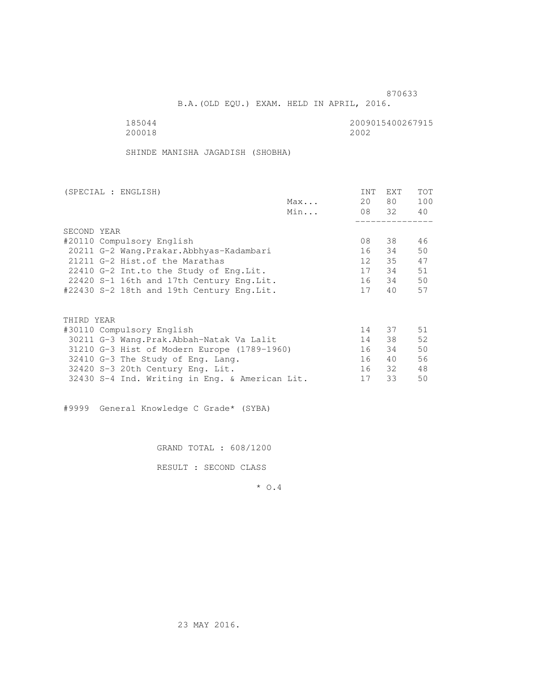extended to the contract of the contract of the contract of the contract of the contract of the contract of the contract of the contract of the contract of the contract of the contract of the contract of the contract of th

B.A.(OLD EQU.) EXAM. HELD IN APRIL, 2016.

185044<br>200018 200018 200018 200018 2002

SHINDE MANISHA JAGADISH (SHOBHA)

| (SPECIAL : ENGLISH)                            | INT             | <b>EXT</b> | TOT |
|------------------------------------------------|-----------------|------------|-----|
| Max                                            | 20              | 80 —       | 100 |
| Min                                            |                 | 08 32      | 40  |
|                                                |                 |            |     |
| SECOND YEAR                                    |                 |            |     |
| #20110 Compulsory English                      | 08              | 38         | 46  |
| 20211 G-2 Wang. Prakar. Abbhyas-Kadambari      | 16              | 34         | 50  |
| 21211 G-2 Hist. of the Marathas                | 12 <sup>7</sup> | 35         | 47  |
| 22410 G-2 Int.to the Study of Eng. Lit.        | 17              | 34         | 51  |
| 22420 S-1 16th and 17th Century Eng. Lit.      | 16              | 34         | 50  |
| #22430 S-2 18th and 19th Century Eng.Lit.      | 17              | 40         | 57  |
|                                                |                 |            |     |
| THIRD YEAR                                     |                 |            |     |
| #30110 Compulsory English                      | 14              | 37         | 51  |
| 30211 G-3 Wang.Prak.Abbah-Natak Va Lalit       | 14              | 38         | 52  |
| 31210 G-3 Hist of Modern Europe (1789-1960)    | 16              | 34         | 50  |
| 32410 G-3 The Study of Eng. Lang.              | 16              | 40         | 56  |
| 32420 S-3 20th Century Eng. Lit.               | 16              | 32         | 48  |
| 32430 S-4 Ind. Writing in Eng. & American Lit. | 17              | 33         | 50  |

#9999 General Knowledge C Grade\* (SYBA)

GRAND TOTAL : 608/1200

RESULT : SECOND CLASS

\* O.4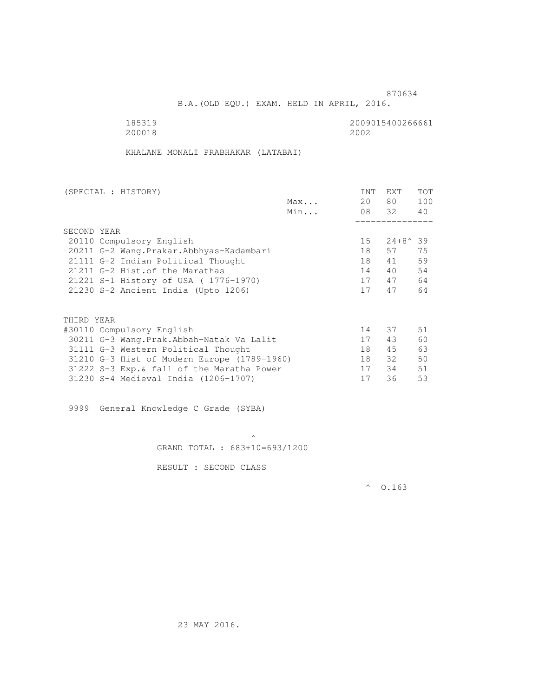B.A.(OLD EQU.) EXAM. HELD IN APRIL, 2016.

185319<br>200018 200018 200018 200018 2002

KHALANE MONALI PRABHAKAR (LATABAI)

| (SPECIAL : HISTORY)                         |     | INT             | EXT              | <b>TOT</b> |
|---------------------------------------------|-----|-----------------|------------------|------------|
|                                             | Max | 20              | 80 —             | 100        |
|                                             | Min |                 | 08 32            | 40         |
|                                             |     |                 |                  |            |
| SECOND YEAR                                 |     |                 |                  |            |
| 20110 Compulsory English                    |     | 15 <sub>1</sub> | $24+8^{\circ}39$ |            |
| 20211 G-2 Wang. Prakar. Abbhyas-Kadambari   |     | 18              | 57               | 75         |
| 21111 G-2 Indian Political Thought          |     | 18              | 41               | 59         |
| 21211 G-2 Hist. of the Marathas             |     | 14              | 40               | 54         |
| 21221 S-1 History of USA (1776-1970)        |     | 17              | 47               | 64         |
| 21230 S-2 Ancient India (Upto 1206)         |     | 17              | 47               | 64         |
| THIRD YEAR                                  |     |                 |                  |            |
| #30110 Compulsory English                   |     | 14              | 37               | 51         |
| 30211 G-3 Wang.Prak.Abbah-Natak Va Lalit    |     | 17              | 43               | 60         |
| 31111 G-3 Western Political Thought         |     | 18              | 45               | 63         |
| 31210 G-3 Hist of Modern Europe (1789-1960) |     | 18              | 32               | 50         |
| 31222 S-3 Exp. & fall of the Maratha Power  |     | 17              | 34               | 51         |
| 31230 S-4 Medieval India (1206-1707)        |     | 17              | 36               | 53         |
|                                             |     |                 |                  |            |

9999 General Knowledge C Grade (SYBA)

 $\mathcal{A}$  and  $\mathcal{A}$  are the set of  $\mathcal{A}$ GRAND TOTAL : 683+10=693/1200

RESULT : SECOND CLASS

 $^{\circ}$  0.163

23 MAY 2016.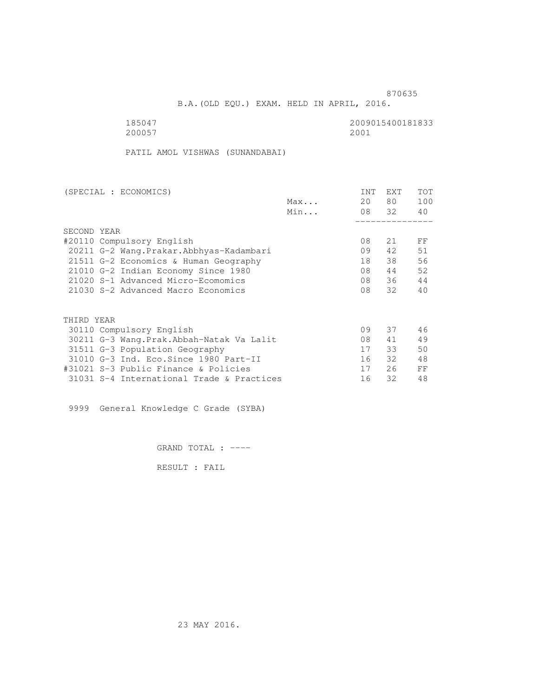and the contract of the contract of the contract of the contract of the contract of the contract of the contract of the contract of the contract of the contract of the contract of the contract of the contract of the contra

B.A.(OLD EQU.) EXAM. HELD IN APRIL, 2016.

 185047 2009015400181833 200057 2001

PATIL AMOL VISHWAS (SUNANDABAI)

| (SPECIAL : ECONOMICS)                     |     | <b>INT</b> | <b>EXT</b> | TOT |
|-------------------------------------------|-----|------------|------------|-----|
|                                           | Max | 20         | 80         | 100 |
|                                           | Min |            | 08 32      | 40  |
|                                           |     |            |            |     |
| SECOND YEAR                               |     |            |            |     |
| #20110 Compulsory English                 |     | 08         | 21         | FF  |
| 20211 G-2 Wang. Prakar. Abbhyas-Kadambari |     | 09         | 42         | 51  |
| 21511 G-2 Economics & Human Geography     |     | 18         | 38         | 56  |
| 21010 G-2 Indian Economy Since 1980       |     | 08         | 44         | 52  |
| 21020 S-1 Advanced Micro-Ecomomics        |     | 08         | 36         | 44  |
| 21030 S-2 Advanced Macro Economics        |     | 08         | 32         | 40  |
|                                           |     |            |            |     |
| THIRD YEAR                                |     |            |            |     |
| 30110 Compulsory English                  |     | 09         | 37         | 46  |
| 30211 G-3 Wang.Prak.Abbah-Natak Va Lalit  |     | 08         | 41         | 49  |
| 31511 G-3 Population Geography            |     | 17         | 33         | 50  |
| 31010 G-3 Ind. Eco. Since 1980 Part-II    |     | 16         | 32         | 48  |
| #31021 S-3 Public Finance & Policies      |     | 17         | 26         | FF  |
| 31031 S-4 International Trade & Practices |     | 16         | 32         | 48  |

9999 General Knowledge C Grade (SYBA)

GRAND TOTAL : ----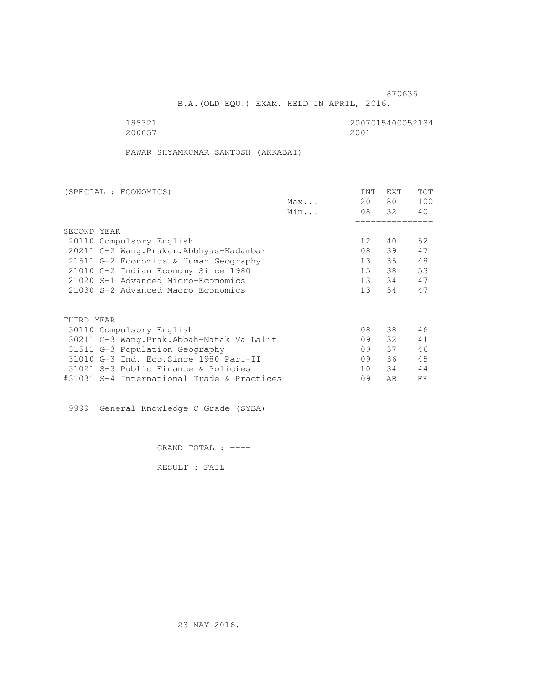B.A.(OLD EQU.) EXAM. HELD IN APRIL, 2016.

 185321 2007015400052134 200057 2001

PAWAR SHYAMKUMAR SANTOSH (AKKABAI)

| (SPECIAL : ECONOMICS)                      |     | INT             | <b>EXT</b> | TOT |
|--------------------------------------------|-----|-----------------|------------|-----|
|                                            | Max | 20              | 80         | 100 |
|                                            | Min |                 | 08 32      | 40  |
|                                            |     |                 |            |     |
| SECOND YEAR                                |     |                 |            |     |
| 20110 Compulsory English                   |     | 12 <sup>°</sup> | 40         | 52  |
| 20211 G-2 Wang. Prakar. Abbhyas-Kadambari  |     | 08              | 39         | 47  |
| 21511 G-2 Economics & Human Geography      |     | 13              | 35         | 48  |
| 21010 G-2 Indian Economy Since 1980        |     | 15              | 38         | 53  |
| 21020 S-1 Advanced Micro-Ecomomics         |     | 13              | 34         | 47  |
| 21030 S-2 Advanced Macro Economics         |     | 13 <sup>7</sup> | 34         | 47  |
|                                            |     |                 |            |     |
| THIRD YEAR                                 |     |                 |            |     |
| 30110 Compulsory English                   |     | 08              | 38         | 46  |
| 30211 G-3 Wang.Prak.Abbah-Natak Va Lalit   |     | 09              | 32         | 41  |
| 31511 G-3 Population Geography             |     | 09              | 37         | 46  |
| 31010 G-3 Ind. Eco. Since 1980 Part-II     |     | 09              | 36         | 45  |
| 31021 S-3 Public Finance & Policies        |     | 10              | 34         | 44  |
| #31031 S-4 International Trade & Practices |     | 09              | AB         | FF  |

9999 General Knowledge C Grade (SYBA)

GRAND TOTAL : ----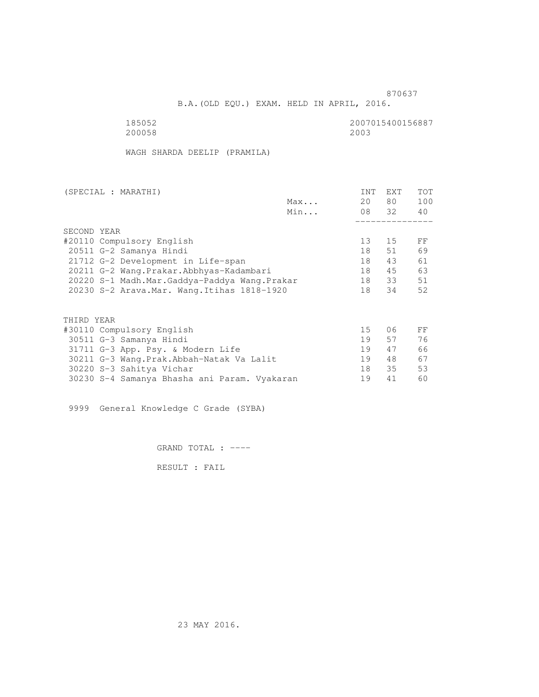and the state of the state of the state of the state of the state of the state of the state of the state of the state of the state of the state of the state of the state of the state of the state of the state of the state

B.A.(OLD EQU.) EXAM. HELD IN APRIL, 2016.

 185052 2007015400156887 200058 2003

WAGH SHARDA DEELIP (PRAMILA)

| (SPECIAL : MARATHI)                          | INT             | EXT   | <b>TOT</b> |
|----------------------------------------------|-----------------|-------|------------|
| Max                                          | 20              | 80 —  | 100        |
| Min                                          |                 | 08 32 | 40         |
|                                              |                 |       |            |
| SECOND YEAR                                  |                 |       |            |
| #20110 Compulsory English                    | 13 <sup>°</sup> | 15    | FF         |
| 20511 G-2 Samanya Hindi                      | 18              | 51    | 69         |
| 21712 G-2 Development in Life-span           | 18              | 43    | 61         |
| 20211 G-2 Wang.Prakar.Abbhyas-Kadambari      | 18              | 45    | 63         |
| 20220 S-1 Madh.Mar.Gaddya-Paddya Wang.Prakar | 18              | 33    | 51         |
| 20230 S-2 Arava. Mar. Wang. Itihas 1818-1920 | 18              | 34    | 52         |
|                                              |                 |       |            |
| THIRD YEAR                                   |                 |       |            |
| #30110 Compulsory English                    | 15              | 06    | FF         |
| 30511 G-3 Samanya Hindi                      | 19              | 57    | 76         |
| 31711 G-3 App. Psy. & Modern Life            | 19              | 47    | 66         |
| 30211 G-3 Wang. Prak. Abbah-Natak Va Lalit   | 19              | 48    | 67         |
| 30220 S-3 Sahitya Vichar                     | 18              | 35    | 53         |
| 30230 S-4 Samanya Bhasha ani Param. Vyakaran | 19              | 41    | 60         |

9999 General Knowledge C Grade (SYBA)

GRAND TOTAL : ----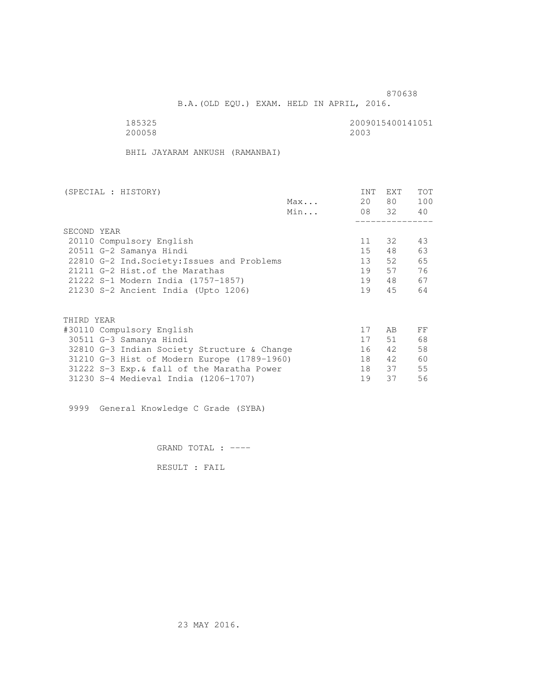B.A.(OLD EQU.) EXAM. HELD IN APRIL, 2016.

185325<br>200058 200058 200058 200058 200058 2003

BHIL JAYARAM ANKUSH (RAMANBAI)

| (SPECIAL : HISTORY) |                                             |     | INT | EXT      | <b>TOT</b> |
|---------------------|---------------------------------------------|-----|-----|----------|------------|
|                     |                                             | Max | 20  | 80 —     | 100        |
|                     |                                             | Min |     | 08 32 40 |            |
|                     |                                             |     |     |          |            |
| SECOND YEAR         |                                             |     |     |          |            |
|                     | 20110 Compulsory English                    |     | 11  | 32       | 43         |
|                     | 20511 G-2 Samanya Hindi                     |     | 15  | 48       | 63         |
|                     | 22810 G-2 Ind. Society: Issues and Problems |     | 13  | 52       | 65         |
|                     | 21211 G-2 Hist. of the Marathas             |     | 19  | 57       | 76         |
|                     | 21222 S-1 Modern India (1757-1857)          |     | 19  | 48       | 67         |
|                     | 21230 S-2 Ancient India (Upto 1206)         |     | 19  | 45       | 64         |
|                     |                                             |     |     |          |            |
| THIRD YEAR          |                                             |     |     |          |            |
|                     | #30110 Compulsory English                   |     | 17  | AB       | FF         |
|                     | 30511 G-3 Samanya Hindi                     |     | 17  | 51       | 68         |
|                     | 32810 G-3 Indian Society Structure & Change |     | 16  | 42       | 58         |
|                     | 31210 G-3 Hist of Modern Europe (1789-1960) |     | 18  | 42       | 60         |
|                     | 31222 S-3 Exp. & fall of the Maratha Power  |     | 18  | 37       | 55         |
|                     | 31230 S-4 Medieval India (1206-1707)        |     | 19  | 37       | 56         |

9999 General Knowledge C Grade (SYBA)

GRAND TOTAL : ----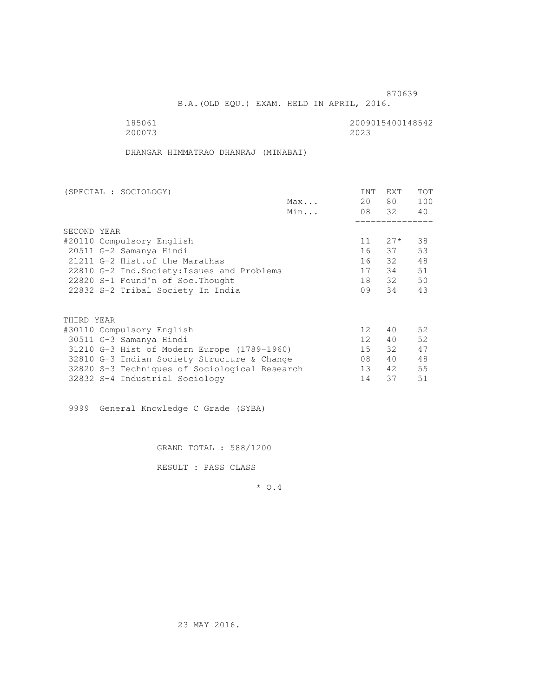B.A.(OLD EQU.) EXAM. HELD IN APRIL, 2016.

200073 2023

185061<br>200073 200073 200073

DHANGAR HIMMATRAO DHANRAJ (MINABAI)

| (SPECIAL : SOCIOLOGY)                         |     | INT             | <b>EXT</b> | <b>TOT</b> |
|-----------------------------------------------|-----|-----------------|------------|------------|
|                                               | Max | 20              | 80 —       | 100        |
|                                               | Min |                 | 08 32      | 40         |
|                                               |     |                 |            |            |
| SECOND YEAR                                   |     |                 |            |            |
| #20110 Compulsory English                     |     | 11              | $27*$      | 38         |
| 20511 G-2 Samanya Hindi                       |     |                 | 16 37      | 53         |
| 21211 G-2 Hist. of the Marathas               |     | 16              | 32         | 48         |
| 22810 G-2 Ind. Society: Issues and Problems   |     | 17              | 34         | 51         |
| 22820 S-1 Found'n of Soc. Thought             |     | 18              | 32         | 50         |
| 22832 S-2 Tribal Society In India             |     | 09              | 34         | 43         |
|                                               |     |                 |            |            |
|                                               |     |                 |            |            |
| THIRD YEAR                                    |     |                 |            |            |
| #30110 Compulsory English                     |     | 12 <sup>°</sup> | 40         | 52         |
| 30511 G-3 Samanya Hindi                       |     | 12 <sup>1</sup> | 40         | 52         |
| 31210 G-3 Hist of Modern Europe (1789-1960)   |     | 15              | 32         | 47         |
| 32810 G-3 Indian Society Structure & Change   |     | 08              | 40         | 48         |
| 32820 S-3 Techniques of Sociological Research |     | 13 <sup>7</sup> | 42         | 55         |
| 32832 S-4 Industrial Sociology                |     | 14              | 37         | 51         |

9999 General Knowledge C Grade (SYBA)

GRAND TOTAL : 588/1200

RESULT : PASS CLASS

\* O.4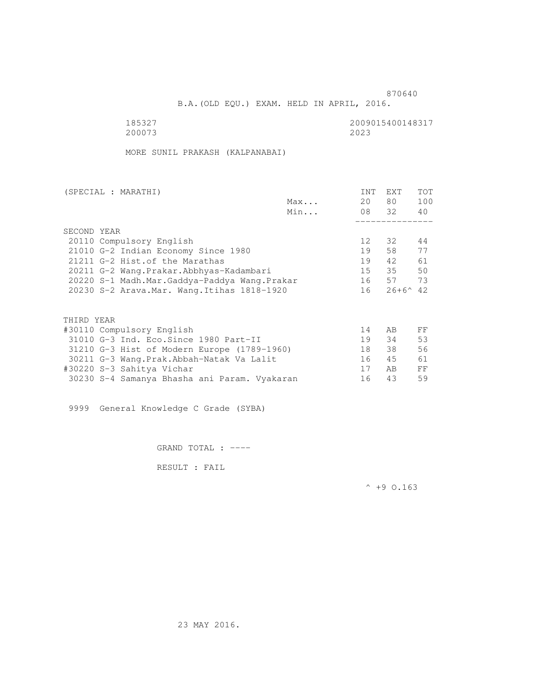B.A.(OLD EQU.) EXAM. HELD IN APRIL, 2016.

200073

185327 2009015400148317

MORE SUNIL PRAKASH (KALPANABAI)

|             | (SPECIAL : MARATHI)                          |     | INT | <b>EXT</b>         | TOT |
|-------------|----------------------------------------------|-----|-----|--------------------|-----|
|             |                                              | Max | 20  | 80 —               | 100 |
|             |                                              | Min |     | 08 32              | 40  |
|             |                                              |     |     |                    |     |
| SECOND YEAR |                                              |     |     |                    |     |
|             | 20110 Compulsory English                     |     | 12  | 32                 | 44  |
|             | 21010 G-2 Indian Economy Since 1980          |     | 19  | 58                 | 77  |
|             | 21211 G-2 Hist. of the Marathas              |     | 19  | 42                 | 61  |
|             | 20211 G-2 Wang.Prakar.Abbhyas-Kadambari      |     | 15  | 35                 | 50  |
|             | 20220 S-1 Madh.Mar.Gaddya-Paddya Wang.Prakar |     | 16  | 57 73              |     |
|             | 20230 S-2 Arava. Mar. Wang. Itihas 1818-1920 |     | 16  | $26+6^{\wedge} 42$ |     |
|             |                                              |     |     |                    |     |
| THIRD YEAR  |                                              |     |     |                    |     |
|             |                                              |     | 14  | AB.                | FF  |
|             | #30110 Compulsory English                    |     |     |                    |     |
|             | 31010 G-3 Ind. Eco. Since 1980 Part-II       |     | 19  | 34                 | 53  |
|             | 31210 G-3 Hist of Modern Europe (1789-1960)  |     | 18  | 38                 | 56  |
|             | 30211 G-3 Wang.Prak.Abbah-Natak Va Lalit     |     | 16  | 45                 | 61  |
|             | #30220 S-3 Sahitya Vichar                    |     | 17  | AB.                | FF  |
|             | 30230 S-4 Samanya Bhasha ani Param. Vyakaran |     | 16  | 43                 | 59  |

9999 General Knowledge C Grade (SYBA)

GRAND TOTAL : ----

RESULT : FAIL

 $^{\wedge}$  +9 0.163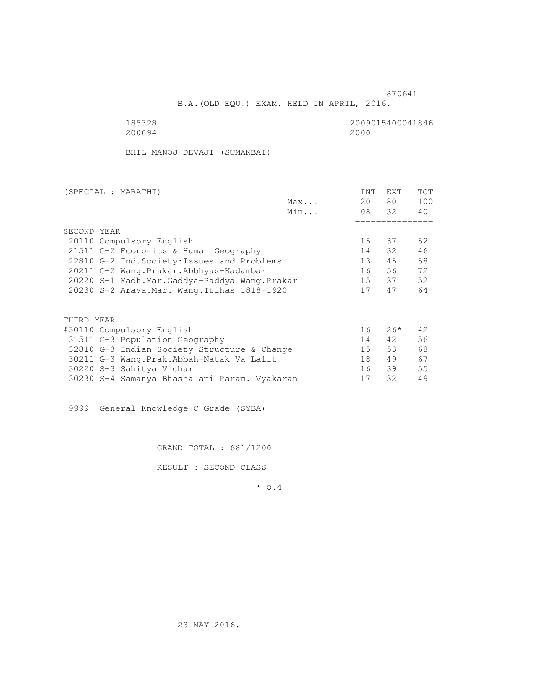B.A.(OLD EQU.) EXAM. HELD IN APRIL, 2016.

 185328 2009015400041846 200094 2000

BHIL MANOJ DEVAJI (SUMANBAI)

| (SPECIAL : MARATHI)                          |     | INT | EXT   | <b>TOT</b> |
|----------------------------------------------|-----|-----|-------|------------|
|                                              | Max | 20  | 80 —  | 100        |
|                                              | Min |     | 08 32 | 40         |
|                                              |     |     |       |            |
| SECOND YEAR                                  |     |     |       |            |
| 20110 Compulsory English                     |     | 15  | 37    | 52         |
| 21511 G-2 Economics & Human Geography        |     | 14  | 32    | 46         |
| 22810 G-2 Ind. Society: Issues and Problems  |     | 13  | 45    | 58         |
| 20211 G-2 Wang.Prakar.Abbhyas-Kadambari      |     | 16  | 56    | 72         |
| 20220 S-1 Madh.Mar.Gaddya-Paddya Wang.Prakar |     |     | 15 37 | 52         |
| 20230 S-2 Arava. Mar. Wang. Itihas 1818-1920 |     | 17  | 47    | 64         |
|                                              |     |     |       |            |
| THIRD YEAR                                   |     |     |       |            |
| #30110 Compulsory English                    |     | 16  | $26*$ | 42         |
| 31511 G-3 Population Geography               |     | 14  | 42    | 56         |
| 32810 G-3 Indian Society Structure & Change  |     | 15  | 53    | 68         |
| 30211 G-3 Wang. Prak. Abbah-Natak Va Lalit   |     | 18  | 49    | 67         |
| 30220 S-3 Sahitya Vichar                     |     | 16  | 39    | 55         |
| 30230 S-4 Samanya Bhasha ani Param. Vyakaran |     | 17  | 32    | 49         |

9999 General Knowledge C Grade (SYBA)

GRAND TOTAL : 681/1200

RESULT : SECOND CLASS

\* O.4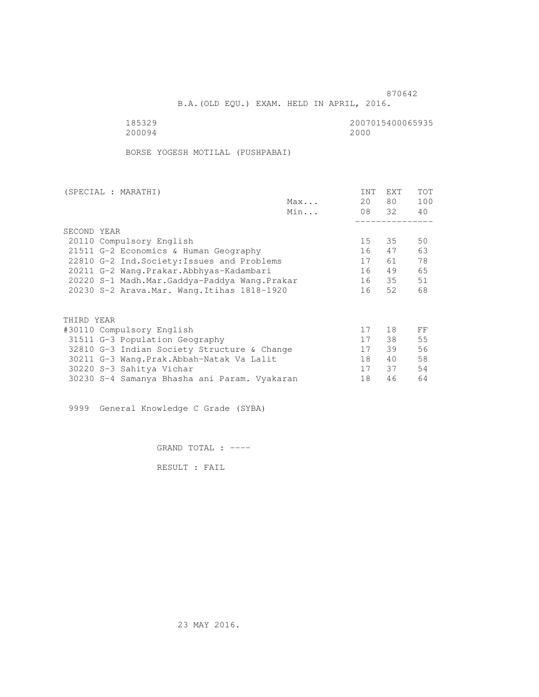B.A.(OLD EQU.) EXAM. HELD IN APRIL, 2016.

185329<br>200094 200094 2000 200094 2000

BORSE YOGESH MOTILAL (PUSHPABAI)

| (SPECIAL : MARATHI)                          |     | INT | EXT   | <b>TOT</b> |
|----------------------------------------------|-----|-----|-------|------------|
|                                              | Max | 20  | 80 —  | 100        |
|                                              | Min |     | 08 32 | 40         |
|                                              |     |     |       |            |
| SECOND YEAR                                  |     |     |       |            |
| 20110 Compulsory English                     |     | 15  | 35    | 50         |
| 21511 G-2 Economics & Human Geography        |     | 16  | 47    | 63         |
| 22810 G-2 Ind. Society: Issues and Problems  |     | 17  | 61 —  | 78         |
| 20211 G-2 Wang.Prakar.Abbhyas-Kadambari      |     | 16  | 49    | 65         |
| 20220 S-1 Madh.Mar.Gaddya-Paddya Wang.Prakar |     | 16  | 35    | 51         |
| 20230 S-2 Arava. Mar. Wang. Itihas 1818-1920 |     | 16  | 52    | 68         |
| THIRD YEAR                                   |     |     |       |            |
| #30110 Compulsory English                    |     | 17  | 18    | FF         |
| 31511 G-3 Population Geography               |     | 17  | 38    | 55         |
| 32810 G-3 Indian Society Structure & Change  |     | 17  | 39    | 56         |
| 30211 G-3 Wang.Prak.Abbah-Natak Va Lalit     |     | 18  | 40    | 58         |
| 30220 S-3 Sahitya Vichar                     |     | 17  | 37    | 54         |
| 30230 S-4 Samanya Bhasha ani Param. Vyakaran |     | 18  | 46    | 64         |
|                                              |     |     |       |            |

9999 General Knowledge C Grade (SYBA)

GRAND TOTAL : ----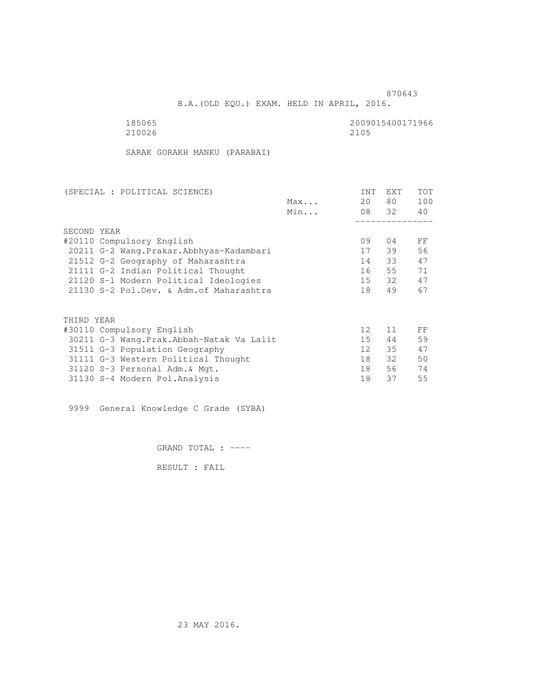B.A.(OLD EQU.) EXAM. HELD IN APRIL, 2016.

| 185065 | 2009015400171966 |
|--------|------------------|
| 210026 | 2105             |

SARAK GORAKH MANKU (PARABAI)

| (SPECIAL : POLITICAL SCIENCE)             |     | INT               | EXT   | TOT |
|-------------------------------------------|-----|-------------------|-------|-----|
|                                           | Max | 20                | 80    | 100 |
|                                           | Min |                   | 08 32 | 40  |
|                                           |     |                   |       |     |
| SECOND YEAR                               |     |                   |       |     |
| #20110 Compulsory English                 |     | 09                | 04    | FF  |
| 20211 G-2 Wang. Prakar. Abbhyas-Kadambari |     | 17                | 39    | 56  |
| 21512 G-2 Geography of Maharashtra        |     | 14                | 33    | 47  |
| 21111 G-2 Indian Political Thought        |     | 16                | 55    | 71  |
| 21120 S-1 Modern Political Ideologies     |     | 15                | 32    | 47  |
| 21130 S-2 Pol.Dev. & Adm. of Maharashtra  |     | 18                | 49    | 67  |
|                                           |     |                   |       |     |
| THIRD YEAR                                |     |                   |       |     |
| #30110 Compulsory English                 |     | $12 \overline{ }$ | 11    | FF  |
| 30211 G-3 Wang.Prak.Abbah-Natak Va Lalit  |     | 15 <sub>1</sub>   | 44    | 59  |
| 31511 G-3 Population Geography            |     | 12 <sup>°</sup>   | 35    | 47  |
| 31111 G-3 Western Political Thought       |     | 18                | 32    | 50  |
| 31120 S-3 Personal Adm. & Mgt.            |     | 18                | 56    | 74  |
| 31130 S-4 Modern Pol. Analysis            |     | 18                | 37    | 55  |

9999 General Knowledge C Grade (SYBA)

GRAND TOTAL : ----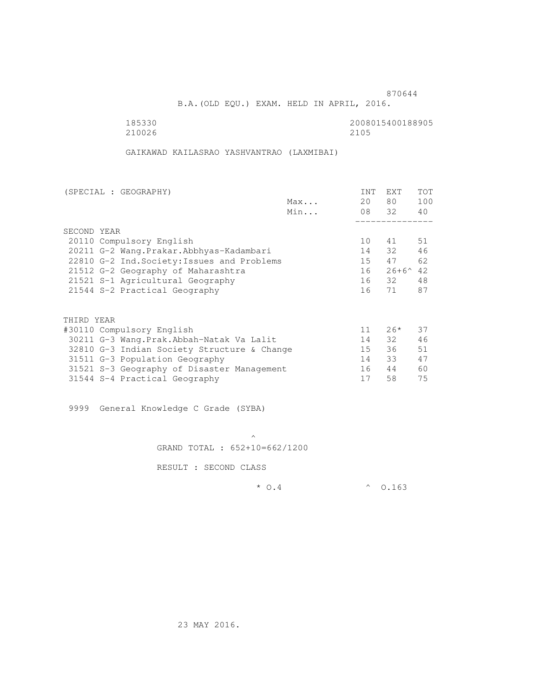B.A.(OLD EQU.) EXAM. HELD IN APRIL, 2016.

210026

185330<br>210026 210026 210026 22008015400188905

GAIKAWAD KAILASRAO YASHVANTRAO (LAXMIBAI)

| (SPECIAL : GEOGRAPHY)                       |     | INT | <b>EXT</b>        | TOT |
|---------------------------------------------|-----|-----|-------------------|-----|
|                                             | Max | 20  | 80 —              | 100 |
|                                             | Min |     | 08 32             | 40  |
|                                             |     |     |                   |     |
| SECOND YEAR                                 |     |     |                   |     |
| 20110 Compulsory English                    |     | 10  | 41                | 51  |
| 20211 G-2 Wang. Prakar. Abbhyas-Kadambari   |     | 14  | 32                | 46  |
| 22810 G-2 Ind. Society: Issues and Problems |     | 15  | 47                | 62  |
| 21512 G-2 Geography of Maharashtra          |     | 16  | $26+6^{\wedge}42$ |     |
| 21521 S-1 Agricultural Geography            |     |     | 16 32             | 48  |
| 21544 S-2 Practical Geography               |     | 16  | 71                | 87  |
|                                             |     |     |                   |     |
| THIRD YEAR                                  |     |     |                   |     |
| #30110 Compulsory English                   |     | 11  | $26*$             | 37  |
| 30211 G-3 Wang.Prak.Abbah-Natak Va Lalit    |     | 14  | 32                | 46  |
| 32810 G-3 Indian Society Structure & Change |     | 15  | 36                | 51  |
| 31511 G-3 Population Geography              |     | 14  | 33                | 47  |
| 31521 S-3 Geography of Disaster Management  |     | 16  | 44                | 60  |
| 31544 S-4 Practical Geography               |     | 17  | 58                | 75  |

9999 General Knowledge C Grade (SYBA)

 $\mathcal{A}$  and  $\mathcal{A}$  are the set of  $\mathcal{A}$ GRAND TOTAL : 652+10=662/1200

RESULT : SECOND CLASS

 $*$  0.4  $*$  0.163

23 MAY 2016.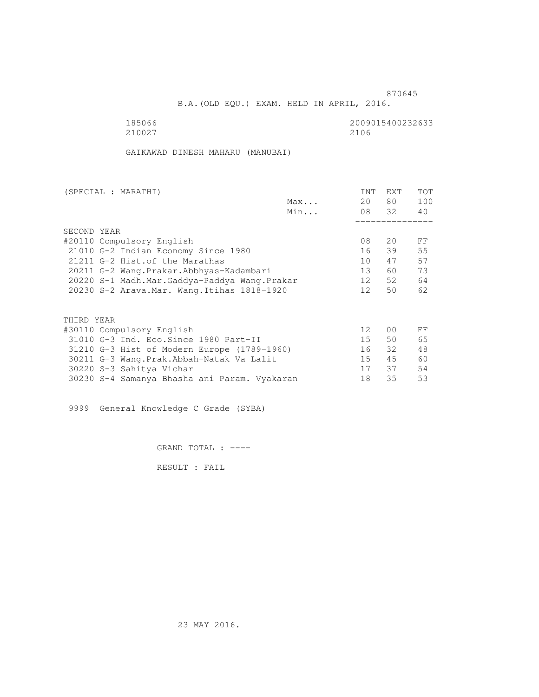B.A.(OLD EQU.) EXAM. HELD IN APRIL, 2016.

210027 2106

185066 2009015400232633<br>210027 210027 2106

GAIKAWAD DINESH MAHARU (MANUBAI)

| (SPECIAL : MARATHI)                          |     | INT             | EXT            | <b>TOT</b> |
|----------------------------------------------|-----|-----------------|----------------|------------|
|                                              | Max | 20              | 80 —           | 100        |
|                                              | Min |                 | 08 32          | 40         |
|                                              |     |                 |                |            |
| SECOND YEAR                                  |     |                 |                |            |
| #20110 Compulsory English                    |     | 08              | 20             | FF         |
| 21010 G-2 Indian Economy Since 1980          |     | 16              | 39             | 55         |
| 21211 G-2 Hist. of the Marathas              |     | 10              | 47             | 57         |
| 20211 G-2 Wang.Prakar.Abbhyas-Kadambari      |     | 13 <sup>7</sup> | 60             | 73         |
| 20220 S-1 Madh.Mar.Gaddya-Paddya Wang.Prakar |     | 12              | 52             | 64         |
| 20230 S-2 Arava. Mar. Wang. Itihas 1818-1920 |     | 12 <sup>1</sup> | 50             | 62         |
|                                              |     |                 |                |            |
| THIRD YEAR                                   |     |                 |                |            |
| #30110 Compulsory English                    |     | 12 <sup>°</sup> | 0 <sup>0</sup> | FF         |
| 31010 G-3 Ind. Eco. Since 1980 Part-II       |     | 15              | 50             | 65         |
| 31210 G-3 Hist of Modern Europe (1789-1960)  |     | 16              | 32             | 48         |
| 30211 G-3 Wang. Prak. Abbah-Natak Va Lalit   |     | 15              | 45             | 60         |
| 30220 S-3 Sahitya Vichar                     |     | 17              | 37             | 54         |
|                                              |     | 18              | 35             | 53         |
| 30230 S-4 Samanya Bhasha ani Param. Vyakaran |     |                 |                |            |

9999 General Knowledge C Grade (SYBA)

GRAND TOTAL : ----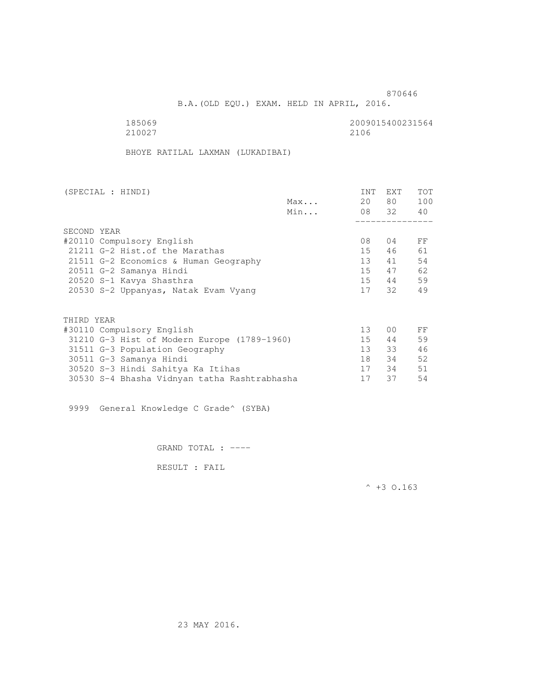B.A.(OLD EQU.) EXAM. HELD IN APRIL, 2016.

185069<br>210027 210027 2100 210027 2106

BHOYE RATILAL LAXMAN (LUKADIBAI)

| (SPECIAL : HINDI)                            |     | INT             | EXT   | <b>TOT</b> |
|----------------------------------------------|-----|-----------------|-------|------------|
|                                              | Max | 20              | 80 —  | 100        |
|                                              | Min |                 | 08 32 | 40         |
|                                              |     |                 |       |            |
| SECOND YEAR                                  |     |                 |       |            |
| #20110 Compulsory English                    |     | 08              | 04    | FF         |
| 21211 G-2 Hist. of the Marathas              |     | 15              | 46    | 61         |
| 21511 G-2 Economics & Human Geography        |     | 13              | 41    | 54         |
| 20511 G-2 Samanya Hindi                      |     | 15              | 47    | 62         |
| 20520 S-1 Kavya Shasthra                     |     | 15              | 44    | 59         |
| 20530 S-2 Uppanyas, Natak Evam Vyang         |     | 17              | 32    | 49         |
|                                              |     |                 |       |            |
| THIRD YEAR                                   |     |                 |       |            |
| #30110 Compulsory English                    |     | 13              | 00    | FF         |
| 31210 G-3 Hist of Modern Europe (1789-1960)  |     | 15              | 44    | 59         |
| 31511 G-3 Population Geography               |     | 13 <sup>7</sup> | 33    | 46         |
| 30511 G-3 Samanya Hindi                      |     | 18              | 34    | 52         |
| 30520 S-3 Hindi Sahitya Ka Itihas            |     | 17              | 34    | 51         |
| 30530 S-4 Bhasha Vidnyan tatha Rashtrabhasha |     | 17              | 37    | 54         |

9999 General Knowledge C Grade^ (SYBA)

GRAND TOTAL : ----

RESULT : FAIL

 $^{\wedge}$  +3 O.163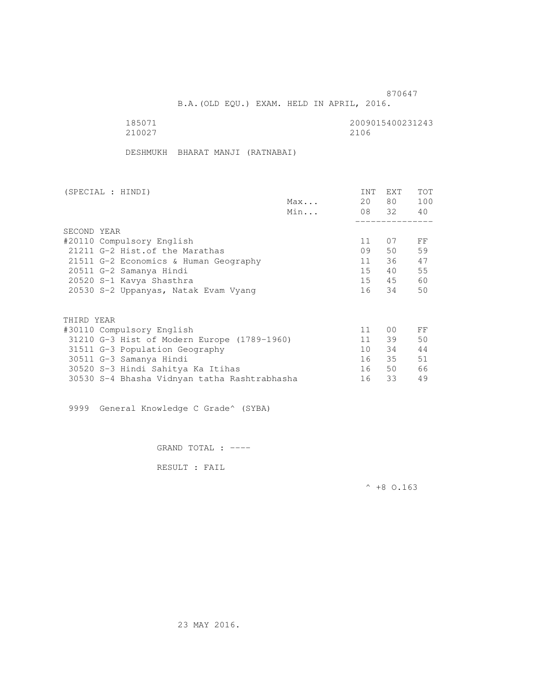B.A.(OLD EQU.) EXAM. HELD IN APRIL, 2016.

185071 2009015400231243<br>210027 2100 210027 2106

DESHMUKH BHARAT MANJI (RATNABAI)

| (SPECIAL : HINDI)                            |     | INT             | EXT   | <b>TOT</b> |
|----------------------------------------------|-----|-----------------|-------|------------|
|                                              | Max | 20              | 80 —  | 100        |
|                                              | Min |                 | 08 32 | 40         |
|                                              |     |                 |       |            |
| SECOND YEAR                                  |     |                 |       |            |
| #20110 Compulsory English                    |     | 11              | 07    | FF         |
| 21211 G-2 Hist. of the Marathas              |     | 09              | 50    | 59         |
| 21511 G-2 Economics & Human Geography        |     | 11              | 36    | 47         |
| 20511 G-2 Samanya Hindi                      |     | 15              | 40    | 55         |
| 20520 S-1 Kavya Shasthra                     |     | 15              | 45    | 60         |
| 20530 S-2 Uppanyas, Natak Evam Vyang         |     | 16              | 34    | 50         |
|                                              |     |                 |       |            |
| THIRD YEAR                                   |     |                 |       |            |
| #30110 Compulsory English                    |     | 11              | 00    | FF         |
| 31210 G-3 Hist of Modern Europe (1789-1960)  |     | 11              | 39    | 50         |
| 31511 G-3 Population Geography               |     | 10 <sup>1</sup> | 34    | 44         |
| 30511 G-3 Samanya Hindi                      |     | 16              | 35    | 51         |
| 30520 S-3 Hindi Sahitya Ka Itihas            |     | 16              | 50    | 66         |
| 30530 S-4 Bhasha Vidnyan tatha Rashtrabhasha |     | 16              | 33    | 49         |

9999 General Knowledge C Grade^ (SYBA)

GRAND TOTAL : ----

RESULT : FAIL

 $^{\wedge}$  +8 O.163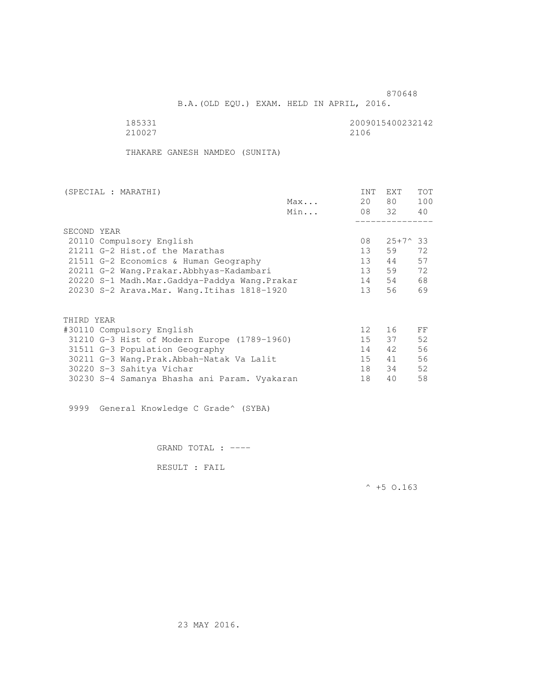B.A.(OLD EQU.) EXAM. HELD IN APRIL, 2016.

| 185331 | 2009015400232142 |
|--------|------------------|
| 210027 | 2106             |

THAKARE GANESH NAMDEO (SUNITA)

| (SPECIAL : MARATHI)                          |     | INT             | EXT              | <b>TOT</b> |
|----------------------------------------------|-----|-----------------|------------------|------------|
|                                              | Max | 20              | 80 —             | 100        |
|                                              | Min |                 | 08 32            | 40         |
|                                              |     |                 |                  |            |
| SECOND YEAR                                  |     |                 |                  |            |
| 20110 Compulsory English                     |     | 08              | $25+7^{\circ}33$ |            |
| 21211 G-2 Hist. of the Marathas              |     | 13              | 59               | 72         |
| 21511 G-2 Economics & Human Geography        |     | 13              | 44               | 57         |
| 20211 G-2 Wang.Prakar.Abbhyas-Kadambari      |     | 13 <sup>7</sup> | 59               | 72         |
| 20220 S-1 Madh.Mar.Gaddya-Paddya Wang.Prakar |     | 14              | 54               | 68         |
| 20230 S-2 Arava. Mar. Wang. Itihas 1818-1920 |     | 13 <sup>7</sup> | 56               | 69         |
|                                              |     |                 |                  |            |
| THIRD YEAR                                   |     |                 |                  |            |
| #30110 Compulsory English                    |     | 12 <sup>°</sup> | 16               | FF         |
| 31210 G-3 Hist of Modern Europe (1789-1960)  |     | 15 <sub>1</sub> | 37               | 52         |
| 31511 G-3 Population Geography               |     | 14              | 42               | 56         |
| 30211 G-3 Wang. Prak. Abbah-Natak Va Lalit   |     | 15              | 41               | 56         |
| 30220 S-3 Sahitya Vichar                     |     | 18              | 34               | 52         |
| 30230 S-4 Samanya Bhasha ani Param. Vyakaran |     | 18              | 40               | 58         |

9999 General Knowledge C Grade^ (SYBA)

GRAND TOTAL : ----

RESULT : FAIL

 $^{\wedge}$  +5 O.163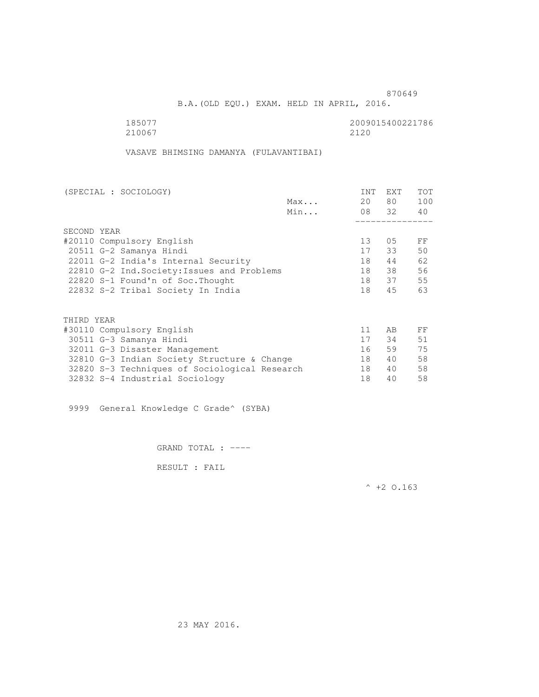B.A.(OLD EQU.) EXAM. HELD IN APRIL, 2016.

185077<br>210067 210067 2120 210067 2120

VASAVE BHIMSING DAMANYA (FULAVANTIBAI)

|     | INT                                                                                                                                         | <b>EXT</b> | <b>TOT</b>  |
|-----|---------------------------------------------------------------------------------------------------------------------------------------------|------------|-------------|
| Max | 20                                                                                                                                          | 80 —       | 100         |
| Min |                                                                                                                                             |            | 40          |
|     |                                                                                                                                             |            |             |
|     |                                                                                                                                             |            |             |
|     | 13                                                                                                                                          | 05         | FF          |
|     | 17                                                                                                                                          | 33         | 50          |
|     | 18                                                                                                                                          | 44         | 62          |
|     | 18                                                                                                                                          | 38         | 56          |
|     | 18                                                                                                                                          |            | 55          |
|     | 18                                                                                                                                          | 45         | 63          |
|     |                                                                                                                                             |            |             |
|     |                                                                                                                                             |            |             |
|     | 11                                                                                                                                          | AB         | FF          |
|     | 17                                                                                                                                          | 34         | 51          |
|     | 16                                                                                                                                          | 59         | 75          |
|     | 18                                                                                                                                          | 40         | 58          |
|     | 18                                                                                                                                          | 40         | 58          |
|     | 18                                                                                                                                          | 40         | 58          |
|     | 22810 G-2 Ind. Society: Issues and Problems<br>32810 G-3 Indian Society Structure & Change<br>32820 S-3 Techniques of Sociological Research |            | 08 32<br>37 |

9999 General Knowledge C Grade^ (SYBA)

GRAND TOTAL : ----

RESULT : FAIL

 $^{\wedge}$  +2 O.163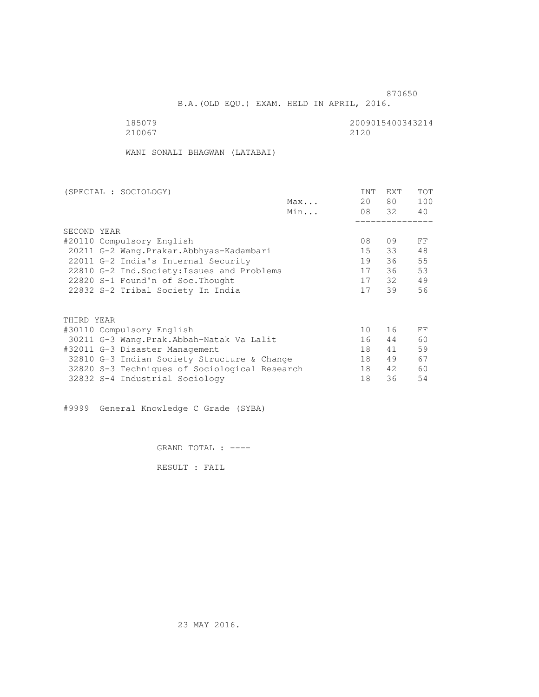B.A.(OLD EQU.) EXAM. HELD IN APRIL, 2016.

 185079 2009015400343214 210067 2120

WANI SONALI BHAGWAN (LATABAI)

|     | <b>INT</b>                                                                                                                                                                                                                           | <b>EXT</b> | TOT   |
|-----|--------------------------------------------------------------------------------------------------------------------------------------------------------------------------------------------------------------------------------------|------------|-------|
| Max | 20                                                                                                                                                                                                                                   | 80         | 100   |
| Min |                                                                                                                                                                                                                                      |            | 40    |
|     |                                                                                                                                                                                                                                      |            |       |
|     |                                                                                                                                                                                                                                      |            |       |
|     | 08                                                                                                                                                                                                                                   | 09         | FF    |
|     | 15                                                                                                                                                                                                                                   | 33         | 48    |
|     | 19                                                                                                                                                                                                                                   | 36         | 55    |
|     | 17                                                                                                                                                                                                                                   | 36         | 53    |
|     | 17                                                                                                                                                                                                                                   | 32         | 49    |
|     | 17                                                                                                                                                                                                                                   | 39         | 56    |
|     |                                                                                                                                                                                                                                      |            |       |
|     |                                                                                                                                                                                                                                      |            |       |
|     | 10                                                                                                                                                                                                                                   | 16         | FF    |
|     | 16                                                                                                                                                                                                                                   | 44         | 60    |
|     | 18                                                                                                                                                                                                                                   | 41         | 59    |
|     | 18                                                                                                                                                                                                                                   | 49         | 67    |
|     | 18                                                                                                                                                                                                                                   | 42         | 60    |
|     | 18                                                                                                                                                                                                                                   | 36         | 54    |
|     | 20211 G-2 Wang. Prakar. Abbhyas-Kadambari<br>22810 G-2 Ind. Society: Issues and Problems<br>30211 G-3 Wang.Prak.Abbah-Natak Va Lalit<br>32810 G-3 Indian Society Structure & Change<br>32820 S-3 Techniques of Sociological Research |            | 08 32 |

#9999 General Knowledge C Grade (SYBA)

GRAND TOTAL : ----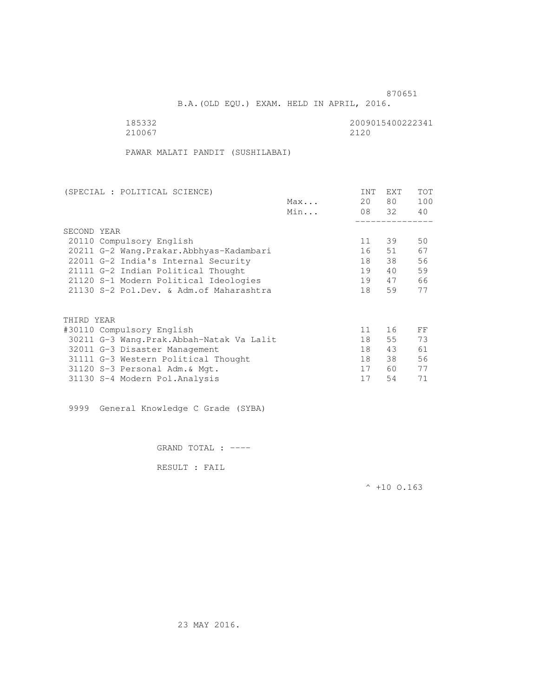B.A.(OLD EQU.) EXAM. HELD IN APRIL, 2016.

| 185332 | 2009015400222341 |
|--------|------------------|
| 210067 | 2120             |

PAWAR MALATI PANDIT (SUSHILABAI)

| (SPECIAL : POLITICAL SCIENCE)              |     | <b>INT</b> | <b>EXT</b> | TOT |
|--------------------------------------------|-----|------------|------------|-----|
|                                            | Max | 20         | 80         | 100 |
|                                            | Min |            | 08 32      | 40  |
|                                            |     |            |            |     |
| SECOND YEAR                                |     |            |            |     |
| 20110 Compulsory English                   |     | 11         | 39         | 50  |
| 20211 G-2 Wang. Prakar. Abbhyas-Kadambari  |     | 16         | 51         | 67  |
| 22011 G-2 India's Internal Security        |     | 18         | 38         | 56  |
| 21111 G-2 Indian Political Thought         |     | 19         | 40         | 59  |
| 21120 S-1 Modern Political Ideologies      |     | 19         | 47         | 66  |
| 21130 S-2 Pol.Dev. & Adm. of Maharashtra   |     | 18         | 59         | 77  |
|                                            |     |            |            |     |
|                                            |     |            |            |     |
| THIRD YEAR                                 |     |            |            |     |
| #30110 Compulsory English                  |     | 11         | 16         | FF  |
| 30211 G-3 Wang. Prak. Abbah-Natak Va Lalit |     | 18         | 55         | 73  |
| 32011 G-3 Disaster Management              |     | 18         | 43         | 61  |
| 31111 G-3 Western Political Thought        |     | 18         | 38         | 56  |
| 31120 S-3 Personal Adm. & Mgt.             |     | 17         | 60         | 77  |
| 31130 S-4 Modern Pol.Analysis              |     | 17         | 54         | 71  |
|                                            |     |            |            |     |

9999 General Knowledge C Grade (SYBA)

GRAND TOTAL : ----

RESULT : FAIL

 $^{\wedge}$  +10 0.163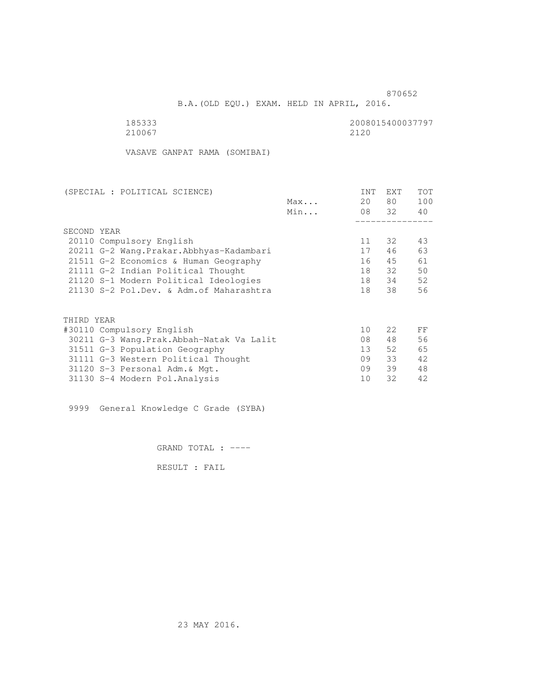B.A.(OLD EQU.) EXAM. HELD IN APRIL, 2016.

210067 2120

185333 2008015400037797

VASAVE GANPAT RAMA (SOMIBAI)

| (SPECIAL : POLITICAL SCIENCE) |                                           |     | <b>INT</b>      | EXT   | TOT |
|-------------------------------|-------------------------------------------|-----|-----------------|-------|-----|
|                               |                                           | Max | 20              | 80    | 100 |
|                               |                                           | Min |                 | 08 32 | 40  |
|                               |                                           |     |                 |       |     |
|                               | SECOND YEAR                               |     |                 |       |     |
|                               | 20110 Compulsory English                  |     | 11              | 32    | 43  |
|                               | 20211 G-2 Wang. Prakar. Abbhyas-Kadambari |     | 17              | 46    | 63  |
|                               | 21511 G-2 Economics & Human Geography     |     | 16              | 45    | 61  |
|                               | 21111 G-2 Indian Political Thought        |     | 18              | 32    | 50  |
|                               | 21120 S-1 Modern Political Ideologies     |     | 18              | 34    | 52  |
|                               | 21130 S-2 Pol.Dev. & Adm. of Maharashtra  |     | 18              | 38    | 56  |
|                               |                                           |     |                 |       |     |
|                               | THIRD YEAR                                |     |                 |       |     |
|                               | #30110 Compulsory English                 |     | 10              | 22    | FF  |
|                               | 30211 G-3 Wang.Prak.Abbah-Natak Va Lalit  |     | 08              | 48    | 56  |
|                               | 31511 G-3 Population Geography            |     | 13 <sup>7</sup> | 52    | 65  |
|                               | 31111 G-3 Western Political Thought       |     | 09              | 33    | 42  |
|                               | 31120 S-3 Personal Adm. & Mgt.            |     | 09              | 39    | 48  |
|                               | 31130 S-4 Modern Pol.Analysis             |     | 10              | 32    | 42  |

9999 General Knowledge C Grade (SYBA)

GRAND TOTAL : ----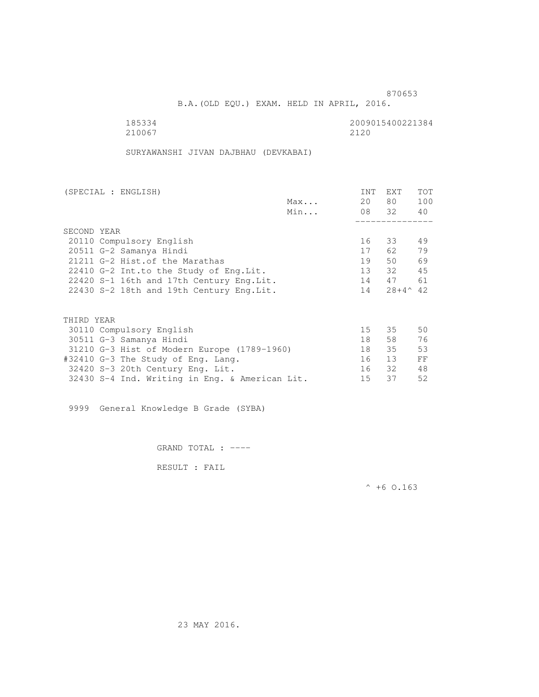B.A.(OLD EQU.) EXAM. HELD IN APRIL, 2016.

| 185334 | 2009015400221384 |
|--------|------------------|
| 210067 | 2120             |

SURYAWANSHI JIVAN DAJBHAU (DEVKABAI)

| (SPECIAL : ENGLISH)                         |     | <b>INT</b> | <b>EXT</b>        | <b>TOT</b> |
|---------------------------------------------|-----|------------|-------------------|------------|
|                                             | Max | 20         | 80                | 100        |
|                                             | Min |            | 08 32             | 40         |
|                                             |     |            |                   |            |
| SECOND YEAR                                 |     |            |                   |            |
| 20110 Compulsory English                    |     | 16         | 33                | 49         |
| 20511 G-2 Samanya Hindi                     |     | 17         | 62.               | 79         |
| 21211 G-2 Hist.of the Marathas              |     | 19         | 50                | 69         |
| 22410 G-2 Int.to the Study of Eng.Lit.      |     | 13         | 32                | 45         |
| 22420 S-1 16th and 17th Century Eng. Lit.   |     | 14         | 47                | 61         |
| 22430 S-2 18th and 19th Century Eng. Lit.   |     | 14         | $28+4^{\wedge}42$ |            |
|                                             |     |            |                   |            |
| THIRD YEAR                                  |     |            |                   |            |
| 30110 Compulsory English                    |     | 15         | 35                | 50         |
| 30511 G-3 Samanya Hindi                     |     | 18         | 58                | 76         |
| 31210 G-3 Hist of Modern Europe (1789-1960) |     | 18         | 35                | 53         |
| #32410 G-3 The Study of Eng. Lang.          |     | 16         | 13                | FF         |
| 32420 S-3 20th Century Eng. Lit.            |     | 16         | 32                | 48         |

32430 S-4 Ind. Writing in Eng. & American Lit. 15 37 52

9999 General Knowledge B Grade (SYBA)

GRAND TOTAL : ----

RESULT : FAIL

 $^{\wedge}$  +6 O.163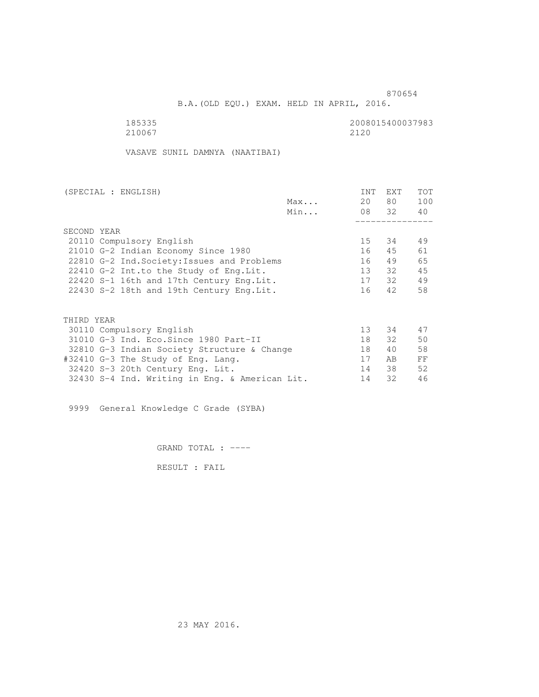B.A.(OLD EQU.) EXAM. HELD IN APRIL, 2016.

 185335 2008015400037983 210067 2120

VASAVE SUNIL DAMNYA (NAATIBAI)

| (SPECIAL : ENGLISH)                            |     | <b>INT</b> | <b>EXT</b> | TOT |
|------------------------------------------------|-----|------------|------------|-----|
|                                                | Max | 20         | 80 —       | 100 |
|                                                | Min |            | 08 32      | 40  |
|                                                |     |            |            |     |
| SECOND YEAR                                    |     |            |            |     |
| 20110 Compulsory English                       |     | 15         | 34         | 49  |
| 21010 G-2 Indian Economy Since 1980            |     | 16         | 45         | 61  |
| 22810 G-2 Ind. Society: Issues and Problems    |     | 16         | 49         | 65  |
| 22410 G-2 Int.to the Study of Eng. Lit.        |     | 13         | 32         | 45  |
| 22420 S-1 16th and 17th Century Eng. Lit.      |     | 17         | 32         | 49  |
| 22430 S-2 18th and 19th Century Eng. Lit.      |     | 16         | 42         | 58  |
|                                                |     |            |            |     |
| THIRD YEAR                                     |     |            |            |     |
| 30110 Compulsory English                       |     | 13         | 34         | 47  |
| 31010 G-3 Ind. Eco. Since 1980 Part-II         |     | 18         | 32         | 50  |
| 32810 G-3 Indian Society Structure & Change    |     | 18         | 40         | 58  |
| #32410 G-3 The Study of Eng. Lang.             |     | 17         | AB         | FF  |
| 32420 S-3 20th Century Eng. Lit.               |     | 14         | 38         | 52  |
| 32430 S-4 Ind. Writing in Eng. & American Lit. |     | 14         | 32         | 46  |
|                                                |     |            |            |     |

9999 General Knowledge C Grade (SYBA)

GRAND TOTAL : ----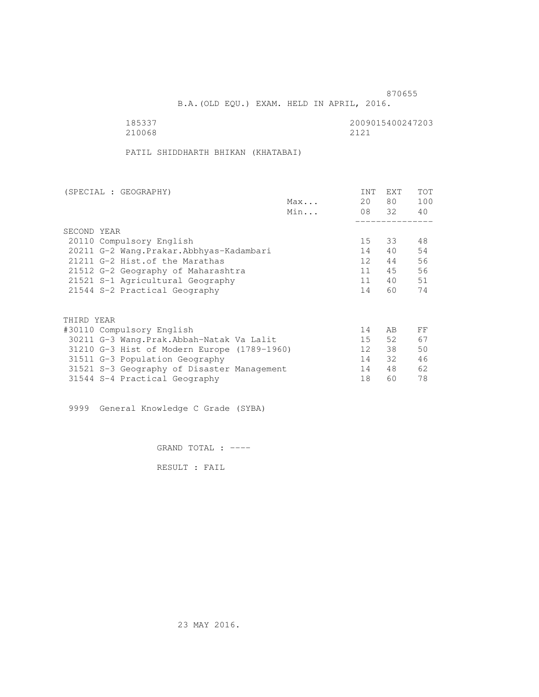B.A.(OLD EQU.) EXAM. HELD IN APRIL, 2016.

| 185337 | 2009015400247203 |
|--------|------------------|
| 210068 | 2121             |

PATIL SHIDDHARTH BHIKAN (KHATABAI)

| (SPECIAL : GEOGRAPHY) |                                             |     | INT             | EXT   | <b>TOT</b> |
|-----------------------|---------------------------------------------|-----|-----------------|-------|------------|
|                       |                                             | Max | 20              | 80 —  | 100        |
|                       |                                             | Min |                 | 08 32 | 40         |
|                       | SECOND YEAR                                 |     |                 |       |            |
|                       |                                             |     |                 |       |            |
|                       | 20110 Compulsory English                    |     | 15              | 33    | 48         |
|                       | 20211 G-2 Wang. Prakar. Abbhyas-Kadambari   |     | 14              | 40    | 54         |
|                       | 21211 G-2 Hist.of the Marathas              |     | 12 <sup>1</sup> | 44    | 56         |
|                       | 21512 G-2 Geography of Maharashtra          |     | 11              | 45    | 56         |
|                       | 21521 S-1 Agricultural Geography            |     | 11              | 40    | 51         |
|                       | 21544 S-2 Practical Geography               |     | 14              | 60    | 74         |
|                       | THIRD YEAR                                  |     |                 |       |            |
|                       | #30110 Compulsory English                   |     | 14              | AB.   | FF         |
|                       |                                             |     | 15              | 52    | 67         |
|                       | 30211 G-3 Wang.Prak.Abbah-Natak Va Lalit    |     |                 |       |            |
|                       | 31210 G-3 Hist of Modern Europe (1789-1960) |     | 12 <sup>°</sup> | 38    | 50         |
|                       | 31511 G-3 Population Geography              |     | 14              | 32    | 46         |
|                       | 31521 S-3 Geography of Disaster Management  |     | 14              | 48    | 62         |
|                       | 31544 S-4 Practical Geography               |     | 18              | 60    | 78         |
|                       |                                             |     |                 |       |            |

9999 General Knowledge C Grade (SYBA)

GRAND TOTAL : ----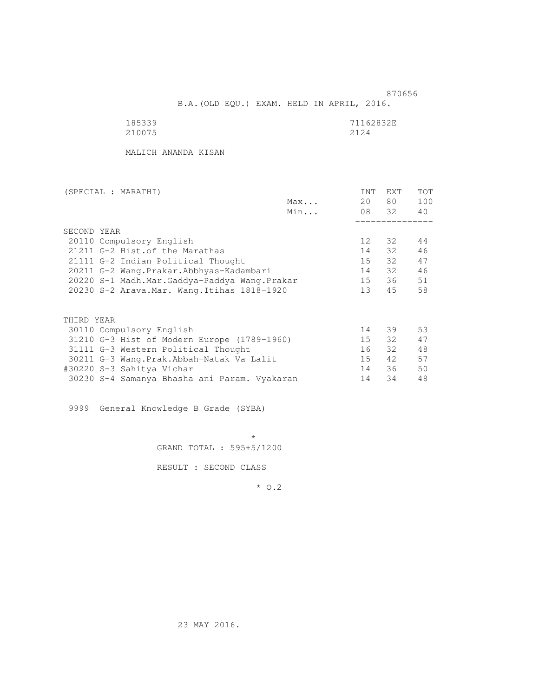B.A.(OLD EQU.) EXAM. HELD IN APRIL, 2016.

| 185339 | 71162832E |
|--------|-----------|
| 210075 | 2124      |

MALICH ANANDA KISAN

| (SPECIAL : MARATHI)       |                                              |     | INT             | EXT   | <b>TOT</b> |
|---------------------------|----------------------------------------------|-----|-----------------|-------|------------|
|                           |                                              | Max | 20              | 80 —  | 100        |
|                           |                                              | Min |                 | 08 32 | 40         |
|                           |                                              |     |                 |       |            |
| SECOND YEAR               |                                              |     |                 |       |            |
| 20110 Compulsory English  |                                              |     | 12 <sup>°</sup> | 32    | 44         |
|                           | 21211 G-2 Hist. of the Marathas              |     | 14              | 32    | 46         |
|                           | 21111 G-2 Indian Political Thought           |     | 15              | 32    | 47         |
|                           | 20211 G-2 Wang.Prakar.Abbhyas-Kadambari      |     | 14              | 32    | 46         |
|                           | 20220 S-1 Madh.Mar.Gaddya-Paddya Wang.Prakar |     | 15              | 36    | 51         |
|                           | 20230 S-2 Arava. Mar. Wang. Itihas 1818-1920 |     | 13 <sup>7</sup> | 45    | 58         |
|                           |                                              |     |                 |       |            |
| THIRD YEAR                |                                              |     |                 |       |            |
| 30110 Compulsory English  |                                              |     | 14              | 39    | 53         |
|                           | 31210 G-3 Hist of Modern Europe (1789-1960)  |     | 15              | 32    | 47         |
|                           | 31111 G-3 Western Political Thought          |     | 16              | 32    | 48         |
|                           | 30211 G-3 Wang. Prak. Abbah-Natak Va Lalit   |     | 15              | 42    | 57         |
| #30220 S-3 Sahitya Vichar |                                              |     | 14              | 36    | 50         |
|                           | 30230 S-4 Samanya Bhasha ani Param. Vyakaran |     | 14              | 34    | 48         |

9999 General Knowledge B Grade (SYBA)

 $\star$ GRAND TOTAL : 595+5/1200

RESULT : SECOND CLASS

\* O.2

23 MAY 2016.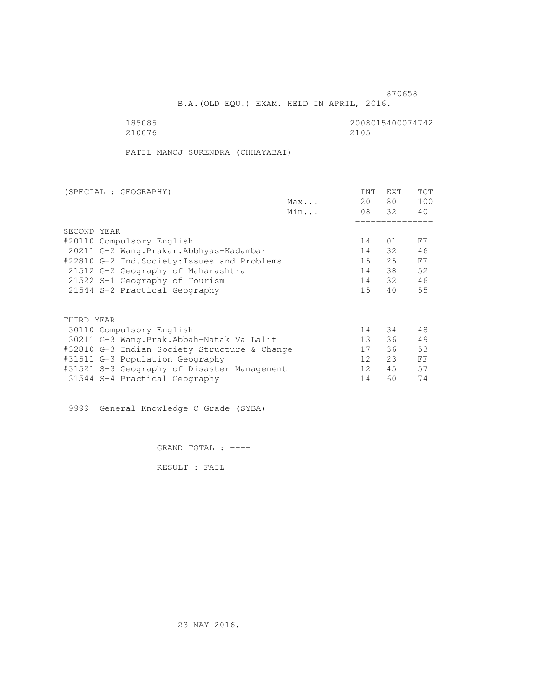B.A.(OLD EQU.) EXAM. HELD IN APRIL, 2016.

185085<br>210076 210076 2105 210076 2100 2005

PATIL MANOJ SURENDRA (CHHAYABAI)

| (SPECIAL : GEOGRAPHY)     |                                              |     | <b>INT</b>      | <b>EXT</b> | TOT |
|---------------------------|----------------------------------------------|-----|-----------------|------------|-----|
|                           |                                              | Max | 20              | 80 —       | 100 |
|                           |                                              | Min |                 | 08 32      | 40  |
|                           |                                              |     |                 |            |     |
| SECOND YEAR               |                                              |     |                 |            |     |
| #20110 Compulsory English |                                              |     | 14              | 01         | FF  |
|                           | 20211 G-2 Wang.Prakar.Abbhyas-Kadambari      |     | 14              | 32         | 46  |
|                           | #22810 G-2 Ind. Society: Issues and Problems |     | 15              | 25         | FF  |
|                           | 21512 G-2 Geography of Maharashtra           |     | 14              | 38         | 52  |
|                           | 21522 S-1 Geography of Tourism               |     | 14              | 32         | 46  |
|                           | 21544 S-2 Practical Geography                |     | 15 <sub>1</sub> | 40         | 55  |
|                           |                                              |     |                 |            |     |
| THIRD YEAR                |                                              |     |                 |            |     |
| 30110 Compulsory English  |                                              |     | 14              | 34         | 48  |
|                           | 30211 G-3 Wang.Prak.Abbah-Natak Va Lalit     |     | 13 <sup>7</sup> | 36         | 49  |
|                           | #32810 G-3 Indian Society Structure & Change |     | 17              | 36         | 53  |
|                           | #31511 G-3 Population Geography              |     | 12              | 23         | FF  |
|                           | #31521 S-3 Geography of Disaster Management  |     | 12 <sup>°</sup> | 45         | 57  |
|                           | 31544 S-4 Practical Geography                |     | 14              | 60         | 74  |
|                           |                                              |     |                 |            |     |

9999 General Knowledge C Grade (SYBA)

GRAND TOTAL : ----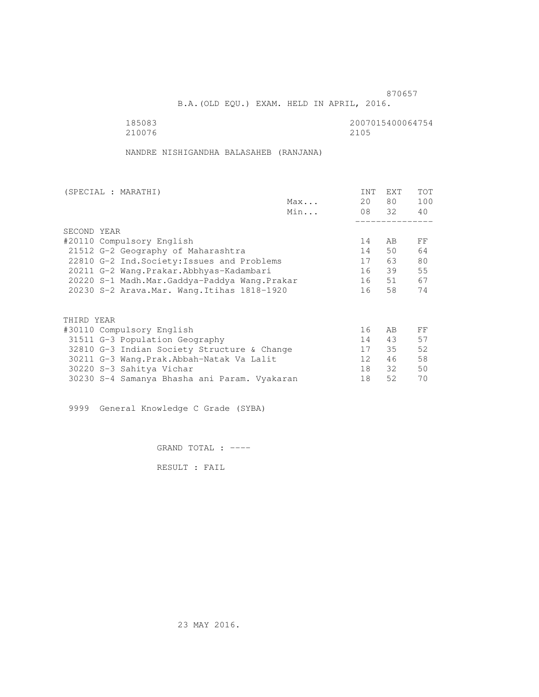B.A.(OLD EQU.) EXAM. HELD IN APRIL, 2016.

185083<br>210076 210076 2105 210076 2100 2005

NANDRE NISHIGANDHA BALASAHEB (RANJANA)

|                           | (SPECIAL : MARATHI)                          |     | INT             | EXT   | <b>TOT</b> |
|---------------------------|----------------------------------------------|-----|-----------------|-------|------------|
|                           |                                              | Max | 20              | 80 —  | 100        |
|                           |                                              | Min |                 | 08 32 | 40         |
|                           |                                              |     |                 |       |            |
|                           | SECOND YEAR                                  |     |                 |       |            |
| #20110 Compulsory English |                                              |     | 14              | AB    | FF         |
|                           | 21512 G-2 Geography of Maharashtra           |     | 14              | 50    | 64         |
|                           | 22810 G-2 Ind. Society: Issues and Problems  |     | 17              | 63    | 80         |
|                           | 20211 G-2 Wang.Prakar.Abbhyas-Kadambari      |     | 16              | 39    | 55         |
|                           | 20220 S-1 Madh.Mar.Gaddya-Paddya Wang.Prakar |     | 16              | 51    | 67         |
|                           | 20230 S-2 Arava. Mar. Wang. Itihas 1818-1920 |     | 16              | 58    | 74         |
|                           | THIRD YEAR                                   |     |                 |       |            |
|                           | #30110 Compulsory English                    |     | 16              | AB.   | FF         |
|                           | 31511 G-3 Population Geography               |     | 14              | 43    | 57         |
|                           | 32810 G-3 Indian Society Structure & Change  |     | 17              | 35    | 52         |
|                           | 30211 G-3 Wang.Prak.Abbah-Natak Va Lalit     |     | 12 <sup>°</sup> | 46    | 58         |
|                           | 30220 S-3 Sahitya Vichar                     |     | 18              | 32    | 50         |
|                           | 30230 S-4 Samanya Bhasha ani Param. Vyakaran |     | 18              | 52    | 70         |
|                           |                                              |     |                 |       |            |

9999 General Knowledge C Grade (SYBA)

GRAND TOTAL : ----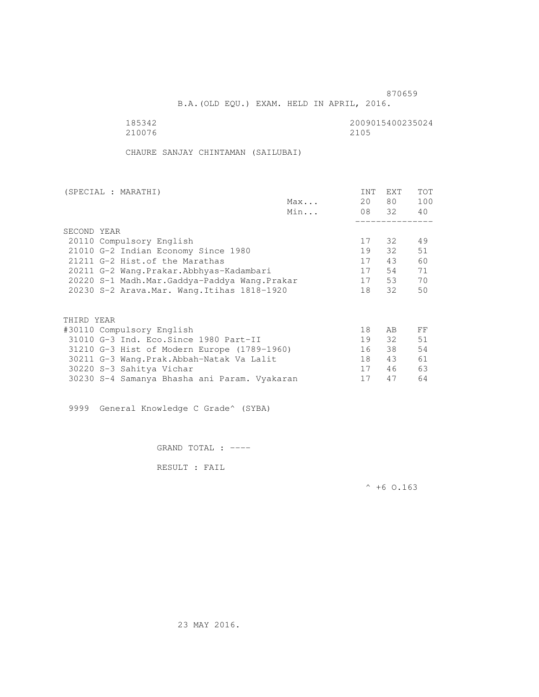B.A.(OLD EQU.) EXAM. HELD IN APRIL, 2016.

 185342 2009015400235024 210076 2100 2005

CHAURE SANJAY CHINTAMAN (SAILUBAI)

| (SPECIAL : MARATHI)                          | <b>INT</b> | <b>EXT</b> | TOT |
|----------------------------------------------|------------|------------|-----|
| Max                                          | 20         | 80 —       | 100 |
| Min                                          |            | 08 32      | 40  |
|                                              |            |            |     |
| SECOND YEAR                                  |            |            |     |
| 20110 Compulsory English                     | 17         | 32         | 49  |
| 21010 G-2 Indian Economy Since 1980          |            | 32         | 51  |
| 21211 G-2 Hist. of the Marathas              | 17         | 43         | 60  |
| 20211 G-2 Wang.Prakar.Abbhyas-Kadambari      | 17         | 54         | 71  |
| 20220 S-1 Madh.Mar.Gaddya-Paddya Wang.Prakar | 17         | 53         | 70  |
| 20230 S-2 Arava. Mar. Wang. Itihas 1818-1920 | 18         | 32         | 50  |
|                                              |            |            |     |
|                                              |            |            |     |
| THIRD YEAR                                   |            |            |     |
| #30110 Compulsory English                    | 18         | AB         | FF  |
| 31010 G-3 Ind. Eco. Since 1980 Part-II       | 19         | 32         | 51  |
| 31210 G-3 Hist of Modern Europe (1789-1960)  | 16         | 38         | 54  |
| 30211 G-3 Wang.Prak.Abbah-Natak Va Lalit     | 18         | 43         | 61  |
| 30220 S-3 Sahitya Vichar                     | 17         | 46         | 63  |
| 30230 S-4 Samanya Bhasha ani Param. Vyakaran |            | 47         | 64  |

9999 General Knowledge C Grade^ (SYBA)

GRAND TOTAL : ----

RESULT : FAIL

 $^{\wedge}$  +6 0.163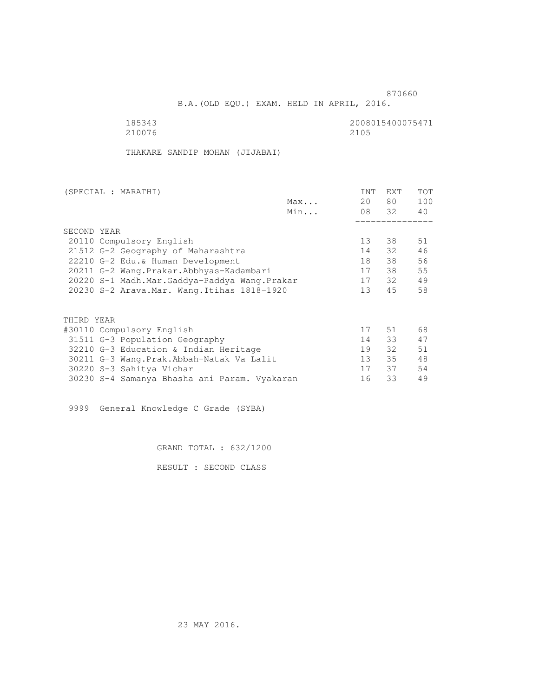B.A.(OLD EQU.) EXAM. HELD IN APRIL, 2016.

185343<br>210076 210076 2105 210076 2100 2005

THAKARE SANDIP MOHAN (JIJABAI)

| (SPECIAL : MARATHI)                     |             |                                              |     | <b>INT</b>      | <b>EXT</b> | TOT |
|-----------------------------------------|-------------|----------------------------------------------|-----|-----------------|------------|-----|
|                                         |             |                                              | Max | 20              | 80 —       | 100 |
|                                         |             |                                              | Min |                 | 08 32      | 40  |
|                                         |             |                                              |     |                 |            |     |
|                                         | SECOND YEAR |                                              |     |                 |            |     |
| 20110 Compulsory English                |             |                                              | 13  | 38              | 51         |     |
| 21512 G-2 Geography of Maharashtra      |             |                                              | 14  | 32              | 46         |     |
| 22210 G-2 Edu. & Human Development      |             |                                              | 18  | 38              | 56         |     |
| 20211 G-2 Wang.Prakar.Abbhyas-Kadambari |             |                                              | 17  | 38              | 55         |     |
|                                         |             | 20220 S-1 Madh.Mar.Gaddya-Paddya Wang.Prakar |     | 17              | 32         | 49  |
|                                         |             | 20230 S-2 Arava. Mar. Wang. Itihas 1818-1920 |     | 13 <sup>°</sup> | 45         | 58  |
|                                         |             |                                              |     |                 |            |     |
|                                         | THIRD YEAR  |                                              |     |                 |            |     |
| #30110 Compulsory English               |             |                                              |     | 17              | 51         | 68  |
|                                         |             | 31511 G-3 Population Geography               |     | 14              | 33         | 47  |
|                                         |             | 32210 G-3 Education & Indian Heritage        |     | 19              | 32         | 51  |
|                                         |             | 30211 G-3 Wang.Prak.Abbah-Natak Va Lalit     |     | 13              | 35         | 48  |
|                                         |             | 30220 S-3 Sahitya Vichar                     |     | 17              | 37         | 54  |
|                                         |             | 30230 S-4 Samanya Bhasha ani Param. Vyakaran |     | 16              | 33         | 49  |
|                                         |             |                                              |     |                 |            |     |

9999 General Knowledge C Grade (SYBA)

GRAND TOTAL : 632/1200

RESULT : SECOND CLASS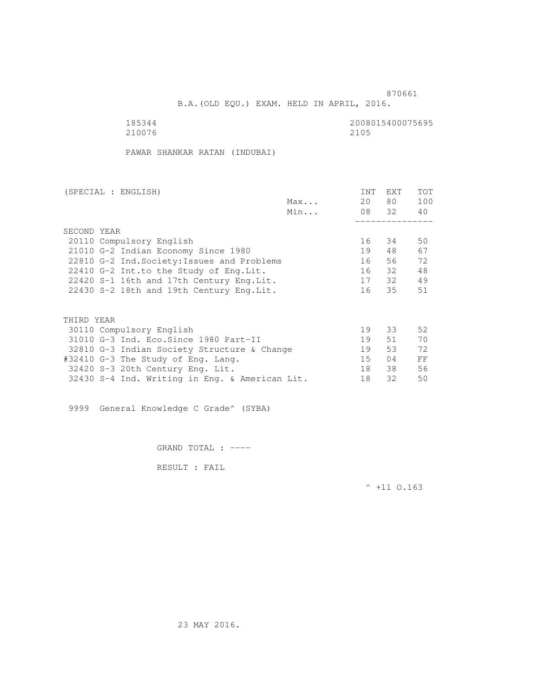B.A.(OLD EQU.) EXAM. HELD IN APRIL, 2016.

185344<br>210076 210076 2105 210076 2100 2005

PAWAR SHANKAR RATAN (INDUBAI)

| (SPECIAL : ENGLISH)<br>Max                |                                                |     | <b>INT</b> | <b>EXT</b> | TOT |
|-------------------------------------------|------------------------------------------------|-----|------------|------------|-----|
|                                           |                                                |     | 20         | 80         | 100 |
|                                           |                                                | Min |            | 08 32      | 40  |
|                                           |                                                |     |            |            |     |
|                                           | SECOND YEAR                                    |     |            |            |     |
| 20110 Compulsory English                  |                                                |     | 16         | 34         | 50  |
| 21010 G-2 Indian Economy Since 1980       |                                                |     | 19         | 48         | 67  |
|                                           | 22810 G-2 Ind. Society: Issues and Problems    |     | 16         | 56         | 72  |
| 22410 G-2 Int.to the Study of Eng. Lit.   |                                                |     | 16         | 32         | 48  |
| 22420 S-1 16th and 17th Century Eng. Lit. |                                                |     | 17         | 32         | 49  |
|                                           | 22430 S-2 18th and 19th Century Eng. Lit.      |     | 16         | 35         | 51  |
|                                           |                                                |     |            |            |     |
|                                           | THIRD YEAR                                     |     |            |            |     |
| 30110 Compulsory English                  |                                                |     | 19         | 33         | 52  |
|                                           | 31010 G-3 Ind. Eco. Since 1980 Part-II         |     | 19         | 51         | 70  |
|                                           | 32810 G-3 Indian Society Structure & Change    |     | 19         | 53         | 72  |
|                                           | #32410 G-3 The Study of Eng. Lang.             |     | 15         | 04         | FF  |
|                                           | 32420 S-3 20th Century Eng. Lit.               |     | 18         | 38         | 56  |
|                                           | 32430 S-4 Ind. Writing in Eng. & American Lit. |     | 18         | 32         | 50  |
|                                           |                                                |     |            |            |     |

9999 General Knowledge C Grade^ (SYBA)

GRAND TOTAL : ----

RESULT : FAIL

 $^{\wedge}$  +11 O.163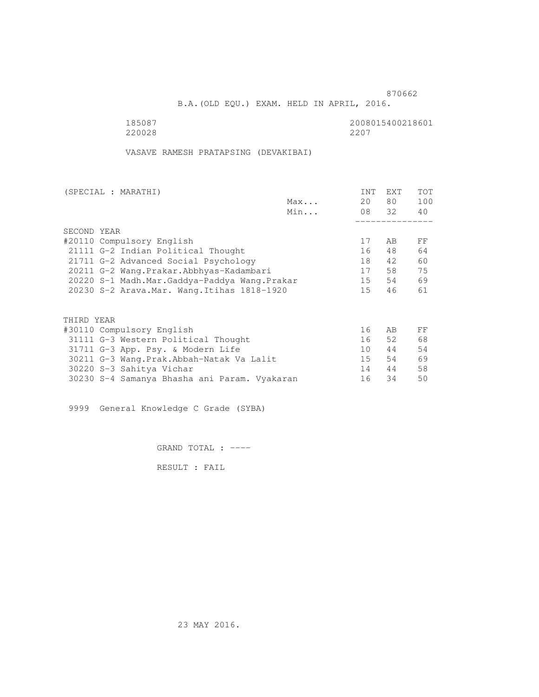B.A.(OLD EQU.) EXAM. HELD IN APRIL, 2016.

185087<br>220028 220028 2200 220028 2207

VASAVE RAMESH PRATAPSING (DEVAKIBAI)

| 20 | 80 —<br>08 32 | 100<br>40 |
|----|---------------|-----------|
|    |               |           |
|    |               |           |
|    |               |           |
|    |               |           |
| 17 | AB            | FF        |
| 16 | 48            | 64        |
| 18 | 42            | 60        |
| 17 | 58            | 75        |
| 15 | 54            | 69        |
| 15 | 46            | 61        |
|    |               |           |
|    |               |           |
| 16 | AB            | FF        |
| 16 | 52            | 68        |
| 10 | 44            | 54        |
| 15 | 54            | 69        |
| 14 | 44            | 58        |
| 16 | 34            | 50        |
|    |               |           |

9999 General Knowledge C Grade (SYBA)

GRAND TOTAL : ----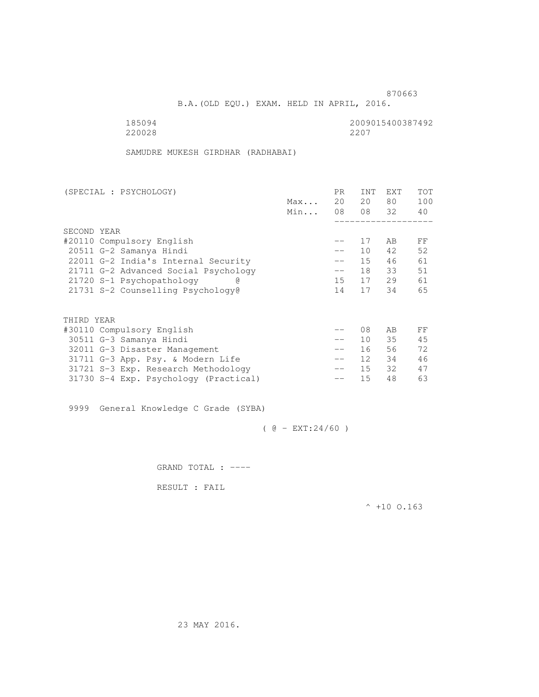B.A.(OLD EQU.) EXAM. HELD IN APRIL, 2016.

| 185094 | 2009015400387492 |
|--------|------------------|
| 220028 | 2207             |

SAMUDRE MUKESH GIRDHAR (RADHABAI)

| (SPECIAL : PSYCHOLOGY) |                                       |     | PR.               | <b>INT</b>      | <b>EXT</b> | TOT |
|------------------------|---------------------------------------|-----|-------------------|-----------------|------------|-----|
|                        |                                       | Max | 20                | 20              | 80         | 100 |
|                        |                                       | Min | 08                |                 | 08 32      | 40  |
|                        |                                       |     |                   |                 |            |     |
|                        | SECOND YEAR                           |     |                   |                 |            |     |
|                        | #20110 Compulsory English             |     |                   | 17              | AB         | FF  |
|                        | 20511 G-2 Samanya Hindi               |     | $\qquad \qquad -$ | 10              | 42         | 52  |
|                        | 22011 G-2 India's Internal Security   |     | $\qquad \qquad -$ | 15              | 46         | 61  |
|                        | 21711 G-2 Advanced Social Psychology  |     | $-\,-$            | 18              | 33         | 51  |
|                        | 21720 S-1 Psychopathology             |     | 15                | 17              | 29         | 61  |
|                        | 21731 S-2 Counselling Psychology@     |     | 14                | 17              | 34         | 65  |
|                        |                                       |     |                   |                 |            |     |
|                        | THIRD YEAR                            |     |                   |                 |            |     |
|                        | #30110 Compulsory English             |     |                   | 08              | AB         | FF  |
|                        | 30511 G-3 Samanya Hindi               |     | $\qquad \qquad -$ | 10 <sup>°</sup> | 35         | 45  |
|                        | 32011 G-3 Disaster Management         |     | $\qquad \qquad -$ | 16              | 56         | 72  |
|                        | 31711 G-3 App. Psy. & Modern Life     |     | $- -$             | 12 <sup>1</sup> | 34         | 46  |
|                        | 31721 S-3 Exp. Research Methodology   |     | $- -$             | 15              | 32         | 47  |
|                        | 31730 S-4 Exp. Psychology (Practical) |     | --                | 15              | 48         | 63  |
|                        |                                       |     |                   |                 |            |     |

9999 General Knowledge C Grade (SYBA)

 $( 0 - EXT: 24/60 )$ 

GRAND TOTAL : ----

RESULT : FAIL

 $^{\wedge}$  +10 O.163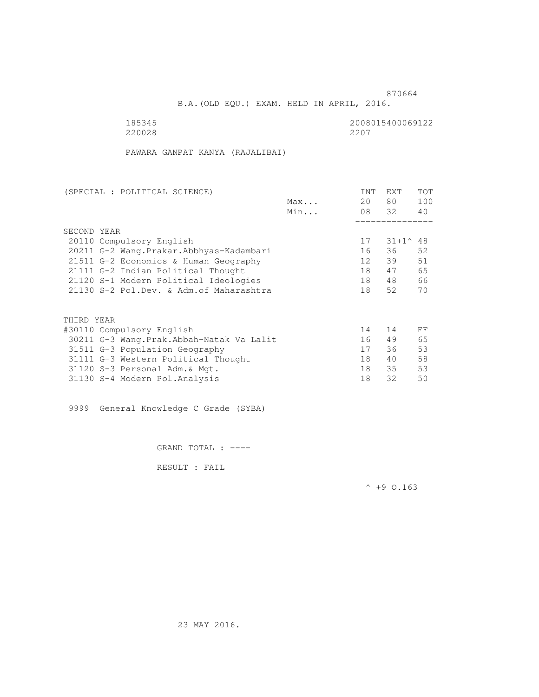B.A.(OLD EQU.) EXAM. HELD IN APRIL, 2016.

220028 2207

185345 2008015400069122

PAWARA GANPAT KANYA (RAJALIBAI)

| (SPECIAL : POLITICAL SCIENCE)             |                           |                                          | <b>INT</b> | EXT | TOT               |     |
|-------------------------------------------|---------------------------|------------------------------------------|------------|-----|-------------------|-----|
|                                           |                           |                                          | Max        | 20  | 80                | 100 |
|                                           |                           |                                          | Min        |     | 08 32             | 40  |
|                                           |                           |                                          |            |     |                   |     |
|                                           | SECOND YEAR               |                                          |            |     |                   |     |
|                                           | 20110 Compulsory English  |                                          |            | 17  | $31+1^{\circ}$ 48 |     |
| 20211 G-2 Wang. Prakar. Abbhyas-Kadambari |                           |                                          |            | 16  | 36                | 52  |
| 21511 G-2 Economics & Human Geography     |                           |                                          |            | 12  | 39                | 51  |
| 21111 G-2 Indian Political Thought        |                           |                                          |            | 18  | 47                | 65  |
| 21120 S-1 Modern Political Ideologies     |                           |                                          |            | 18  | 48                | 66  |
|                                           |                           | 21130 S-2 Pol.Dev. & Adm. of Maharashtra |            | 18  | 52                | 70  |
|                                           |                           |                                          |            |     |                   |     |
|                                           | THIRD YEAR                |                                          |            |     |                   |     |
|                                           | #30110 Compulsory English |                                          |            | 14  | 14                | FF  |
|                                           |                           | 30211 G-3 Wang.Prak.Abbah-Natak Va Lalit |            | 16  | 49                | 65  |
|                                           |                           | 31511 G-3 Population Geography           |            | 17  | 36                | 53  |
|                                           |                           | 31111 G-3 Western Political Thought      |            | 18  | 40                | 58  |
|                                           |                           | 31120 S-3 Personal Adm. & Mgt.           |            | 18  | 35                | 53  |
|                                           |                           | 31130 S-4 Modern Pol.Analysis            |            | 18  | 32                | 50  |

9999 General Knowledge C Grade (SYBA)

GRAND TOTAL : ----

RESULT : FAIL

 $^{\wedge}$  +9 O.163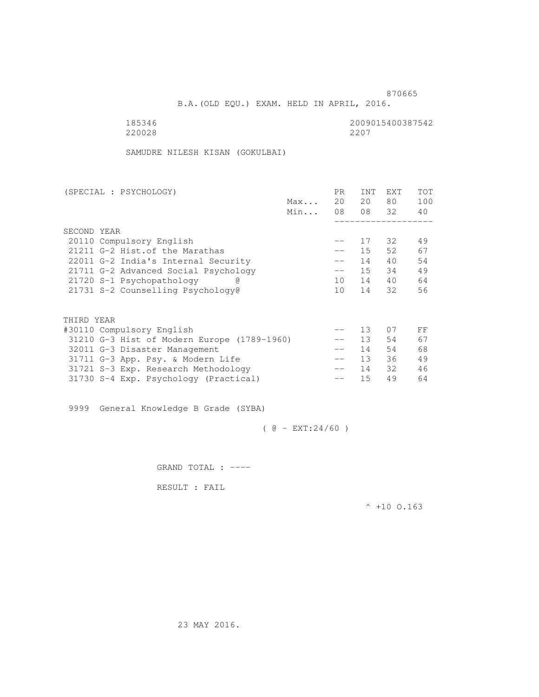B.A.(OLD EQU.) EXAM. HELD IN APRIL, 2016.

 185346 2009015400387542 220028 2207

SAMUDRE NILESH KISAN (GOKULBAI)

| (SPECIAL : PSYCHOLOGY)               |                                             |                   | PR.               | <b>INT</b>      | <b>EXT</b> | TOT |
|--------------------------------------|---------------------------------------------|-------------------|-------------------|-----------------|------------|-----|
|                                      |                                             | Max               | 20                | 20              | 80         | 100 |
|                                      |                                             | Min               | 08                |                 | 08 32      | 40  |
|                                      |                                             |                   |                   |                 |            |     |
|                                      | SECOND YEAR                                 |                   |                   |                 |            |     |
|                                      | 20110 Compulsory English                    |                   | $- -$             | 17              | 32         | 49  |
| 21211 G-2 Hist. of the Marathas      |                                             | $\qquad \qquad -$ | 15                | 52              | 67         |     |
| 22011 G-2 India's Internal Security  |                                             | $\qquad \qquad -$ | 14                | 40              | 54         |     |
| 21711 G-2 Advanced Social Psychology |                                             |                   | $-\,-$            | 15              | 34         | 49  |
| 21720 S-1 Psychopathology            |                                             | 10                | 14                | 40              | 64         |     |
|                                      | 21731 S-2 Counselling Psychology@           |                   | 10                | 14              | 32         | 56  |
|                                      |                                             |                   |                   |                 |            |     |
|                                      |                                             |                   |                   |                 |            |     |
|                                      | THIRD YEAR                                  |                   |                   |                 |            |     |
|                                      | #30110 Compulsory English                   |                   |                   | 13              | 07         | FF  |
|                                      | 31210 G-3 Hist of Modern Europe (1789-1960) |                   |                   | 13 <sup>°</sup> | 54         | 67  |
|                                      | 32011 G-3 Disaster Management               |                   | $\qquad \qquad -$ | 14              | 54         | 68  |
|                                      | 31711 G-3 App. Psy. & Modern Life           |                   | $\qquad \qquad -$ | 13 <sup>7</sup> | 36         | 49  |
|                                      | 31721 S-3 Exp. Research Methodology         |                   | $- -$             | 14              | 32         | 46  |
|                                      | 31730 S-4 Exp. Psychology (Practical)       |                   |                   | 15              | 49         | 64  |
|                                      |                                             |                   |                   |                 |            |     |

9999 General Knowledge B Grade (SYBA)

 $( @ - EXT: 24/60 )$ 

GRAND TOTAL : ----

RESULT : FAIL

 $^{\wedge}$  +10 O.163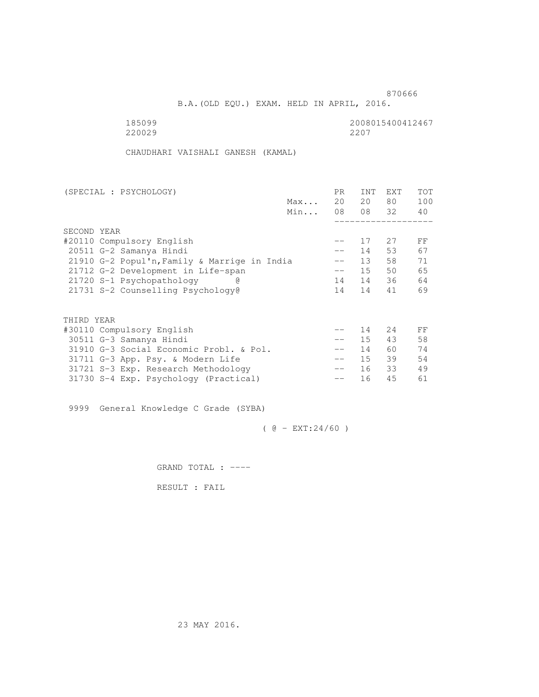B.A.(OLD EQU.) EXAM. HELD IN APRIL, 2016.

185099<br>220029 220029 2200 220029 2207

CHAUDHARI VAISHALI GANESH (KAMAL)

| (SPECIAL : PSYCHOLOGY)                       |     | PR.               | INT    | EXT   | <b>TOT</b> |
|----------------------------------------------|-----|-------------------|--------|-------|------------|
|                                              | Max | 20                | 20     | 80    | 100        |
|                                              | Min | 08                |        | 08 32 | 40         |
|                                              |     |                   |        |       |            |
| SECOND YEAR                                  |     |                   |        |       |            |
| #20110 Compulsory English                    |     |                   | 17     | 27    | FF         |
| 20511 G-2 Samanya Hindi                      |     |                   | 14     | 53    | 67         |
| 21910 G-2 Popul'n, Family & Marrige in India |     |                   | 13     | 58    | 71         |
| 21712 G-2 Development in Life-span           |     | $- -$             | 15     | 50    | 65         |
| 21720 S-1 Psychopathology<br>G)              |     | 14                | 14     | 36    | 64         |
| 21731 S-2 Counselling Psychology@            |     | 14                | 14     | 41    | 69         |
|                                              |     |                   |        |       |            |
| THIRD YEAR                                   |     |                   |        |       |            |
| #30110 Compulsory English                    |     |                   | 14     | 2.4   | FF         |
| 30511 G-3 Samanya Hindi                      |     | $\qquad \qquad -$ | 15     | 43    | 58         |
| 31910 G-3 Social Economic Probl. & Pol.      |     |                   | 14     | 60    | 74         |
| 31711 G-3 App. Psy. & Modern Life            |     | $-\,-$            | $15 -$ | 39    | 54         |
| 31721 S-3 Exp. Research Methodology          |     | $-\,-$            | 16     | 33    | 49         |
| 31730 S-4 Exp. Psychology (Practical)        |     | --                | 16     | 45    | 61         |
|                                              |     |                   |        |       |            |

9999 General Knowledge C Grade (SYBA)

 $( @ - EXT: 24/60 )$ 

GRAND TOTAL : ----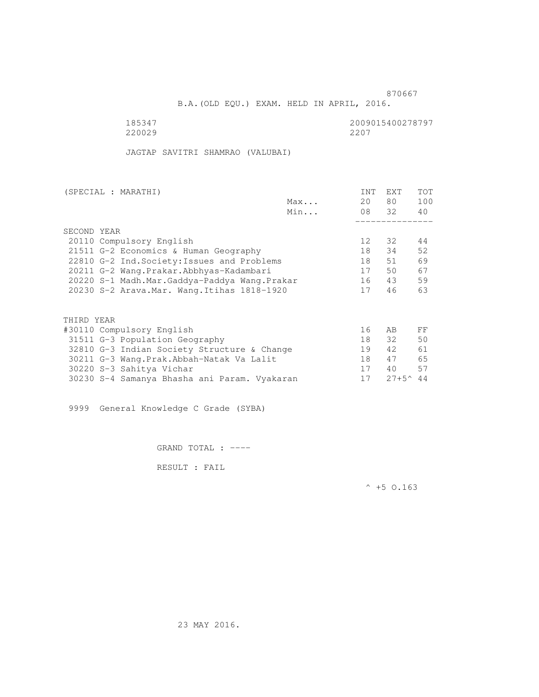B.A.(OLD EQU.) EXAM. HELD IN APRIL, 2016.

220029

185347 2009015400278797

JAGTAP SAVITRI SHAMRAO (VALUBAI)

|                                              | (SPECIAL : MARATHI)                          |     | <b>INT</b>      | <b>EXT</b>        | <b>TOT</b> |
|----------------------------------------------|----------------------------------------------|-----|-----------------|-------------------|------------|
|                                              |                                              | Max | 20              | 80                | 100        |
|                                              |                                              | Min |                 | 08 32             | 40         |
|                                              |                                              |     |                 |                   |            |
|                                              | SECOND YEAR                                  |     |                 |                   |            |
| 20110 Compulsory English                     |                                              |     | 12 <sup>°</sup> | 32                | 44         |
| 21511 G-2 Economics & Human Geography        |                                              |     | 18              | 34                | 52         |
|                                              | 22810 G-2 Ind. Society: Issues and Problems  |     | 18              | 51                | 69         |
| 20211 G-2 Wang.Prakar.Abbhyas-Kadambari      |                                              |     | 17              | 50                | 67         |
| 20220 S-1 Madh.Mar.Gaddya-Paddya Wang.Prakar |                                              |     | 16              | 43                | 59         |
|                                              | 20230 S-2 Arava. Mar. Wang. Itihas 1818-1920 |     | 17              | 46                | 63         |
|                                              |                                              |     |                 |                   |            |
|                                              | THIRD YEAR                                   |     |                 |                   |            |
|                                              | #30110 Compulsory English                    |     | 16              | AB.               | FF         |
|                                              | 31511 G-3 Population Geography               |     | 18              | 32                | 50         |
|                                              | 32810 G-3 Indian Society Structure & Change  |     | 19              | 42                | 61         |
|                                              | 30211 G-3 Wang.Prak.Abbah-Natak Va Lalit     |     | 18              | 47                | 65         |
|                                              | 30220 S-3 Sahitya Vichar                     |     | 17              | 40                | 57         |
|                                              | 30230 S-4 Samanya Bhasha ani Param. Vyakaran |     | 17              | $27+5^{\circ}$ 44 |            |

9999 General Knowledge C Grade (SYBA)

GRAND TOTAL : ----

RESULT : FAIL

 $^{\wedge}$  +5 O.163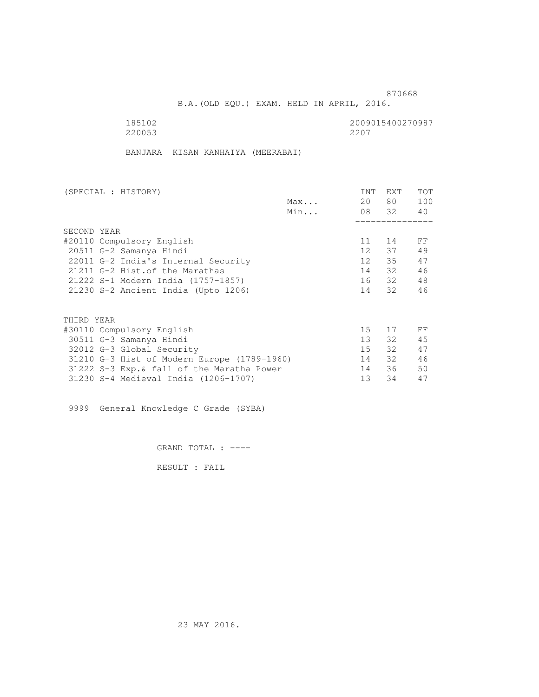B.A.(OLD EQU.) EXAM. HELD IN APRIL, 2016.

 185102 2009015400270987 220053

BANJARA KISAN KANHAIYA (MEERABAI)

| (SPECIAL : HISTORY)                |                                 | INT                                         | EXT              | <b>TOT</b> |       |     |  |
|------------------------------------|---------------------------------|---------------------------------------------|------------------|------------|-------|-----|--|
|                                    |                                 |                                             | Max              | 20         | 80 —  | 100 |  |
|                                    |                                 |                                             | Min              |            | 08 32 | 40  |  |
|                                    |                                 |                                             |                  |            |       |     |  |
|                                    | SECOND YEAR                     |                                             |                  |            |       |     |  |
| #20110 Compulsory English          |                                 |                                             |                  | 11         | 14    | FF  |  |
| 20511 G-2 Samanya Hindi            |                                 |                                             | 12 <sup>12</sup> | 37         | 49    |     |  |
|                                    |                                 | 22011 G-2 India's Internal Security         |                  | 12         | 35    | 47  |  |
|                                    | 21211 G-2 Hist. of the Marathas |                                             |                  | 14         | 32    | 46  |  |
| 21222 S-1 Modern India (1757-1857) |                                 |                                             |                  | 16 32      | 48    |     |  |
|                                    |                                 | 21230 S-2 Ancient India (Upto 1206)         |                  | 14         | 32    | 46  |  |
|                                    |                                 |                                             |                  |            |       |     |  |
|                                    | THIRD YEAR                      |                                             |                  |            |       |     |  |
|                                    | #30110 Compulsory English       |                                             |                  | 15         | 17    | FF  |  |
|                                    | 30511 G-3 Samanya Hindi         |                                             |                  | 13         | 32    | 45  |  |
|                                    | 32012 G-3 Global Security       |                                             |                  | 15         | 32    | 47  |  |
|                                    |                                 | 31210 G-3 Hist of Modern Europe (1789-1960) |                  | 14         | 32    | 46  |  |
|                                    |                                 | 31222 S-3 Exp. & fall of the Maratha Power  |                  | 14         | 36    | 50  |  |
|                                    |                                 | 31230 S-4 Medieval India (1206-1707)        |                  | 13         | 34    | 47  |  |
|                                    |                                 |                                             |                  |            |       |     |  |

9999 General Knowledge C Grade (SYBA)

GRAND TOTAL : ----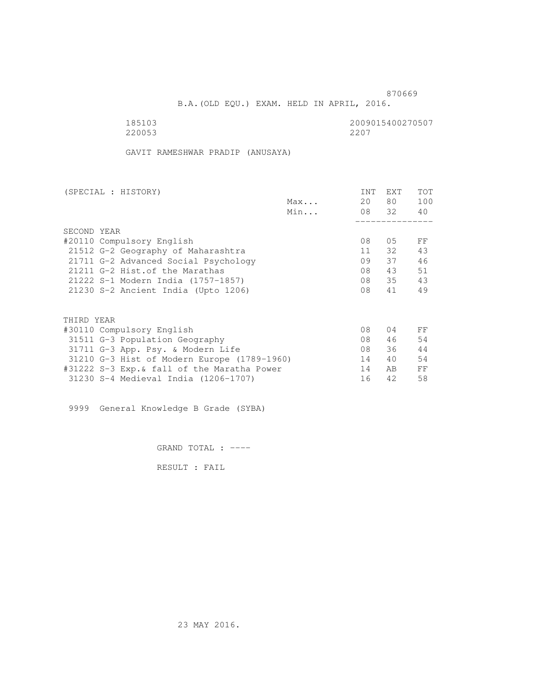B.A.(OLD EQU.) EXAM. HELD IN APRIL, 2016.

| 185103 | 2009015400270507 |
|--------|------------------|
| 220053 | 2207             |

GAVIT RAMESHWAR PRADIP (ANUSAYA)

| (SPECIAL : HISTORY)                         |     | <b>INT</b> | <b>EXT</b> | <b>TOT</b> |
|---------------------------------------------|-----|------------|------------|------------|
|                                             | Max | 20         | 80 —       | 100        |
|                                             | Min |            | 08 32      | 40         |
|                                             |     |            |            |            |
| SECOND YEAR                                 |     |            |            |            |
| #20110 Compulsory English                   |     | 08         | 05         | FF         |
| 21512 G-2 Geography of Maharashtra          |     | 11         | 32         | 43         |
| 21711 G-2 Advanced Social Psychology        |     | 09         | 37         | 46         |
| 21211 G-2 Hist. of the Marathas             |     | 08         | 43         | 51         |
| 21222 S-1 Modern India (1757-1857)          |     | 08         | 35         | 43         |
| 21230 S-2 Ancient India (Upto 1206)         |     | 08         | 41         | 49         |
|                                             |     |            |            |            |
| THIRD YEAR                                  |     |            |            |            |
| #30110 Compulsory English                   |     | 08         | 04         | FF         |
| 31511 G-3 Population Geography              |     | 08         | 46         | 54         |
| 31711 G-3 App. Psy. & Modern Life           |     | 08         | 36         | 44         |
| 31210 G-3 Hist of Modern Europe (1789-1960) |     | 14         | 40         | 54         |
| #31222 S-3 Exp.& fall of the Maratha Power  |     | 14         | AB.        | FF         |
| 31230 S-4 Medieval India (1206-1707)        |     | 16         | 42         | 58         |

9999 General Knowledge B Grade (SYBA)

GRAND TOTAL : ----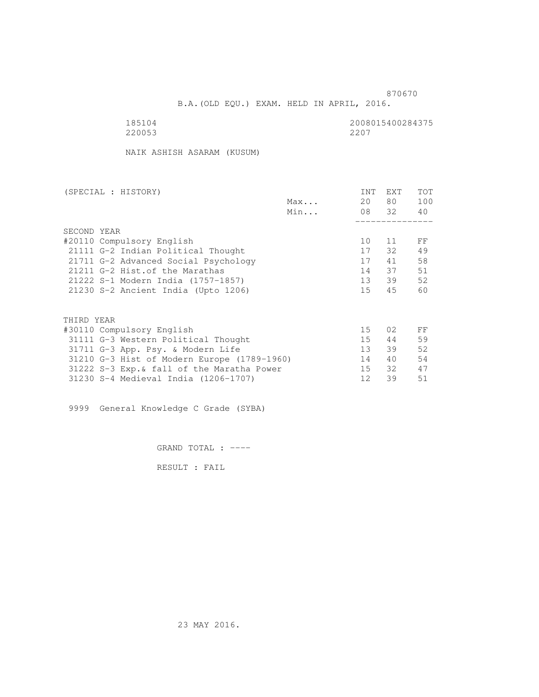B.A.(OLD EQU.) EXAM. HELD IN APRIL, 2016.

220053 2207

185104<br>220053 220053 2200

NAIK ASHISH ASARAM (KUSUM)

| (SPECIAL : HISTORY)                         |     | <b>INT</b>      | <b>EXT</b> | <b>TOT</b> |
|---------------------------------------------|-----|-----------------|------------|------------|
|                                             | Max | 20              | 80 —       | 100        |
|                                             | Min |                 | 08 32      | 40         |
|                                             |     |                 |            |            |
| SECOND YEAR                                 |     |                 |            |            |
| #20110 Compulsory English                   |     | 10              | 11         | FF         |
| 21111 G-2 Indian Political Thought          |     | 17              | 32         | 49         |
| 21711 G-2 Advanced Social Psychology        |     | 17              | 41         | 58         |
| 21211 G-2 Hist. of the Marathas             |     | 14              | 37         | 51         |
| 21222 S-1 Modern India (1757-1857)          |     | 13              | 39         | 52         |
| 21230 S-2 Ancient India (Upto 1206)         |     | 15              | 45         | 60         |
|                                             |     |                 |            |            |
| THIRD YEAR                                  |     |                 |            |            |
| #30110 Compulsory English                   |     | 15              | 02         | FF         |
| 31111 G-3 Western Political Thought         |     | 15              | 44         | 59         |
| 31711 G-3 App. Psy. & Modern Life           |     | 13 <sup>7</sup> | 39         | 52         |
| 31210 G-3 Hist of Modern Europe (1789-1960) |     | 14              | 40         | 54         |
| 31222 S-3 Exp. & fall of the Maratha Power  |     | 15              | 32         | 47         |
| 31230 S-4 Medieval India (1206-1707)        |     | 12              | 39         | 51         |
|                                             |     |                 |            |            |

9999 General Knowledge C Grade (SYBA)

GRAND TOTAL : ----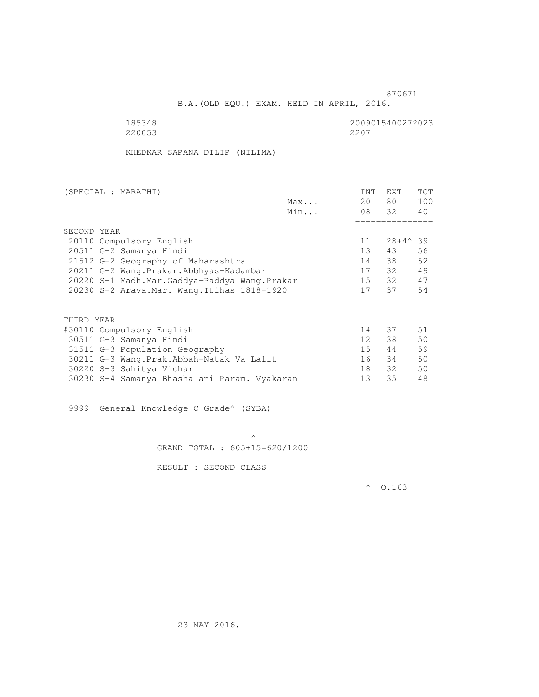B.A.(OLD EQU.) EXAM. HELD IN APRIL, 2016.

 185348 2009015400272023 220053

KHEDKAR SAPANA DILIP (NILIMA)

| (SPECIAL : MARATHI)                          |     | INT             | <b>EXT</b> | <b>TOT</b> |
|----------------------------------------------|-----|-----------------|------------|------------|
|                                              | Max | 20              | 80 —       | 100        |
|                                              | Min |                 | 08 32      | 40         |
|                                              |     |                 |            |            |
| SECOND YEAR                                  |     |                 |            |            |
| 20110 Compulsory English                     |     | 11              | 28+4^39    |            |
| 20511 G-2 Samanya Hindi                      |     | 13 <sup>7</sup> | 43         | 56         |
| 21512 G-2 Geography of Maharashtra           |     | 14              | 38         | 52         |
| 20211 G-2 Wang.Prakar.Abbhyas-Kadambari      |     | 17              | 32         | 49         |
| 20220 S-1 Madh.Mar.Gaddya-Paddya Wang.Prakar |     | 15              | 32         | 47         |
| 20230 S-2 Arava. Mar. Wang. Itihas 1818-1920 |     | 17              | 37         | 54         |
|                                              |     |                 |            |            |
| THIRD YEAR                                   |     |                 |            |            |
| #30110 Compulsory English                    |     | 14              | 37         | 51         |
| 30511 G-3 Samanya Hindi                      |     | 12              | 38         | 50         |
|                                              |     | 15              | 44         | 59         |
| 31511 G-3 Population Geography               |     |                 |            |            |
| 30211 G-3 Wang.Prak.Abbah-Natak Va Lalit     |     | 16              | 34         | 50         |
| 30220 S-3 Sahitya Vichar                     |     | 18              | 32         | 50         |
| 30230 S-4 Samanya Bhasha ani Param. Vyakaran |     | 13              | 35         | 48         |

9999 General Knowledge C Grade^ (SYBA)

 $\mathcal{A}$  and  $\mathcal{A}$  are the set of  $\mathcal{A}$ GRAND TOTAL : 605+15=620/1200

RESULT : SECOND CLASS

 $^{\circ}$  0.163

23 MAY 2016.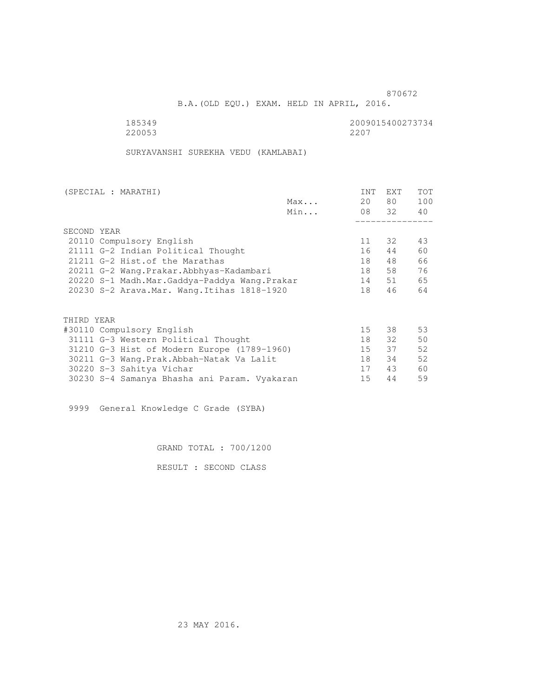B.A.(OLD EQU.) EXAM. HELD IN APRIL, 2016.

 185349 2009015400273734 220053 2207

SURYAVANSHI SUREKHA VEDU (KAMLABAI)

| (SPECIAL : MARATHI)                          |     | <b>INT</b> | EXT   | <b>TOT</b> |
|----------------------------------------------|-----|------------|-------|------------|
|                                              | Max | 20         | 80 —  | 100        |
|                                              | Min |            | 08 32 | 40         |
|                                              |     |            |       |            |
| SECOND YEAR                                  |     |            |       |            |
| 20110 Compulsory English                     |     | 11         | 32    | 43         |
| 21111 G-2 Indian Political Thought           |     | 16         | 44    | 60         |
| 21211 G-2 Hist. of the Marathas              |     | 18         | 48    | 66         |
| 20211 G-2 Wang.Prakar.Abbhyas-Kadambari      |     | 18         | 58    | 76         |
| 20220 S-1 Madh.Mar.Gaddya-Paddya Wang.Prakar |     | 14         | 51    | 65         |
| 20230 S-2 Arava. Mar. Wang. Itihas 1818-1920 |     | 18         | 46    | 64         |
|                                              |     |            |       |            |
| THIRD YEAR                                   |     |            |       |            |
| #30110 Compulsory English                    |     | 15         | 38    | 53         |
| 31111 G-3 Western Political Thought          |     | 18         | 32    | 50         |
| 31210 G-3 Hist of Modern Europe (1789-1960)  |     | 15         | 37    | 52         |
| 30211 G-3 Wang. Prak. Abbah-Natak Va Lalit   |     | 18         | 34    | 52         |
| 30220 S-3 Sahitya Vichar                     |     | 17         | 43    | 60         |
| 30230 S-4 Samanya Bhasha ani Param. Vyakaran |     | 15         | 44    | 59         |

9999 General Knowledge C Grade (SYBA)

GRAND TOTAL : 700/1200

RESULT : SECOND CLASS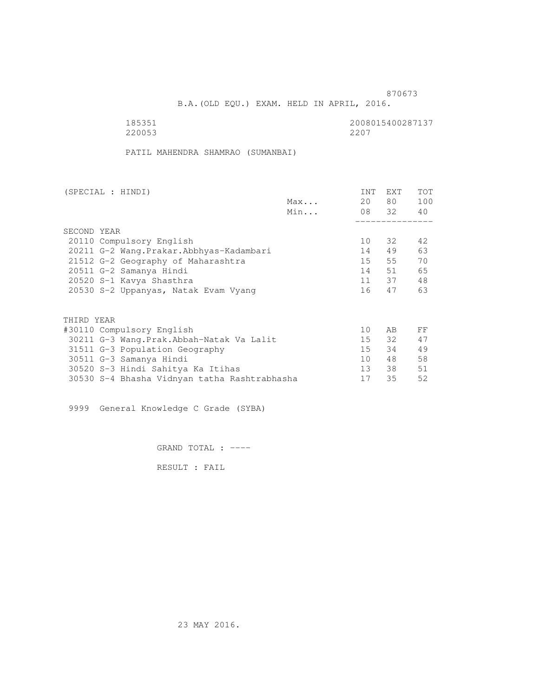B.A.(OLD EQU.) EXAM. HELD IN APRIL, 2016.

| 185351 | 2008015400287137 |
|--------|------------------|
| 220053 | 2207             |

PATIL MAHENDRA SHAMRAO (SUMANBAI)

| (SPECIAL : HINDI)                            |     | INT             | EXT   | <b>TOT</b> |
|----------------------------------------------|-----|-----------------|-------|------------|
|                                              | Max | 20              | 80 —  | 100        |
|                                              | Min |                 | 08 32 | 40         |
|                                              |     |                 |       |            |
| SECOND YEAR                                  |     |                 |       |            |
| 20110 Compulsory English                     |     | 10              | 32    | 42         |
| 20211 G-2 Wang. Prakar. Abbhyas-Kadambari    |     | 14              | 49    | 63         |
| 21512 G-2 Geography of Maharashtra           |     | 15              | 55    | 70         |
| 20511 G-2 Samanya Hindi                      |     | 14              | 51    | 65         |
| 20520 S-1 Kavya Shasthra                     |     |                 | 11 37 | 48         |
| 20530 S-2 Uppanyas, Natak Evam Vyang         |     | 16              | 47    | 63         |
|                                              |     |                 |       |            |
| THIRD YEAR                                   |     |                 |       |            |
| #30110 Compulsory English                    |     | 10              | AB    | FF         |
| 30211 G-3 Wang.Prak.Abbah-Natak Va Lalit     |     | 15              | 32    | 47         |
| 31511 G-3 Population Geography               |     | 15              | 34    | 49         |
| 30511 G-3 Samanya Hindi                      |     | 10              | 48    | 58         |
| 30520 S-3 Hindi Sahitya Ka Itihas            |     | 13 <sup>7</sup> | 38    | 51         |
| 30530 S-4 Bhasha Vidnyan tatha Rashtrabhasha |     | 17              | 35    | 52         |
|                                              |     |                 |       |            |

9999 General Knowledge C Grade (SYBA)

GRAND TOTAL : ----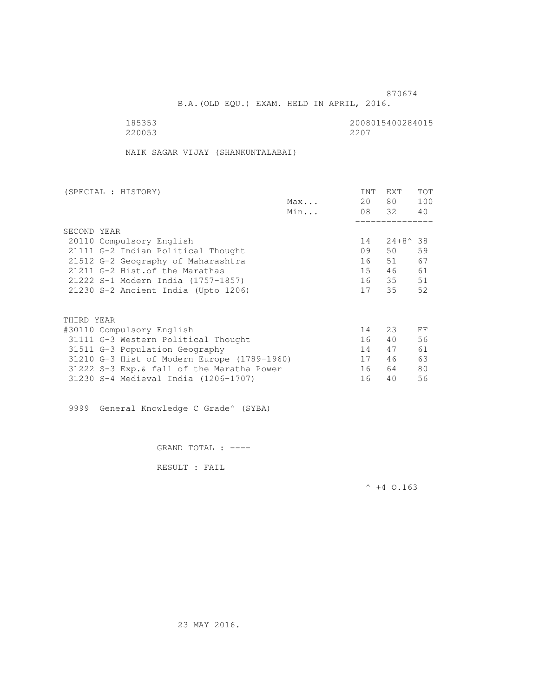B.A.(OLD EQU.) EXAM. HELD IN APRIL, 2016.

220053

185353<br>220053 220053 220053

NAIK SAGAR VIJAY (SHANKUNTALABAI)

| (SPECIAL : HISTORY)                  |                                             |     | <b>INT</b> | EXT              | <b>TOT</b> |
|--------------------------------------|---------------------------------------------|-----|------------|------------------|------------|
|                                      |                                             | Max | 20         | 80 —             | 100        |
|                                      |                                             | Min |            | 08 32            | 40         |
|                                      |                                             |     |            |                  |            |
| SECOND YEAR                          |                                             |     |            |                  |            |
| 20110 Compulsory English             |                                             |     | 14         | $24+8^{\circ}38$ |            |
| 21111 G-2 Indian Political Thought   |                                             |     | 09         | 50               | 59         |
| 21512 G-2 Geography of Maharashtra   |                                             |     | 16         | 51               | 67         |
| 21211 G-2 Hist. of the Marathas      |                                             |     | 15         | 46               | 61         |
| 21222 S-1 Modern India (1757-1857)   |                                             |     | 16         | 35               | 51         |
| 21230 S-2 Ancient India (Upto 1206)  |                                             |     | 17         | 35               | 52         |
|                                      |                                             |     |            |                  |            |
| THIRD YEAR                           |                                             |     |            |                  |            |
| #30110 Compulsory English            |                                             |     | 14         | 23               | FF         |
| 31111 G-3 Western Political Thought  |                                             |     | 16         | 40               | 56         |
| 31511 G-3 Population Geography       |                                             |     | 14         | 47               | 61         |
|                                      | 31210 G-3 Hist of Modern Europe (1789-1960) |     | 17         | 46               | 63         |
|                                      | 31222 S-3 Exp. & fall of the Maratha Power  |     | 16         | 64               | 80         |
| 31230 S-4 Medieval India (1206-1707) |                                             |     | 16         | 40               | 56         |

9999 General Knowledge C Grade^ (SYBA)

GRAND TOTAL : ----

RESULT : FAIL

 $^{\wedge}$  +4 O.163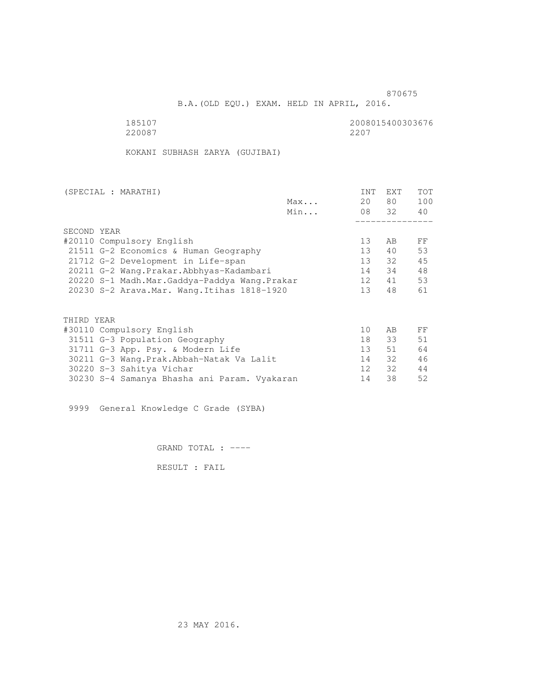B.A.(OLD EQU.) EXAM. HELD IN APRIL, 2016.

 185107 2008015400303676 220087 2207

KOKANI SUBHASH ZARYA (GUJIBAI)

| (SPECIAL : MARATHI) |                                              |     | <b>INT</b>      | <b>EXT</b> | <b>TOT</b> |
|---------------------|----------------------------------------------|-----|-----------------|------------|------------|
|                     |                                              | Max | 20              | 80 —       | 100        |
|                     |                                              | Min |                 | 08 32      | 40         |
|                     |                                              |     |                 |            |            |
| SECOND YEAR         |                                              |     |                 |            |            |
|                     | #20110 Compulsory English                    |     | 13              | AB         | FF         |
|                     | 21511 G-2 Economics & Human Geography        |     | 13              | 40         | 53         |
|                     | 21712 G-2 Development in Life-span           |     | 13              | 32         | 45         |
|                     | 20211 G-2 Wang.Prakar.Abbhyas-Kadambari      |     | 14              | 34         | 48         |
|                     | 20220 S-1 Madh.Mar.Gaddya-Paddya Wang.Prakar |     | 12              | 41         | 53         |
|                     | 20230 S-2 Arava. Mar. Wang. Itihas 1818-1920 |     | 13 <sup>°</sup> | 48         | 61         |
|                     |                                              |     |                 |            |            |
| THIRD YEAR          |                                              |     |                 |            |            |
|                     | #30110 Compulsory English                    |     | 10              | AB         | FF         |
|                     | 31511 G-3 Population Geography               |     | 18              | 33         | 51         |
|                     | 31711 G-3 App. Psy. & Modern Life            |     | 13 <sup>7</sup> | 51         | 64         |
|                     | 30211 G-3 Wang.Prak.Abbah-Natak Va Lalit     |     | 14              | 32         | 46         |
|                     | 30220 S-3 Sahitya Vichar                     |     | 12 <sup>°</sup> | 32         | 44         |
|                     | 30230 S-4 Samanya Bhasha ani Param. Vyakaran |     | 14              | 38         | 52         |
|                     |                                              |     |                 |            |            |

9999 General Knowledge C Grade (SYBA)

GRAND TOTAL : ----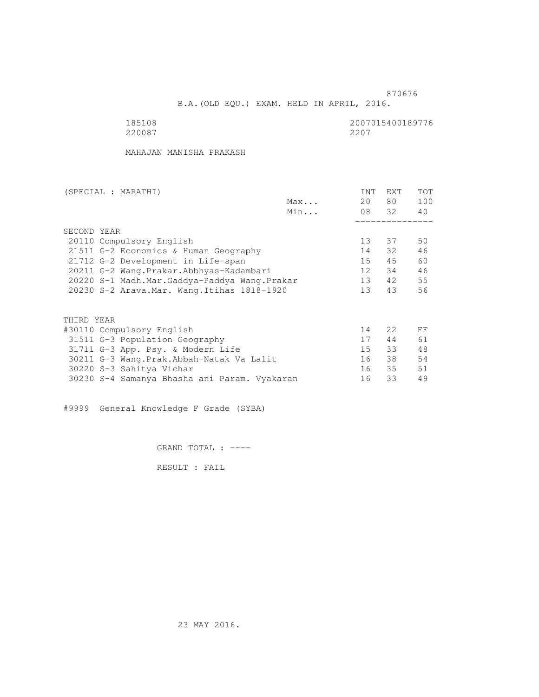B.A.(OLD EQU.) EXAM. HELD IN APRIL, 2016.

 185108 2007015400189776 220087 2207

MAHAJAN MANISHA PRAKASH

| (SPECIAL : MARATHI) |                                              |     | <b>INT</b>      | <b>EXT</b>       | <b>TOT</b> |
|---------------------|----------------------------------------------|-----|-----------------|------------------|------------|
|                     |                                              | Max | 20              | 80 —             | 100        |
|                     |                                              | Min |                 | 08 32            | 40         |
|                     |                                              |     |                 |                  |            |
| SECOND YEAR         |                                              |     |                 |                  |            |
|                     | 20110 Compulsory English                     |     | 13              | 37               | 50         |
|                     | 21511 G-2 Economics & Human Geography        |     | 14              | 32               | 46         |
|                     | 21712 G-2 Development in Life-span           |     | 15              | 45               | 60         |
|                     | 20211 G-2 Wang.Prakar.Abbhyas-Kadambari      |     | 12 <sup>1</sup> | 34               | 46         |
|                     | 20220 S-1 Madh.Mar.Gaddya-Paddya Wang.Prakar |     | 13              | 42               | 55         |
|                     | 20230 S-2 Arava. Mar. Wang. Itihas 1818-1920 |     | 13 <sup>°</sup> | 43               | 56         |
|                     |                                              |     |                 |                  |            |
| THIRD YEAR          |                                              |     |                 |                  |            |
|                     | #30110 Compulsory English                    |     | 14              | 2.2 <sub>1</sub> | FF         |
|                     | 31511 G-3 Population Geography               |     | 17              | 44               | 61         |
|                     | 31711 G-3 App. Psy. & Modern Life            |     | 15              | 33               | 48         |
|                     | 30211 G-3 Wang.Prak.Abbah-Natak Va Lalit     |     | 16              | 38               | 54         |
|                     | 30220 S-3 Sahitya Vichar                     |     | 16              | 35               | 51         |
|                     | 30230 S-4 Samanya Bhasha ani Param. Vyakaran |     | 16              | 33               | 49         |
|                     |                                              |     |                 |                  |            |

#9999 General Knowledge F Grade (SYBA)

GRAND TOTAL : ----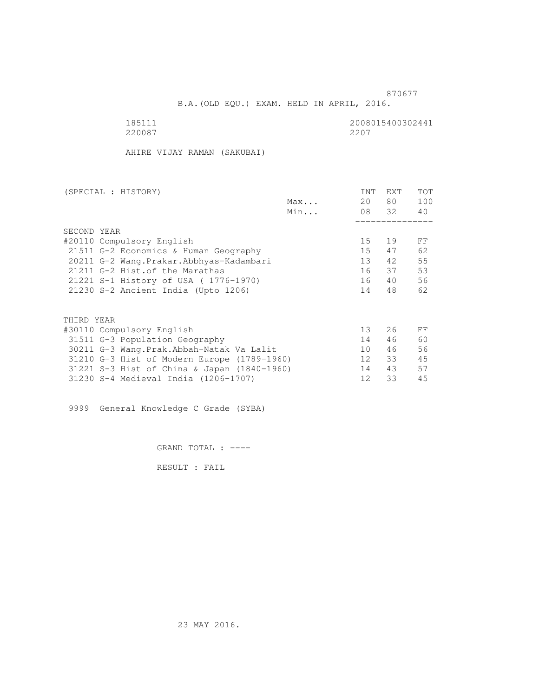B.A.(OLD EQU.) EXAM. HELD IN APRIL, 2016.

185111 2008015400302441<br>220087 220087 2200 220087 2207

AHIRE VIJAY RAMAN (SAKUBAI)

| (SPECIAL : HISTORY)                         |     | <b>INT</b>      | <b>EXT</b> | <b>TOT</b> |
|---------------------------------------------|-----|-----------------|------------|------------|
|                                             | Max | 20              | 80 —       | 100        |
|                                             | Min |                 | 08 32      | 40         |
|                                             |     |                 |            |            |
| SECOND YEAR                                 |     |                 |            |            |
| #20110 Compulsory English                   |     | 15              | 19         | FF         |
| 21511 G-2 Economics & Human Geography       |     | 15              | 47         | 62         |
| 20211 G-2 Wang.Prakar.Abbhyas-Kadambari     |     | 13              | 42         | 55         |
| 21211 G-2 Hist. of the Marathas             |     | 16              | 37         | 53         |
| 21221 S-1 History of USA (1776-1970)        |     | 16              | 40         | 56         |
| 21230 S-2 Ancient India (Upto 1206)         |     | 14              | 48         | 62         |
|                                             |     |                 |            |            |
| THIRD YEAR                                  |     |                 |            |            |
| #30110 Compulsory English                   |     | 13              | 26         | FF         |
| 31511 G-3 Population Geography              |     | 14              | 46         | 60         |
| 30211 G-3 Wang. Prak. Abbah-Natak Va Lalit  |     | 10 <sup>1</sup> | 46         | 56         |
| 31210 G-3 Hist of Modern Europe (1789-1960) |     | 12              | 33         | 45         |
| 31221 S-3 Hist of China & Japan (1840-1960) |     | 14              | 43         | 57         |
| 31230 S-4 Medieval India (1206-1707)        |     | 12              | 33         | 45         |
|                                             |     |                 |            |            |

9999 General Knowledge C Grade (SYBA)

GRAND TOTAL : ----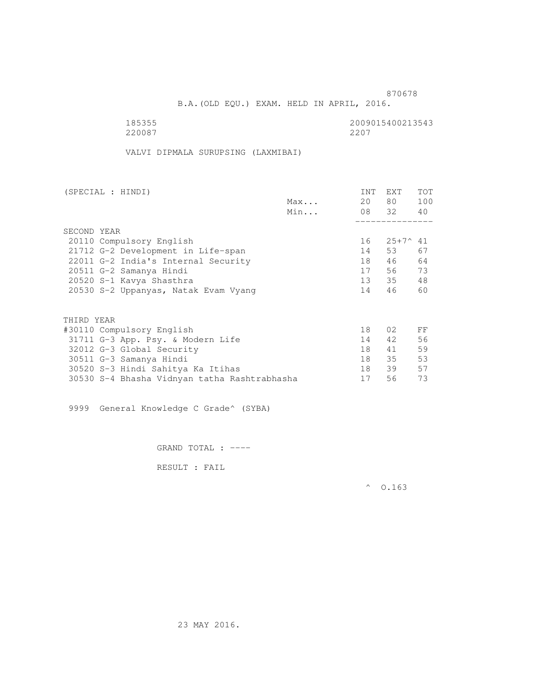B.A.(OLD EQU.) EXAM. HELD IN APRIL, 2016.

185355 2009015400213543<br>220087 220087 2200 220087 2207

VALVI DIPMALA SURUPSING (LAXMIBAI)

| (SPECIAL : HINDI)                            |     | INT | <b>EXT</b> | <b>TOT</b> |
|----------------------------------------------|-----|-----|------------|------------|
|                                              | Max | 20  | 80 —       | 100        |
|                                              | Min |     | 08 32 40   |            |
|                                              |     |     |            |            |
| SECOND YEAR                                  |     |     |            |            |
| 20110 Compulsory English                     |     | 16  | 25+7^41    |            |
| 21712 G-2 Development in Life-span           |     | 14  | 53         | 67         |
| 22011 G-2 India's Internal Security          |     | 18  | 46         | 64         |
| 20511 G-2 Samanya Hindi                      |     | 17  | 56 —       | 73         |
| 20520 S-1 Kavya Shasthra                     |     |     | 13 35      | 48         |
| 20530 S-2 Uppanyas, Natak Evam Vyang         |     | 14  | 46         | 60         |
| THIRD YEAR                                   |     |     |            |            |
| #30110 Compulsory English                    |     | 18  | 02         | FF         |
| 31711 G-3 App. Psy. & Modern Life            |     | 14  | 42         | 56         |
| 32012 G-3 Global Security                    |     | 18  | 41         | 59         |
| 30511 G-3 Samanya Hindi                      |     | 18  | 35         | 53         |
| 30520 S-3 Hindi Sahitya Ka Itihas            |     | 18  | 39         | 57         |
|                                              |     | 17  | 56         | 73         |
| 30530 S-4 Bhasha Vidnyan tatha Rashtrabhasha |     |     |            |            |

9999 General Knowledge C Grade^ (SYBA)

GRAND TOTAL : ----

RESULT : FAIL

 $^{\circ}$  0.163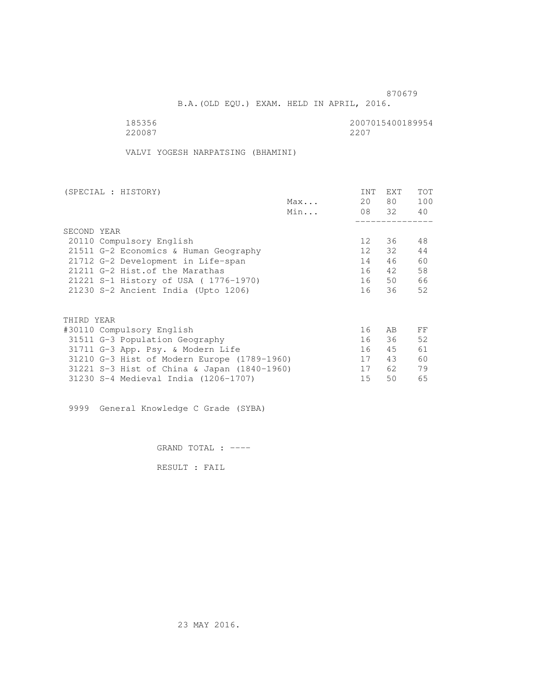B.A.(OLD EQU.) EXAM. HELD IN APRIL, 2016.

 185356 2007015400189954 220087 2207

VALVI YOGESH NARPATSING (BHAMINI)

| (SPECIAL : HISTORY)                         |     | <b>INT</b>      | <b>EXT</b> | <b>TOT</b> |
|---------------------------------------------|-----|-----------------|------------|------------|
|                                             | Max | 20              | 80 —       | 100        |
|                                             | Min |                 | 08 32      | 40         |
|                                             |     |                 |            |            |
| SECOND YEAR                                 |     |                 |            |            |
| 20110 Compulsory English                    |     | 12              | 36         | 48         |
| 21511 G-2 Economics & Human Geography       |     | 12 <sup>°</sup> | 32         | 44         |
| 21712 G-2 Development in Life-span          |     | 14              | 46         | 60         |
| 21211 G-2 Hist. of the Marathas             |     | 16              | 42         | 58         |
| 21221 S-1 History of USA (1776-1970)        |     | 16              | 50         | 66         |
| 21230 S-2 Ancient India (Upto 1206)         |     | 16              | 36         | 52         |
|                                             |     |                 |            |            |
| THIRD YEAR                                  |     |                 |            |            |
| #30110 Compulsory English                   |     | 16              | AB         | FF         |
| 31511 G-3 Population Geography              |     | 16              | 36         | 52         |
| 31711 G-3 App. Psy. & Modern Life           |     | 16              | 45         | 61         |
| 31210 G-3 Hist of Modern Europe (1789-1960) |     | 17              | 43         | 60         |
| 31221 S-3 Hist of China & Japan (1840-1960) |     | 17              | 62         | 79         |
| 31230 S-4 Medieval India (1206-1707)        |     | 15              | 50         | 65         |
|                                             |     |                 |            |            |

9999 General Knowledge C Grade (SYBA)

GRAND TOTAL : ----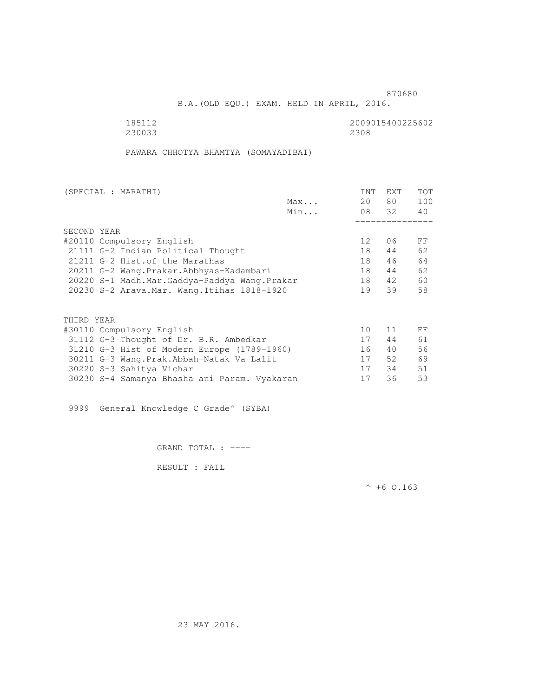B.A.(OLD EQU.) EXAM. HELD IN APRIL, 2016.

 185112 2009015400225602 230033 2308

PAWARA CHHOTYA BHAMTYA (SOMAYADIBAI)

| (SPECIAL : MARATHI)                          |     | <b>INT</b>      | <b>EXT</b> | <b>TOT</b> |
|----------------------------------------------|-----|-----------------|------------|------------|
|                                              | Max | 20              | 80 —       | 100        |
|                                              | Min |                 | 08 32      | 40         |
|                                              |     |                 |            |            |
| SECOND YEAR                                  |     |                 |            |            |
| #20110 Compulsory English                    |     | 12 <sup>°</sup> | 06         | FF         |
| 21111 G-2 Indian Political Thought           |     | 18              | 44         | 62         |
| 21211 G-2 Hist. of the Marathas              |     | 18              | 46         | 64         |
| 20211 G-2 Wang.Prakar.Abbhyas-Kadambari      |     | 18              | 44         | 62         |
| 20220 S-1 Madh.Mar.Gaddya-Paddya Wang.Prakar |     | 18              | 42         | 60         |
| 20230 S-2 Arava. Mar. Wang. Itihas 1818-1920 |     | 19              | 39         | 58         |
|                                              |     |                 |            |            |
| THIRD YEAR                                   |     |                 |            |            |
| #30110 Compulsory English                    |     | 10              | 11         | FF         |
| 31112 G-3 Thought of Dr. B.R. Ambedkar       |     | 17              | 44         | 61         |
| 31210 G-3 Hist of Modern Europe (1789-1960)  |     | 16              | 40         | 56         |
| 30211 G-3 Wang.Prak.Abbah-Natak Va Lalit     |     | 17              | 52         | 69         |
| 30220 S-3 Sahitya Vichar                     |     | 17              | 34         | 51         |
| 30230 S-4 Samanya Bhasha ani Param. Vyakaran |     | 17              | 36         | 53         |
|                                              |     |                 |            |            |

9999 General Knowledge C Grade^ (SYBA)

GRAND TOTAL : ----

RESULT : FAIL

 $^{\wedge}$  +6 0.163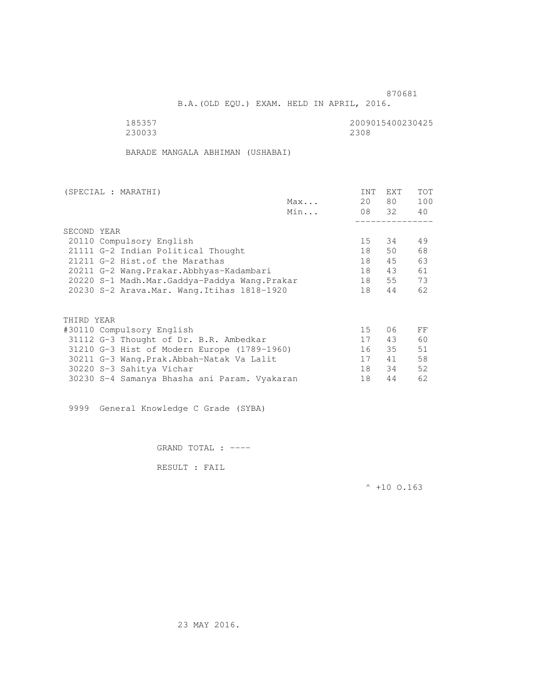B.A.(OLD EQU.) EXAM. HELD IN APRIL, 2016.

| 185357 | 2009015400230425 |
|--------|------------------|
| 230033 | 2308             |

BARADE MANGALA ABHIMAN (USHABAI)

| (SPECIAL : MARATHI)                          |     | INT | EXT   | <b>TOT</b> |
|----------------------------------------------|-----|-----|-------|------------|
|                                              | Max | 20  | 80 —  | 100        |
|                                              | Min |     | 08 32 | 40         |
|                                              |     |     |       |            |
| SECOND YEAR                                  |     |     |       |            |
| 20110 Compulsory English                     |     | 15  | 34    | 49         |
| 21111 G-2 Indian Political Thought           |     | 18  | 50    | 68         |
| 21211 G-2 Hist. of the Marathas              |     | 18  | 45    | 63         |
| 20211 G-2 Wang.Prakar.Abbhyas-Kadambari      |     | 18  | 43    | 61         |
| 20220 S-1 Madh.Mar.Gaddya-Paddya Wang.Prakar |     | 18  | 55    | 73         |
| 20230 S-2 Arava. Mar. Wang. Itihas 1818-1920 |     | 18  | 44    | 62         |
|                                              |     |     |       |            |
| THIRD YEAR                                   |     |     |       |            |
| #30110 Compulsory English                    |     | 15  | 06    | FF         |
| 31112 G-3 Thought of Dr. B.R. Ambedkar       |     | 17  | 43    | 60         |
| 31210 G-3 Hist of Modern Europe (1789-1960)  |     | 16  | 35    | 51         |
| 30211 G-3 Wang. Prak. Abbah-Natak Va Lalit   |     | 17  | 41    | 58         |
|                                              |     | 18  | 34    | 52         |
| 30220 S-3 Sahitya Vichar                     |     |     |       |            |
| 30230 S-4 Samanya Bhasha ani Param. Vyakaran |     | 18  | 44    | 62         |

9999 General Knowledge C Grade (SYBA)

GRAND TOTAL : ----

RESULT : FAIL

 $^{\wedge}$  +10 O.163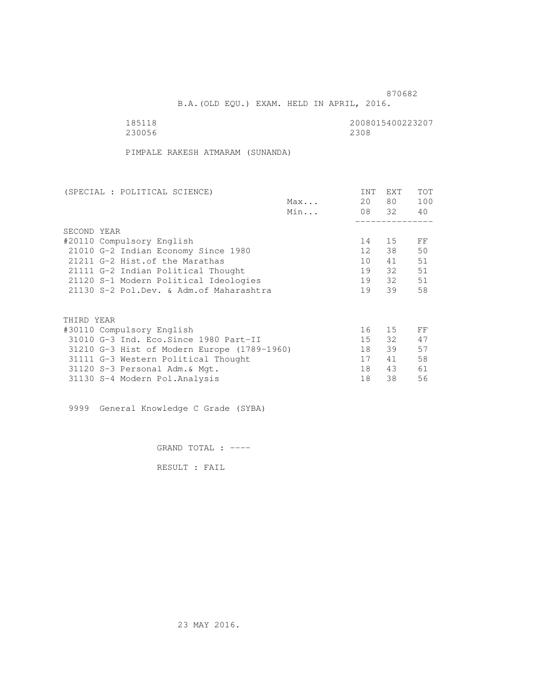B.A.(OLD EQU.) EXAM. HELD IN APRIL, 2016.

| 185118 | 2008015400223207 |
|--------|------------------|
| 230056 | 2308             |

PIMPALE RAKESH ATMARAM (SUNANDA)

| <b>INT</b> | EXT  | <b>TOT</b>              |
|------------|------|-------------------------|
|            | 80 — | 100                     |
|            |      | 40                      |
|            |      |                         |
|            |      |                         |
| 14         | 15   | FF                      |
| 12         | 38   | 50                      |
| 10         | 41   | 51                      |
| 19         |      | 51                      |
| 19         |      | 51                      |
| 19         | 39   | 58                      |
|            |      |                         |
|            |      |                         |
| 16         | 15   | FF                      |
| 15         | 32   | 47                      |
| 18         | 39   | 57                      |
| 17         | 41   | 58                      |
| 18         | 43   | 61                      |
| 18         | 38   | 56                      |
|            |      | 20<br>08 32<br>32<br>32 |

9999 General Knowledge C Grade (SYBA)

GRAND TOTAL : ----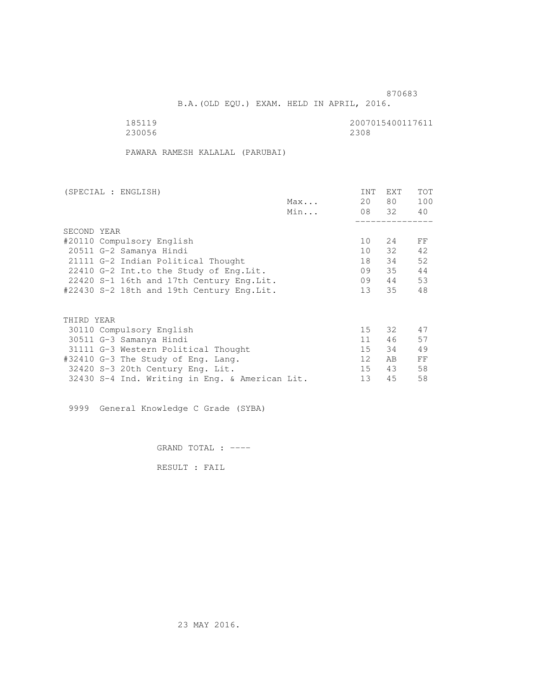and the state of the state of the state of the state of the state of the state of the state of the state of the state of the state of the state of the state of the state of the state of the state of the state of the state

B.A.(OLD EQU.) EXAM. HELD IN APRIL, 2016.

| 185119 | 2007015400117611 |
|--------|------------------|
| 230056 | 2308             |

PAWARA RAMESH KALALAL (PARUBAI)

| (SPECIAL : ENGLISH)                            | <b>INT</b>      | <b>EXT</b> | <b>TOT</b> |
|------------------------------------------------|-----------------|------------|------------|
| Max                                            | 20              | 80 —       | 100        |
| Min                                            |                 | 08 32      | 40         |
|                                                |                 |            |            |
| SECOND YEAR                                    |                 |            |            |
| #20110 Compulsory English                      | 10              | 24         | FF         |
| 20511 G-2 Samanya Hindi                        | 10 <sup>1</sup> | 32         | 42         |
| 21111 G-2 Indian Political Thought             | 18              | 34         | 52         |
| 22410 G-2 Int.to the Study of Eng. Lit.        | 09              | 35         | 44         |
| 22420 S-1 16th and 17th Century Eng. Lit.      | 09              | 44         | 53         |
| #22430 S-2 18th and 19th Century Eng.Lit.      | 13 <sup>7</sup> | 35         | 48         |
|                                                |                 |            |            |
|                                                |                 |            |            |
| THIRD YEAR                                     |                 |            |            |
| 30110 Compulsory English                       | 15              | 32         | 47         |
| 30511 G-3 Samanya Hindi                        | 11              | 46         | 57         |
| 31111 G-3 Western Political Thought            | 15              | 34         | 49         |
| #32410 G-3 The Study of Eng. Lang.             | 12              | AB         | FF         |
| 32420 S-3 20th Century Eng. Lit.               | 15              | 43         | 58         |
| 32430 S-4 Ind. Writing in Eng. & American Lit. | 13              | 45         | 58         |

9999 General Knowledge C Grade (SYBA)

GRAND TOTAL : ----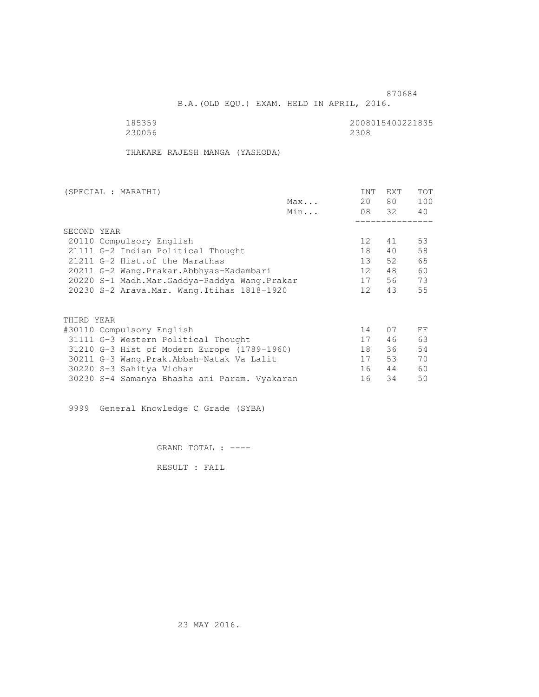B.A.(OLD EQU.) EXAM. HELD IN APRIL, 2016.

 185359 2008015400221835 230056 2308

THAKARE RAJESH MANGA (YASHODA)

| (SPECIAL : MARATHI)                          |     | INT             | EXT   | <b>TOT</b> |
|----------------------------------------------|-----|-----------------|-------|------------|
|                                              | Max | 20              | 80 —  | 100        |
|                                              | Min |                 | 08 32 | 40         |
|                                              |     |                 |       |            |
| SECOND YEAR                                  |     |                 |       |            |
| 20110 Compulsory English                     |     | 12 <sup>°</sup> | 41    | 53         |
| 21111 G-2 Indian Political Thought           |     | 18              | 40    | 58         |
| 21211 G-2 Hist. of the Marathas              |     | 13              | 52    | 65         |
| 20211 G-2 Wang.Prakar.Abbhyas-Kadambari      |     | 12 <sup>°</sup> | 48    | 60         |
| 20220 S-1 Madh.Mar.Gaddya-Paddya Wang.Prakar |     | 17              | 56    | 73         |
| 20230 S-2 Arava. Mar. Wang. Itihas 1818-1920 |     | 12 <sup>°</sup> | 43    | 55         |
| THIRD YEAR                                   |     |                 |       |            |
| #30110 Compulsory English                    |     | 14              | 07    | FF         |
| 31111 G-3 Western Political Thought          |     | 17              | 46    | 63         |
| 31210 G-3 Hist of Modern Europe (1789-1960)  |     | 18              | 36    | 54         |
| 30211 G-3 Wang.Prak.Abbah-Natak Va Lalit     |     | 17              | 53    | 70         |
| 30220 S-3 Sahitya Vichar                     |     | 16              | 44    | 60         |
| 30230 S-4 Samanya Bhasha ani Param. Vyakaran |     | 16              | 34    | 50         |
|                                              |     |                 |       |            |

9999 General Knowledge C Grade (SYBA)

GRAND TOTAL : ----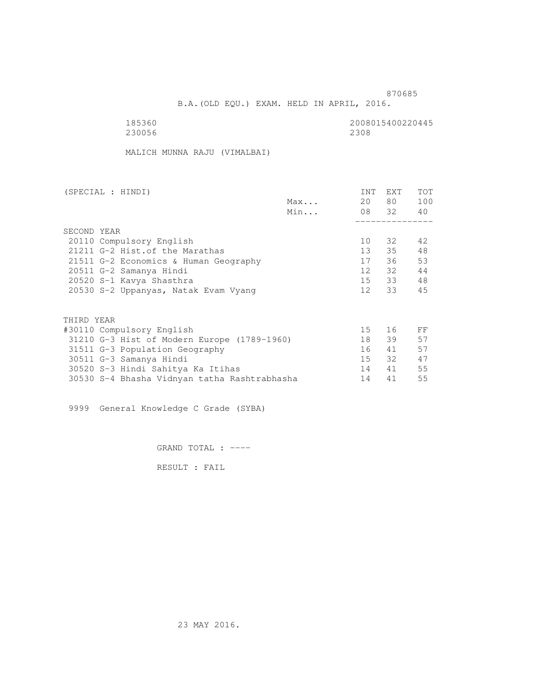and the state of the state of the state of the state of the state of the state of the state of the state of th

B.A.(OLD EQU.) EXAM. HELD IN APRIL, 2016.

| 185360 | 2008015400220445 |
|--------|------------------|
| 230056 | 2308             |

MALICH MUNNA RAJU (VIMALBAI)

|             | (SPECIAL : HINDI)                            |     | INT             | <b>EXT</b> | <b>TOT</b> |
|-------------|----------------------------------------------|-----|-----------------|------------|------------|
|             |                                              | Max | 20              | 80 —       | 100        |
|             |                                              | Min |                 | 08 32 40   |            |
|             |                                              |     |                 |            |            |
| SECOND YEAR |                                              |     |                 |            |            |
|             | 20110 Compulsory English                     |     | 10              | 32         | 42         |
|             | 21211 G-2 Hist. of the Marathas              |     | $13 -$          | 35         | 48         |
|             | 21511 G-2 Economics & Human Geography        |     | 17              | 36         | 53         |
|             | 20511 G-2 Samanya Hindi                      |     | 12              | 32         | 44         |
|             | 20520 S-1 Kavya Shasthra                     |     |                 | 15 33      | 48         |
|             | 20530 S-2 Uppanyas, Natak Evam Vyang         |     | 12              | 33         | 45         |
|             |                                              |     |                 |            |            |
| THIRD YEAR  |                                              |     |                 |            |            |
|             | #30110 Compulsory English                    |     | 15 <sub>1</sub> | 16         | FF         |
|             | 31210 G-3 Hist of Modern Europe (1789-1960)  |     | 18              | 39         | 57         |
|             | 31511 G-3 Population Geography               |     | 16              | 41         | 57         |
|             | 30511 G-3 Samanya Hindi                      |     | 15              | 32         | 47         |
|             | 30520 S-3 Hindi Sahitya Ka Itihas            |     | 14              | 41         | 55         |
|             | 30530 S-4 Bhasha Vidnyan tatha Rashtrabhasha |     | 14              | 41         | 55         |
|             |                                              |     |                 |            |            |

9999 General Knowledge C Grade (SYBA)

GRAND TOTAL : ----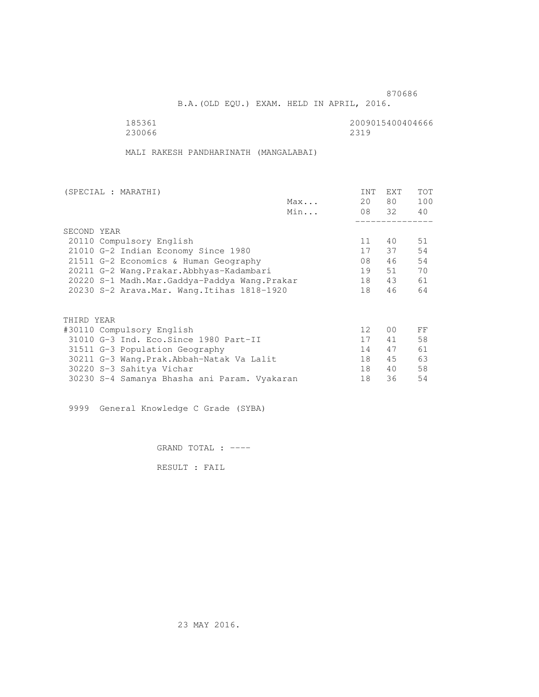B.A.(OLD EQU.) EXAM. HELD IN APRIL, 2016.

 185361 2009015400404666 230066 2319

MALI RAKESH PANDHARINATH (MANGALABAI)

| (SPECIAL : MARATHI)                          |     | INT             | EXT            | TOT |
|----------------------------------------------|-----|-----------------|----------------|-----|
|                                              | Max | 20              | 80 —           | 100 |
|                                              | Min |                 | 08 32          | 40  |
|                                              |     |                 |                |     |
| SECOND YEAR                                  |     |                 |                |     |
| 20110 Compulsory English                     |     | 11              | 40             | 51  |
| 21010 G-2 Indian Economy Since 1980          |     | 17              | 37             | 54  |
| 21511 G-2 Economics & Human Geography        |     | 08              | 46             | 54  |
| 20211 G-2 Wang.Prakar.Abbhyas-Kadambari      |     | 19              | 51             | 70  |
| 20220 S-1 Madh.Mar.Gaddya-Paddya Wang.Prakar |     | 18              | 43             | 61  |
| 20230 S-2 Arava. Mar. Wang. Itihas 1818-1920 |     | 18              | 46             | 64  |
| THIRD YEAR                                   |     |                 |                |     |
| #30110 Compulsory English                    |     | 12 <sup>°</sup> | 0 <sub>0</sub> | FF  |
| 31010 G-3 Ind. Eco. Since 1980 Part-II       |     | 17              | 41             | 58  |
| 31511 G-3 Population Geography               |     | 14              | 47             | 61  |
| 30211 G-3 Wang.Prak.Abbah-Natak Va Lalit     |     | 18              | 45             | 63  |
| 30220 S-3 Sahitya Vichar                     |     | 18              | 40             | 58  |
| 30230 S-4 Samanya Bhasha ani Param. Vyakaran |     | 18              | 36             | 54  |
|                                              |     |                 |                |     |

9999 General Knowledge C Grade (SYBA)

GRAND TOTAL : ----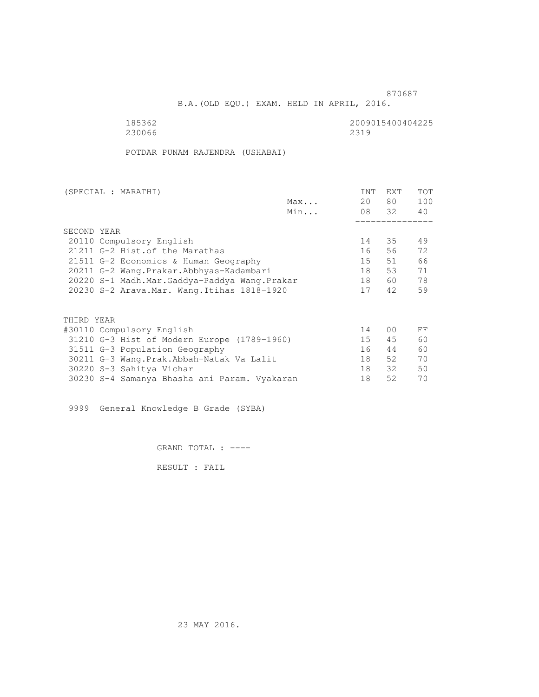and the state of the state of the state of the state of the state of the state of the state of the state of th

B.A.(OLD EQU.) EXAM. HELD IN APRIL, 2016.

185362<br>230066 230066 2319 230066 2319

POTDAR PUNAM RAJENDRA (USHABAI)

| (SPECIAL : MARATHI)                          |     | <b>INT</b> | <b>EXT</b>     | TOT |
|----------------------------------------------|-----|------------|----------------|-----|
|                                              | Max | 20         | 80 —           | 100 |
|                                              | Min |            | 08 32          | 40  |
|                                              |     |            |                |     |
| SECOND YEAR                                  |     |            |                |     |
| 20110 Compulsory English                     |     | 14         | 35             | 49  |
| 21211 G-2 Hist. of the Marathas              |     | 16         | 56             | 72  |
| 21511 G-2 Economics & Human Geography        |     | 15         | 51             | 66  |
| 20211 G-2 Wang.Prakar.Abbhyas-Kadambari      |     | 18         | 53             | 71  |
| 20220 S-1 Madh.Mar.Gaddya-Paddya Wang.Prakar |     | 18         | 60 —           | 78  |
| 20230 S-2 Arava. Mar. Wang. Itihas 1818-1920 |     | 17         | 42             | 59  |
|                                              |     |            |                |     |
| THIRD YEAR                                   |     |            |                |     |
| #30110 Compulsory English                    |     | 14         | 0 <sup>0</sup> | FF  |
| 31210 G-3 Hist of Modern Europe (1789-1960)  |     | 15         | 45             | 60  |
| 31511 G-3 Population Geography               |     | 16         | 44             | 60  |
| 30211 G-3 Wang.Prak.Abbah-Natak Va Lalit     |     | 18         | 52             | 70  |
| 30220 S-3 Sahitya Vichar                     |     | 18         | 32             | 50  |
| 30230 S-4 Samanya Bhasha ani Param. Vyakaran |     | 18         | 52             | 70  |
|                                              |     |            |                |     |

9999 General Knowledge B Grade (SYBA)

GRAND TOTAL : ----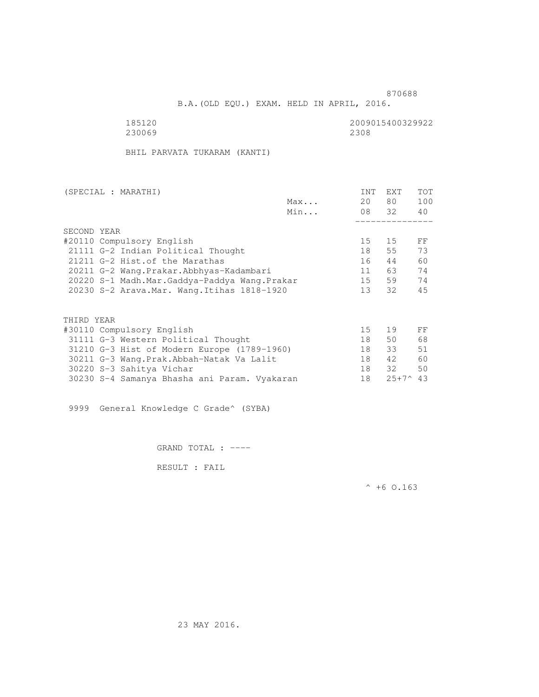B.A.(OLD EQU.) EXAM. HELD IN APRIL, 2016.

230069

185120 2009015400329922

BHIL PARVATA TUKARAM (KANTI)

| Max                                          | 20              | 80 —           |     |
|----------------------------------------------|-----------------|----------------|-----|
|                                              |                 |                | 100 |
| Min                                          |                 | 08 32          | 40  |
|                                              |                 |                |     |
| SECOND YEAR                                  |                 |                |     |
| #20110 Compulsory English                    | 15              | 15             | FF  |
| 21111 G-2 Indian Political Thought           | 18              | 55             | 73  |
| 21211 G-2 Hist. of the Marathas              | 16              | 44             | 60  |
| 20211 G-2 Wang.Prakar.Abbhyas-Kadambari      | 11              | 63             | 74  |
| 20220 S-1 Madh.Mar.Gaddya-Paddya Wang.Prakar | 15              | 59             | 74  |
| 20230 S-2 Arava. Mar. Wang. Itihas 1818-1920 | 13 <sup>7</sup> | 32             | 45  |
|                                              |                 |                |     |
| THIRD YEAR                                   |                 |                |     |
| #30110 Compulsory English                    | 15              | 19             | FF  |
| 31111 G-3 Western Political Thought          | 18              | 50             | 68  |
| 31210 G-3 Hist of Modern Europe (1789-1960)  | 18              | 33             | 51  |
| 30211 G-3 Wang. Prak. Abbah-Natak Va Lalit   | 18              | 42             | 60  |
| 30220 S-3 Sahitya Vichar                     | 18              | 32             | 50  |
| 30230 S-4 Samanya Bhasha ani Param. Vyakaran | 18              | $25+7^{\circ}$ | 43  |

9999 General Knowledge C Grade^ (SYBA)

GRAND TOTAL : ----

RESULT : FAIL

 $^{\wedge}$  +6 O.163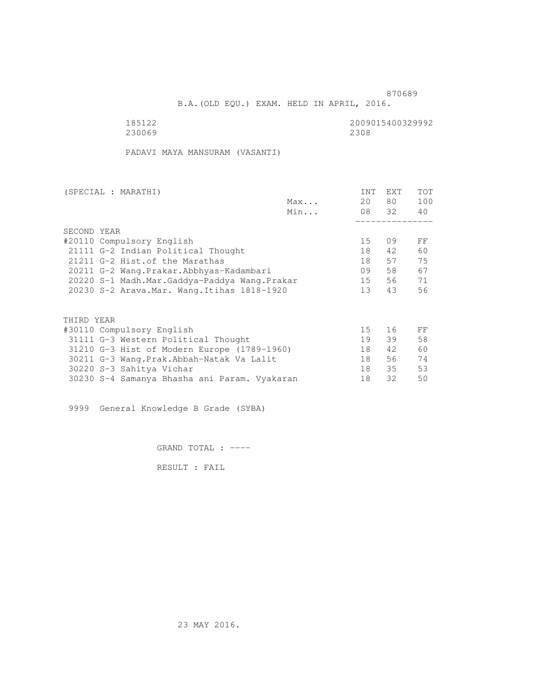B.A.(OLD EQU.) EXAM. HELD IN APRIL, 2016.

230069 2308

185122 2009015400329992

PADAVI MAYA MANSURAM (VASANTI)

| (SPECIAL : MARATHI)                          |     | INT             | EXT   | <b>TOT</b> |
|----------------------------------------------|-----|-----------------|-------|------------|
|                                              | Max | 20              | 80 —  | 100        |
|                                              | Min |                 | 08 32 | 40         |
|                                              |     |                 |       |            |
| SECOND YEAR                                  |     |                 |       |            |
| #20110 Compulsory English                    |     | 15 <sub>1</sub> | 09    | FF         |
| 21111 G-2 Indian Political Thought           |     | 18              | 42    | 60         |
| 21211 G-2 Hist. of the Marathas              |     | 18              | 57    | 75         |
| 20211 G-2 Wang.Prakar.Abbhyas-Kadambari      |     | 09              | 58    | 67         |
| 20220 S-1 Madh.Mar.Gaddya-Paddya Wang.Prakar |     | 15              | 56    | 71         |
| 20230 S-2 Arava. Mar. Wang. Itihas 1818-1920 |     | 13              | 43    | 56         |
| THIRD YEAR                                   |     |                 |       |            |
| #30110 Compulsory English                    |     | 15              | 16    | FF         |
| 31111 G-3 Western Political Thought          |     | 19              | 39    | 58         |
| 31210 G-3 Hist of Modern Europe (1789-1960)  |     | 18              | 42    | 60         |
| 30211 G-3 Wang.Prak.Abbah-Natak Va Lalit     |     | 18              | 56    | 74         |
| 30220 S-3 Sahitya Vichar                     |     | 18              | 35    | 53         |
| 30230 S-4 Samanya Bhasha ani Param. Vyakaran |     | 18              | 32    | 50         |
|                                              |     |                 |       |            |

9999 General Knowledge B Grade (SYBA)

GRAND TOTAL : ----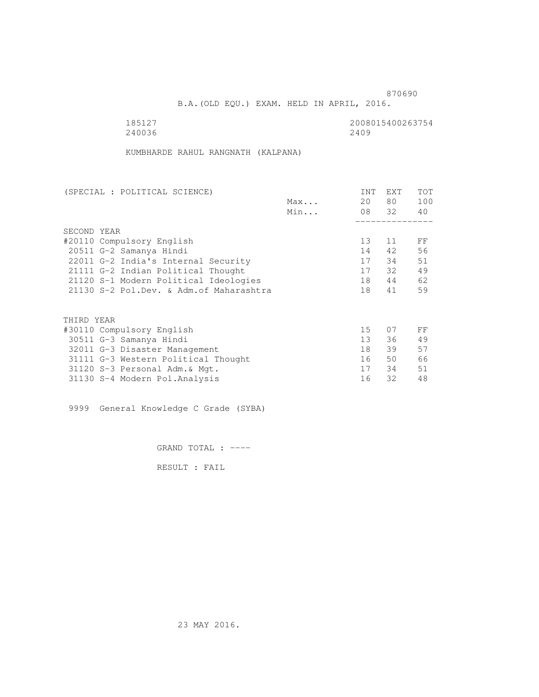B.A.(OLD EQU.) EXAM. HELD IN APRIL, 2016.

| 185127 | 2008015400263754 |
|--------|------------------|
| 240036 | 2409             |

KUMBHARDE RAHUL RANGNATH (KALPANA)

| (SPECIAL : POLITICAL SCIENCE)            |     | <b>INT</b>      | EXT   | TOT |
|------------------------------------------|-----|-----------------|-------|-----|
|                                          | Max | 20              | 80    | 100 |
|                                          | Min |                 | 08 32 | 40  |
|                                          |     |                 |       |     |
| SECOND YEAR                              |     |                 |       |     |
| #20110 Compulsory English                |     | 13              | 11    | FF  |
| 20511 G-2 Samanya Hindi                  |     | 14              | 42    | 56  |
| 22011 G-2 India's Internal Security      |     | 17              | 34    | 51  |
| 21111 G-2 Indian Political Thought       |     | 17              | 32    | 49  |
| 21120 S-1 Modern Political Ideologies    |     | 18              | 44    | 62  |
| 21130 S-2 Pol.Dev. & Adm. of Maharashtra |     | 18              | 41    | 59  |
|                                          |     |                 |       |     |
| THIRD YEAR                               |     |                 |       |     |
| #30110 Compulsory English                |     | 15              | 07    | FF  |
| 30511 G-3 Samanya Hindi                  |     | 13 <sup>7</sup> | 36    | 49  |
| 32011 G-3 Disaster Management            |     | 18              | 39    | 57  |
| 31111 G-3 Western Political Thought      |     | 16              | 50    | 66  |
| 31120 S-3 Personal Adm. & Mgt.           |     | 17              | 34    | 51  |
| 31130 S-4 Modern Pol.Analysis            |     | 16              | 32    | 48  |

9999 General Knowledge C Grade (SYBA)

GRAND TOTAL : ----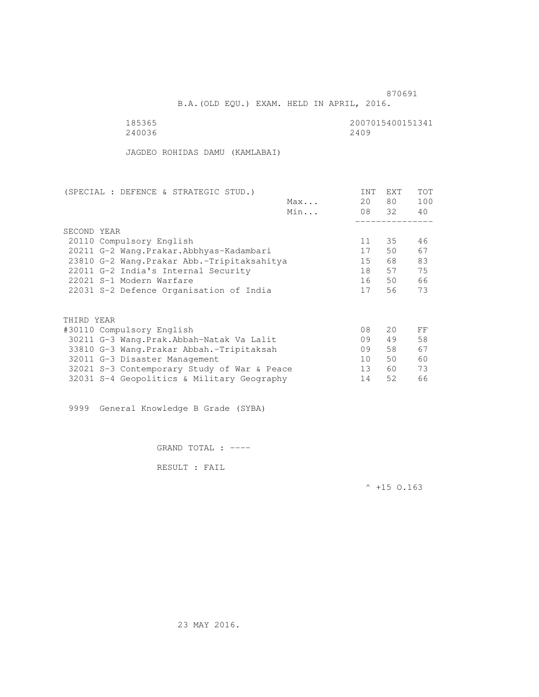B.A.(OLD EQU.) EXAM. HELD IN APRIL, 2016.

| 185365 | 2007015400151341 |
|--------|------------------|
| 240036 | 2409             |

JAGDEO ROHIDAS DAMU (KAMLABAI)

| (SPECIAL : DEFENCE & STRATEGIC STUD.)       |     | INT | EXT   | <b>TOT</b> |
|---------------------------------------------|-----|-----|-------|------------|
|                                             | Max | 20  | 80    | 100        |
|                                             | Min |     | 08 32 | 40         |
|                                             |     |     |       |            |
| SECOND YEAR                                 |     |     |       |            |
| 20110 Compulsory English                    |     | 11  | 35    | 46         |
| 20211 G-2 Wang. Prakar. Abbhyas-Kadambari   |     | 17  | 50    | 67         |
| 23810 G-2 Wang. Prakar Abb.-Tripitaksahitya |     | 15  | 68 -  | 83         |
| 22011 G-2 India's Internal Security         |     | 18  | 57    | 75         |
| 22021 S-1 Modern Warfare                    |     | 16  | 50    | 66         |
| 22031 S-2 Defence Organisation of India     |     | 17  | 56    | 73         |
| THIRD YEAR                                  |     |     |       |            |
| #30110 Compulsory English                   |     | 08  | 20    | FF         |
| 30211 G-3 Wang.Prak.Abbah-Natak Va Lalit    |     | 09  | 49    | 58         |
|                                             |     |     |       |            |
| 33810 G-3 Wang. Prakar Abbah. - Tripitaksah |     | 09  | 58    | 67         |
| 32011 G-3 Disaster Management               |     | 10  | 50    | 60         |
| 32021 S-3 Contemporary Study of War & Peace |     | 13  | 60    | 73         |
| 32031 S-4 Geopolitics & Military Geography  |     | 14  | 52    | 66         |
|                                             |     |     |       |            |

9999 General Knowledge B Grade (SYBA)

GRAND TOTAL : ----

RESULT : FAIL

 $^{\wedge}$  +15 O.163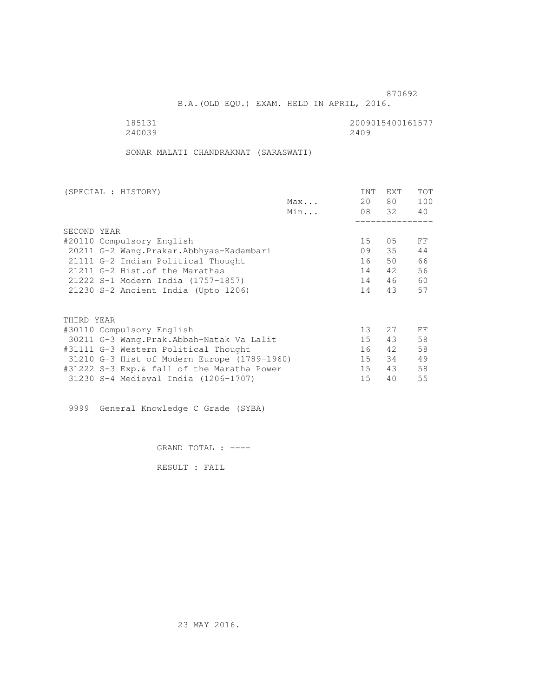B.A.(OLD EQU.) EXAM. HELD IN APRIL, 2016.

240039

185131<br>240039 240039 2400

SONAR MALATI CHANDRAKNAT (SARASWATI)

| (SPECIAL : HISTORY)                         |     | <b>INT</b> | <b>EXT</b> | TOT |
|---------------------------------------------|-----|------------|------------|-----|
|                                             | Max | 20         | 80 —       | 100 |
|                                             | Min |            | 08 32      | 40  |
|                                             |     |            |            |     |
| SECOND YEAR                                 |     |            |            |     |
| #20110 Compulsory English                   |     | 15         | 05         | FF  |
| 20211 G-2 Wang. Prakar. Abbhyas-Kadambari   |     | 09         | 35         | 44  |
| 21111 G-2 Indian Political Thought          |     | 16         | 50         | 66  |
| 21211 G-2 Hist. of the Marathas             |     | 14         | 42         | 56  |
| 21222 S-1 Modern India (1757-1857)          |     | 14         | 46         | 60  |
| 21230 S-2 Ancient India (Upto 1206)         |     | 14         | 43         | 57  |
|                                             |     |            |            |     |
| THIRD YEAR                                  |     |            |            |     |
| #30110 Compulsory English                   |     | 13         | 27         | FF  |
| 30211 G-3 Wang.Prak.Abbah-Natak Va Lalit    |     | 15         | 43         | 58  |
| #31111 G-3 Western Political Thought        |     | 16         | 42         | 58  |
| 31210 G-3 Hist of Modern Europe (1789-1960) |     | 15         | 34         | 49  |
| #31222 S-3 Exp.& fall of the Maratha Power  |     | 15         | 43         | 58  |
| 31230 S-4 Medieval India (1206-1707)        |     | 15         | 40         | 55  |
|                                             |     |            |            |     |

9999 General Knowledge C Grade (SYBA)

GRAND TOTAL : ----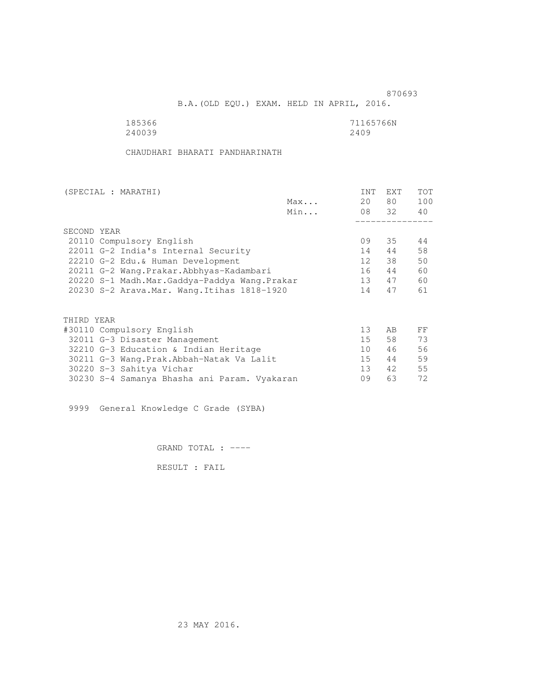B.A.(OLD EQU.) EXAM. HELD IN APRIL, 2016.

| 185366 | 71165766N |
|--------|-----------|
| 240039 | 2409      |

CHAUDHARI BHARATI PANDHARINATH

| (SPECIAL : MARATHI)                          |     | INT             | EXT   | TOT |
|----------------------------------------------|-----|-----------------|-------|-----|
|                                              | Max | 20              | 80 —  | 100 |
|                                              | Min |                 | 08 32 | 40  |
| SECOND YEAR                                  |     |                 |       |     |
|                                              |     |                 |       |     |
| 20110 Compulsory English                     |     | 09              | 35    | 44  |
| 22011 G-2 India's Internal Security          |     | 14              | 44    | 58  |
| 22210 G-2 Edu.& Human Development            |     | 12              | 38    | 50  |
| 20211 G-2 Wang.Prakar.Abbhyas-Kadambari      |     | 16              | 44    | 60  |
| 20220 S-1 Madh.Mar.Gaddya-Paddya Wang.Prakar |     | 13              | 47    | 60  |
| 20230 S-2 Arava. Mar. Wang. Itihas 1818-1920 |     | 14              | 47    | 61  |
| THIRD YEAR                                   |     |                 |       |     |
| #30110 Compulsory English                    |     | 13              | AB.   | FF  |
| 32011 G-3 Disaster Management                |     | 15              | 58    | 73  |
|                                              |     |                 |       |     |
| 32210 G-3 Education & Indian Heritage        |     | 10 <sup>1</sup> | 46    | 56  |
| 30211 G-3 Wang.Prak.Abbah-Natak Va Lalit     |     | 15              | 44    | 59  |
| 30220 S-3 Sahitya Vichar                     |     | 13 <sup>7</sup> | 42    | 55  |
| 30230 S-4 Samanya Bhasha ani Param. Vyakaran |     | 09              | 63    | 72  |
|                                              |     |                 |       |     |

9999 General Knowledge C Grade (SYBA)

GRAND TOTAL : ----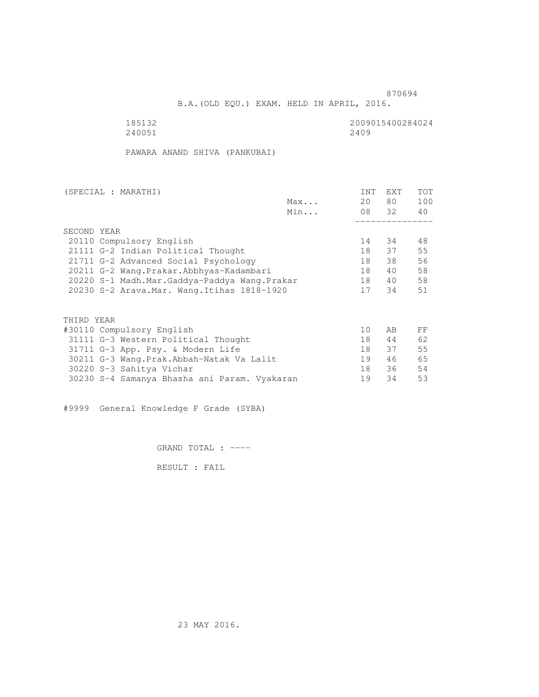B.A.(OLD EQU.) EXAM. HELD IN APRIL, 2016.

185132<br>240051 240051 240051 240051 240051 240051 2400 2400 22400 22400 22400 22400 22400 22400 22400 22400 22400 22400 22400 22400 22400 22400 22

PAWARA ANAND SHIVA (PANKUBAI)

| (SPECIAL : MARATHI)                          |     | <b>INT</b> | EXT   | <b>TOT</b> |
|----------------------------------------------|-----|------------|-------|------------|
|                                              | Max | 20         | 80 —  | 100        |
|                                              | Min |            | 08 32 | 40         |
|                                              |     |            |       |            |
| SECOND YEAR                                  |     |            |       |            |
| 20110 Compulsory English                     |     | 14         | 34    | 48         |
| 21111 G-2 Indian Political Thought           |     | 18         | 37    | 55         |
| 21711 G-2 Advanced Social Psychology         |     | 18         | 38    | 56         |
| 20211 G-2 Wang.Prakar.Abbhyas-Kadambari      |     | 18         | 40    | 58         |
| 20220 S-1 Madh.Mar.Gaddya-Paddya Wang.Prakar |     | 18         | 40    | 58         |
| 20230 S-2 Arava. Mar. Wang. Itihas 1818-1920 |     | 17         | 34    | 51         |
|                                              |     |            |       |            |
| THIRD YEAR                                   |     |            |       |            |
| #30110 Compulsory English                    |     | 10         | AB    | FF         |
| 31111 G-3 Western Political Thought          |     | 18         | 44    | 62         |
| 31711 G-3 App. Psy. & Modern Life            |     | 18         | 37    | 55         |
| 30211 G-3 Wang. Prak. Abbah-Natak Va Lalit   |     | 19         | 46    | 65         |
| 30220 S-3 Sahitya Vichar                     |     | 18         | 36    | 54         |
| 30230 S-4 Samanya Bhasha ani Param. Vyakaran |     | 19         | 34    | 53         |

#9999 General Knowledge F Grade (SYBA)

GRAND TOTAL : ----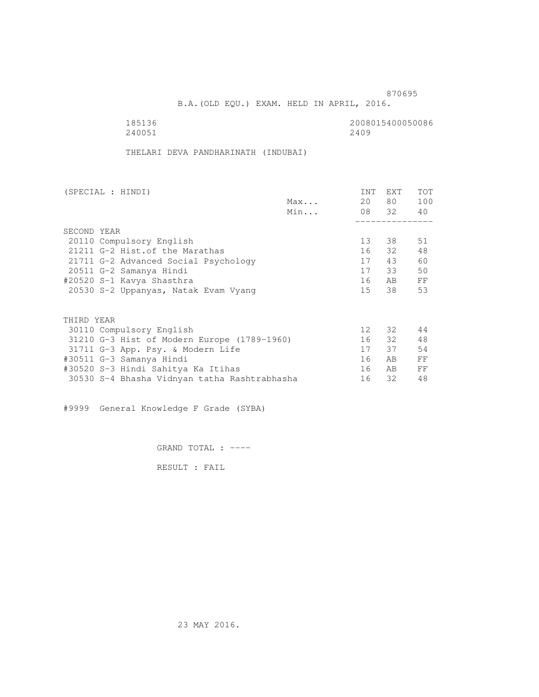B.A.(OLD EQU.) EXAM. HELD IN APRIL, 2016.

| 185136 | 2008015400050086 |
|--------|------------------|
| 240051 | 2409             |

THELARI DEVA PANDHARINATH (INDUBAI)

| (SPECIAL : HINDI)                            |     | INT             | <b>EXT</b> | TOT |
|----------------------------------------------|-----|-----------------|------------|-----|
|                                              | Max | 20              | 80 —       | 100 |
|                                              | Min |                 | 08 32 40   |     |
|                                              |     |                 |            |     |
| SECOND YEAR                                  |     |                 |            |     |
| 20110 Compulsory English                     |     | 13 <sup>7</sup> | 38         | 51  |
| 21211 G-2 Hist. of the Marathas              |     |                 | 16 32      | 48  |
| 21711 G-2 Advanced Social Psychology         |     | 17              | 43         | 60  |
| 20511 G-2 Samanya Hindi                      |     |                 | 17 33      | 50  |
| #20520 S-1 Kavya Shasthra                    |     | 16              | AB         | FF  |
| 20530 S-2 Uppanyas, Natak Evam Vyang         |     | 15              | 38         | 53  |
| THIRD YEAR                                   |     |                 |            |     |
| 30110 Compulsory English                     |     | 12 <sup>°</sup> | 32         | 44  |
| 31210 G-3 Hist of Modern Europe (1789-1960)  |     |                 | 16 32      | 48  |
|                                              |     | 17              | 37         | 54  |
| 31711 G-3 App. Psy. & Modern Life            |     | 16              | AB.        | FF  |
| #30511 G-3 Samanya Hindi                     |     |                 |            |     |
| #30520 S-3 Hindi Sahitya Ka Itihas           |     | 16              | AB.        | FF  |
| 30530 S-4 Bhasha Vidnyan tatha Rashtrabhasha |     | 16              | 32         | 48  |

#9999 General Knowledge F Grade (SYBA)

GRAND TOTAL : ----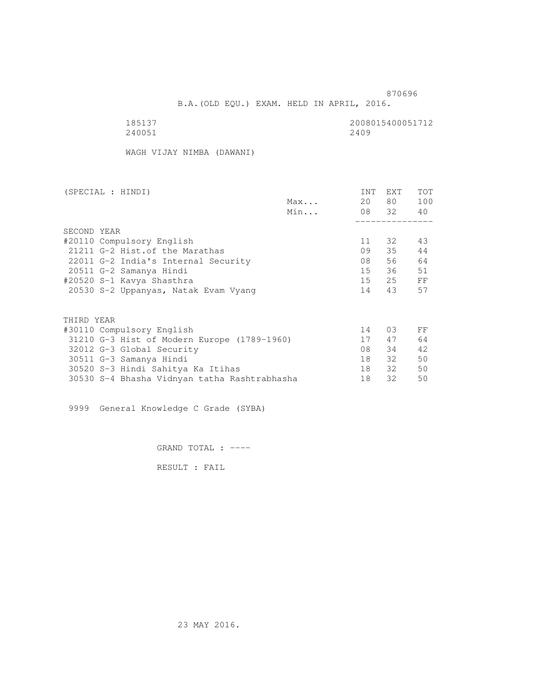B.A.(OLD EQU.) EXAM. HELD IN APRIL, 2016.

| 185137 | 2008015400051712 |
|--------|------------------|
| 240051 | 2409             |

WAGH VIJAY NIMBA (DAWANI)

| (SPECIAL : HINDI)               |                                              |     | INT    | EXT      | TOT |  |
|---------------------------------|----------------------------------------------|-----|--------|----------|-----|--|
|                                 |                                              | Max | 20     | 80 —     | 100 |  |
|                                 |                                              | Min |        | 08 32 40 |     |  |
|                                 |                                              |     |        |          |     |  |
| SECOND YEAR                     |                                              |     |        |          |     |  |
| #20110 Compulsory English       |                                              |     | 11     | 32       | 43  |  |
| 21211 G-2 Hist. of the Marathas |                                              |     | 09     | 35       | 44  |  |
|                                 | 22011 G-2 India's Internal Security          |     | 08     | 56       | 64  |  |
| 20511 G-2 Samanya Hindi         |                                              |     | $15 -$ | 36       | 51  |  |
| #20520 S-1 Kavya Shasthra       |                                              |     | 15     | 25       | FF  |  |
|                                 | 20530 S-2 Uppanyas, Natak Evam Vyang         |     | 14     | 43       | 57  |  |
|                                 |                                              |     |        |          |     |  |
| THIRD YEAR                      |                                              |     |        |          |     |  |
| #30110 Compulsory English       |                                              |     | 14     | 03       | FF  |  |
|                                 | 31210 G-3 Hist of Modern Europe (1789-1960)  |     | 17     | 47       | 64  |  |
| 32012 G-3 Global Security       |                                              |     | 08     | 34       | 42  |  |
| 30511 G-3 Samanya Hindi         |                                              |     | 18     | 32       | 50  |  |
|                                 | 30520 S-3 Hindi Sahitya Ka Itihas            |     | 18     | 32       | 50  |  |
|                                 | 30530 S-4 Bhasha Vidnyan tatha Rashtrabhasha |     | 18     | 32       | 50  |  |

9999 General Knowledge C Grade (SYBA)

GRAND TOTAL : ----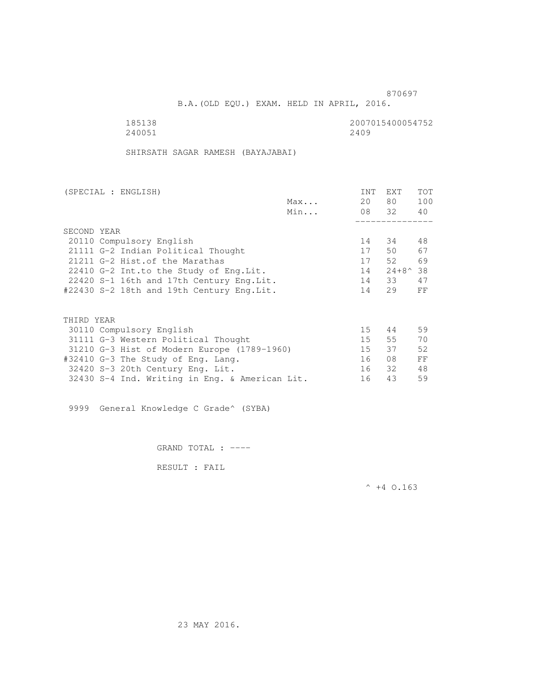B.A.(OLD EQU.) EXAM. HELD IN APRIL, 2016.

185138 2007015400054752<br>240051 240051 2400 240051 240051 2400 2400 22400 22400 22400 22400 22400 22400 22400 22400 22400 22400 22400 22400 22400 22400 22

SHIRSATH SAGAR RAMESH (BAYAJABAI)

| (SPECIAL : ENGLISH)                            |     | <b>INT</b> | EXT                  | TOT |
|------------------------------------------------|-----|------------|----------------------|-----|
|                                                | Max | 20         | 80                   | 100 |
|                                                | Min |            | 08 32                | 40  |
|                                                |     |            |                      |     |
| SECOND YEAR                                    |     |            |                      |     |
| 20110 Compulsory English                       |     | 14         | 34                   | 48  |
| 21111 G-2 Indian Political Thought             |     | 17         | 50                   | 67  |
| 21211 G-2 Hist. of the Marathas                |     | 17         | 52                   | 69  |
| 22410 G-2 Int.to the Study of Eng. Lit.        |     | 14         | $24 + 8^{\wedge} 38$ |     |
| 22420 S-1 16th and 17th Century Eng. Lit.      |     | 14         | 33                   | 47  |
| #22430 S-2 18th and 19th Century Eng.Lit.      |     | 14         | 29                   | FF  |
|                                                |     |            |                      |     |
| THIRD YEAR                                     |     |            |                      |     |
| 30110 Compulsory English                       |     | 15         | 44                   | 59  |
| 31111 G-3 Western Political Thought            |     | 15         | 55                   | 70  |
| 31210 G-3 Hist of Modern Europe (1789-1960)    |     | 15         | 37                   | 52  |
| #32410 G-3 The Study of Eng. Lang.             |     | 16         | 08                   | FF  |
| 32420 S-3 20th Century Eng. Lit.               |     | 16         | 32                   | 48  |
| 32430 S-4 Ind. Writing in Eng. & American Lit. |     | 16         | 43                   | 59  |
|                                                |     |            |                      |     |

9999 General Knowledge C Grade^ (SYBA)

GRAND TOTAL : ----

RESULT : FAIL

 $^{\wedge}$  +4 O.163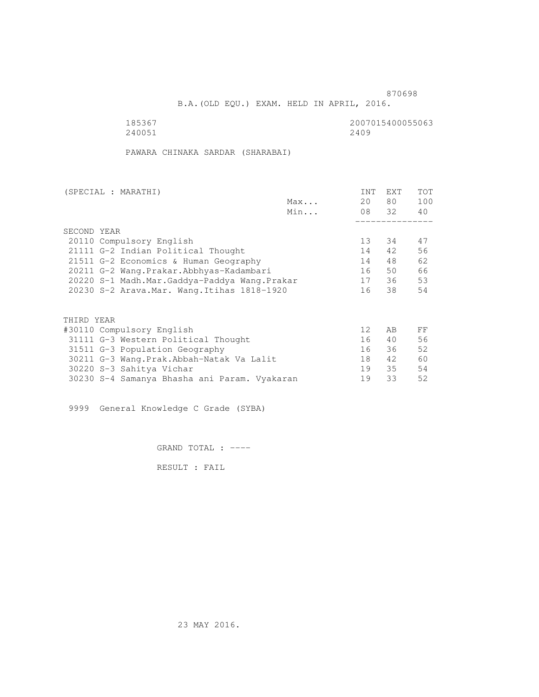B.A.(OLD EQU.) EXAM. HELD IN APRIL, 2016.

185367<br>240051 240051 240055063 240051 240051 2400 2400 22400 22400 22400 22400 22400 22400 22400 22400 22400 22400 22400 22400 22400 22400 22

PAWARA CHINAKA SARDAR (SHARABAI)

| (SPECIAL : MARATHI) |                                              |     | INT               | EXT   | TOT |
|---------------------|----------------------------------------------|-----|-------------------|-------|-----|
|                     |                                              | Max | 20                | 80 —  | 100 |
|                     |                                              | Min |                   | 08 32 | 40  |
|                     |                                              |     |                   |       |     |
| SECOND YEAR         |                                              |     |                   |       |     |
|                     | 20110 Compulsory English                     |     | 13                | 34    | 47  |
|                     | 21111 G-2 Indian Political Thought           |     | 14                | 42    | 56  |
|                     | 21511 G-2 Economics & Human Geography        |     | 14                | 48    | 62  |
|                     | 20211 G-2 Wang.Prakar.Abbhyas-Kadambari      |     | 16                | 50    | 66  |
|                     | 20220 S-1 Madh.Mar.Gaddya-Paddya Wang.Prakar |     | 17                | 36    | 53  |
|                     | 20230 S-2 Arava. Mar. Wang. Itihas 1818-1920 |     | 16                | 38    | 54  |
|                     |                                              |     |                   |       |     |
| THIRD YEAR          |                                              |     |                   |       |     |
|                     | #30110 Compulsory English                    |     | $12 \overline{ }$ | AB    | FF  |
|                     | 31111 G-3 Western Political Thought          |     | 16                | 40    | 56  |
|                     | 31511 G-3 Population Geography               |     | 16                | 36    | 52  |
|                     | 30211 G-3 Wang.Prak.Abbah-Natak Va Lalit     |     | 18                | 42    | 60  |
|                     | 30220 S-3 Sahitya Vichar                     |     | 19                | 35    | 54  |
|                     | 30230 S-4 Samanya Bhasha ani Param. Vyakaran |     | 19                | 33    | 52  |
|                     |                                              |     |                   |       |     |

9999 General Knowledge C Grade (SYBA)

GRAND TOTAL : ----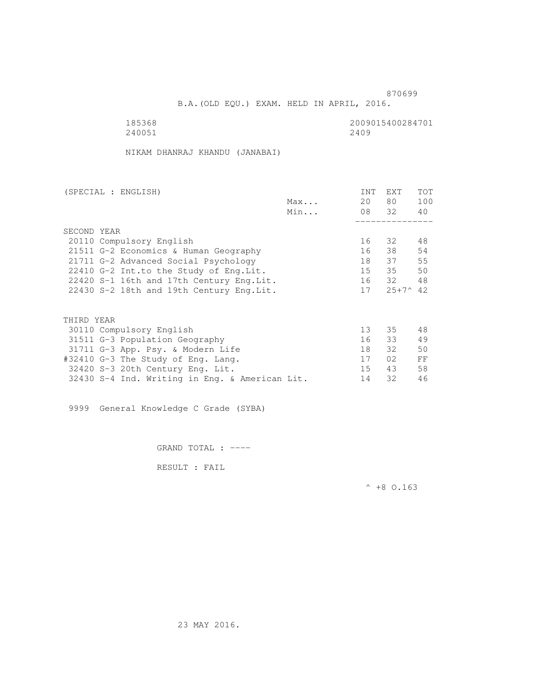B.A.(OLD EQU.) EXAM. HELD IN APRIL, 2016.

| 185368 | 2009015400284701 |
|--------|------------------|
| 240051 | 2409             |

NIKAM DHANRAJ KHANDU (JANABAI)

| (SPECIAL : ENGLISH)                            |     | INT             | EXT             | <b>TOT</b> |
|------------------------------------------------|-----|-----------------|-----------------|------------|
|                                                | Max | 20              | 80 —            | 100        |
|                                                | Min |                 | 08 32           | 40         |
|                                                |     |                 |                 |            |
| SECOND YEAR                                    |     |                 |                 |            |
| 20110 Compulsory English                       |     | 16              | 32              | 48         |
| 21511 G-2 Economics & Human Geography          |     | 16              | 38              | 54         |
| 21711 G-2 Advanced Social Psychology           |     | 18              | 37              | 55         |
| 22410 G-2 Int.to the Study of Eng. Lit.        |     | 15              | 35              | 50         |
| 22420 S-1 16th and 17th Century Eng.Lit.       |     |                 | 16 32           | 48         |
| 22430 S-2 18th and 19th Century Eng.Lit.       |     |                 | $17 \t25+7^442$ |            |
|                                                |     |                 |                 |            |
| THIRD YEAR                                     |     |                 |                 |            |
| 30110 Compulsory English                       |     | 13 <sup>7</sup> | 35              | 48         |
| 31511 G-3 Population Geography                 |     | 16              | 33              | 49         |
| 31711 G-3 App. Psy. & Modern Life              |     | 18              | 32              | 50         |
| #32410 G-3 The Study of Eng. Lang.             |     | 17              | 02              | FF         |
| 32420 S-3 20th Century Eng. Lit.               |     | 15 <sub>1</sub> | 43              | 58         |
| 32430 S-4 Ind. Writing in Eng. & American Lit. |     | 14              | 32              | 46         |
|                                                |     |                 |                 |            |

9999 General Knowledge C Grade (SYBA)

GRAND TOTAL : ----

RESULT : FAIL

 $^{\wedge}$  +8 O.163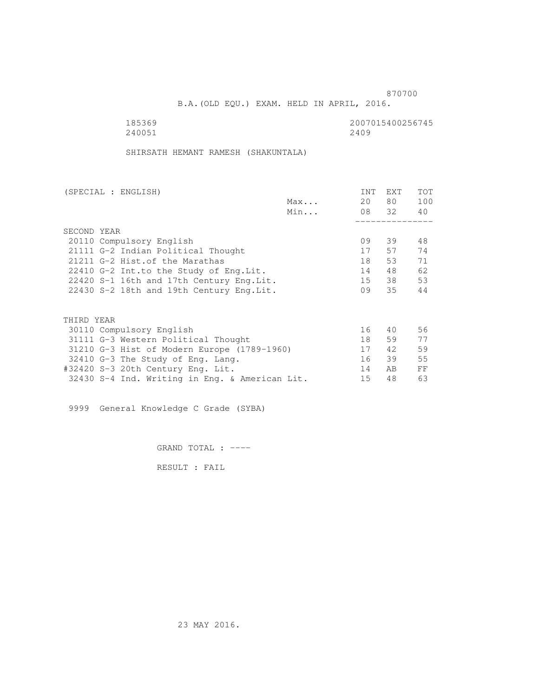B.A.(OLD EQU.) EXAM. HELD IN APRIL, 2016.

| 185369 | 2007015400256745 |
|--------|------------------|
| 240051 | 2409             |

SHIRSATH HEMANT RAMESH (SHAKUNTALA)

| (SPECIAL : ENGLISH)                            |     | INT | EXT   | <b>TOT</b> |
|------------------------------------------------|-----|-----|-------|------------|
|                                                | Max | 20  | 80 —  | 100        |
|                                                | Min |     | 08 32 | 40         |
|                                                |     |     |       |            |
| SECOND YEAR                                    |     |     |       |            |
| 20110 Compulsory English                       |     | 09  | 39    | 48         |
| 21111 G-2 Indian Political Thought             |     | 17  | 57    | 74         |
| 21211 G-2 Hist.of the Marathas                 |     | 18  | 53    | 71         |
| 22410 G-2 Int.to the Study of Eng.Lit.         |     | 14  | 48    | 62         |
| 22420 S-1 16th and 17th Century Eng. Lit.      |     | 15  | 38    | 53         |
| 22430 S-2 18th and 19th Century Eng. Lit.      |     | 09  | 35    | 44         |
|                                                |     |     |       |            |
| THIRD YEAR                                     |     |     |       |            |
| 30110 Compulsory English                       |     | 16  | 40    | 56         |
| 31111 G-3 Western Political Thought            |     | 18  | 59    | 77         |
| 31210 G-3 Hist of Modern Europe (1789-1960)    |     | 17  | 42    | 59         |
| 32410 G-3 The Study of Eng. Lang.              |     | 16  | 39    | 55         |
| #32420 S-3 20th Century Eng. Lit.              |     | 14  | AB.   | FF         |
| 32430 S-4 Ind. Writing in Eng. & American Lit. |     | 15  | 48    | 63         |
|                                                |     |     |       |            |

9999 General Knowledge C Grade (SYBA)

GRAND TOTAL : ----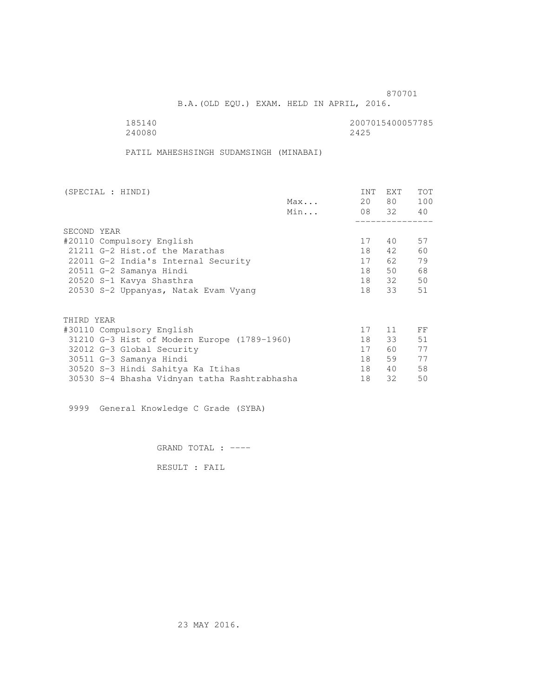B.A.(OLD EQU.) EXAM. HELD IN APRIL, 2016.

| 185140 | 2007015400057785 |
|--------|------------------|
| 240080 | 2425             |

PATIL MAHESHSINGH SUDAMSINGH (MINABAI)

| (SPECIAL : HINDI)                            |     | INT | <b>EXT</b> | TOT |
|----------------------------------------------|-----|-----|------------|-----|
|                                              | Max | 20  | 80 —       | 100 |
|                                              | Min |     | 08 32 40   |     |
|                                              |     |     |            |     |
| SECOND YEAR                                  |     |     |            |     |
| #20110 Compulsory English                    |     | 17  | 40         | 57  |
| 21211 G-2 Hist. of the Marathas              |     | 18  | 42         | 60  |
| 22011 G-2 India's Internal Security          |     | 17  | 62.        | 79  |
| 20511 G-2 Samanya Hindi                      |     | 18  | 50         | 68  |
| 20520 S-1 Kavya Shasthra                     |     | 18  | 32         | 50  |
| 20530 S-2 Uppanyas, Natak Evam Vyang         |     | 18  | 33         | 51  |
|                                              |     |     |            |     |
| THIRD YEAR                                   |     |     |            |     |
| #30110 Compulsory English                    |     | 17  | 11         | FF  |
| 31210 G-3 Hist of Modern Europe (1789-1960)  |     | 18  | 33         | 51  |
| 32012 G-3 Global Security                    |     | 17  | 60 —       | 77  |
| 30511 G-3 Samanya Hindi                      |     | 18  | 59         | 77  |
| 30520 S-3 Hindi Sahitya Ka Itihas            |     | 18  | 40         | 58  |
| 30530 S-4 Bhasha Vidnyan tatha Rashtrabhasha |     | 18  | 32         | 50  |
|                                              |     |     |            |     |

9999 General Knowledge C Grade (SYBA)

GRAND TOTAL : ----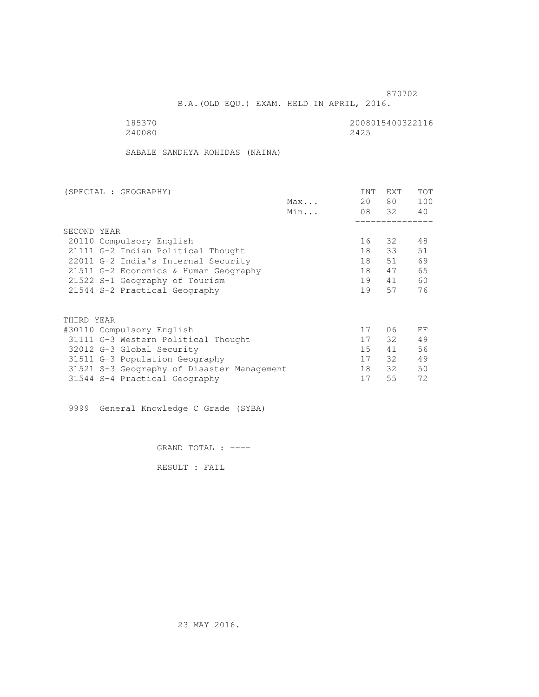B.A.(OLD EQU.) EXAM. HELD IN APRIL, 2016.

| 185370 | 2008015400322116 |
|--------|------------------|
| 240080 | 2425             |

SABALE SANDHYA ROHIDAS (NAINA)

| (SPECIAL : GEOGRAPHY)                      |     | INT | EXT   | TOT |
|--------------------------------------------|-----|-----|-------|-----|
|                                            | Max | 20  | 80    | 100 |
|                                            | Min |     | 08 32 | 40  |
|                                            |     |     |       |     |
| SECOND YEAR                                |     |     |       |     |
| 20110 Compulsory English                   |     | 16  | 32    | 48  |
| 21111 G-2 Indian Political Thought         |     | 18  | 33    | 51  |
| 22011 G-2 India's Internal Security        |     | 18  | 51    | 69  |
| 21511 G-2 Economics & Human Geography      |     | 18  | 47    | 65  |
| 21522 S-1 Geography of Tourism             |     | 19  | 41    | 60  |
| 21544 S-2 Practical Geography              |     | 19  | 57    | 76  |
| THIRD YEAR                                 |     |     |       |     |
| #30110 Compulsory English                  |     | 17  | 06    | FF  |
| 31111 G-3 Western Political Thought        |     | 17  | 32    | 49  |
| 32012 G-3 Global Security                  |     | 15  | 41    | 56  |
| 31511 G-3 Population Geography             |     | 17  | 32    | 49  |
| 31521 S-3 Geography of Disaster Management |     | 18  | 32    | 50  |
| 31544 S-4 Practical Geography              |     | 17  | 55    | 72  |
|                                            |     |     |       |     |

9999 General Knowledge C Grade (SYBA)

GRAND TOTAL : ----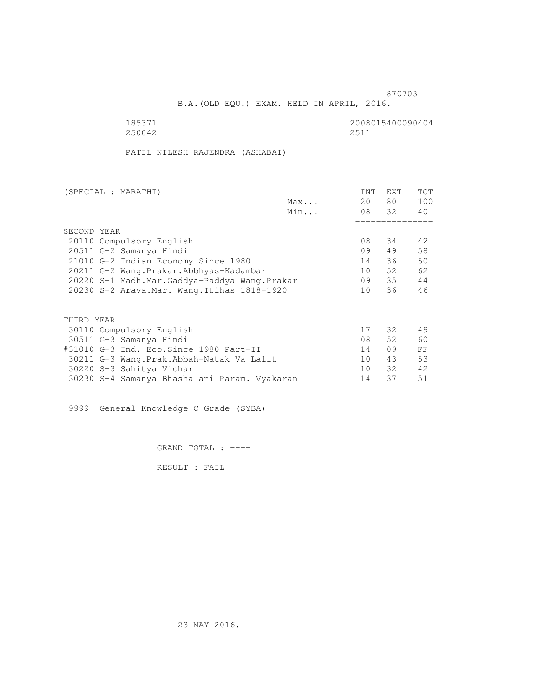B.A.(OLD EQU.) EXAM. HELD IN APRIL, 2016.

185371<br>250042 250042 250042 250042 2511

PATIL NILESH RAJENDRA (ASHABAI)

| (SPECIAL : MARATHI)                          | INT | EXT   | <b>TOT</b> |
|----------------------------------------------|-----|-------|------------|
| Max                                          | 20  | 80 —  | 100        |
| Min                                          |     | 08 32 | 40         |
|                                              |     |       |            |
| SECOND YEAR                                  |     |       |            |
| 20110 Compulsory English                     | 08  | 34    | 42         |
| 20511 G-2 Samanya Hindi                      | 09  | 49    | 58         |
| 21010 G-2 Indian Economy Since 1980          | 14  | 36    | 50         |
| 20211 G-2 Wang.Prakar.Abbhyas-Kadambari      | 10  | 52    | 62         |
| 20220 S-1 Madh.Mar.Gaddya-Paddya Wang.Prakar | 09  | 35    | 44         |
| 20230 S-2 Arava. Mar. Wang. Itihas 1818-1920 | 10  | 36    | 46         |
|                                              |     |       |            |
| THIRD YEAR                                   |     |       |            |
| 30110 Compulsory English                     | 17  | 32    | 49         |
| 30511 G-3 Samanya Hindi                      | 08  | 52    | 60         |
| #31010 G-3 Ind. Eco. Since 1980 Part-II      | 14  | 09    | FF         |
| 30211 G-3 Wang. Prak. Abbah-Natak Va Lalit   | 10  | 43    | 53         |
| 30220 S-3 Sahitya Vichar                     | 10  | 32    | 42         |
| 30230 S-4 Samanya Bhasha ani Param. Vyakaran | 14  | 37    | 51         |

9999 General Knowledge C Grade (SYBA)

GRAND TOTAL : ----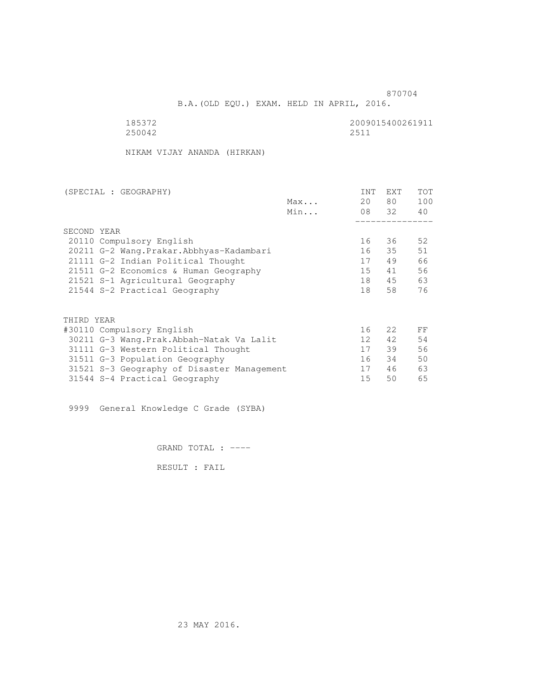B.A.(OLD EQU.) EXAM. HELD IN APRIL, 2016.

185372<br>250042 250042 250042 250042 2511

NIKAM VIJAY ANANDA (HIRKAN)

| (SPECIAL : GEOGRAPHY)                      | INT             | <b>EXT</b> | TOT |
|--------------------------------------------|-----------------|------------|-----|
| Max                                        | 20              | 80         | 100 |
| Min                                        |                 | 08 32      | 40  |
|                                            |                 |            |     |
| SECOND YEAR                                |                 |            |     |
| 20110 Compulsory English                   | 16              | 36         | 52  |
| 20211 G-2 Wang. Prakar. Abbhyas-Kadambari  | 16              | 35         | 51  |
| 21111 G-2 Indian Political Thought         | 17              | 49         | 66  |
| 21511 G-2 Economics & Human Geography      | 15              | 41         | 56  |
| 21521 S-1 Agricultural Geography           | 18              | 45         | 63  |
| 21544 S-2 Practical Geography              | 18              | 58         | 76  |
|                                            |                 |            |     |
| THIRD YEAR                                 |                 |            |     |
| #30110 Compulsory English                  | 16              | 2.2        | FF  |
| 30211 G-3 Wang.Prak.Abbah-Natak Va Lalit   | 12 <sup>°</sup> | 42         | 54  |
| 31111 G-3 Western Political Thought        | 17              | 39         | 56  |
| 31511 G-3 Population Geography             | 16              | 34         | 50  |
| 31521 S-3 Geography of Disaster Management | 17              | 46         | 63  |
| 31544 S-4 Practical Geography              | 15              | 50         | 65  |

9999 General Knowledge C Grade (SYBA)

GRAND TOTAL : ----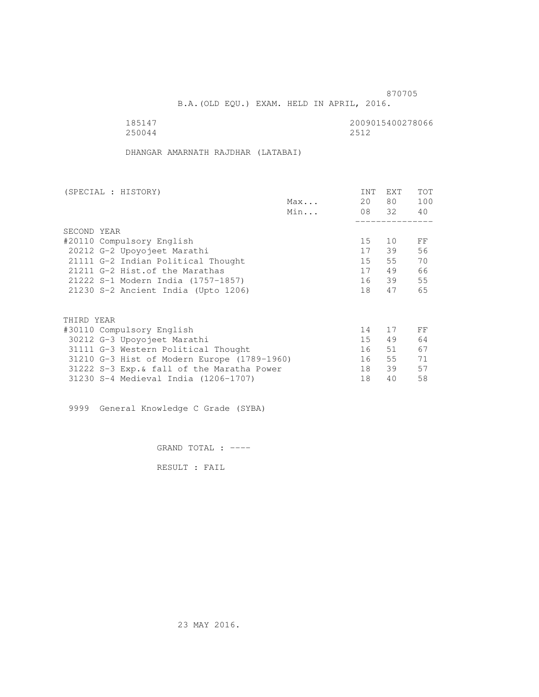B.A.(OLD EQU.) EXAM. HELD IN APRIL, 2016.

185147 2009015400278066<br>250044 2512 250044 2512

DHANGAR AMARNATH RAJDHAR (LATABAI)

| (SPECIAL : HISTORY)                         |     | INT | <b>EXT</b> | TOT |
|---------------------------------------------|-----|-----|------------|-----|
|                                             | Max | 20  | 80 —       | 100 |
|                                             | Min |     | 08 32      | 40  |
|                                             |     |     |            |     |
| SECOND YEAR                                 |     |     |            |     |
| #20110 Compulsory English                   |     | 15  | 10         | FF  |
| 20212 G-2 Upoyojeet Marathi                 |     | 17  | 39         | 56  |
| 21111 G-2 Indian Political Thought          |     | 15  | 55         | 70  |
| 21211 G-2 Hist. of the Marathas             |     | 17  | 49         | 66  |
| 21222 S-1 Modern India (1757-1857)          |     |     | 16 39      | 55  |
| 21230 S-2 Ancient India (Upto 1206)         |     | 18  | 47         | 65  |
|                                             |     |     |            |     |
| THIRD YEAR                                  |     |     |            |     |
| #30110 Compulsory English                   |     | 14  | 17         | FF  |
| 30212 G-3 Upoyojeet Marathi                 |     | 15  | 49         | 64  |
| 31111 G-3 Western Political Thought         |     | 16  | 51         | 67  |
| 31210 G-3 Hist of Modern Europe (1789-1960) |     | 16  | 55         | 71  |
| 31222 S-3 Exp. & fall of the Maratha Power  |     | 18  | 39         | 57  |
| 31230 S-4 Medieval India (1206-1707)        |     | 18  | 40         | 58  |
|                                             |     |     |            |     |

9999 General Knowledge C Grade (SYBA)

GRAND TOTAL : ----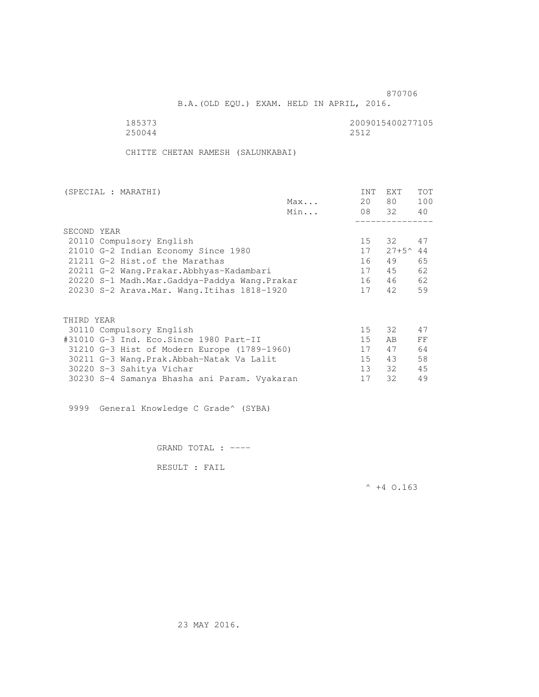B.A.(OLD EQU.) EXAM. HELD IN APRIL, 2016.

250044

185373 2009015400277105

CHITTE CHETAN RAMESH (SALUNKABAI)

| (SPECIAL : MARATHI)                          |     | INT             | <b>EXT</b>        | <b>TOT</b> |
|----------------------------------------------|-----|-----------------|-------------------|------------|
|                                              | Max | 20              | 80 —              | 100        |
|                                              | Min |                 | 08 32             | 40         |
|                                              |     |                 |                   |            |
| SECOND YEAR                                  |     |                 |                   |            |
| 20110 Compulsory English                     |     | 15 <sub>1</sub> | 32                | 47         |
| 21010 G-2 Indian Economy Since 1980          |     | 17              | $27+5^{\circ}$ 44 |            |
| 21211 G-2 Hist. of the Marathas              |     | 16              | 49                | 65         |
| 20211 G-2 Wang.Prakar.Abbhyas-Kadambari      |     | 17              | 45                | 62         |
| 20220 S-1 Madh.Mar.Gaddya-Paddya Wang.Prakar |     | 16              | 46                | 62         |
| 20230 S-2 Arava. Mar. Wang. Itihas 1818-1920 |     | 17              | 42                | 59         |
|                                              |     |                 |                   |            |
| THIRD YEAR                                   |     |                 |                   |            |
| 30110 Compulsory English                     |     | 15              | 32                | 47         |
| #31010 G-3 Ind. Eco.Since 1980 Part-II       |     | 15 <sub>1</sub> | AB.               | FF         |
|                                              |     |                 |                   |            |
| 31210 G-3 Hist of Modern Europe (1789-1960)  |     | 17              | 47                | 64         |
| 30211 G-3 Wang. Prak. Abbah-Natak Va Lalit   |     | 15              | 43                | 58         |
| 30220 S-3 Sahitya Vichar                     |     | 13 <sup>7</sup> | 32                | 45         |
| 30230 S-4 Samanya Bhasha ani Param. Vyakaran |     | 17              | 32                | 49         |

9999 General Knowledge C Grade^ (SYBA)

GRAND TOTAL : ----

RESULT : FAIL

 $^{\wedge}$  +4 O.163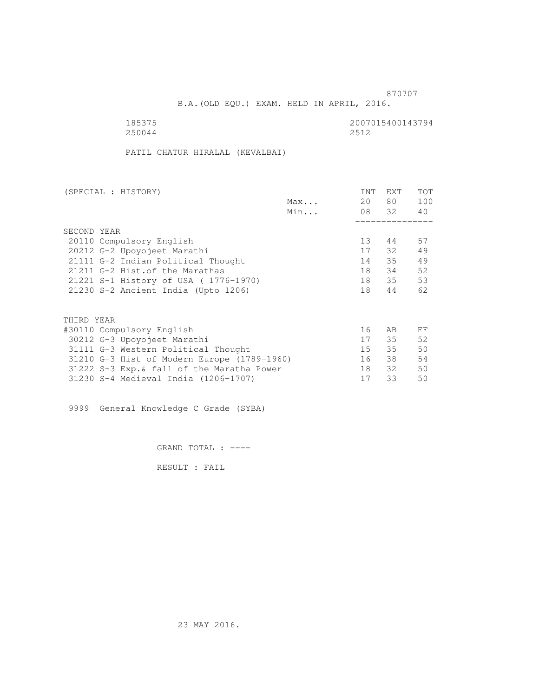B.A.(OLD EQU.) EXAM. HELD IN APRIL, 2016.

| 185375 | 2007015400143794 |
|--------|------------------|
| 250044 | 2512             |

PATIL CHATUR HIRALAL (KEVALBAI)

| (SPECIAL : HISTORY)                         |     | INT | EXT      | TOT |
|---------------------------------------------|-----|-----|----------|-----|
|                                             | Max | 20  | 80 —     | 100 |
|                                             | Min |     | 08 32 40 |     |
|                                             |     |     |          |     |
| SECOND YEAR                                 |     |     |          |     |
| 20110 Compulsory English                    |     | 13  | 44       | 57  |
| 20212 G-2 Upoyojeet Marathi                 |     | 17  | 32       | 49  |
| 21111 G-2 Indian Political Thought          |     | 14  | 35       | 49  |
| 21211 G-2 Hist. of the Marathas             |     | 18  | 34       | 52  |
| 21221 S-1 History of USA (1776-1970)        |     | 18  | 35       | 53  |
| 21230 S-2 Ancient India (Upto 1206)         |     | 18  | 44       | 62  |
|                                             |     |     |          |     |
| THIRD YEAR                                  |     |     |          |     |
| #30110 Compulsory English                   |     | 16  | AB       | FF  |
| 30212 G-3 Upoyojeet Marathi                 |     | 17  | 35       | 52  |
| 31111 G-3 Western Political Thought         |     | 15  | 35       | 50  |
| 31210 G-3 Hist of Modern Europe (1789-1960) |     | 16  | 38       | 54  |
| 31222 S-3 Exp. & fall of the Maratha Power  |     | 18  | 32       | 50  |
| 31230 S-4 Medieval India (1206-1707)        |     | 17  | 33       | 50  |
|                                             |     |     |          |     |

9999 General Knowledge C Grade (SYBA)

GRAND TOTAL : ----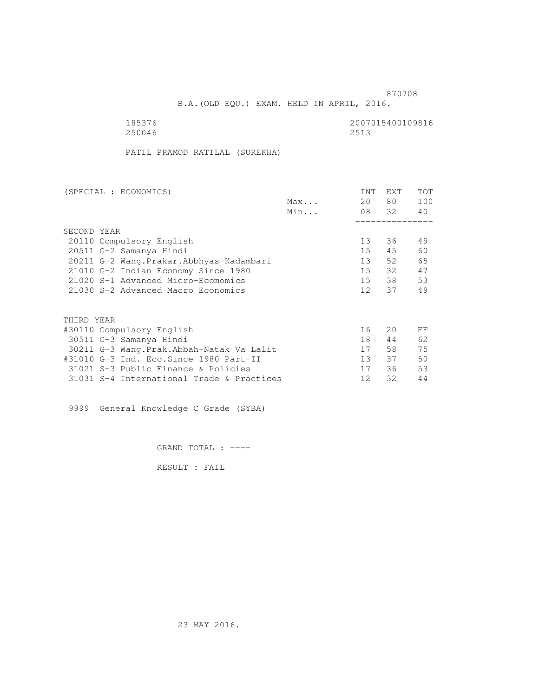B.A.(OLD EQU.) EXAM. HELD IN APRIL, 2016.

| 185376 | 2007015400109816 |
|--------|------------------|
| 250046 | 2513             |

PATIL PRAMOD RATILAL (SUREKHA)

| (SPECIAL : ECONOMICS)                     | INT               | <b>EXT</b> | TOT |
|-------------------------------------------|-------------------|------------|-----|
| Max                                       | 20                | 80 —       | 100 |
| Min                                       |                   | 08 32      | 40  |
|                                           |                   |            |     |
| SECOND YEAR                               |                   |            |     |
| 20110 Compulsory English                  | 13                | 36         | 49  |
| 20511 G-2 Samanya Hindi                   | 15                | 45         | 60  |
| 20211 G-2 Wang.Prakar.Abbhyas-Kadambari   | 13                | 52         | 65  |
| 21010 G-2 Indian Economy Since 1980       | 15                | 32         | 47  |
| 21020 S-1 Advanced Micro-Ecomomics        | 15                | 38         | 53  |
| 21030 S-2 Advanced Macro Economics        | 12 <sup>7</sup>   | 37         | 49  |
|                                           |                   |            |     |
| THIRD YEAR                                |                   |            |     |
| #30110 Compulsory English                 | 16                | 20         | FF  |
| 30511 G-3 Samanya Hindi                   | 18                | 44         | 62  |
| 30211 G-3 Wang.Prak.Abbah-Natak Va Lalit  | 17                | 58         | 75  |
| #31010 G-3 Ind. Eco. Since 1980 Part-II   | 13                | 37         | 50  |
| 31021 S-3 Public Finance & Policies       | 17                | 36         | 53  |
| 31031 S-4 International Trade & Practices | $12 \overline{ }$ | 32         | 44  |

9999 General Knowledge C Grade (SYBA)

GRAND TOTAL : ----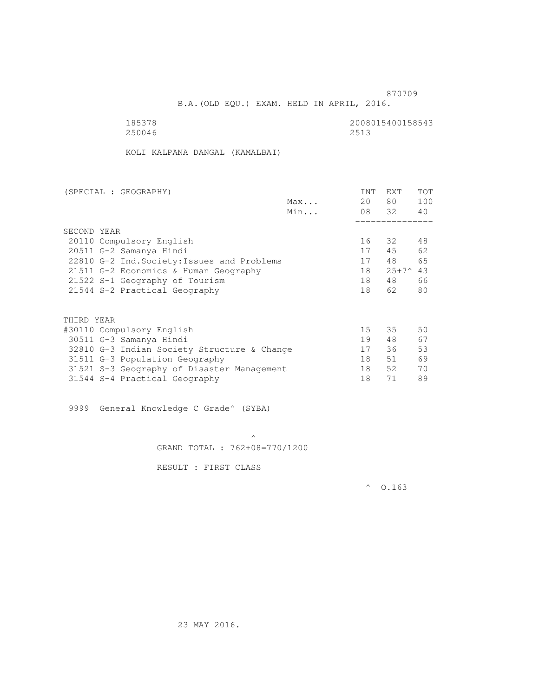B.A.(OLD EQU.) EXAM. HELD IN APRIL, 2016.

 185378 2008015400158543 250046 2513

KOLI KALPANA DANGAL (KAMALBAI)

| (SPECIAL : GEOGRAPHY)                       |     | INT | EXT                | <b>TOT</b> |
|---------------------------------------------|-----|-----|--------------------|------------|
|                                             | Max | 20  | 80 —               | 100        |
|                                             | Min |     | 08 32              | 40         |
|                                             |     |     |                    |            |
| SECOND YEAR                                 |     |     |                    |            |
| 20110 Compulsory English                    |     | 16  | 32                 | 48         |
| 20511 G-2 Samanya Hindi                     |     | 17  | 45                 | 62         |
| 22810 G-2 Ind. Society: Issues and Problems |     | 17  | 48                 | 65         |
| 21511 G-2 Economics & Human Geography       |     | 18  | $25+7^{\wedge}$ 43 |            |
| 21522 S-1 Geography of Tourism              |     | 18  | 48                 | 66         |
| 21544 S-2 Practical Geography               |     | 18  | 62                 | 80         |
|                                             |     |     |                    |            |
| THIRD YEAR                                  |     |     |                    |            |
| #30110 Compulsory English                   |     | 15  | 35                 | 50         |
| 30511 G-3 Samanya Hindi                     |     | 19  | 48                 | 67         |
| 32810 G-3 Indian Society Structure & Change |     | 17  | 36                 | 53         |
| 31511 G-3 Population Geography              |     | 18  | 51                 | 69         |
| 31521 S-3 Geography of Disaster Management  |     | 18  | 52                 | 70         |
| 31544 S-4 Practical Geography               |     | 18  | 71                 | 89         |

9999 General Knowledge C Grade^ (SYBA)

 $\mathcal{A}$  and  $\mathcal{A}$  are the set of  $\mathcal{A}$ GRAND TOTAL : 762+08=770/1200

RESULT : FIRST CLASS

 $^{\circ}$  0.163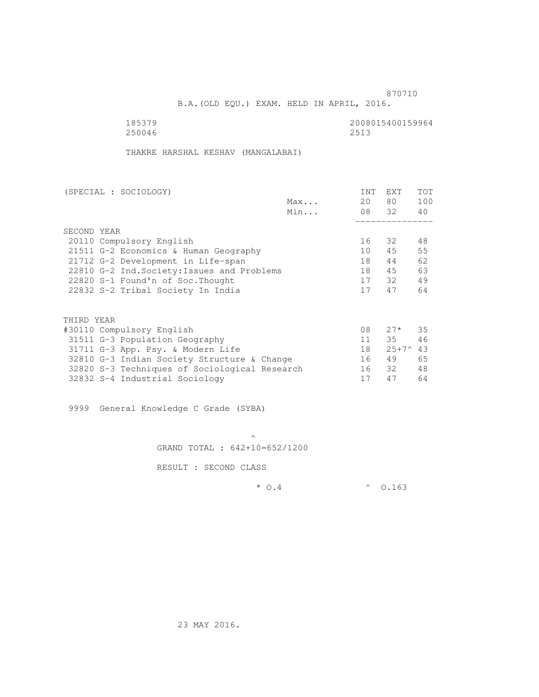B.A.(OLD EQU.) EXAM. HELD IN APRIL, 2016.

185379<br>250046 250046 250046 250046 2513

THAKRE HARSHAL KESHAV (MANGALABAI)

| (SPECIAL : SOCIOLOGY)                         |     | INT | <b>EXT</b>     | <b>TOT</b> |
|-----------------------------------------------|-----|-----|----------------|------------|
|                                               | Max | 20  | 80 —           | 100        |
|                                               | Min |     | 08 32          | 40         |
|                                               |     |     |                |            |
| SECOND YEAR                                   |     |     |                |            |
| 20110 Compulsory English                      |     | 16  | 32             | 48         |
| 21511 G-2 Economics & Human Geography         |     | 10  | 45             | 55         |
| 21712 G-2 Development in Life-span            |     | 18  | 44             | 62         |
| 22810 G-2 Ind. Society: Issues and Problems   |     | 18  | 45             | 63         |
| 22820 S-1 Found'n of Soc. Thought             |     | 17  | 32             | 49         |
| 22832 S-2 Tribal Society In India             |     | 17  | 47             | 64         |
|                                               |     |     |                |            |
| THIRD YEAR                                    |     |     |                |            |
| #30110 Compulsory English                     |     | 08  | $27*$          | 35         |
| 31511 G-3 Population Geography                |     | 11  | 35             | 46         |
| 31711 G-3 App. Psy. & Modern Life             |     | 18  | $25+7^{\circ}$ | 43         |
| 32810 G-3 Indian Society Structure & Change   |     | 16  | 49             | 65         |
| 32820 S-3 Techniques of Sociological Research |     | 16  | 32             | 48         |
| 32832 S-4 Industrial Sociology                |     | 17  | 47             | 64         |

9999 General Knowledge C Grade (SYBA)

 $\mathcal{A}$  and  $\mathcal{A}$  are the set of  $\mathcal{A}$ GRAND TOTAL : 642+10=652/1200

RESULT : SECOND CLASS

\* O.4 ^ O.163

23 MAY 2016.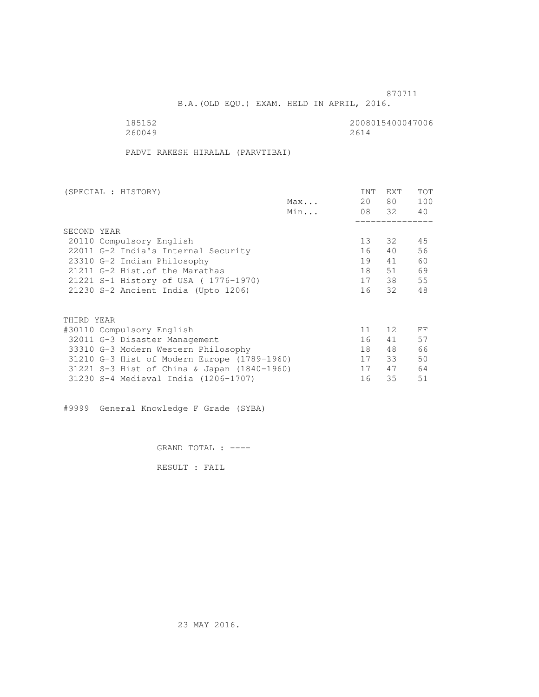B.A.(OLD EQU.) EXAM. HELD IN APRIL, 2016.

185152<br>260049 260049 260047006 260049

PADVI RAKESH HIRALAL (PARVTIBAI)

| (SPECIAL : HISTORY)                         |     | <b>INT</b> | <b>EXT</b> | TOT |
|---------------------------------------------|-----|------------|------------|-----|
|                                             | Max | 20         | 80         | 100 |
|                                             | Min |            | 08 32      | 40  |
|                                             |     |            |            |     |
| SECOND YEAR                                 |     |            |            |     |
| 20110 Compulsory English                    |     | 13         | 32         | 45  |
| 22011 G-2 India's Internal Security         |     | 16         | 40         | 56  |
| 23310 G-2 Indian Philosophy                 |     | 19         | 41         | 60  |
| 21211 G-2 Hist. of the Marathas             |     | 18         | 51         | 69  |
| 21221 S-1 History of USA (1776-1970)        |     | 17         | 38         | 55  |
| 21230 S-2 Ancient India (Upto 1206)         |     | 16         | 32         | 48  |
|                                             |     |            |            |     |
| THIRD YEAR                                  |     |            |            |     |
| #30110 Compulsory English                   |     | 11         | 12         | FF  |
| 32011 G-3 Disaster Management               |     | 16         | 41         | 57  |
| 33310 G-3 Modern Western Philosophy         |     | 18         | 48         | 66  |
| 31210 G-3 Hist of Modern Europe (1789-1960) |     | 17         | 33         | 50  |
| 31221 S-3 Hist of China & Japan (1840-1960) |     | 17         | 47         | 64  |
| 31230 S-4 Medieval India (1206-1707)        |     | 16         | 35         | 51  |
|                                             |     |            |            |     |

#9999 General Knowledge F Grade (SYBA)

GRAND TOTAL : ----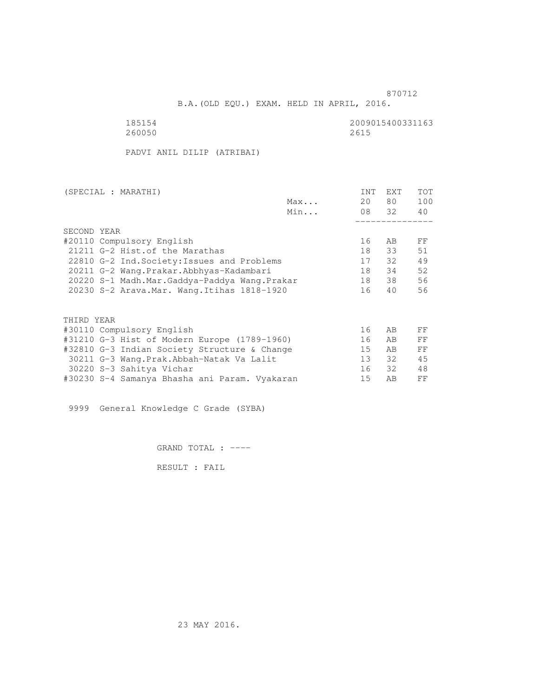B.A.(OLD EQU.) EXAM. HELD IN APRIL, 2016.

185154<br>260050 260050 260050 260050 2615 260050 2615

PADVI ANIL DILIP (ATRIBAI)

| (SPECIAL : MARATHI)                       |                                               |     | INT | EXT   | <b>TOT</b> |
|-------------------------------------------|-----------------------------------------------|-----|-----|-------|------------|
|                                           |                                               | Max | 20  | 80 —  | 100        |
|                                           |                                               | Min |     | 08 32 | 40         |
|                                           |                                               |     |     |       |            |
| SECOND YEAR                               |                                               |     |     |       |            |
| #20110 Compulsory English                 |                                               |     | 16  | AB.   | FF         |
| 21211 G-2 Hist. of the Marathas           |                                               |     | 18  | 33    | 51         |
|                                           | 22810 G-2 Ind. Society: Issues and Problems   |     | 17  | 32    | 49         |
| 20211 G-2 Wang. Prakar. Abbhyas-Kadambari |                                               |     | 18  | 34    | 52         |
|                                           | 20220 S-1 Madh.Mar.Gaddya-Paddya Wang.Prakar  |     | 18  | 38    | 56         |
|                                           | 20230 S-2 Arava. Mar. Wang. Itihas 1818-1920  |     | 16  | 40    | 56         |
|                                           |                                               |     |     |       |            |
| THIRD YEAR                                |                                               |     |     |       |            |
| #30110 Compulsory English                 |                                               |     | 16  | AB    | FF         |
|                                           | #31210 G-3 Hist of Modern Europe (1789-1960)  |     | 16  | AB    | FF         |
|                                           | #32810 G-3 Indian Society Structure & Change  |     | 15  | AB    | FF         |
|                                           | 30211 G-3 Wang. Prak. Abbah-Natak Va Lalit    |     | 13  | 32    | 45         |
| 30220 S-3 Sahitya Vichar                  |                                               |     | 16  | 32    | 48         |
|                                           | #30230 S-4 Samanya Bhasha ani Param. Vyakaran |     | 15  | AВ    | FF         |

9999 General Knowledge C Grade (SYBA)

GRAND TOTAL : ----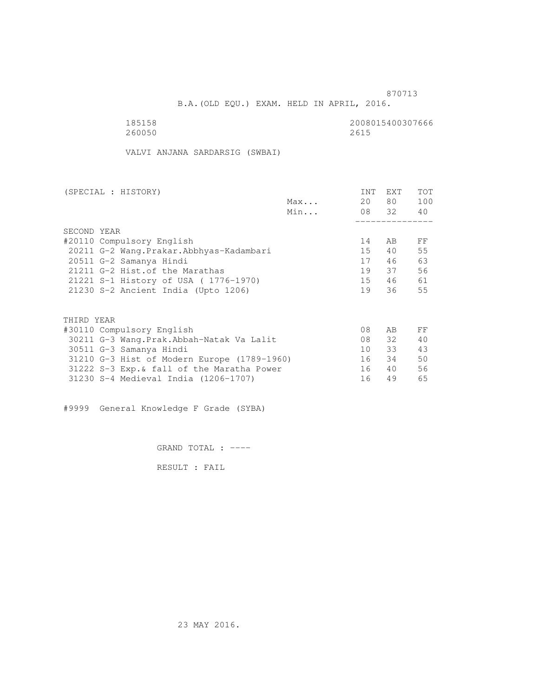B.A.(OLD EQU.) EXAM. HELD IN APRIL, 2016.

| 185158 | 2008015400307666 |
|--------|------------------|
| 260050 | 2615             |

VALVI ANJANA SARDARSIG (SWBAI)

| (SPECIAL : HISTORY) |                                             |     | INT | EXT      | <b>TOT</b> |
|---------------------|---------------------------------------------|-----|-----|----------|------------|
|                     |                                             | Max | 20  | 80 —     | 100        |
|                     |                                             | Min |     | 08 32 40 |            |
|                     |                                             |     |     |          |            |
| SECOND YEAR         |                                             |     |     |          |            |
|                     | #20110 Compulsory English                   |     | 14  | AB.      | FF         |
|                     | 20211 G-2 Wang.Prakar.Abbhyas-Kadambari     |     | 15  | 40       | 55         |
|                     | 20511 G-2 Samanya Hindi                     |     | 17  | 46       | 63         |
|                     | 21211 G-2 Hist. of the Marathas             |     | 19  | 37       | 56         |
|                     | 21221 S-1 History of USA (1776-1970)        |     | 15  | 46       | 61         |
|                     | 21230 S-2 Ancient India (Upto 1206)         |     | 19  | 36       | 55         |
|                     |                                             |     |     |          |            |
| THIRD YEAR          |                                             |     |     |          |            |
|                     | #30110 Compulsory English                   |     | 08  | AB       | FF         |
|                     | 30211 G-3 Wang.Prak.Abbah-Natak Va Lalit    |     | 08  | 32       | 40         |
|                     | 30511 G-3 Samanya Hindi                     |     | 10  | 33       | 43         |
|                     | 31210 G-3 Hist of Modern Europe (1789-1960) |     | 16  | 34       | 50         |
|                     | 31222 S-3 Exp. & fall of the Maratha Power  |     | 16  | 40       | 56         |
|                     | 31230 S-4 Medieval India (1206-1707)        |     | 16  | 49       | 65         |
|                     |                                             |     |     |          |            |

#9999 General Knowledge F Grade (SYBA)

GRAND TOTAL : ----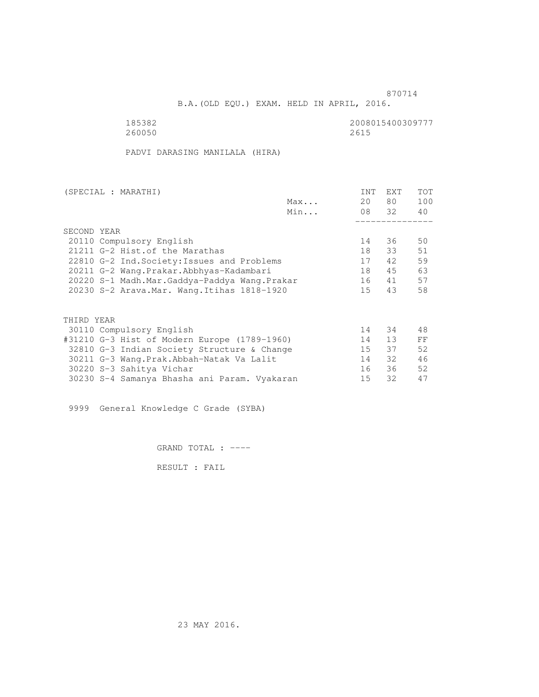B.A.(OLD EQU.) EXAM. HELD IN APRIL, 2016.

 185382 2008015400309777 260050 2615

PADVI DARASING MANILALA (HIRA)

| (SPECIAL : MARATHI)                          |     | INT | EXT   | <b>TOT</b> |
|----------------------------------------------|-----|-----|-------|------------|
|                                              | Max | 20  | 80 —  | 100        |
|                                              | Min |     | 08 32 | 40         |
|                                              |     |     |       |            |
| SECOND YEAR                                  |     |     |       |            |
| 20110 Compulsory English                     |     | 14  | 36    | 50         |
| 21211 G-2 Hist. of the Marathas              |     | 18  | 33    | 51         |
| 22810 G-2 Ind. Society: Issues and Problems  |     | 17  | 42    | 59         |
| 20211 G-2 Wang. Prakar. Abbhyas-Kadambari    |     | 18  | 45    | 63         |
| 20220 S-1 Madh.Mar.Gaddya-Paddya Wang.Prakar |     | 16  | 41    | 57         |
| 20230 S-2 Arava. Mar. Wang. Itihas 1818-1920 |     | 15  | 43    | 58         |
|                                              |     |     |       |            |
| THIRD YEAR                                   |     |     |       |            |
| 30110 Compulsory English                     |     | 14  | 34    | 48         |
| #31210 G-3 Hist of Modern Europe (1789-1960) |     | 14  | 13    | FF         |
| 32810 G-3 Indian Society Structure & Change  |     | 15  | 37    | 52         |
| 30211 G-3 Wang. Prak. Abbah-Natak Va Lalit   |     | 14  | 32    | 46         |
| 30220 S-3 Sahitya Vichar                     |     | 16  | 36    | 52         |
| 30230 S-4 Samanya Bhasha ani Param. Vyakaran |     | 15  | 32    | 47         |

9999 General Knowledge C Grade (SYBA)

GRAND TOTAL : ----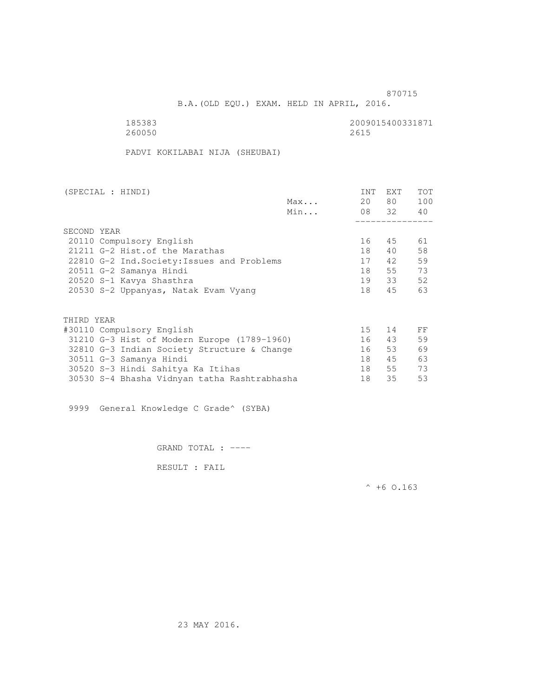B.A.(OLD EQU.) EXAM. HELD IN APRIL, 2016.

| 185383 | 2009015400331871 |
|--------|------------------|
| 260050 | 2615             |

PADVI KOKILABAI NIJA (SHEUBAI)

| (SPECIAL : HINDI)                            | INT             | EXT      | <b>TOT</b> |
|----------------------------------------------|-----------------|----------|------------|
| Max                                          | 20              | 80 —     | 100        |
| Min                                          |                 | 08 32 40 |            |
|                                              |                 |          |            |
| SECOND YEAR                                  |                 |          |            |
| 20110 Compulsory English                     | 16              | 45       | 61         |
| 21211 G-2 Hist. of the Marathas              | 18              | 40       | 58         |
| 22810 G-2 Ind. Society: Issues and Problems  | 17              | 42       | 59         |
| 20511 G-2 Samanya Hindi                      | 18              | 55       | 73         |
| 20520 S-1 Kavya Shasthra                     | 19              | 33       | 52         |
| 20530 S-2 Uppanyas, Natak Evam Vyang         | 18              | 45       | 63         |
|                                              |                 |          |            |
| THIRD YEAR                                   |                 |          |            |
| #30110 Compulsory English                    | 15 <sub>1</sub> | 14       | FF         |
| 31210 G-3 Hist of Modern Europe (1789-1960)  | 16              | 43       | 59         |
| 32810 G-3 Indian Society Structure & Change  | 16              | 53       | 69         |
| 30511 G-3 Samanya Hindi                      | 18              | 45       | 63         |
| 30520 S-3 Hindi Sahitya Ka Itihas            | 18              | 55       | 73         |
| 30530 S-4 Bhasha Vidnyan tatha Rashtrabhasha | 18              | 35       | 53         |

9999 General Knowledge C Grade^ (SYBA)

GRAND TOTAL : ----

RESULT : FAIL

 $^{\wedge}$  +6 O.163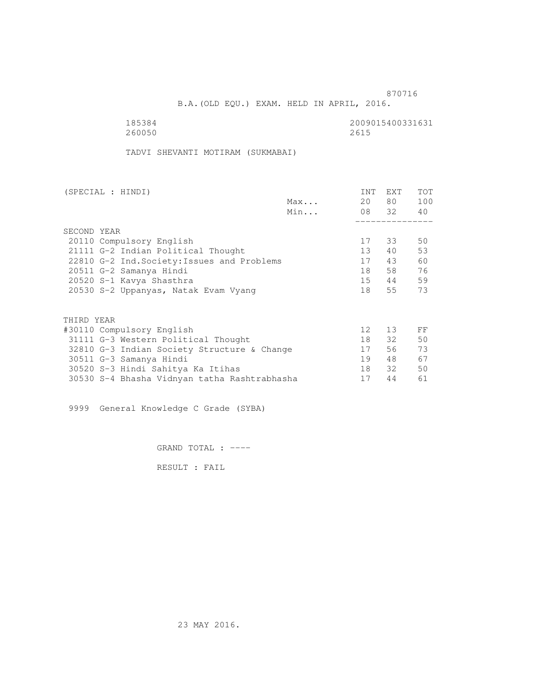B.A.(OLD EQU.) EXAM. HELD IN APRIL, 2016.

 185384 2009015400331631 260050 2615

TADVI SHEVANTI MOTIRAM (SUKMABAI)

|     | INT                                                                                                                                                                                                                       | EXT | <b>TOT</b>                                     |
|-----|---------------------------------------------------------------------------------------------------------------------------------------------------------------------------------------------------------------------------|-----|------------------------------------------------|
| Max |                                                                                                                                                                                                                           |     | 100                                            |
| Min |                                                                                                                                                                                                                           |     |                                                |
|     |                                                                                                                                                                                                                           |     |                                                |
|     |                                                                                                                                                                                                                           |     |                                                |
|     | 17                                                                                                                                                                                                                        |     | 50                                             |
|     | 13                                                                                                                                                                                                                        | 40  | 53                                             |
|     | 17                                                                                                                                                                                                                        | 43  | 60                                             |
|     | 18                                                                                                                                                                                                                        |     | 76                                             |
|     | 15                                                                                                                                                                                                                        |     | 59                                             |
|     | 18                                                                                                                                                                                                                        | 55  | 73                                             |
|     |                                                                                                                                                                                                                           |     |                                                |
|     |                                                                                                                                                                                                                           |     |                                                |
|     | 12 <sup>°</sup>                                                                                                                                                                                                           | 13  | FF                                             |
|     | 18                                                                                                                                                                                                                        |     | 50                                             |
|     | 17                                                                                                                                                                                                                        | 56  | 73                                             |
|     | 19                                                                                                                                                                                                                        | 48  | 67                                             |
|     | 18                                                                                                                                                                                                                        | 32  | 50                                             |
|     | 17                                                                                                                                                                                                                        | 44  | 61                                             |
|     | 22810 G-2 Ind. Society: Issues and Problems<br>20530 S-2 Uppanyas, Natak Evam Vyang<br>31111 G-3 Western Political Thought<br>32810 G-3 Indian Society Structure & Change<br>30530 S-4 Bhasha Vidnyan tatha Rashtrabhasha |     | 80 —<br>20<br>08 32 40<br>33<br>58<br>44<br>32 |

9999 General Knowledge C Grade (SYBA)

GRAND TOTAL : ----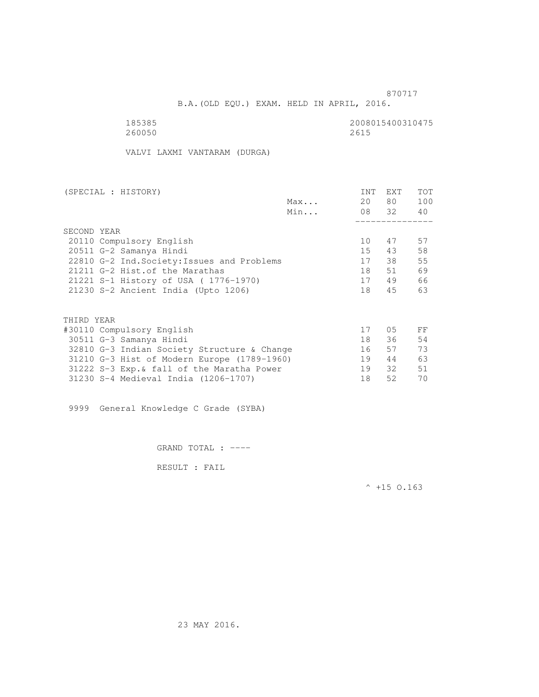B.A.(OLD EQU.) EXAM. HELD IN APRIL, 2016.

| 185385 | 2008015400310475 |
|--------|------------------|
| 260050 | 2615             |

VALVI LAXMI VANTARAM (DURGA)

| (SPECIAL : HISTORY)                         |     | INT | EXT      | <b>TOT</b> |
|---------------------------------------------|-----|-----|----------|------------|
|                                             | Max | 20  | 80 —     | 100        |
|                                             | Min |     | 08 32 40 |            |
|                                             |     |     |          |            |
| SECOND YEAR                                 |     |     |          |            |
| 20110 Compulsory English                    |     | 10  | 47       | 57         |
| 20511 G-2 Samanya Hindi                     |     | 15  | 43       | 58         |
| 22810 G-2 Ind. Society: Issues and Problems |     | 17  | 38       | 55         |
| 21211 G-2 Hist. of the Marathas             |     | 18  | 51       | 69         |
| 21221 S-1 History of USA (1776-1970)        |     | 17  | 49       | 66         |
| 21230 S-2 Ancient India (Upto 1206)         |     | 18  | 45       | 63         |
|                                             |     |     |          |            |
| THIRD YEAR                                  |     |     |          |            |
| #30110 Compulsory English                   |     | 17  | 05       | FF         |
| 30511 G-3 Samanya Hindi                     |     | 18  | 36       | 54         |
| 32810 G-3 Indian Society Structure & Change |     | 16  | 57       | 73         |
| 31210 G-3 Hist of Modern Europe (1789-1960) |     | 19  | 44       | 63         |
| 31222 S-3 Exp. & fall of the Maratha Power  |     | 19  | 32       | 51         |
| 31230 S-4 Medieval India (1206-1707)        |     | 18  | 52       | 70         |
|                                             |     |     |          |            |

9999 General Knowledge C Grade (SYBA)

GRAND TOTAL : ----

RESULT : FAIL

 $^{\wedge}$  +15 O.163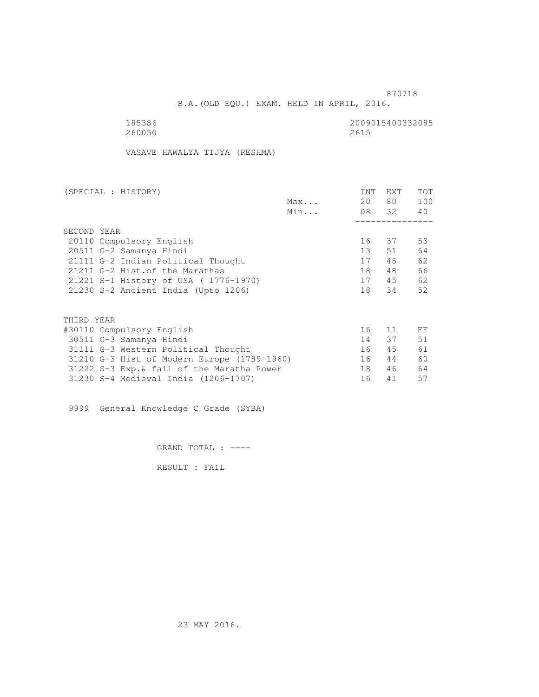B.A.(OLD EQU.) EXAM. HELD IN APRIL, 2016.

| 185386 | 2009015400332085 |
|--------|------------------|
| 260050 | 2615             |

VASAVE HAWALYA TIJYA (RESHMA)

| (SPECIAL : HISTORY)                         |     | INT | EXT   | TOT |
|---------------------------------------------|-----|-----|-------|-----|
|                                             | Max | 20  | 80 —  | 100 |
|                                             | Min |     | 08 32 | 40  |
|                                             |     |     |       |     |
| SECOND YEAR                                 |     |     |       |     |
| 20110 Compulsory English                    |     | 16  | 37    | 53  |
| 20511 G-2 Samanya Hindi                     |     | 13  | 51    | 64  |
| 21111 G-2 Indian Political Thought          |     | 17  | 45    | 62  |
| 21211 G-2 Hist. of the Marathas             |     | 18  | 48    | 66  |
| 21221 S-1 History of USA (1776-1970)        |     | 17  | 45    | 62  |
| 21230 S-2 Ancient India (Upto 1206)         |     | 18  | 34    | 52  |
|                                             |     |     |       |     |
| THIRD YEAR                                  |     |     |       |     |
| #30110 Compulsory English                   |     | 16  | 11    | FF  |
| 30511 G-3 Samanya Hindi                     |     | 14  | 37    | 51  |
| 31111 G-3 Western Political Thought         |     | 16  | 45    | 61  |
| 31210 G-3 Hist of Modern Europe (1789-1960) |     | 16  | 44    | 60  |
| 31222 S-3 Exp. & fall of the Maratha Power  |     | 18  | 46    | 64  |
| 31230 S-4 Medieval India (1206-1707)        |     | 16  | 41    | 57  |
|                                             |     |     |       |     |

9999 General Knowledge C Grade (SYBA)

GRAND TOTAL : ----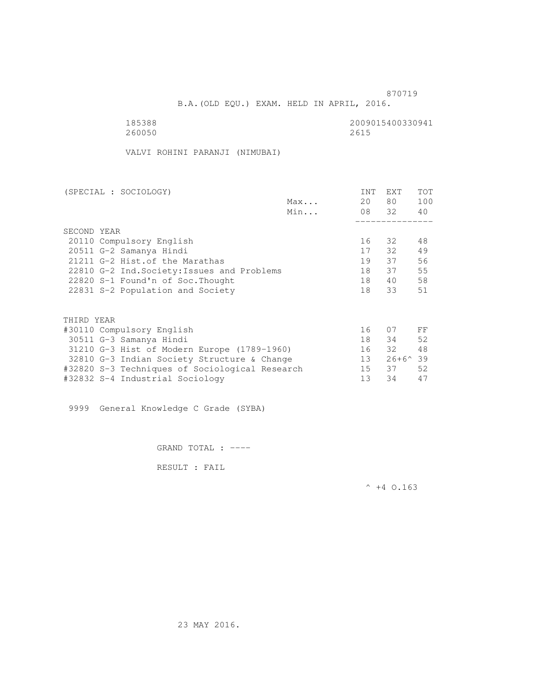B.A.(OLD EQU.) EXAM. HELD IN APRIL, 2016.

| 185388 | 2009015400330941 |
|--------|------------------|
| 260050 | 2615             |

VALVI ROHINI PARANJI (NIMUBAI)

| (SPECIAL : SOCIOLOGY)                          |     | INT | <b>EXT</b>       | TOT |
|------------------------------------------------|-----|-----|------------------|-----|
|                                                | Max | 20  | 80 —             | 100 |
|                                                | Min |     | 08 32            | 40  |
|                                                |     |     |                  |     |
| SECOND YEAR                                    |     |     |                  |     |
| 20110 Compulsory English                       |     | 16  | - 32             | 48  |
| 20511 G-2 Samanya Hindi                        |     | 17  | 32               | 49  |
| 21211 G-2 Hist. of the Marathas                |     | 19  | 37               | 56  |
| 22810 G-2 Ind. Society: Issues and Problems    |     | 18  | 37               | 55  |
| 22820 S-1 Found'n of Soc. Thought              |     | 18  | 40               | 58  |
| 22831 S-2 Population and Society               |     | 18  | 33               | 51  |
|                                                |     |     |                  |     |
| THIRD YEAR                                     |     |     |                  |     |
| #30110 Compulsory English                      |     | 16  | 07               | FF  |
| 30511 G-3 Samanya Hindi                        |     | 18  | 34               | 52  |
| 31210 G-3 Hist of Modern Europe (1789-1960)    |     | 16  | 32               | 48  |
| 32810 G-3 Indian Society Structure & Change    |     | 13  | $26+6^{\circ}39$ |     |
| #32820 S-3 Techniques of Sociological Research |     | 15  | 37               | 52  |
| #32832 S-4 Industrial Sociology                |     | 13  | 34               | 47  |
|                                                |     |     |                  |     |

9999 General Knowledge C Grade (SYBA)

GRAND TOTAL : ----

RESULT : FAIL

 $^{\wedge}$  +4 O.163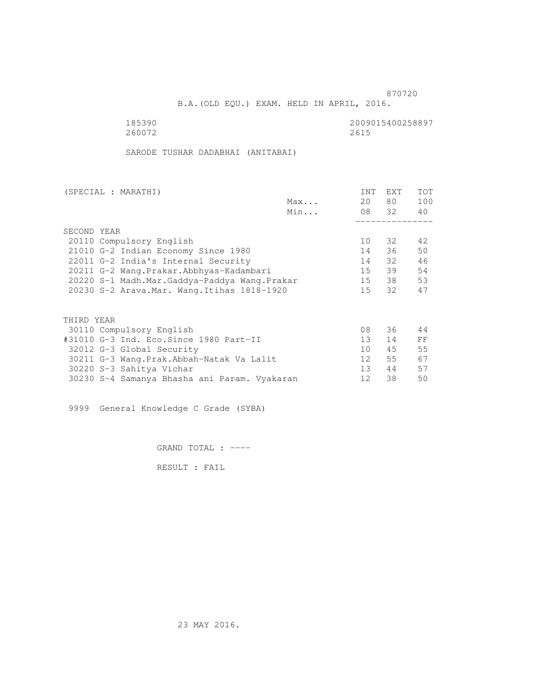B.A.(OLD EQU.) EXAM. HELD IN APRIL, 2016.

 185390 2009015400258897 260072 2615

SARODE TUSHAR DADABHAI (ANITABAI)

|                                              | (SPECIAL : MARATHI)                          |     | INT             | <b>EXT</b> | TOT |
|----------------------------------------------|----------------------------------------------|-----|-----------------|------------|-----|
|                                              |                                              | Max | 20              | 80 —       | 100 |
|                                              |                                              | Min |                 | 08 32      | 40  |
|                                              |                                              |     |                 |            |     |
|                                              | SECOND YEAR                                  |     |                 |            |     |
|                                              | 20110 Compulsory English                     |     | 10              | 32         | 42  |
|                                              | 21010 G-2 Indian Economy Since 1980          |     | 14              | 36         | 50  |
|                                              | 22011 G-2 India's Internal Security          |     | 14              | 32         | 46  |
|                                              | 20211 G-2 Wang.Prakar.Abbhyas-Kadambari      |     | 15              | 39         | 54  |
| 20220 S-1 Madh.Mar.Gaddya-Paddya Wang.Prakar |                                              | 15  | 38              | 53         |     |
|                                              | 20230 S-2 Arava. Mar. Wang. Itihas 1818-1920 |     | 15              | 32         | 47  |
|                                              |                                              |     |                 |            |     |
|                                              | THIRD YEAR                                   |     |                 |            |     |
|                                              | 30110 Compulsory English                     |     | 08              | 36         | 44  |
|                                              | #31010 G-3 Ind. Eco.Since 1980 Part-II       |     | 13 <sup>7</sup> | 14         | FF  |
|                                              | 32012 G-3 Global Security                    |     | 10 <sup>1</sup> | 45         | 55  |
|                                              | 30211 G-3 Wang.Prak.Abbah-Natak Va Lalit     |     | 12              | 55         | 67  |
|                                              | 30220 S-3 Sahitya Vichar                     |     | 13 <sup>7</sup> | 44         | 57  |
|                                              | 30230 S-4 Samanya Bhasha ani Param. Vyakaran |     | 12              | 38         | 50  |
|                                              |                                              |     |                 |            |     |

9999 General Knowledge C Grade (SYBA)

GRAND TOTAL : ----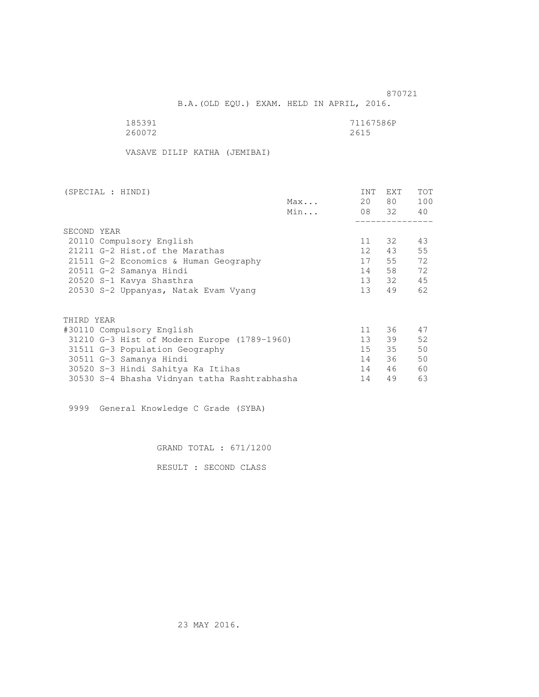B.A.(OLD EQU.) EXAM. HELD IN APRIL, 2016.

| 185391 | 71167586P |
|--------|-----------|
| 260072 | 2615      |

VASAVE DILIP KATHA (JEMIBAI)

| (SPECIAL : HINDI)                            |     | INT             | <b>EXT</b> | TOT |
|----------------------------------------------|-----|-----------------|------------|-----|
|                                              | Max | 20              | 80 —       | 100 |
|                                              | Min |                 | 08 32      | 40  |
|                                              |     |                 |            |     |
| SECOND YEAR                                  |     |                 |            |     |
| 20110 Compulsory English                     |     | 11              | 32         | 43  |
| 21211 G-2 Hist. of the Marathas              |     | 12 <sup>7</sup> | 43         | 55  |
| 21511 G-2 Economics & Human Geography        |     | 17              | 55         | 72  |
| 20511 G-2 Samanya Hindi                      |     | 14              | 58         | 72  |
| 20520 S-1 Kavya Shasthra                     |     | 13              | 32         | 45  |
| 20530 S-2 Uppanyas, Natak Evam Vyang         |     | 13 <sup>7</sup> | 49         | 62  |
|                                              |     |                 |            |     |
| THIRD YEAR                                   |     |                 |            |     |
| #30110 Compulsory English                    |     | 11              | 36         | 47  |
| 31210 G-3 Hist of Modern Europe (1789-1960)  |     | 13              | 39         | 52  |
| 31511 G-3 Population Geography               |     | 15              | 35         | 50  |
| 30511 G-3 Samanya Hindi                      |     | 14              | 36         | 50  |
| 30520 S-3 Hindi Sahitya Ka Itihas            |     | 14              | 46         | 60  |
| 30530 S-4 Bhasha Vidnyan tatha Rashtrabhasha |     | 14              | 49         | 63  |
|                                              |     |                 |            |     |

9999 General Knowledge C Grade (SYBA)

GRAND TOTAL : 671/1200

RESULT : SECOND CLASS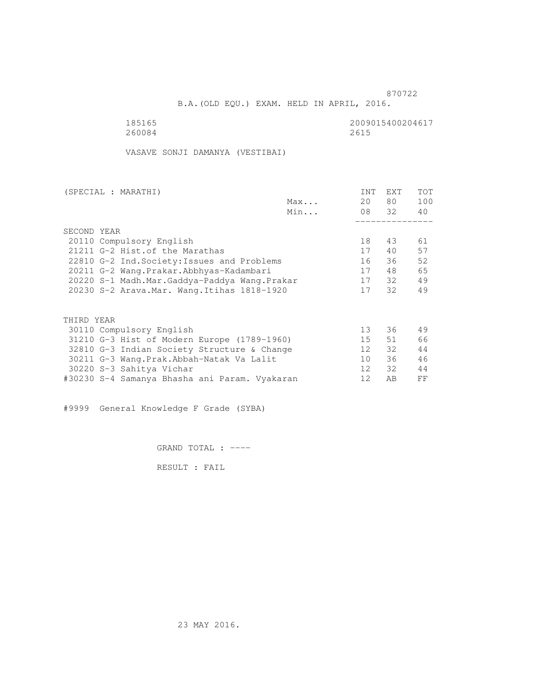B.A.(OLD EQU.) EXAM. HELD IN APRIL, 2016.

185165<br>260084 260084 260084 260084 2615

VASAVE SONJI DAMANYA (VESTIBAI)

| (SPECIAL : MARATHI)                           | <b>INT</b>      | <b>EXT</b> | <b>TOT</b> |
|-----------------------------------------------|-----------------|------------|------------|
| Max                                           | 20              | 80 —       | 100        |
| Min                                           |                 | 08 32      | 40         |
|                                               |                 |            |            |
| SECOND YEAR                                   |                 |            |            |
| 20110 Compulsory English                      | 18              | 43         | 61         |
| 21211 G-2 Hist. of the Marathas               | 17              | 40         | 57         |
| 22810 G-2 Ind. Society: Issues and Problems   | 16              | 36         | 52         |
| 20211 G-2 Wang. Prakar. Abbhyas-Kadambari     | 17              | 48         | 65         |
| 20220 S-1 Madh.Mar.Gaddya-Paddya Wang.Prakar  | 17              | 32         | 49         |
| 20230 S-2 Arava. Mar. Wang. Itihas 1818-1920  | 17              | 32         | 49         |
|                                               |                 |            |            |
| THIRD YEAR                                    |                 |            |            |
| 30110 Compulsory English                      | 13 <sup>1</sup> | 36         | 49         |
| 31210 G-3 Hist of Modern Europe (1789-1960)   | 15              | 51         | 66         |
| 32810 G-3 Indian Society Structure & Change   | 12              | 32         | 44         |
| 30211 G-3 Wang. Prak. Abbah-Natak Va Lalit    | 10 <sup>°</sup> | 36         | 46         |
| 30220 S-3 Sahitya Vichar                      | 12              | 32         | 44         |
| #30230 S-4 Samanya Bhasha ani Param. Vyakaran | 12              | AВ         | FF         |

#9999 General Knowledge F Grade (SYBA)

GRAND TOTAL : ----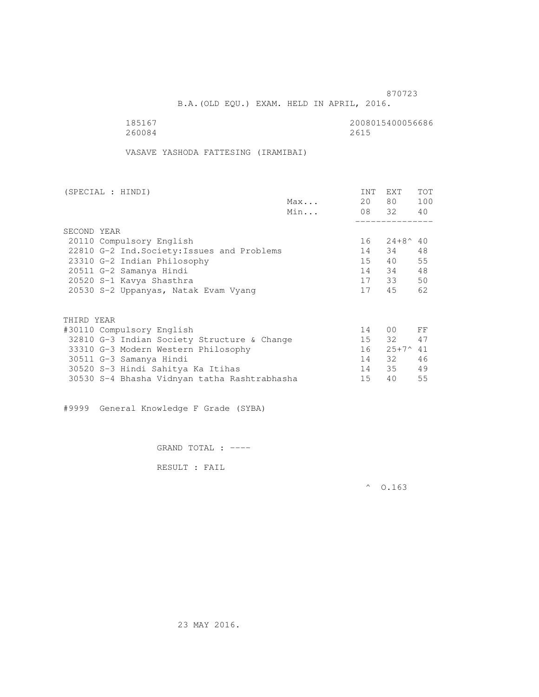B.A.(OLD EQU.) EXAM. HELD IN APRIL, 2016.

185167<br>260084 260084 260084 260084 2615

VASAVE YASHODA FATTESING (IRAMIBAI)

| (SPECIAL : HINDI)                           |     | <b>INT</b> | <b>EXT</b>          | <b>TOT</b> |
|---------------------------------------------|-----|------------|---------------------|------------|
|                                             | Max | 20         | 80                  | 100        |
|                                             | Min |            | 08 32               | 40         |
|                                             |     |            |                     |            |
| SECOND YEAR                                 |     |            |                     |            |
| 20110 Compulsory English                    |     | 16         | $24 + 8^{\circ} 40$ |            |
| 22810 G-2 Ind. Society: Issues and Problems |     | 14         | 34                  | 48         |
| 23310 G-2 Indian Philosophy                 |     | $15 -$     | 40                  | 55         |
| 20511 G-2 Samanya Hindi                     |     | 14         | 34                  | 48         |
| 20520 S-1 Kavya Shasthra                    |     | 17         | 33                  | 50         |
| 20530 S-2 Uppanyas, Natak Evam Vyang        |     | 17         | 45                  | 62         |
|                                             |     |            |                     |            |
| THIRD YEAR                                  |     |            |                     |            |
| #30110 Compulsory English                   |     | 14         | 0 <sub>0</sub>      | FF         |
| 32810 G-3 Indian Society Structure & Change |     | 15         | 32                  | 47         |
| 33310 G-3 Modern Western Philosophy         |     | 16         | $25+7^{\circ}$      | 41         |
| 30511 G-3 Samanya Hindi                     |     | 14         | 32                  | 46         |
| 30520 S-3 Hindi Sahitya Ka Itihas           |     | 14         | 35                  | 49         |

30530 S-4 Bhasha Vidnyan tatha Rashtrabhasha 15 40 55

#9999 General Knowledge F Grade (SYBA)

GRAND TOTAL : ----

RESULT : FAIL

 $^{\circ}$  0.163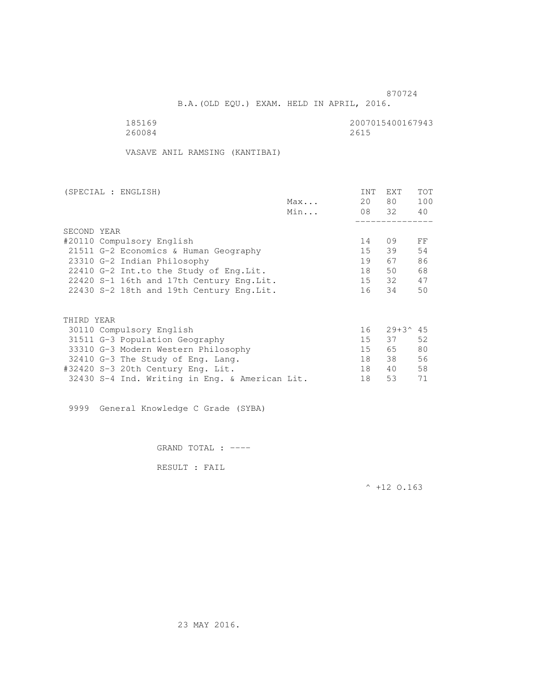B.A.(OLD EQU.) EXAM. HELD IN APRIL, 2016.

185169<br>260084 260084<br>260084 2615 260084 2615

VASAVE ANIL RAMSING (KANTIBAI)

| (SPECIAL : ENGLISH)                       |     | <b>INT</b>      | <b>EXT</b>          | <b>TOT</b> |
|-------------------------------------------|-----|-----------------|---------------------|------------|
|                                           | Max | 20              | 80                  | 100        |
|                                           | Min | 08 32           |                     | 40         |
|                                           |     |                 |                     |            |
| SECOND YEAR                               |     |                 |                     |            |
| #20110 Compulsory English                 |     | 14              | 09                  | FF         |
| 21511 G-2 Economics & Human Geography     |     | 15 <sub>1</sub> | 39                  | 54         |
| 23310 G-2 Indian Philosophy               |     | 19              | 67                  | 86         |
| 22410 G-2 Int.to the Study of Eng. Lit.   |     | 18              | 50                  | 68         |
| 22420 S-1 16th and 17th Century Eng. Lit. |     | 15              | 32                  | 47         |
| 22430 S-2 18th and 19th Century Eng. Lit. |     | 16              | 34                  | 50         |
|                                           |     |                 |                     |            |
| THIRD YEAR                                |     |                 |                     |            |
| 30110 Compulsory English                  |     | 16              | $29 + 3^{\circ}$ 45 |            |
| 31511 G-3 Population Geography            |     | 15              | 37                  | 52         |
| 33310 G-3 Modern Western Philosophy       |     | 15              | 65                  | 80         |
| 32410 G-3 The Study of Eng. Lang.         |     | 18              | 38                  | 56         |
| #32420 S-3 20th Century Eng. Lit.         |     | 18              | 40                  | 58         |

32430 S-4 Ind. Writing in Eng. & American Lit. 18 53 71

9999 General Knowledge C Grade (SYBA)

GRAND TOTAL : ----

RESULT : FAIL

 $^{\wedge}$  +12 O.163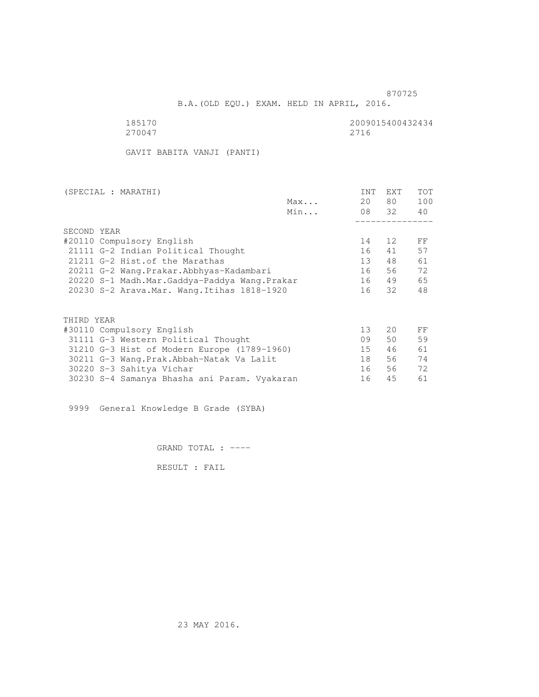B.A.(OLD EQU.) EXAM. HELD IN APRIL, 2016.

270047 2716

185170 2009015400432434

GAVIT BABITA VANJI (PANTI)

| (SPECIAL : MARATHI)                          |     | <b>INT</b>      | <b>EXT</b>   | TOT |
|----------------------------------------------|-----|-----------------|--------------|-----|
|                                              | Max | 20              | 80           | 100 |
|                                              | Min |                 | 08 32        | 40  |
|                                              |     |                 |              |     |
| SECOND YEAR                                  |     |                 |              |     |
| #20110 Compulsory English                    |     | 14              | 12           | FF  |
| 21111 G-2 Indian Political Thought           |     | 16              | 41           | 57  |
| 21211 G-2 Hist. of the Marathas              |     | 13 <sup>7</sup> | 48           | 61  |
| 20211 G-2 Wang.Prakar.Abbhyas-Kadambari      |     | 16              | 56           | 72  |
| 20220 S-1 Madh.Mar.Gaddya-Paddya Wang.Prakar |     | 16              | 49           | 65  |
| 20230 S-2 Arava. Mar. Wang. Itihas 1818-1920 |     | 16              | 32           | 48  |
|                                              |     |                 |              |     |
| THIRD YEAR                                   |     |                 |              |     |
| #30110 Compulsory English                    |     | 13 <sup>°</sup> | $20^{\circ}$ | FF  |
| 31111 G-3 Western Political Thought          |     | 09              | 50           | 59  |
| 31210 G-3 Hist of Modern Europe (1789-1960)  |     | 15 <sub>1</sub> | 46           | 61  |
| 30211 G-3 Wang.Prak.Abbah-Natak Va Lalit     |     | 18              | 56           | 74  |
| 30220 S-3 Sahitya Vichar                     |     | 16              | 56           | 72  |
| 30230 S-4 Samanya Bhasha ani Param. Vyakaran |     | 16              | 45           | 61  |
|                                              |     |                 |              |     |

9999 General Knowledge B Grade (SYBA)

GRAND TOTAL : ----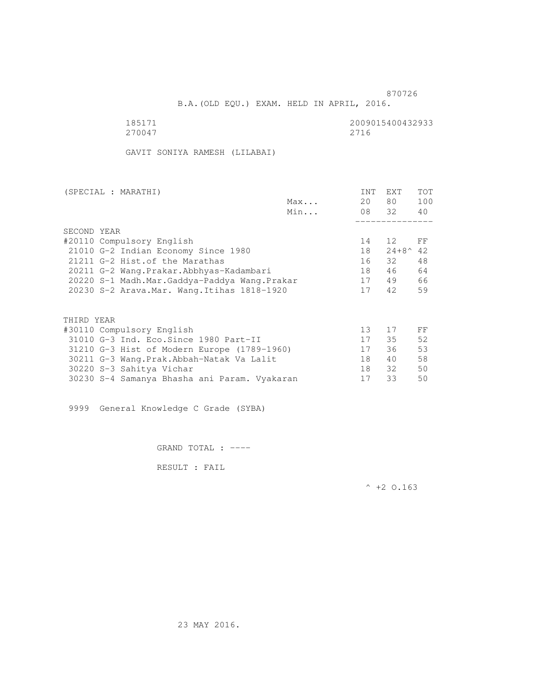B.A.(OLD EQU.) EXAM. HELD IN APRIL, 2016.

270047 2716

185171 2009015400432933<br>270047 2716

GAVIT SONIYA RAMESH (LILABAI)

| (SPECIAL : MARATHI)                          |     | <b>INT</b>      | <b>EXT</b>       | TOT |
|----------------------------------------------|-----|-----------------|------------------|-----|
|                                              | Max | 20              | 80 —             | 100 |
|                                              | Min |                 | 08 32            | 40  |
|                                              |     |                 |                  |     |
| SECOND YEAR                                  |     |                 |                  |     |
| #20110 Compulsory English                    |     | 14              | 12               | FF  |
| 21010 G-2 Indian Economy Since 1980          |     | 18              | $24 + 8^{\circ}$ | 42  |
| 21211 G-2 Hist. of the Marathas              |     | 16              | 32               | 48  |
| 20211 G-2 Wang.Prakar.Abbhyas-Kadambari      |     | 18              | 46               | 64  |
| 20220 S-1 Madh.Mar.Gaddya-Paddya Wang.Prakar |     | 17              | 49               | 66  |
| 20230 S-2 Arava. Mar. Wang. Itihas 1818-1920 |     | 17              | 42               | 59  |
|                                              |     |                 |                  |     |
| THIRD YEAR                                   |     |                 |                  |     |
|                                              |     |                 |                  |     |
| #30110 Compulsory English                    |     | 13 <sup>°</sup> | 17               | FF  |
| 31010 G-3 Ind. Eco. Since 1980 Part-II       |     | 17              | 35               | 52  |
| 31210 G-3 Hist of Modern Europe (1789-1960)  |     | 17              | 36               | 53  |
| 30211 G-3 Wang.Prak.Abbah-Natak Va Lalit     |     | 18              | 40               | 58  |
| 30220 S-3 Sahitya Vichar                     |     | 18              | 32               | 50  |
| 30230 S-4 Samanya Bhasha ani Param. Vyakaran |     | 17              | 33               | 50  |

9999 General Knowledge C Grade (SYBA)

GRAND TOTAL : ----

RESULT : FAIL

 $^{\wedge}$  +2 O.163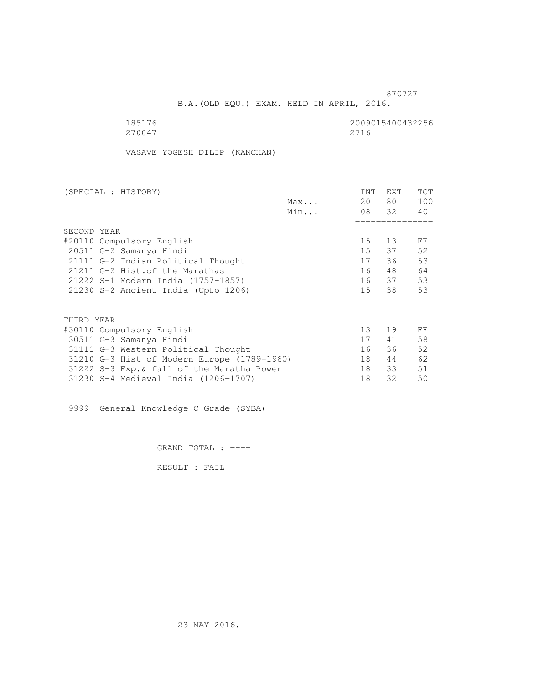B.A.(OLD EQU.) EXAM. HELD IN APRIL, 2016.

| 185176 | 2009015400432256 |
|--------|------------------|
| 270047 | 2716             |

VASAVE YOGESH DILIP (KANCHAN)

| (SPECIAL : HISTORY)                         |     | <b>INT</b>      | EXT   | TOT |
|---------------------------------------------|-----|-----------------|-------|-----|
|                                             | Max | 20              | 80 —  | 100 |
|                                             | Min |                 | 08 32 | 40  |
|                                             |     |                 |       |     |
| SECOND YEAR                                 |     |                 |       |     |
| #20110 Compulsory English                   |     | 15              | 13    | FF  |
| 20511 G-2 Samanya Hindi                     |     | 15              | 37    | 52  |
| 21111 G-2 Indian Political Thought          |     | 17              | 36    | 53  |
| 21211 G-2 Hist. of the Marathas             |     | 16              | 48    | 64  |
| 21222 S-1 Modern India (1757-1857)          |     |                 | 16 37 | 53  |
| 21230 S-2 Ancient India (Upto 1206)         |     | 15              | 38    | 53  |
|                                             |     |                 |       |     |
| THIRD YEAR                                  |     |                 |       |     |
| #30110 Compulsory English                   |     | 13 <sup>°</sup> | 19    | FF  |
| 30511 G-3 Samanya Hindi                     |     | 17              | 41    | 58  |
| 31111 G-3 Western Political Thought         |     | 16              | 36    | 52  |
| 31210 G-3 Hist of Modern Europe (1789-1960) |     | 18              | 44    | 62  |
| 31222 S-3 Exp. & fall of the Maratha Power  |     | 18              | 33    | 51  |
| 31230 S-4 Medieval India (1206-1707)        |     | 18              | 32    | 50  |
|                                             |     |                 |       |     |

9999 General Knowledge C Grade (SYBA)

GRAND TOTAL : ----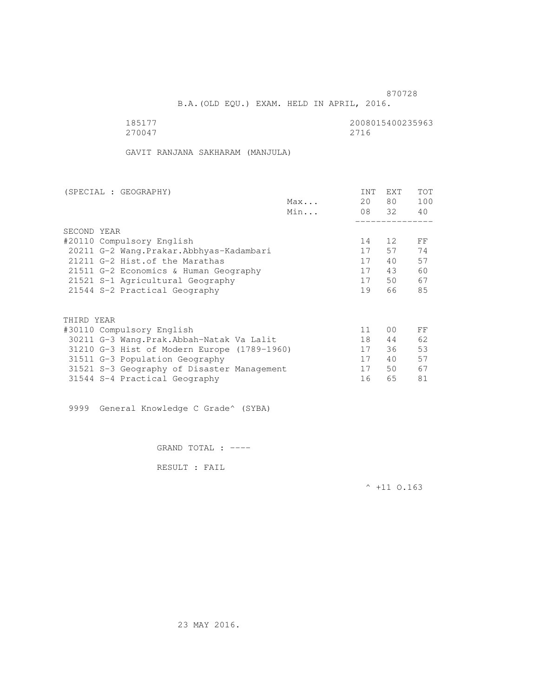B.A.(OLD EQU.) EXAM. HELD IN APRIL, 2016.

| 185177 | 2008015400235963 |
|--------|------------------|
| 270047 | 2716             |

GAVIT RANJANA SAKHARAM (MANJULA)

|     | <b>INT</b> | <b>EXT</b>     | TOT   |
|-----|------------|----------------|-------|
| Max | 20         | 80             | 100   |
| Min |            |                | 40    |
|     |            |                |       |
|     |            |                |       |
|     | 14         | 12             | FF    |
|     | 17         | 57             | 74    |
|     | 17         | 40             | 57    |
|     | 17         | 43             | 60    |
|     | 17         | 50             | 67    |
|     | 19         | 66             | 85    |
|     |            |                |       |
|     |            |                |       |
|     | 11         | 0 <sub>0</sub> | FF    |
|     | 18         | 44             | 62    |
|     | 17         | 36             | 53    |
|     | 17         | 40             | 57    |
|     | 17         | 50             | 67    |
|     | 16         | 65             | 81    |
|     |            |                | 08 32 |

9999 General Knowledge C Grade^ (SYBA)

GRAND TOTAL : ----

RESULT : FAIL

 $^{\wedge}$  +11 0.163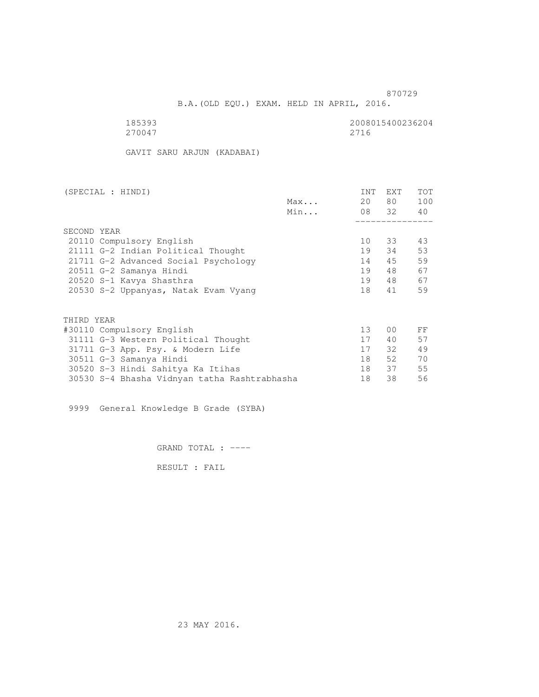B.A.(OLD EQU.) EXAM. HELD IN APRIL, 2016.

| 185393 | 2008015400236204 |
|--------|------------------|
| 270047 | 2716             |

GAVIT SARU ARJUN (KADABAI)

| (SPECIAL : HINDI)                            |     | INT             | <b>EXT</b>     | TOT |
|----------------------------------------------|-----|-----------------|----------------|-----|
|                                              | Max | 20              | 80 —           | 100 |
|                                              | Min |                 | 08 32          | 40  |
|                                              |     |                 |                |     |
| SECOND YEAR                                  |     |                 |                |     |
| 20110 Compulsory English                     |     | 10              | 33             | 43  |
| 21111 G-2 Indian Political Thought           |     | 19              | 34             | 53  |
| 21711 G-2 Advanced Social Psychology         |     | 14              | 45             | 59  |
| 20511 G-2 Samanya Hindi                      |     | 19              | 48             | 67  |
| 20520 S-1 Kavya Shasthra                     |     | 19              | 48             | 67  |
| 20530 S-2 Uppanyas, Natak Evam Vyang         |     | 18              | 41             | 59  |
| THIRD YEAR                                   |     |                 |                |     |
|                                              |     | 13 <sup>°</sup> | 0 <sub>0</sub> | FF  |
| #30110 Compulsory English                    |     |                 |                |     |
| 31111 G-3 Western Political Thought          |     | 17              | 40             | 57  |
| 31711 G-3 App. Psy. & Modern Life            |     | 17              | 32             | 49  |
| 30511 G-3 Samanya Hindi                      |     | 18              | 52             | 70  |
| 30520 S-3 Hindi Sahitya Ka Itihas            |     | 18              | 37             | 55  |
| 30530 S-4 Bhasha Vidnyan tatha Rashtrabhasha |     | 18              | 38             | 56  |
|                                              |     |                 |                |     |

9999 General Knowledge B Grade (SYBA)

GRAND TOTAL : ----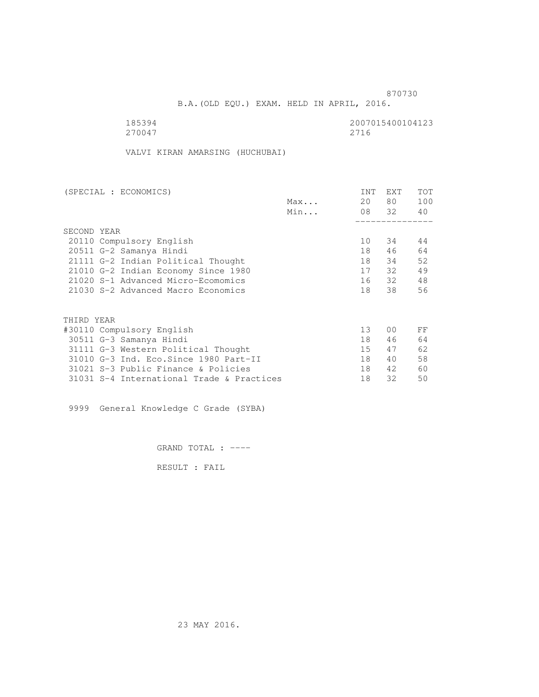B.A.(OLD EQU.) EXAM. HELD IN APRIL, 2016.

| 185394 | 2007015400104123 |
|--------|------------------|
| 270047 | 2716             |

VALVI KIRAN AMARSING (HUCHUBAI)

| (SPECIAL : ECONOMICS)                     |     | <b>INT</b> | EXT            | TOT |
|-------------------------------------------|-----|------------|----------------|-----|
|                                           | Max | 20         | 80             | 100 |
|                                           | Min |            | 08 32          | 40  |
|                                           |     |            |                |     |
| SECOND YEAR                               |     |            |                |     |
| 20110 Compulsory English                  |     | 10         | 34             | 44  |
| 20511 G-2 Samanya Hindi                   |     | 18         | 46             | 64  |
| 21111 G-2 Indian Political Thought        |     | 18         | 34             | 52  |
| 21010 G-2 Indian Economy Since 1980       |     | 17         | 32             | 49  |
| 21020 S-1 Advanced Micro-Ecomomics        |     | 16         | 32             | 48  |
| 21030 S-2 Advanced Macro Economics        |     | 18         | 38             | 56  |
|                                           |     |            |                |     |
| THIRD YEAR                                |     |            |                |     |
| #30110 Compulsory English                 |     | 13         | 0 <sup>0</sup> | FF  |
| 30511 G-3 Samanya Hindi                   |     | 18         | 46             | 64  |
| 31111 G-3 Western Political Thought       |     | 15         | 47             | 62  |
| 31010 G-3 Ind. Eco. Since 1980 Part-II    |     | 18         | 40             | 58  |
| 31021 S-3 Public Finance & Policies       |     | 18         | 42             | 60  |
| 31031 S-4 International Trade & Practices |     | 18         | 32             | 50  |

9999 General Knowledge C Grade (SYBA)

GRAND TOTAL : ----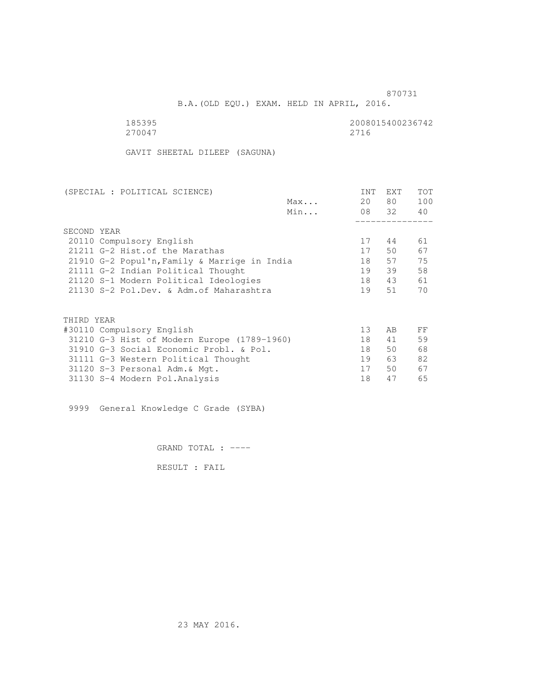B.A.(OLD EQU.) EXAM. HELD IN APRIL, 2016.

| 185395 | 2008015400236742 |
|--------|------------------|
| 270047 | 2716             |

GAVIT SHEETAL DILEEP (SAGUNA)

|     | <b>INT</b>                                                                                                                                                                                                                  | <b>EXT</b> | TOT   |
|-----|-----------------------------------------------------------------------------------------------------------------------------------------------------------------------------------------------------------------------------|------------|-------|
| Max | 20                                                                                                                                                                                                                          | 80 —       | 100   |
| Min |                                                                                                                                                                                                                             |            | 40    |
|     |                                                                                                                                                                                                                             |            |       |
|     |                                                                                                                                                                                                                             |            |       |
|     | 17                                                                                                                                                                                                                          | 44         | 61    |
|     | 17                                                                                                                                                                                                                          | 50         | 67    |
|     | 18                                                                                                                                                                                                                          | 57         | 75    |
|     | 19                                                                                                                                                                                                                          | 39         | 58    |
|     | 18                                                                                                                                                                                                                          | 43         | 61    |
|     | 19                                                                                                                                                                                                                          | 51         | 70    |
|     |                                                                                                                                                                                                                             |            |       |
|     |                                                                                                                                                                                                                             |            |       |
|     | 13                                                                                                                                                                                                                          | AB         | FF    |
|     | 18                                                                                                                                                                                                                          | 41         | 59    |
|     | 18                                                                                                                                                                                                                          | 50         | 68    |
|     | 19                                                                                                                                                                                                                          | 63         | 82    |
|     | 17                                                                                                                                                                                                                          | 50         | 67    |
|     | 18                                                                                                                                                                                                                          | 47         | 65    |
|     | 21910 G-2 Popul'n, Family & Marrige in India<br>21120 S-1 Modern Political Ideologies<br>21130 S-2 Pol.Dev. & Adm. of Maharashtra<br>31210 G-3 Hist of Modern Europe (1789-1960)<br>31910 G-3 Social Economic Probl. & Pol. |            | 08 32 |

9999 General Knowledge C Grade (SYBA)

GRAND TOTAL : ----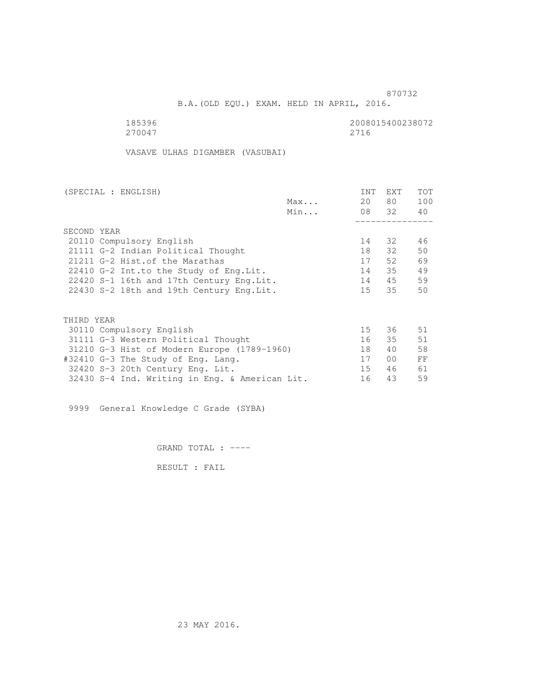B.A.(OLD EQU.) EXAM. HELD IN APRIL, 2016.

185396<br>270047 270047 270047 270047 2716

VASAVE ULHAS DIGAMBER (VASUBAI)

| (SPECIAL : ENGLISH)                            |     | INT | EXT            | <b>TOT</b> |
|------------------------------------------------|-----|-----|----------------|------------|
|                                                | Max | 20  | 80 —           | 100        |
|                                                | Min |     | 08 32          | 40         |
|                                                |     |     |                |            |
| SECOND YEAR                                    |     |     |                |            |
| 20110 Compulsory English                       |     | 14  | 32             | 46         |
| 21111 G-2 Indian Political Thought             |     | 18  | 32             | 50         |
| 21211 G-2 Hist. of the Marathas                |     | 17  | 52.            | 69         |
| 22410 G-2 Int.to the Study of Eng.Lit.         |     | 14  | 35             | 49         |
| 22420 S-1 16th and 17th Century Eng.Lit.       |     | 14  | 45             | 59         |
| 22430 S-2 18th and 19th Century Eng. Lit.      |     | 15  | 35             | 50         |
| THIRD YEAR                                     |     |     |                |            |
| 30110 Compulsory English                       |     | 15  | 36             | 51         |
| 31111 G-3 Western Political Thought            |     | 16  | 35             | 51         |
| 31210 G-3 Hist of Modern Europe (1789-1960)    |     | 18  | 40             | 58         |
| #32410 G-3 The Study of Eng. Lang.             |     | 17  | 0 <sup>0</sup> | FF         |
|                                                |     | 15  | 46             | 61         |
| 32420 S-3 20th Century Eng. Lit.               |     |     |                |            |
| 32430 S-4 Ind. Writing in Eng. & American Lit. |     | 16  | 43             | 59         |

9999 General Knowledge C Grade (SYBA)

GRAND TOTAL : ----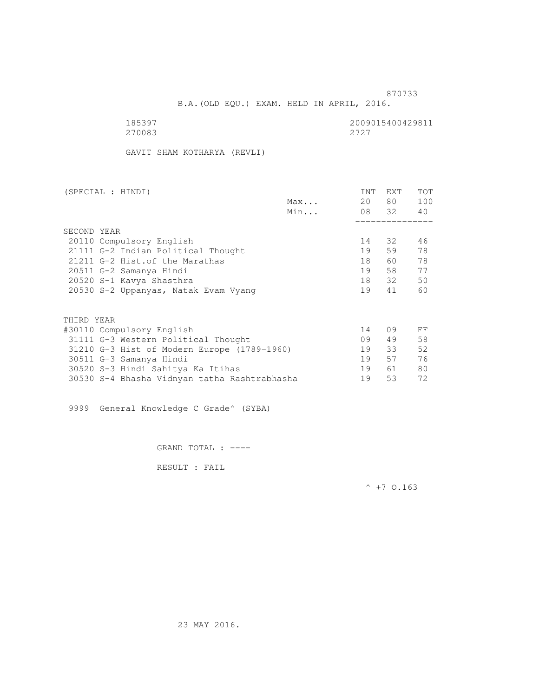B.A.(OLD EQU.) EXAM. HELD IN APRIL, 2016.

| 185397 | 2009015400429811 |
|--------|------------------|
| 270083 | 2.72.7           |

GAVIT SHAM KOTHARYA (REVLI)

| (SPECIAL : HINDI)                            |     | INT | EXT      | <b>TOT</b> |
|----------------------------------------------|-----|-----|----------|------------|
|                                              | Max | 20  | 80 —     | 100        |
|                                              | Min |     | 08 32 40 |            |
|                                              |     |     |          |            |
| SECOND YEAR                                  |     |     |          |            |
| 20110 Compulsory English                     |     | 14  | 32       | 46         |
| 21111 G-2 Indian Political Thought           |     | 19  | 59       | 78         |
| 21211 G-2 Hist. of the Marathas              |     | 18  | 60       | 78         |
| 20511 G-2 Samanya Hindi                      |     | 19  |          | 77         |
| 20520 S-1 Kavya Shasthra                     |     | 18  | 32       | 50         |
| 20530 S-2 Uppanyas, Natak Evam Vyang         |     | 19  | 41       | 60         |
|                                              |     |     |          |            |
| THIRD YEAR                                   |     |     |          |            |
| #30110 Compulsory English                    |     | 14  | 09       | FF         |
| 31111 G-3 Western Political Thought          |     | 09  | 49       | 58         |
| 31210 G-3 Hist of Modern Europe (1789-1960)  |     | 19  | 33       | 52         |
| 30511 G-3 Samanya Hindi                      |     | 19  | 57       | 76         |
| 30520 S-3 Hindi Sahitya Ka Itihas            |     | 19  | 61       | 80         |
| 30530 S-4 Bhasha Vidnyan tatha Rashtrabhasha |     | 19  | 53       | 72         |

9999 General Knowledge C Grade^ (SYBA)

GRAND TOTAL : ----

RESULT : FAIL

 $^{\wedge}$  +7 0.163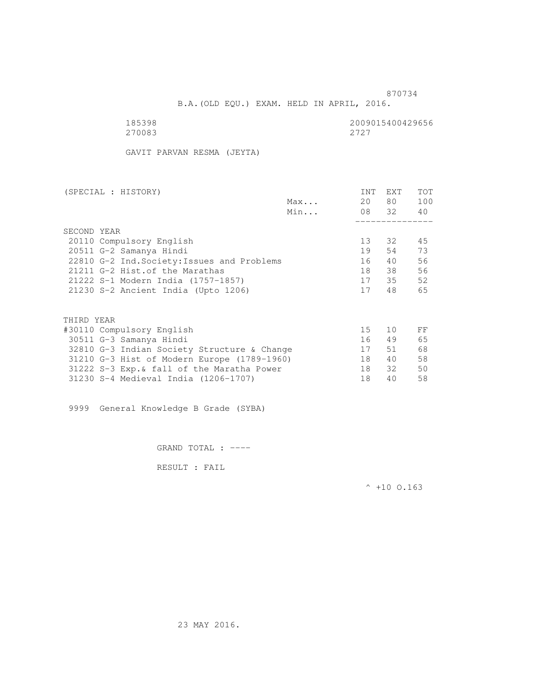B.A.(OLD EQU.) EXAM. HELD IN APRIL, 2016.

| 185398 | 2009015400429656 |
|--------|------------------|
| 270083 | 2.72.7           |

GAVIT PARVAN RESMA (JEYTA)

| (SPECIAL : HISTORY)                         |     | INT | <b>EXT</b> | TOT |
|---------------------------------------------|-----|-----|------------|-----|
|                                             | Max | 20  | 80 —       | 100 |
|                                             | Min |     | 08 32      | 40  |
|                                             |     |     |            |     |
| SECOND YEAR                                 |     |     |            |     |
| 20110 Compulsory English                    |     | 13  | 32         | 45  |
| 20511 G-2 Samanya Hindi                     |     | 19  | 54         | 73  |
| 22810 G-2 Ind. Society: Issues and Problems |     | 16  | 40         | 56  |
| 21211 G-2 Hist. of the Marathas             |     | 18  | 38         | 56  |
| 21222 S-1 Modern India (1757-1857)          |     | 17  | 35         | 52  |
| 21230 S-2 Ancient India (Upto 1206)         |     | 17  | 48         | 65  |
|                                             |     |     |            |     |
| THIRD YEAR                                  |     |     |            |     |
| #30110 Compulsory English                   |     | 15  | 10         | FF  |
| 30511 G-3 Samanya Hindi                     |     | 16  | 49         | 65  |
| 32810 G-3 Indian Society Structure & Change |     | 17  | 51         | 68  |
| 31210 G-3 Hist of Modern Europe (1789-1960) |     | 18  | 40         | 58  |
| 31222 S-3 Exp. & fall of the Maratha Power  |     | 18  | 32         | 50  |
| 31230 S-4 Medieval India (1206-1707)        |     | 18  | 40         | 58  |
|                                             |     |     |            |     |

9999 General Knowledge B Grade (SYBA)

GRAND TOTAL : ----

RESULT : FAIL

 $^{\wedge}$  +10 O.163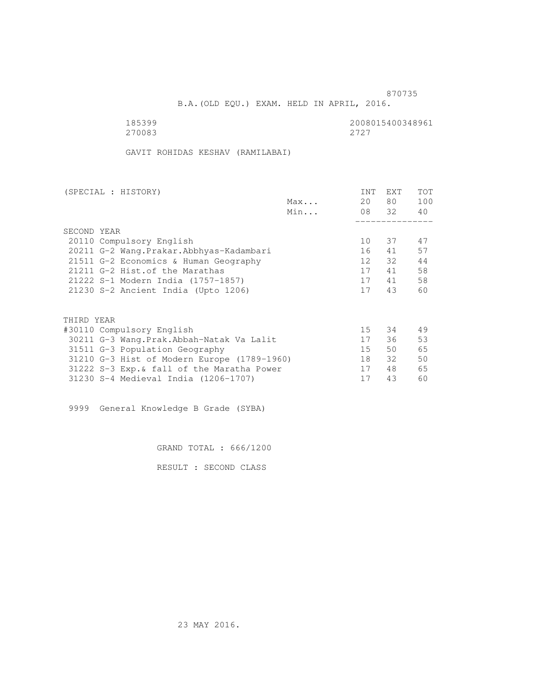B.A.(OLD EQU.) EXAM. HELD IN APRIL, 2016.

185399<br>270083 270083 270083 270083 2727

GAVIT ROHIDAS KESHAV (RAMILABAI)

| (SPECIAL : HISTORY)                         | <b>INT</b> | <b>EXT</b> | TOT |
|---------------------------------------------|------------|------------|-----|
| Max                                         | 20         | 80 —       | 100 |
| Min                                         |            | 08 32      | 40  |
|                                             |            |            |     |
| SECOND YEAR                                 |            |            |     |
| 20110 Compulsory English                    | 10         | 37         | 47  |
| 20211 G-2 Wang. Prakar. Abbhyas-Kadambari   | 16         | 41         | 57  |
| 21511 G-2 Economics & Human Geography       | 12         | 32         | 44  |
| 21211 G-2 Hist.of the Marathas              | 17         | 41         | 58  |
| 21222 S-1 Modern India (1757-1857)          | 17         | 41         | 58  |
| 21230 S-2 Ancient India (Upto 1206)         | 17         | 43         | 60  |
|                                             |            |            |     |
| THIRD YEAR                                  |            |            |     |
| #30110 Compulsory English                   | 15         | 34         | 49  |
| 30211 G-3 Wang.Prak.Abbah-Natak Va Lalit    | 17         | 36         | 53  |
| 31511 G-3 Population Geography              | 15         | 50         | 65  |
| 31210 G-3 Hist of Modern Europe (1789-1960) | 18         | 32         | 50  |
| 31222 S-3 Exp. & fall of the Maratha Power  | 17         | 48         | 65  |
| 31230 S-4 Medieval India (1206-1707)        | 17         | 43         | 60  |

9999 General Knowledge B Grade (SYBA)

GRAND TOTAL : 666/1200

RESULT : SECOND CLASS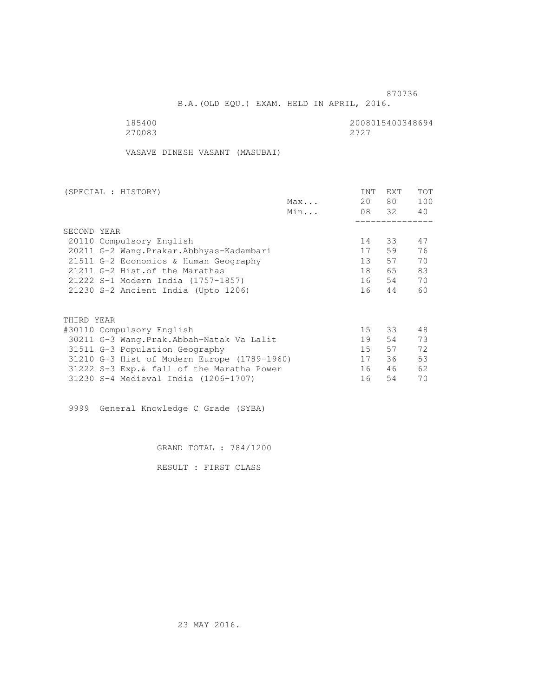B.A.(OLD EQU.) EXAM. HELD IN APRIL, 2016.

| 185400 | 2008015400348694 |
|--------|------------------|
| 270083 | 2727             |

VASAVE DINESH VASANT (MASUBAI)

| (SPECIAL : HISTORY)       |                                             |     | <b>INT</b> | <b>EXT</b> | TOT |
|---------------------------|---------------------------------------------|-----|------------|------------|-----|
|                           |                                             | Max | 20         | 80 —       | 100 |
|                           |                                             | Min |            | 08 32      | 40  |
|                           |                                             |     |            |            |     |
| SECOND YEAR               |                                             |     |            |            |     |
| 20110 Compulsory English  |                                             |     | 14         | 33         | 47  |
|                           | 20211 G-2 Wang. Prakar. Abbhyas-Kadambari   |     | 17         | 59         | 76  |
|                           | 21511 G-2 Economics & Human Geography       |     | 13         | 57         | 70  |
|                           | 21211 G-2 Hist.of the Marathas              |     | 18         | 65 —       | 83  |
|                           | 21222 S-1 Modern India (1757-1857)          |     | 16         | 54         | 70  |
|                           | 21230 S-2 Ancient India (Upto 1206)         |     | 16         | 44         | 60  |
|                           |                                             |     |            |            |     |
| THIRD YEAR                |                                             |     |            |            |     |
| #30110 Compulsory English |                                             |     | $15 -$     | 33         | 48  |
|                           | 30211 G-3 Wang.Prak.Abbah-Natak Va Lalit    |     | 19         | 54         | 73  |
|                           | 31511 G-3 Population Geography              |     | 15         | 57         | 72  |
|                           | 31210 G-3 Hist of Modern Europe (1789-1960) |     | 17         | 36         | 53  |
|                           | 31222 S-3 Exp. & fall of the Maratha Power  |     | 16         | 46         | 62  |
|                           | 31230 S-4 Medieval India (1206-1707)        |     | 16         | 54         | 70  |
|                           |                                             |     |            |            |     |

9999 General Knowledge C Grade (SYBA)

GRAND TOTAL : 784/1200

RESULT : FIRST CLASS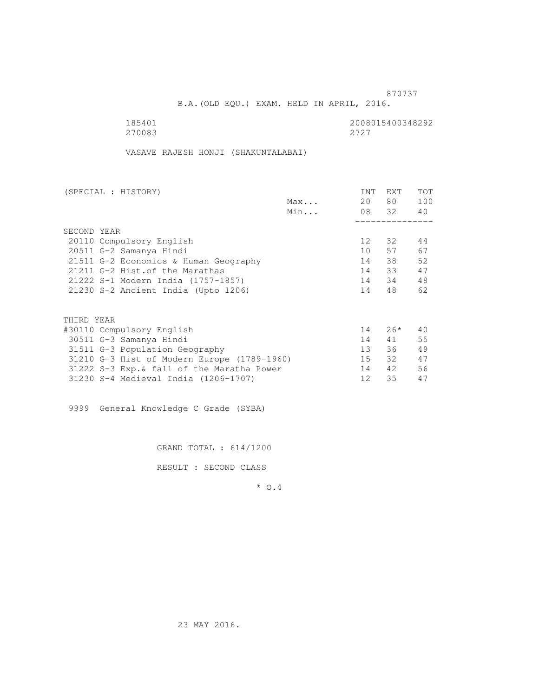B.A.(OLD EQU.) EXAM. HELD IN APRIL, 2016.

185401 2008015400348292<br>270083 2727 270083 2727

VASAVE RAJESH HONJI (SHAKUNTALABAI)

| (SPECIAL : HISTORY)                         |     | INT             | EXT      | <b>TOT</b> |
|---------------------------------------------|-----|-----------------|----------|------------|
|                                             | Max | 20              | 80 —     | 100        |
|                                             | Min |                 | 08 32 40 |            |
|                                             |     |                 |          |            |
| SECOND YEAR                                 |     |                 |          |            |
| 20110 Compulsory English                    |     | 12 <sup>°</sup> | 32       | 44         |
| 20511 G-2 Samanya Hindi                     |     | 10              | 57       | 67         |
| 21511 G-2 Economics & Human Geography       |     | 14              | 38       | 52         |
| 21211 G-2 Hist. of the Marathas             |     | 14              | 33       | 47         |
| 21222 S-1 Modern India (1757-1857)          |     |                 | 14 34    | 48         |
| 21230 S-2 Ancient India (Upto 1206)         |     | 14              | 48       | 62         |
|                                             |     |                 |          |            |
| THIRD YEAR                                  |     |                 |          |            |
| #30110 Compulsory English                   |     | 14              | $26*$    | 40         |
| 30511 G-3 Samanya Hindi                     |     | 14              | 41       | 55         |
| 31511 G-3 Population Geography              |     | 13              | 36       | 49         |
| 31210 G-3 Hist of Modern Europe (1789-1960) |     | 15              | 32       | 47         |
| 31222 S-3 Exp. & fall of the Maratha Power  |     | 14              | 42       | 56         |
| 31230 S-4 Medieval India (1206-1707)        |     | 12              | 35       | 47         |
|                                             |     |                 |          |            |

9999 General Knowledge C Grade (SYBA)

GRAND TOTAL : 614/1200

RESULT : SECOND CLASS

\* O.4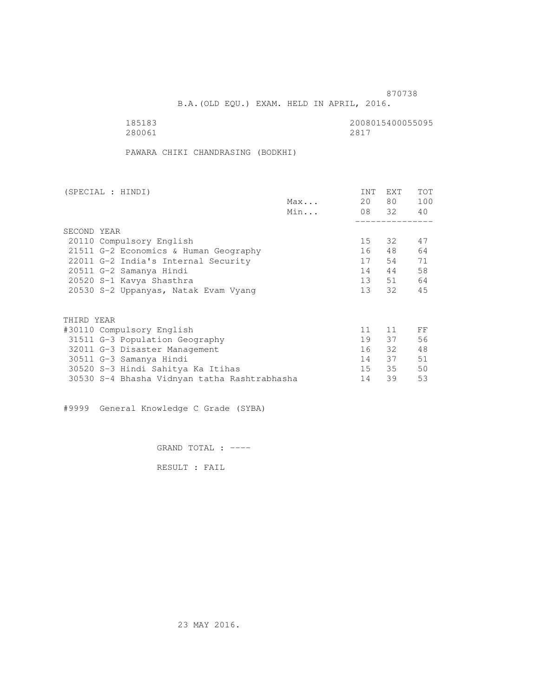B.A.(OLD EQU.) EXAM. HELD IN APRIL, 2016.

185183<br>280061 280061 280061 280061 280061 2817

PAWARA CHIKI CHANDRASING (BODKHI)

| (SPECIAL : HINDI)                            |     | <b>INT</b>      | <b>EXT</b> | TOT |
|----------------------------------------------|-----|-----------------|------------|-----|
|                                              | Max | 20              | 80 —       | 100 |
|                                              | Min |                 | 08 32      | 40  |
|                                              |     |                 |            |     |
| SECOND YEAR                                  |     |                 |            |     |
| 20110 Compulsory English                     |     | 15              | 32         | 47  |
| 21511 G-2 Economics & Human Geography        |     | 16              | 48         | 64  |
| 22011 G-2 India's Internal Security          |     | 17              | 54         | 71  |
| 20511 G-2 Samanya Hindi                      |     | 14              | 44         | 58  |
| 20520 S-1 Kavya Shasthra                     |     | 13              | 51         | 64  |
| 20530 S-2 Uppanyas, Natak Evam Vyang         |     | 13 <sup>7</sup> | 32         | 45  |
|                                              |     |                 |            |     |
| THIRD YEAR                                   |     |                 |            |     |
| #30110 Compulsory English                    |     | 11              | 11         | FF  |
| 31511 G-3 Population Geography               |     | 19              | 37         | 56  |
| 32011 G-3 Disaster Management                |     | 16              | 32         | 48  |
| 30511 G-3 Samanya Hindi                      |     | 14              | 37         | 51  |
| 30520 S-3 Hindi Sahitya Ka Itihas            |     | 15              | 35         | 50  |
| 30530 S-4 Bhasha Vidnyan tatha Rashtrabhasha |     | 14              | 39         | 53  |
|                                              |     |                 |            |     |

#9999 General Knowledge C Grade (SYBA)

GRAND TOTAL : ----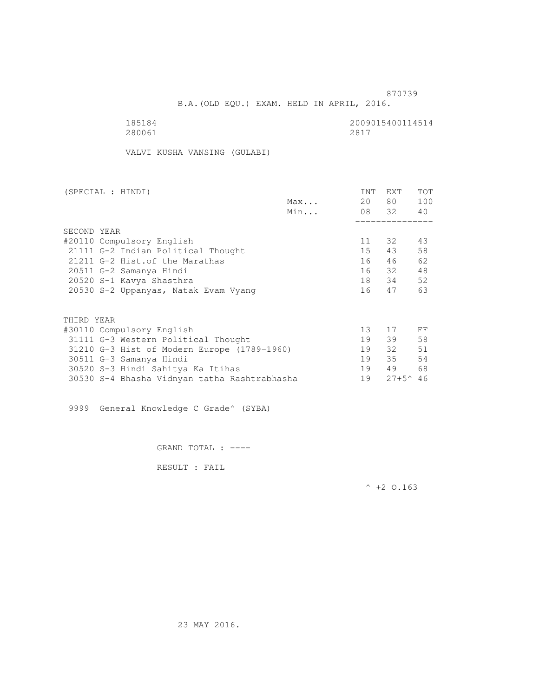B.A.(OLD EQU.) EXAM. HELD IN APRIL, 2016.

| 185184 | 2009015400114514 |
|--------|------------------|
| 280061 | 2817             |

VALVI KUSHA VANSING (GULABI)

| (SPECIAL : HINDI)                            |     | INT | EXT               | <b>TOT</b> |
|----------------------------------------------|-----|-----|-------------------|------------|
|                                              | Max | 20  | 80 —              | 100        |
|                                              | Min |     | 08 32 40          |            |
|                                              |     |     |                   |            |
| SECOND YEAR                                  |     |     |                   |            |
| #20110 Compulsory English                    |     | 11  | 32                | 43         |
| 21111 G-2 Indian Political Thought           |     | 15  | 43                | 58         |
| 21211 G-2 Hist. of the Marathas              |     | 16  | 46                | 62         |
| 20511 G-2 Samanya Hindi                      |     |     | 16 32             | 48         |
| 20520 S-1 Kavya Shasthra                     |     |     | 18 34             | 52         |
| 20530 S-2 Uppanyas, Natak Evam Vyang         |     | 16  | 47                | 63         |
|                                              |     |     |                   |            |
| THIRD YEAR                                   |     |     |                   |            |
| #30110 Compulsory English                    |     | 13  | 17                | FF         |
| 31111 G-3 Western Political Thought          |     | 19  | 39                | 58         |
| 31210 G-3 Hist of Modern Europe (1789-1960)  |     | 19  | 32                | 51         |
| 30511 G-3 Samanya Hindi                      |     | 19  | 35                | 54         |
| 30520 S-3 Hindi Sahitya Ka Itihas            |     | 19  | 49                | 68         |
| 30530 S-4 Bhasha Vidnyan tatha Rashtrabhasha |     | 19  | $27+5^{\circ}$ 46 |            |

9999 General Knowledge C Grade^ (SYBA)

GRAND TOTAL : ----

RESULT : FAIL

 $^{\wedge}$  +2 O.163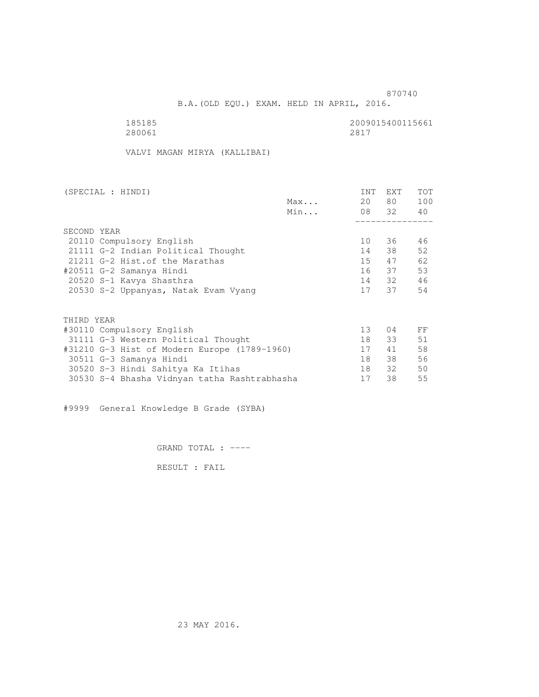B.A.(OLD EQU.) EXAM. HELD IN APRIL, 2016.

| 185185 | 2009015400115661 |
|--------|------------------|
| 280061 | 2817             |

VALVI MAGAN MIRYA (KALLIBAI)

| (SPECIAL : HINDI)                            |     | INT | <b>EXT</b> | TOT |
|----------------------------------------------|-----|-----|------------|-----|
|                                              | Max | 20  | 80 —       | 100 |
|                                              | Min |     | 08 32 40   |     |
|                                              |     |     |            |     |
| SECOND YEAR                                  |     |     |            |     |
| 20110 Compulsory English                     |     | 10  | 36         | 46  |
| 21111 G-2 Indian Political Thought           |     | 14  | 38         | 52  |
| 21211 G-2 Hist. of the Marathas              |     | 15  | 47         | 62  |
| #20511 G-2 Samanya Hindi                     |     |     | 16 37      | 53  |
| 20520 S-1 Kavya Shasthra                     |     |     | 14 32      | 46  |
| 20530 S-2 Uppanyas, Natak Evam Vyang         |     | 17  | 37         | 54  |
|                                              |     |     |            |     |
| THIRD YEAR                                   |     |     |            |     |
| #30110 Compulsory English                    |     | 13  | 04         | FF  |
| 31111 G-3 Western Political Thought          |     | 18  | 33         | 51  |
| #31210 G-3 Hist of Modern Europe (1789-1960) |     | 17  | 41         | 58  |
| 30511 G-3 Samanya Hindi                      |     | 18  | 38         | 56  |
| 30520 S-3 Hindi Sahitya Ka Itihas            |     | 18  | 32         | 50  |
| 30530 S-4 Bhasha Vidnyan tatha Rashtrabhasha |     | 17  | 38         | 55  |
|                                              |     |     |            |     |

#9999 General Knowledge B Grade (SYBA)

GRAND TOTAL : ----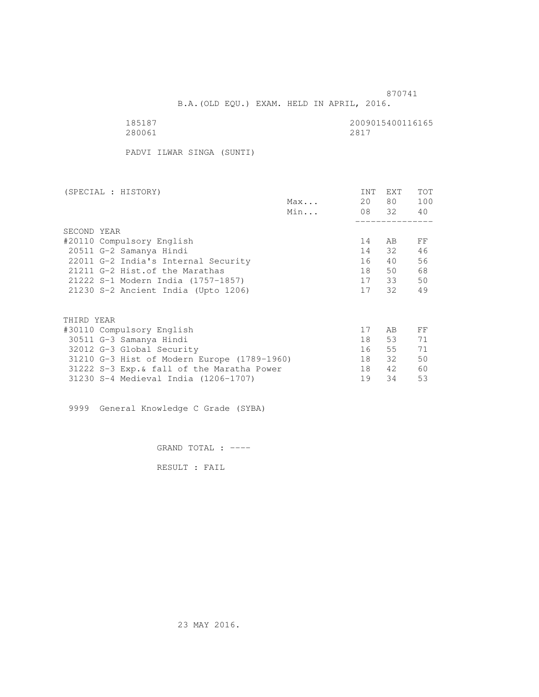B.A.(OLD EQU.) EXAM. HELD IN APRIL, 2016.

280061 280061 2817

185187<br>280061 280061 280061

PADVI ILWAR SINGA (SUNTI)

| (SPECIAL : HISTORY)                         |     | INT | EXT      | <b>TOT</b> |
|---------------------------------------------|-----|-----|----------|------------|
|                                             | Max | 20  | 80 —     | 100        |
|                                             | Min |     | 08 32 40 |            |
|                                             |     |     |          |            |
| SECOND YEAR                                 |     |     |          |            |
| #20110 Compulsory English                   |     | 14  | AB       | FF         |
| 20511 G-2 Samanya Hindi                     |     | 14  | 32       | 46         |
| 22011 G-2 India's Internal Security         |     | 16  | 40       | 56         |
| 21211 G-2 Hist. of the Marathas             |     | 18  | 50       | 68         |
| 21222 S-1 Modern India (1757-1857)          |     |     | 17 33    | 50         |
| 21230 S-2 Ancient India (Upto 1206)         |     | 17  | 32       | 49         |
|                                             |     |     |          |            |
| THIRD YEAR                                  |     |     |          |            |
| #30110 Compulsory English                   |     | 17  | AB       | FF         |
| 30511 G-3 Samanya Hindi                     |     | 18  | 53       | 71         |
| 32012 G-3 Global Security                   |     | 16  | 55       | 71         |
| 31210 G-3 Hist of Modern Europe (1789-1960) |     | 18  | 32       | 50         |
| 31222 S-3 Exp. & fall of the Maratha Power  |     | 18  | 42       | 60         |
| 31230 S-4 Medieval India (1206-1707)        |     | 19  | 34       | 53         |
|                                             |     |     |          |            |

9999 General Knowledge C Grade (SYBA)

GRAND TOTAL : ----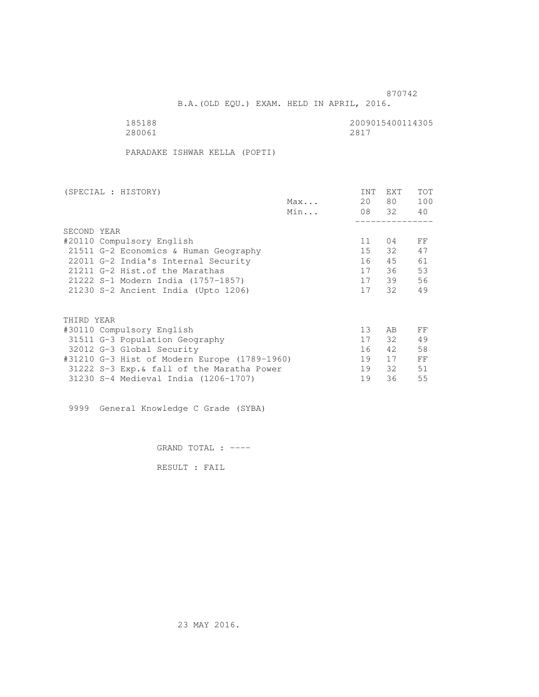B.A.(OLD EQU.) EXAM. HELD IN APRIL, 2016.

| 185188 | 2009015400114305 |
|--------|------------------|
| 280061 | 2817             |

PARADAKE ISHWAR KELLA (POPTI)

| (SPECIAL : HISTORY)                          |     | <b>INT</b> | <b>EXT</b> | TOT |
|----------------------------------------------|-----|------------|------------|-----|
|                                              | Max | 20         | 80         | 100 |
|                                              | Min |            | 08 32      | 40  |
|                                              |     |            |            |     |
| SECOND YEAR                                  |     |            |            |     |
| #20110 Compulsory English                    |     | 11         | 04         | FF  |
| 21511 G-2 Economics & Human Geography        |     | 15         | 32         | 47  |
| 22011 G-2 India's Internal Security          |     | 16         | 45         | 61  |
| 21211 G-2 Hist. of the Marathas              |     | 17         | 36         | 53  |
| 21222 S-1 Modern India (1757-1857)           |     | 17         | 39         | 56  |
| 21230 S-2 Ancient India (Upto 1206)          |     | 17         | 32         | 49  |
|                                              |     |            |            |     |
| THIRD YEAR                                   |     |            |            |     |
| #30110 Compulsory English                    |     | 13         | AB         | FF  |
| 31511 G-3 Population Geography               |     | 17         | 32         | 49  |
| 32012 G-3 Global Security                    |     | 16         | 42         | 58  |
| #31210 G-3 Hist of Modern Europe (1789-1960) |     | 19         | 17         | FF  |
| 31222 S-3 Exp. & fall of the Maratha Power   |     | 19         | 32         | 51  |
| 31230 S-4 Medieval India (1206-1707)         |     | 19         | 36         | 55  |
|                                              |     |            |            |     |

9999 General Knowledge C Grade (SYBA)

GRAND TOTAL : ----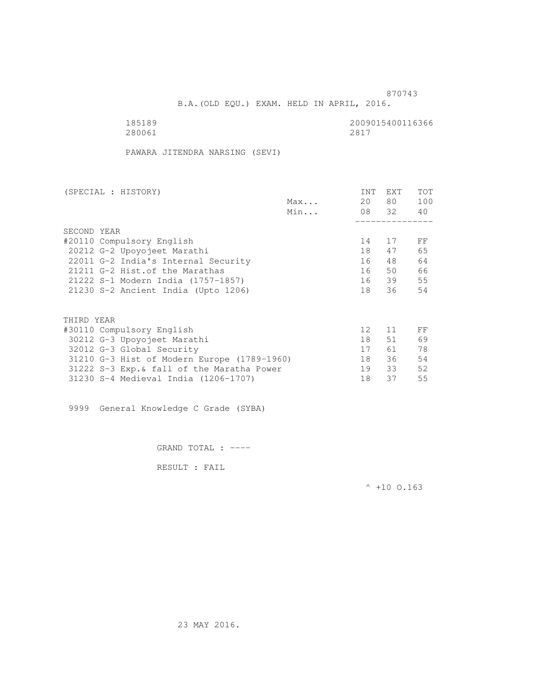B.A.(OLD EQU.) EXAM. HELD IN APRIL, 2016.

| 185189 | 2009015400116366 |
|--------|------------------|
| 280061 | 2817             |

PAWARA JITENDRA NARSING (SEVI)

| (SPECIAL : HISTORY)                         |     | <b>INT</b>      | <b>EXT</b> | TOT |
|---------------------------------------------|-----|-----------------|------------|-----|
|                                             | Max | 20              | 80 —       | 100 |
|                                             | Min |                 | 08 32      | 40  |
|                                             |     |                 |            |     |
| SECOND YEAR                                 |     |                 |            |     |
| #20110 Compulsory English                   |     | 14              | 17         | FF  |
| 20212 G-2 Upoyojeet Marathi                 |     | 18              | 47         | 65  |
| 22011 G-2 India's Internal Security         |     | 16              | 48         | 64  |
| 21211 G-2 Hist. of the Marathas             |     | 16              | 50         | 66  |
| 21222 S-1 Modern India (1757-1857)          |     |                 | 16 39      | 55  |
| 21230 S-2 Ancient India (Upto 1206)         |     | 18              | 36         | 54  |
|                                             |     |                 |            |     |
| THIRD YEAR                                  |     |                 |            |     |
| #30110 Compulsory English                   |     | 12 <sup>°</sup> | 11         | FF  |
| 30212 G-3 Upoyojeet Marathi                 |     | 18              | 51         | 69  |
| 32012 G-3 Global Security                   |     | 17              | 61 —       | 78  |
| 31210 G-3 Hist of Modern Europe (1789-1960) |     | 18              | 36         | 54  |
| 31222 S-3 Exp. & fall of the Maratha Power  |     | 19              | 33         | 52  |
| 31230 S-4 Medieval India (1206-1707)        |     | 18              | 37         | 55  |
|                                             |     |                 |            |     |

9999 General Knowledge C Grade (SYBA)

GRAND TOTAL : ----

RESULT : FAIL

 $^{\wedge}$  +10 O.163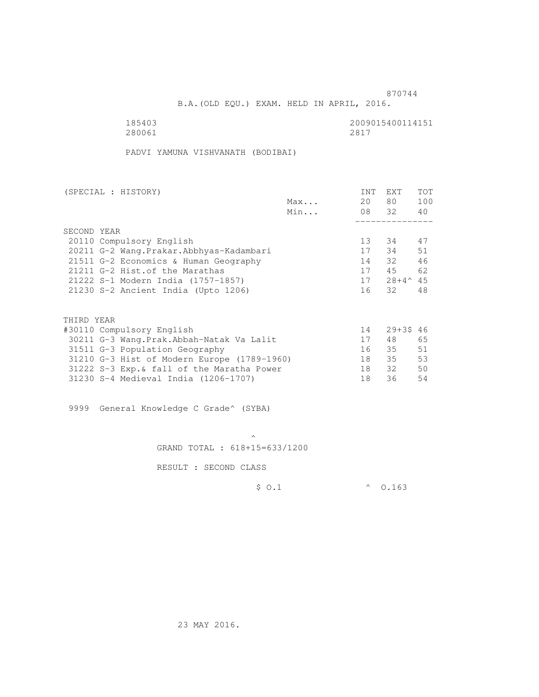B.A.(OLD EQU.) EXAM. HELD IN APRIL, 2016.

280061 280061 2817

185403<br>280061 280061 280061 2817

PADVI YAMUNA VISHVANATH (BODIBAI)

| (SPECIAL : HISTORY)                         |     | <b>INT</b>      | <b>EXT</b>      | TOT |
|---------------------------------------------|-----|-----------------|-----------------|-----|
|                                             | Max | 20              | 80 —            | 100 |
|                                             | Min |                 | 08 32           | 40  |
|                                             |     |                 |                 |     |
| SECOND YEAR                                 |     |                 |                 |     |
| 20110 Compulsory English                    |     | 13 <sup>°</sup> | 34              | 47  |
| 20211 G-2 Wang. Prakar. Abbhyas-Kadambari   |     | 17              | 34              | 51  |
| 21511 G-2 Economics & Human Geography       |     | 14              | 32              | 46  |
| 21211 G-2 Hist.of the Marathas              |     | 17              | 45              | 62  |
| 21222 S-1 Modern India (1757-1857)          |     | 17              | $28+4^{\sim}45$ |     |
| 21230 S-2 Ancient India (Upto 1206)         |     | 16              | 32              | 48  |
|                                             |     |                 |                 |     |
| THIRD YEAR                                  |     |                 |                 |     |
| #30110 Compulsory English                   |     | 14              | $29 + 3546$     |     |
| 30211 G-3 Wang.Prak.Abbah-Natak Va Lalit    |     | 17              | 48              | 65  |
| 31511 G-3 Population Geography              |     | 16              | 35              | 51  |
| 31210 G-3 Hist of Modern Europe (1789-1960) |     | 18              | 35              | 53  |
| 31222 S-3 Exp. & fall of the Maratha Power  |     | 18              | 32              | 50  |
| 31230 S-4 Medieval India (1206-1707)        |     | 18              | 36              | 54  |

9999 General Knowledge C Grade^ (SYBA)

 $\mathcal{A}$  and  $\mathcal{A}$  are the set of  $\mathcal{A}$ GRAND TOTAL : 618+15=633/1200

RESULT : SECOND CLASS

\$ O.1 ^ O.163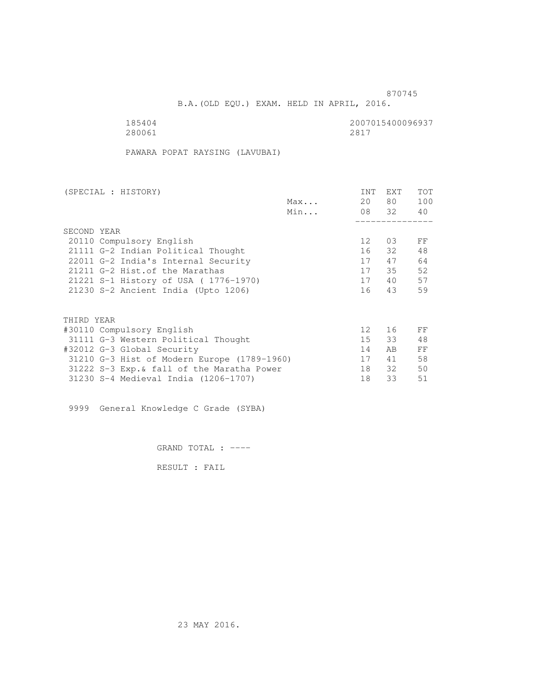B.A.(OLD EQU.) EXAM. HELD IN APRIL, 2016.

280061 280061 2817

185404<br>280061 280061 280061 280061

PAWARA POPAT RAYSING (LAVUBAI)

| (SPECIAL : HISTORY)                         |     | <b>INT</b>      | <b>EXT</b> | TOT |
|---------------------------------------------|-----|-----------------|------------|-----|
|                                             | Max | 20              | 80         | 100 |
|                                             | Min |                 | 08 32      | 40  |
|                                             |     |                 |            |     |
| SECOND YEAR                                 |     |                 |            |     |
| 20110 Compulsory English                    |     | 12 <sup>°</sup> | 03         | FF  |
| 21111 G-2 Indian Political Thought          |     | 16              | 32         | 48  |
| 22011 G-2 India's Internal Security         |     | 17              | 47         | 64  |
| 21211 G-2 Hist. of the Marathas             |     | 17              | 35         | 52  |
| 21221 S-1 History of USA (1776-1970)        |     | 17              | 40         | 57  |
| 21230 S-2 Ancient India (Upto 1206)         |     | 16              | 43         | 59  |
|                                             |     |                 |            |     |
| THIRD YEAR                                  |     |                 |            |     |
| #30110 Compulsory English                   |     | 12 <sup>°</sup> | 16         | FF  |
| 31111 G-3 Western Political Thought         |     | 15              | 33         | 48  |
| #32012 G-3 Global Security                  |     | 14              | AB.        | FF  |
| 31210 G-3 Hist of Modern Europe (1789-1960) |     | 17              | 41         | 58  |
| 31222 S-3 Exp. & fall of the Maratha Power  |     | 18              | 32         | 50  |
| 31230 S-4 Medieval India (1206-1707)        |     | 18              | 33         | 51  |
|                                             |     |                 |            |     |

9999 General Knowledge C Grade (SYBA)

GRAND TOTAL : ----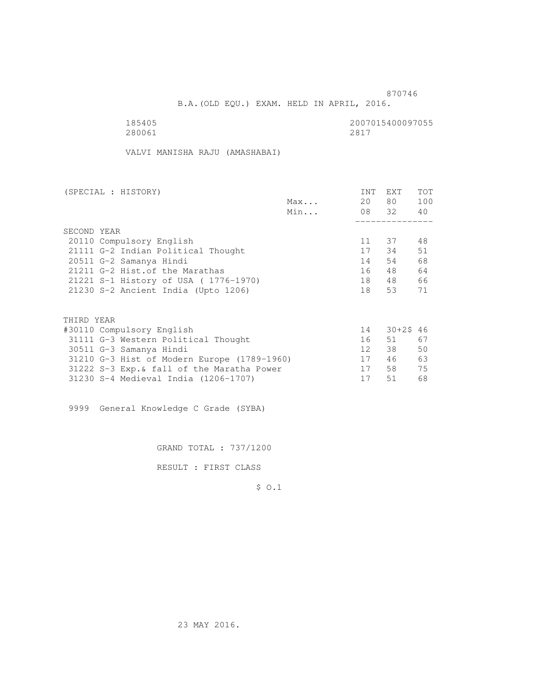B.A.(OLD EQU.) EXAM. HELD IN APRIL, 2016.

185405<br>280061 280061 280061 280061 280061 2817

VALVI MANISHA RAJU (AMASHABAI)

| (SPECIAL : HISTORY) |                                             |     | INT | EXT       | <b>TOT</b> |
|---------------------|---------------------------------------------|-----|-----|-----------|------------|
|                     |                                             | Max | 20  | 80 —      | 100        |
|                     |                                             | Min |     | 08 32 40  |            |
|                     |                                             |     |     |           |            |
| SECOND YEAR         |                                             |     |     |           |            |
|                     | 20110 Compulsory English                    |     | 11  | 37        | 48         |
|                     | 21111 G-2 Indian Political Thought          |     |     | 17 34     | 51         |
|                     | 20511 G-2 Samanya Hindi                     |     | 14  | 54        | 68         |
|                     | 21211 G-2 Hist. of the Marathas             |     | 16  | 48        | 64         |
|                     | 21221 S-1 History of USA (1776-1970)        |     | 18  | 48        | 66         |
|                     | 21230 S-2 Ancient India (Upto 1206)         |     | 18  | 53        | 71         |
|                     |                                             |     |     |           |            |
| THIRD YEAR          |                                             |     |     |           |            |
|                     | #30110 Compulsory English                   |     | 14  | 30+2\$ 46 |            |
|                     | 31111 G-3 Western Political Thought         |     | 16  | 51        | 67         |
|                     | 30511 G-3 Samanya Hindi                     |     | 12  | 38        | 50         |
|                     | 31210 G-3 Hist of Modern Europe (1789-1960) |     | 17  | 46        | 63         |
|                     | 31222 S-3 Exp. & fall of the Maratha Power  |     | 17  | 58        | 75         |
|                     | 31230 S-4 Medieval India (1206-1707)        |     | 17  | 51        | 68         |

9999 General Knowledge C Grade (SYBA)

GRAND TOTAL : 737/1200

RESULT : FIRST CLASS

\$ O.1